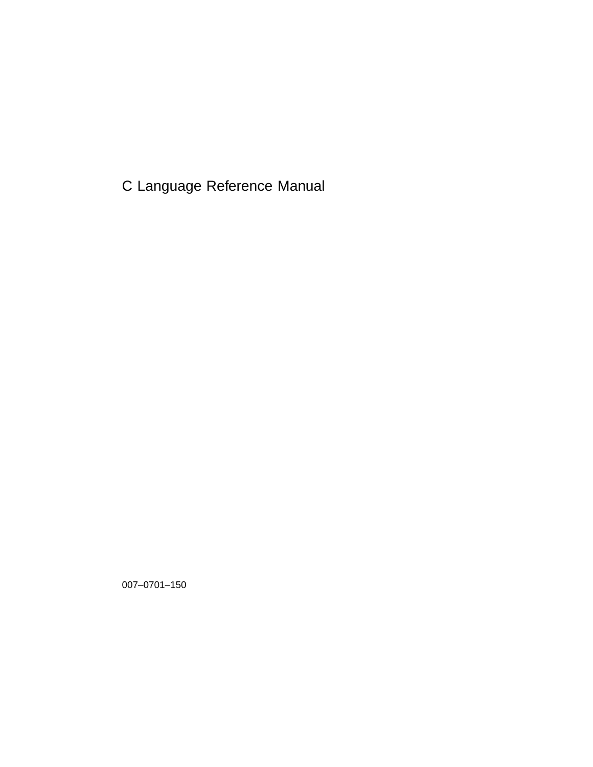C Language Reference Manual

007–0701–150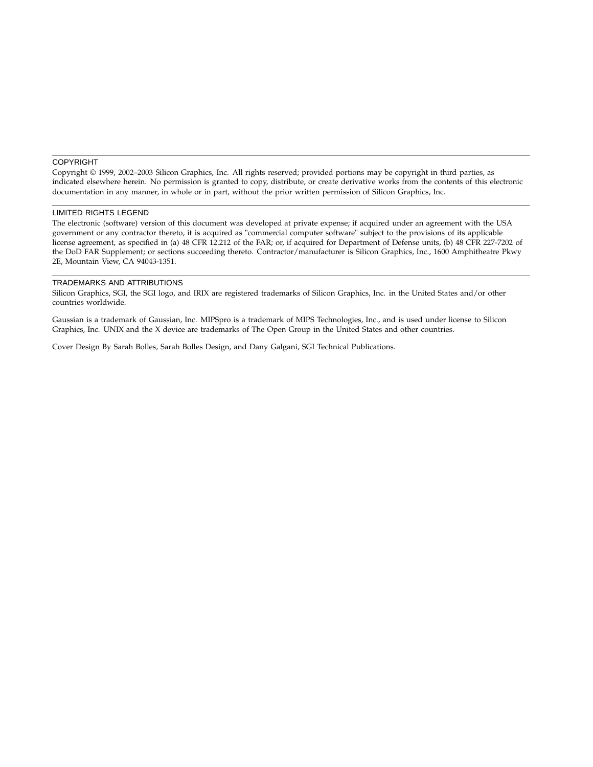#### COPYRIGHT

Copyright © 1999, 2002–2003 Silicon Graphics, Inc. All rights reserved; provided portions may be copyright in third parties, as indicated elsewhere herein. No permission is granted to copy, distribute, or create derivative works from the contents of this electronic documentation in any manner, in whole or in part, without the prior written permission of Silicon Graphics, Inc.

#### LIMITED RIGHTS LEGEND

The electronic (software) version of this document was developed at private expense; if acquired under an agreement with the USA government or any contractor thereto, it is acquired as "commercial computer software" subject to the provisions of its applicable license agreement, as specified in (a) 48 CFR 12.212 of the FAR; or, if acquired for Department of Defense units, (b) 48 CFR 227-7202 of the DoD FAR Supplement; or sections succeeding thereto. Contractor/manufacturer is Silicon Graphics, Inc., 1600 Amphitheatre Pkwy 2E, Mountain View, CA 94043-1351.

#### TRADEMARKS AND ATTRIBUTIONS

Silicon Graphics, SGI, the SGI logo, and IRIX are registered trademarks of Silicon Graphics, Inc. in the United States and/or other countries worldwide.

Gaussian is a trademark of Gaussian, Inc. MIPSpro is a trademark of MIPS Technologies, Inc., and is used under license to Silicon Graphics, Inc. UNIX and the X device are trademarks of The Open Group in the United States and other countries.

Cover Design By Sarah Bolles, Sarah Bolles Design, and Dany Galgani, SGI Technical Publications.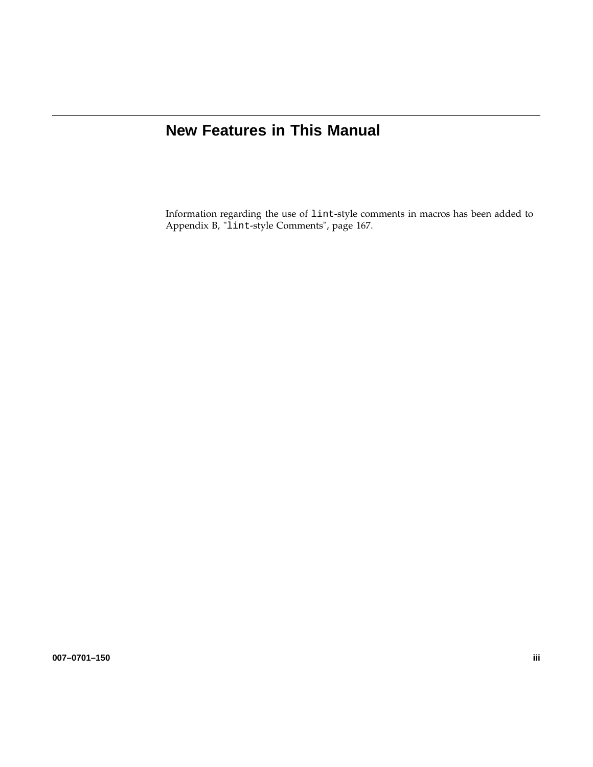# **New Features in This Manual**

Information regarding the use of lint-style comments in macros has been added to Appendix B, "lint-style Comments", page 167.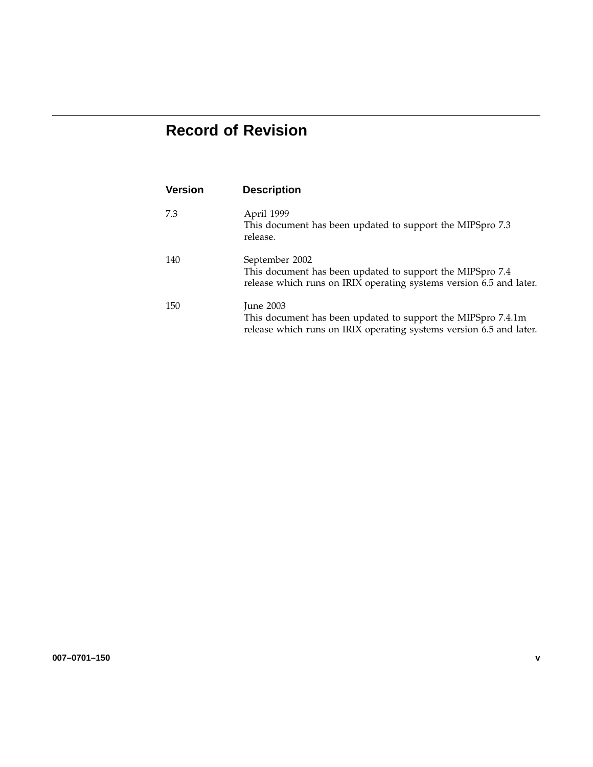# **Record of Revision**

| <b>Version</b> | <b>Description</b>                                                                                                                                      |
|----------------|---------------------------------------------------------------------------------------------------------------------------------------------------------|
| 7.3            | April 1999<br>This document has been updated to support the MIPSpro 7.3<br>release.                                                                     |
| 140            | September 2002<br>This document has been updated to support the MIPSpro 7.4<br>release which runs on IRIX operating systems version 6.5 and later.      |
| 150            | <b>Iune 2003</b><br>This document has been updated to support the MIPSpro 7.4.1m<br>release which runs on IRIX operating systems version 6.5 and later. |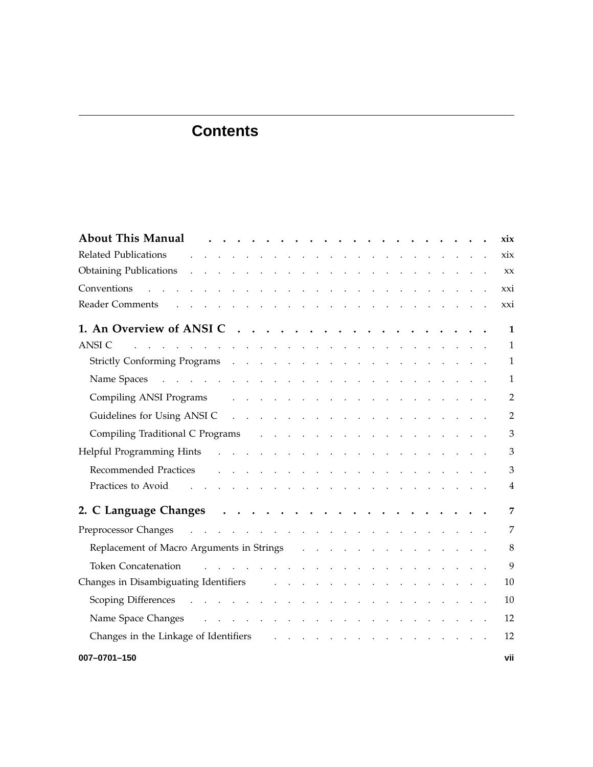| <b>About This Manual</b>                                                                                                                                                                                                       | xix            |
|--------------------------------------------------------------------------------------------------------------------------------------------------------------------------------------------------------------------------------|----------------|
| Related Publications and a subset of the subset of the set of the set of the set of the set of the set of the set of the set of the set of the set of the set of the set of the set of the set of the set of the set of the se | xix            |
|                                                                                                                                                                                                                                | XX             |
| Conventions<br>والمتعاون والمتعاون والمتعاون والمتعاون والمتعاون والمتعاون والمتعاون والمتعاون والمتعاون والمتعاون                                                                                                             | xxi            |
|                                                                                                                                                                                                                                | xxi            |
|                                                                                                                                                                                                                                | $\mathbf{1}$   |
| <b>ANSI C</b><br>and the contract of the contract of the contract of the contract of the contract of                                                                                                                           | $\mathbf{1}$   |
|                                                                                                                                                                                                                                | $\mathbf{1}$   |
|                                                                                                                                                                                                                                | 1              |
| Compiling ANSI Programs and a series and a series of the series of the series of the series of the series of the series of the series of the series of the series of the series of the series of the series of the series of t | $\overline{2}$ |
|                                                                                                                                                                                                                                | $\overline{2}$ |
| Compiling Traditional C Programs and a subset of the set of the contract of the C Programs and a subset of the set of the contract of the contract of the contract of the contract of the contract of the contract of the cont | 3              |
|                                                                                                                                                                                                                                | 3              |
| Recommended Practices residence and the contract of the contract of the contract of the contract of the contract of the contract of the contract of the contract of the contract of the contract of the contract of the contra | 3              |
| Practices to Avoid<br>and the contract of the contract of the contract of the contract of                                                                                                                                      | 4              |
|                                                                                                                                                                                                                                | 7              |
|                                                                                                                                                                                                                                | 7              |
| Replacement of Macro Arguments in Strings (e.g. in the case of the contract of Macro Arguments in Strings (e.g. in the contract of the contract of Macro Arguments in Strings (e.g. in the contract of the contract of Macro A | 8              |
| Token Concatenation Theorem 2014 Concerns the Concentration Concentration Concerns the Concentration Concentration Concentration Concentration Concentration Concentration Concentration Concentration Concentration Concentra | 9              |
| Changes in Disambiguating Identifiers and a subset of the set of the set of the set of the set of the set of the set of the set of the set of the set of the set of the set of the set of the set of the set of the set of the | 10             |
|                                                                                                                                                                                                                                | 10             |
| Name Space Changes and a subset of the contract of the set of the contract of the contract of the contract of the contract of the contract of the contract of the contract of the contract of the contract of the contract of  | 12             |
| Changes in the Linkage of Identifiers and the contract of the Linkage of Identifiers and the contract of the contract of the contract of the contract of the contract of the contract of the contract of the contract of the c | 12             |
| 007-0701-150                                                                                                                                                                                                                   | vii            |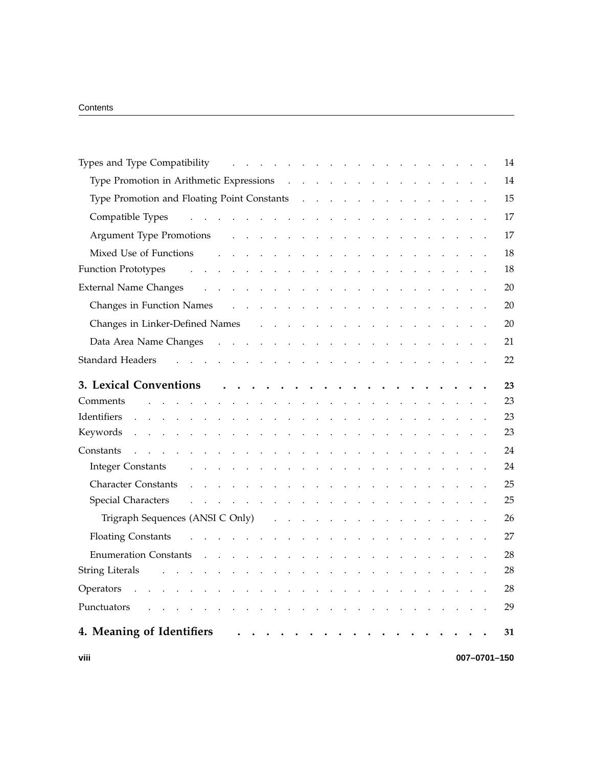| Types and Type Compatibility resources and Types and Type Compatibility resources in the control of the control of the control of the control of the control of the control of the control of the control of the control of th                |  | 14           |
|-----------------------------------------------------------------------------------------------------------------------------------------------------------------------------------------------------------------------------------------------|--|--------------|
| Type Promotion in Arithmetic Expressions (enterprise of the contract of the Promotion in Arithmetic Expressions (enterprise of the contract of the Promotion in Arithmetic Expressions) (e.g. 2014)                                           |  | 14           |
|                                                                                                                                                                                                                                               |  | 15           |
|                                                                                                                                                                                                                                               |  | 17           |
| Argument Type Promotions and all the contract to the contract of the Promotions and all the contract of the contract of the contract of the Promotions and all the contract of the contract of the contract of the Promotions                 |  | 17           |
| والمتواطن والمتواطن والمتواطن والمتواطن والمتواطن والمتواطن والمتواطن<br>Mixed Use of Functions                                                                                                                                               |  | 18           |
| <b>Function Prototypes</b><br>والمتعاون والمتعاون والمتعاون والمتعاونة والمتعاونة والمتعاونة والمتعاونة                                                                                                                                       |  | 18           |
| <b>External Name Changes</b><br>the contract of the contract of the contract of the contract of the contract of                                                                                                                               |  | 20           |
|                                                                                                                                                                                                                                               |  | 20           |
|                                                                                                                                                                                                                                               |  | 20           |
|                                                                                                                                                                                                                                               |  | 21           |
| <b>Standard Headers</b><br>the contract of the contract of the contract of the contract of the contract of the contract of the contract of                                                                                                    |  | 22           |
| 3. Lexical Conventions                                                                                                                                                                                                                        |  | 23           |
| Comments<br>the contract of the contract of the contract of the contract of the contract of the contract of the contract of                                                                                                                   |  | 23           |
| Identifiers<br>and a series of the contract of the contract of the contract of the contract of the contract of the contract of the contract of the contract of the contract of the contract of the contract of the contract of the contract o |  | 23           |
|                                                                                                                                                                                                                                               |  | 23           |
| Constants<br><b>Contract Contract Contract Contract</b><br>and a series of the contract of the contract of the contract of the contract of                                                                                                    |  | 24           |
| <b>Integer Constants</b><br>والقاربة القاربة القاربة القرارة القرارة القرارة القرارة القرارة القرارة القرارة القرارة القرارة                                                                                                                  |  | 24           |
| Character Constants .<br>the contract of the contract of the contract of the contract of the contract of                                                                                                                                      |  | 25           |
| Special Characters and the contract of the contract of the contract of the contract of the contract of the contract of the contract of the contract of the contract of the contract of the contract of the contract of the con                |  | 25           |
| Trigraph Sequences (ANSI C Only) $\cdots$ $\cdots$ $\cdots$ $\cdots$ $\cdots$ $\cdots$ $\cdots$ $\cdots$                                                                                                                                      |  | 26           |
| Floating Constants research and constants research and constants research and constant and constant and constant and constant and constant and constant and constant and constant and constant and constant and constant and c                |  | 27           |
|                                                                                                                                                                                                                                               |  | 28           |
| <b>String Literals</b>                                                                                                                                                                                                                        |  | 28           |
| Operators .<br>$\mathcal{L}(\mathcal{A})$ and $\mathcal{A}(\mathcal{A})$ . In the $\mathcal{A}(\mathcal{A})$                                                                                                                                  |  | 28           |
| Punctuators<br>and the state of the state of<br><b>Carl Adams</b><br>$\mathbb{Z}^2$                                                                                                                                                           |  | 29           |
| 4. Meaning of Identifiers<br>$\ddot{\phantom{0}}$<br>$\cdots$ $\cdots$                                                                                                                                                                        |  | 31           |
| viii                                                                                                                                                                                                                                          |  | 007-0701-150 |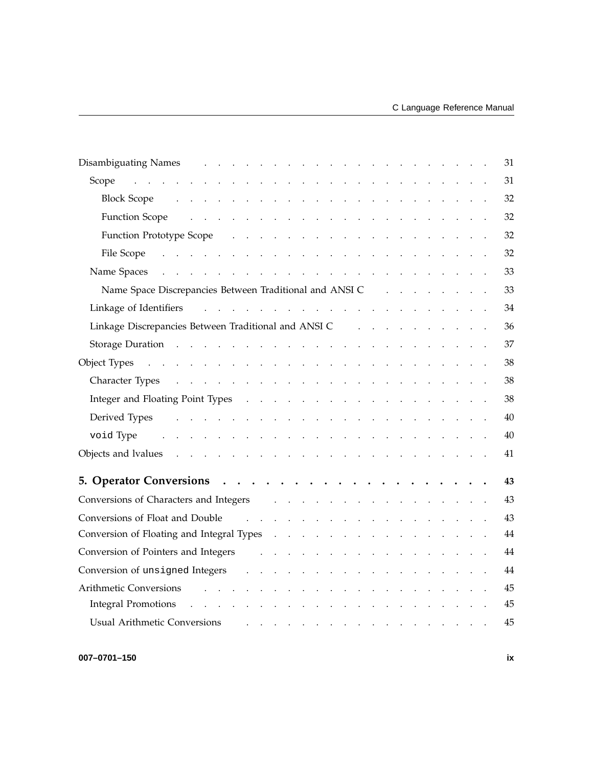| Disambiguating Names and a contract to the contract of the contract of the contract of the contract of the contract of the contract of the contract of the contract of the contract of the contract of the contract of the con |  |  | 31 |
|--------------------------------------------------------------------------------------------------------------------------------------------------------------------------------------------------------------------------------|--|--|----|
| Scope<br>and the contract of the contract of the contract of the contract of the contract of the contract of                                                                                                                   |  |  | 31 |
|                                                                                                                                                                                                                                |  |  | 32 |
| Function Scope results and the set of the set of the set of the set of the set of the set of the set of the set of the set of the set of the set of the set of the set of the set of the set of the set of the set of the set  |  |  | 32 |
| Function Prototype Scope (Contact Contact Contact Contact Contact Contact Contact Contact Contact Contact Contact Contact Contact Contact Contact Contact Contact Contact Contact Contact Contact Contact Contact Contact Cont |  |  | 32 |
| File Scope records and the scope of the scope of the scope of the scope of the scope of the scope of the scope of the scope of the scope of the scope of the scope of the scope of the scope of the scope of the scope of the  |  |  | 32 |
| Name Spaces (a) and a contract the contract of the contract of the contract of the contract of the contract of the contract of the contract of the contract of the contract of the contract of the contract of the contract of |  |  | 33 |
|                                                                                                                                                                                                                                |  |  | 33 |
|                                                                                                                                                                                                                                |  |  | 34 |
|                                                                                                                                                                                                                                |  |  | 36 |
| Storage Duration and a contract that is a contract of the contract of the contract of the contract of the contract of the contract of the contract of the contract of the contract of the contract of the contract of the cont |  |  | 37 |
|                                                                                                                                                                                                                                |  |  | 38 |
|                                                                                                                                                                                                                                |  |  | 38 |
|                                                                                                                                                                                                                                |  |  | 38 |
| Derived Types research resources and the contract of the contract of the contract of the contract of the contract of the contract of the contract of the contract of the contract of the contract of the contract of the contr |  |  | 40 |
| and the contract of the contract of the contract of the contract of the contract of<br>void Type                                                                                                                               |  |  | 40 |
|                                                                                                                                                                                                                                |  |  | 41 |
|                                                                                                                                                                                                                                |  |  |    |
|                                                                                                                                                                                                                                |  |  | 43 |
| Conversions of Characters and Integers enters and the series of the series of the series of the series of the series of the series of the series of the series of the series of the series of the series of the series of the  |  |  | 43 |
| Conversions of Float and Double                                                                                                                                                                                                |  |  | 43 |
| Conversion of Floating and Integral Types (e.g. b. c. b. c. b. c. b. c. b. c. b. c. b. c. b. c. b. c                                                                                                                           |  |  | 44 |
| Conversion of Pointers and Integers and Line Conversion of Pointers and Integers and Line Conversion of Pointers and Integers and Line Conversion of Pointers and Integers and Line Conversion of the United States of the Uni |  |  | 44 |
|                                                                                                                                                                                                                                |  |  | 44 |
| Arithmetic Conversions and the contract of the contract of the contract of the contract of the contract of the contract of the contract of the contract of the contract of the contract of the contract of the contract of the |  |  | 45 |
| <b>Integral Promotions</b><br>and the contract of the contract of the contract of<br>$\sim 10$                                                                                                                                 |  |  | 45 |
| <b>Usual Arithmetic Conversions</b><br>المناطق والمناطق والمناطق والمناطق والمناطق والمناطق                                                                                                                                    |  |  | 45 |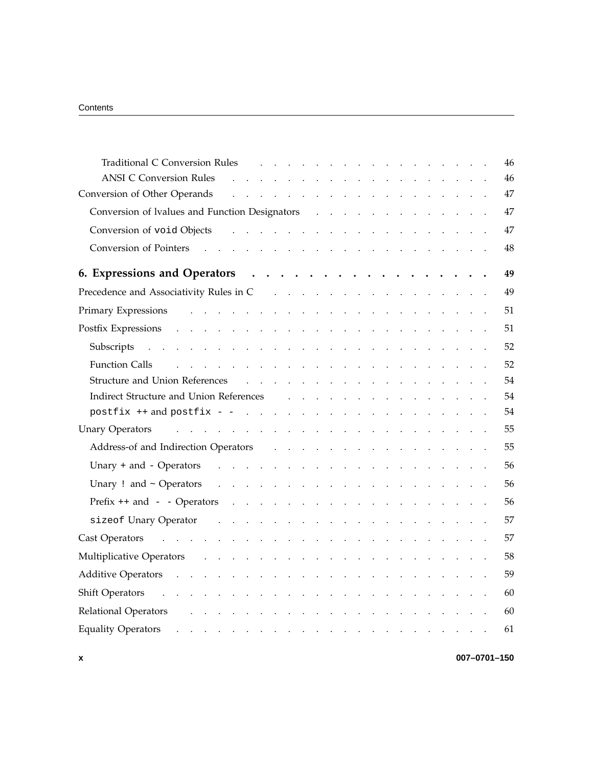| Traditional C Conversion Rules (Conversion Rules Conversion Rules Conversion Rules Conversion Conversion Conversion Conversion Conversion Conversion Conversion Conversion Conversion Conversion Conversion Conversion Convers |                                                                         |  |  |  |  |  |  |  |  | 46 |
|--------------------------------------------------------------------------------------------------------------------------------------------------------------------------------------------------------------------------------|-------------------------------------------------------------------------|--|--|--|--|--|--|--|--|----|
| <b>ANSI C Conversion Rules</b>                                                                                                                                                                                                 | <u>a serie de la carte de la carte de la carte de la carte de la ca</u> |  |  |  |  |  |  |  |  | 46 |
| Conversion of Other Operands                                                                                                                                                                                                   | والمتواطن والمتواطن والمتواطن والمتواطن والمتواطن والمتواطن والمتواطن   |  |  |  |  |  |  |  |  | 47 |
| Conversion of Ivalues and Function Designators (Conversion of Ivalues and Function Designators (Conversion Conversion Conversion Conversion Conversion Conversion Conversion Conversion Conversion Conversion Conversion Conve |                                                                         |  |  |  |  |  |  |  |  | 47 |
|                                                                                                                                                                                                                                |                                                                         |  |  |  |  |  |  |  |  | 47 |
|                                                                                                                                                                                                                                |                                                                         |  |  |  |  |  |  |  |  | 48 |
| 6. Expressions and Operators (b) contains the contract of the contract of the contract of the contract of the contract of the contract of the contract of the contract of the contract of the contract of the contract of the  |                                                                         |  |  |  |  |  |  |  |  | 49 |
| Precedence and Associativity Rules in C and Associativity Rules in C and Associativity Rules in C and Associativity Rules in C and Associativity Rules in C and Associativity Rules in C and Associativity Rules in C and Asso |                                                                         |  |  |  |  |  |  |  |  | 49 |
|                                                                                                                                                                                                                                |                                                                         |  |  |  |  |  |  |  |  | 51 |
|                                                                                                                                                                                                                                |                                                                         |  |  |  |  |  |  |  |  | 51 |
|                                                                                                                                                                                                                                |                                                                         |  |  |  |  |  |  |  |  | 52 |
| المتحدث والمتحدث والمتحدث والمتحدث والمتحدث والمتحدث والمتحدث والمتحدث والمتحدث<br><b>Function Calls</b>                                                                                                                       |                                                                         |  |  |  |  |  |  |  |  | 52 |
|                                                                                                                                                                                                                                |                                                                         |  |  |  |  |  |  |  |  | 54 |
| Indirect Structure and Union References and the state of the state of the state of the state of the state of the state of the state of the state of the state of the state of the state of the state of the state of the state |                                                                         |  |  |  |  |  |  |  |  | 54 |
|                                                                                                                                                                                                                                |                                                                         |  |  |  |  |  |  |  |  | 54 |
| Unary Operators and the contract of the contract of the contract of the contract of the contract of the contract of the contract of the contract of the contract of the contract of the contract of the contract of the contra |                                                                         |  |  |  |  |  |  |  |  | 55 |
|                                                                                                                                                                                                                                |                                                                         |  |  |  |  |  |  |  |  | 55 |
| Unary + and - Operators $\cdots$ $\cdots$ $\cdots$ $\cdots$ $\cdots$ $\cdots$ $\cdots$ $\cdots$ $\cdots$ $\cdots$                                                                                                              |                                                                         |  |  |  |  |  |  |  |  | 56 |
|                                                                                                                                                                                                                                |                                                                         |  |  |  |  |  |  |  |  | 56 |
|                                                                                                                                                                                                                                |                                                                         |  |  |  |  |  |  |  |  | 56 |
|                                                                                                                                                                                                                                |                                                                         |  |  |  |  |  |  |  |  | 57 |
| Cast Operators and the contract of the contract of the contract of the contract of the contract of the contract of the contract of the contract of the contract of the contract of the contract of the contract of the contrac |                                                                         |  |  |  |  |  |  |  |  | 57 |
| Multiplicative Operators and a subset of the contract of the contract of the contract of the contract of the contract of the contract of the contract of the contract of the contract of the contract of the contract of the c |                                                                         |  |  |  |  |  |  |  |  | 58 |
|                                                                                                                                                                                                                                |                                                                         |  |  |  |  |  |  |  |  | 59 |
| Shift Operators and a subsequently contained a series of the series of the series of the series of the series of the series of the series of the series of the series of the series of the series of the series of the series  |                                                                         |  |  |  |  |  |  |  |  | 60 |
| Relational Operators and a subsequent of the subsequent of the set of the set of the set of the set of the set of the set of the set of the set of the set of the set of the set of the set of the set of the set of the set o |                                                                         |  |  |  |  |  |  |  |  | 60 |
|                                                                                                                                                                                                                                |                                                                         |  |  |  |  |  |  |  |  | 61 |
|                                                                                                                                                                                                                                |                                                                         |  |  |  |  |  |  |  |  |    |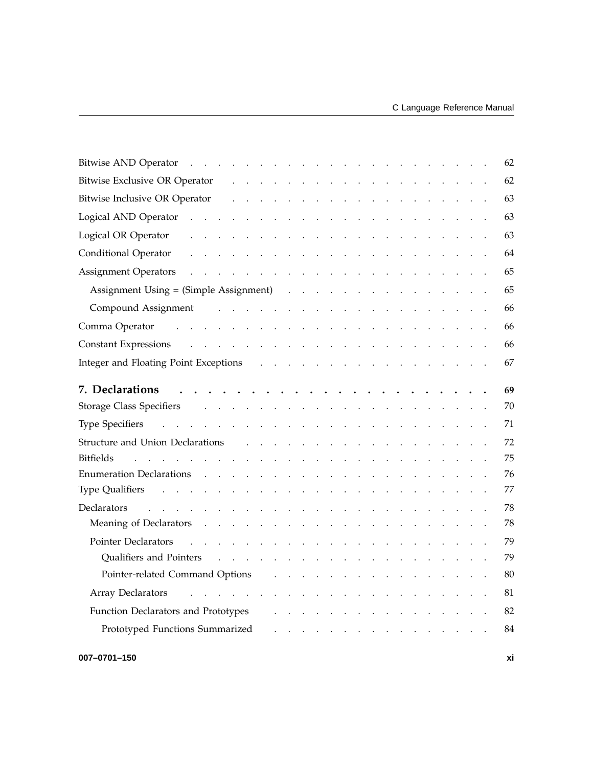| <b>Bitwise AND Operator</b><br><u>na kana kana kana kana kana kana kana</u>                                                                                                                                                                                                                                                                                                                                                                                                                                |                                                                                                                                                                                               | 62 |
|------------------------------------------------------------------------------------------------------------------------------------------------------------------------------------------------------------------------------------------------------------------------------------------------------------------------------------------------------------------------------------------------------------------------------------------------------------------------------------------------------------|-----------------------------------------------------------------------------------------------------------------------------------------------------------------------------------------------|----|
| a construction of the construction of the construction of the construction of the construction of the construction of the construction of the construction of the construction of the construction of the construction of the<br>Bitwise Exclusive OR Operator                                                                                                                                                                                                                                             |                                                                                                                                                                                               | 62 |
| Bitwise Inclusive OR Operator<br>والمتحاول والمتحاول والمتحاول والمتحاول والمتحاول والمحاولات والمحاولات                                                                                                                                                                                                                                                                                                                                                                                                   |                                                                                                                                                                                               | 63 |
| Logical AND Operator<br>the contract of the contract of the contract of the contract of the contract of                                                                                                                                                                                                                                                                                                                                                                                                    |                                                                                                                                                                                               | 63 |
| Logical OR Operator<br>والمتواطن والمتواطن والمتواطن والمتواطن والمتواطن والمتواطن والمتواطن                                                                                                                                                                                                                                                                                                                                                                                                               |                                                                                                                                                                                               | 63 |
| <b>Conditional Operator</b><br>and the contract of the contract of the contract of the contract of the contract of                                                                                                                                                                                                                                                                                                                                                                                         |                                                                                                                                                                                               | 64 |
|                                                                                                                                                                                                                                                                                                                                                                                                                                                                                                            |                                                                                                                                                                                               | 65 |
| Assignment Using = (Simple Assignment)                                                                                                                                                                                                                                                                                                                                                                                                                                                                     |                                                                                                                                                                                               | 65 |
| Compound Assignment the contract of the contract of the contract of the contract of the contract of the contract of the contract of the contract of the contract of the contract of the contract of the contract of the contra                                                                                                                                                                                                                                                                             |                                                                                                                                                                                               | 66 |
| Comma Operator and a series and a series and a series and a series and a series of the series of the series of the series of the series of the series of the series of the series of the series of the series of the series of                                                                                                                                                                                                                                                                             |                                                                                                                                                                                               | 66 |
|                                                                                                                                                                                                                                                                                                                                                                                                                                                                                                            |                                                                                                                                                                                               | 66 |
|                                                                                                                                                                                                                                                                                                                                                                                                                                                                                                            |                                                                                                                                                                                               | 67 |
| 7. Declarations<br>$\mathbf{r}^{\mathsf{T}} \cdot \mathbf{r}^{\mathsf{T}} \cdot \mathbf{r}^{\mathsf{T}} \cdot \mathbf{r}^{\mathsf{T}} \cdot \mathbf{r}^{\mathsf{T}} \cdot \mathbf{r}^{\mathsf{T}} \cdot \mathbf{r}^{\mathsf{T}} \cdot \mathbf{r}^{\mathsf{T}} \cdot \mathbf{r}^{\mathsf{T}} \cdot \mathbf{r}^{\mathsf{T}} \cdot \mathbf{r}^{\mathsf{T}} \cdot \mathbf{r}^{\mathsf{T}} \cdot \mathbf{r}^{\mathsf{T}} \cdot \mathbf{r}^{\mathsf{T}} \cdot \mathbf{r}^{\mathsf{T}} \cdot \mathbf{r}^{\mathsf$ |                                                                                                                                                                                               | 69 |
| Storage Class Specifiers and the contract of the contract of the contract of the contract of the contract of the contract of the contract of the contract of the contract of the contract of the contract of the contract of t                                                                                                                                                                                                                                                                             |                                                                                                                                                                                               | 70 |
| والمتعاون والمتعاون والمتعاون والمتعاون والمتعاون والمتعاون والمتعاون والمتعاون والمتعاون<br><b>Type Specifiers</b>                                                                                                                                                                                                                                                                                                                                                                                        |                                                                                                                                                                                               | 71 |
| Structure and Union Declarations (e.g., e.g., e.g., e.g., e.g., e.g., e.g., e.g., e.g., e.g., e.g., e.g., e.g., e.g., e.g., e.g., e.g., e.g., e.g., e.g., e.g., e.g., e.g., e.g., e.g., e.g., e.g., e.g., e.g., e.g., e.g., e.                                                                                                                                                                                                                                                                             |                                                                                                                                                                                               | 72 |
| <b>Bitfields</b><br>and the contract of the contract of the contract of the contract of the contract of the contract of the contract of the contract of the contract of the contract of the contract of the contract of the contract of the contra                                                                                                                                                                                                                                                         |                                                                                                                                                                                               | 75 |
| <b>Enumeration Declarations</b><br>and the contract of the contract of the contract of the contract of the contract of the contract of the contract of the contract of the contract of the contract of the contract of the contract of the contract of the contra                                                                                                                                                                                                                                          |                                                                                                                                                                                               | 76 |
|                                                                                                                                                                                                                                                                                                                                                                                                                                                                                                            |                                                                                                                                                                                               |    |
| Type Qualifiers resources and the contract of the contract of the contract of the contract of the contract of the contract of the contract of the contract of the contract of the contract of the contract of the contract of                                                                                                                                                                                                                                                                              |                                                                                                                                                                                               | 77 |
| Declarators<br>and the company of the company of the company of the company of the company of the company of the company of the company of the company of the company of the company of the company of the company of the company of the comp                                                                                                                                                                                                                                                              |                                                                                                                                                                                               | 78 |
| Meaning of Declarators                                                                                                                                                                                                                                                                                                                                                                                                                                                                                     | $\sim$ $\sim$ $\sim$                                                                                                                                                                          | 78 |
| Pointer Declarators<br>and the contract of the contract of the contract of the contract of the contract of the contract of the contract of the contract of the contract of the contract of the contract of the contract of the contract of the contra                                                                                                                                                                                                                                                      |                                                                                                                                                                                               | 79 |
| Qualifiers and Pointers enters and the contract of the contract of the contract of the contract of the contract of the contract of the contract of the contract of the contract of the contract of the contract of the contrac                                                                                                                                                                                                                                                                             |                                                                                                                                                                                               | 79 |
| Pointer-related Command Options<br>$\mathbf{r} = \mathbf{r} \cdot \mathbf{r}$ , $\mathbf{r} = \mathbf{r} \cdot \mathbf{r}$                                                                                                                                                                                                                                                                                                                                                                                 |                                                                                                                                                                                               | 80 |
| Array Declarators and a subset of the contract the contract of the contract of the contract of the contract of                                                                                                                                                                                                                                                                                                                                                                                             |                                                                                                                                                                                               | 81 |
| Function Declarators and Prototypes                                                                                                                                                                                                                                                                                                                                                                                                                                                                        | $\frac{1}{2}$ , $\frac{1}{2}$ , $\frac{1}{2}$ , $\frac{1}{2}$ , $\frac{1}{2}$ , $\frac{1}{2}$ , $\frac{1}{2}$ , $\frac{1}{2}$ , $\frac{1}{2}$ , $\frac{1}{2}$ , $\frac{1}{2}$ , $\frac{1}{2}$ | 82 |
| Prototyped Functions Summarized                                                                                                                                                                                                                                                                                                                                                                                                                                                                            | .                                                                                                                                                                                             | 84 |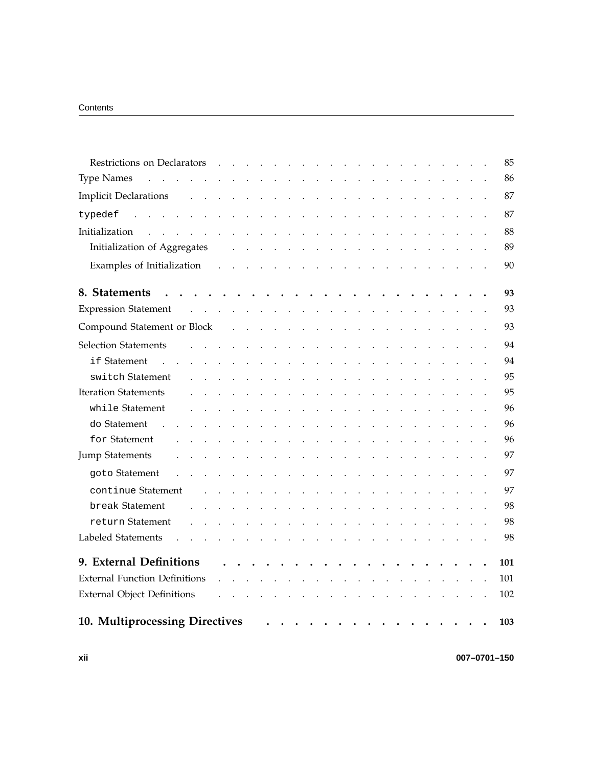| Restrictions on Declarators                                                   |              |                      | $\sim 10^{-10}$                                                                 | $\ddot{\phantom{a}}$      |          |               | $\ddot{\phantom{a}}$                                |                      |                      |                      |                                                             |                                                                                                                                                                                                                                                                                                                                                                                                                                                           |                      |                      |                                                                     |                      |                                                |                      |  |  | 85  |
|-------------------------------------------------------------------------------|--------------|----------------------|---------------------------------------------------------------------------------|---------------------------|----------|---------------|-----------------------------------------------------|----------------------|----------------------|----------------------|-------------------------------------------------------------|-----------------------------------------------------------------------------------------------------------------------------------------------------------------------------------------------------------------------------------------------------------------------------------------------------------------------------------------------------------------------------------------------------------------------------------------------------------|----------------------|----------------------|---------------------------------------------------------------------|----------------------|------------------------------------------------|----------------------|--|--|-----|
| <b>Type Names</b><br>and a series of the contract of the contract of the con- |              |                      |                                                                                 |                           |          |               |                                                     |                      |                      |                      |                                                             |                                                                                                                                                                                                                                                                                                                                                                                                                                                           | $\sim$ .             |                      |                                                                     |                      |                                                |                      |  |  | 86  |
| <b>Implicit Declarations</b>                                                  |              |                      | and a series of the contract of the contract of the contract of the contract of |                           |          |               |                                                     |                      |                      |                      |                                                             |                                                                                                                                                                                                                                                                                                                                                                                                                                                           |                      |                      |                                                                     |                      |                                                |                      |  |  | 87  |
| typedef                                                                       |              |                      | and the contract of the state of                                                |                           |          |               |                                                     |                      |                      | $\sim$               |                                                             |                                                                                                                                                                                                                                                                                                                                                                                                                                                           |                      |                      |                                                                     |                      |                                                |                      |  |  | 87  |
| Initialization<br>$\mathbf{r}$                                                | $\mathbf{r}$ | $\sim$               | $\ddot{\phantom{a}}$                                                            |                           |          |               | and a strategic and                                 | $\ddot{\phantom{a}}$ | $\ddot{\phantom{a}}$ | $\ddot{\phantom{a}}$ | $\ddot{\phantom{a}}$                                        | $\ddot{\phantom{a}}$                                                                                                                                                                                                                                                                                                                                                                                                                                      |                      |                      |                                                                     |                      |                                                |                      |  |  | 88  |
| Initialization of Aggregates                                                  |              |                      |                                                                                 |                           |          |               |                                                     |                      |                      |                      |                                                             |                                                                                                                                                                                                                                                                                                                                                                                                                                                           |                      |                      | and a series of the contract of the contract of the contract of     |                      |                                                |                      |  |  | 89  |
| Examples of Initialization                                                    |              |                      | $\mathbf{L}^{\text{max}}$                                                       |                           |          |               | and a strategic control of the                      |                      |                      |                      |                                                             | $\ddot{\phantom{a}}$                                                                                                                                                                                                                                                                                                                                                                                                                                      | $\sim$               | $\sim$ $\sim$        | $\sim$ $\sim$                                                       | $\sim 10^{-11}$      |                                                | $\sim$               |  |  | 90  |
| 8. Statements                                                                 |              |                      |                                                                                 |                           |          |               | .                                                   |                      |                      |                      |                                                             | $\bullet$                                                                                                                                                                                                                                                                                                                                                                                                                                                 | $\ddot{\phantom{0}}$ |                      | $\bullet$                                                           |                      | $\bullet$                                      |                      |  |  | 93  |
| <b>Expression Statement</b>                                                   |              |                      | and a series of the contract of the contract of the                             |                           |          |               |                                                     |                      |                      |                      |                                                             |                                                                                                                                                                                                                                                                                                                                                                                                                                                           |                      |                      | $\ddot{\phantom{a}}$                                                | $\sim$               | $\sim$                                         |                      |  |  | 93  |
| Compound Statement or Block                                                   |              |                      |                                                                                 |                           |          |               | and the contract of the contract of the contract of |                      |                      |                      |                                                             |                                                                                                                                                                                                                                                                                                                                                                                                                                                           |                      |                      |                                                                     |                      | $\mathbf{u}$ and $\mathbf{u}$ and $\mathbf{u}$ |                      |  |  | 93  |
| <b>Selection Statements</b>                                                   |              |                      |                                                                                 |                           | $\sim$   | $\sim$        | $\sim$ $\sim$                                       |                      |                      |                      | $\mathcal{L}^{\text{max}}$ , and $\mathcal{L}^{\text{max}}$ | $\sim 10$                                                                                                                                                                                                                                                                                                                                                                                                                                                 | $\sim$               |                      | $\ddot{\phantom{a}}$                                                |                      |                                                |                      |  |  | 94  |
| if Statement                                                                  |              |                      |                                                                                 |                           |          |               |                                                     |                      |                      | $\ddot{\phantom{a}}$ |                                                             | $\mathbb{Z}^2$                                                                                                                                                                                                                                                                                                                                                                                                                                            |                      |                      |                                                                     |                      |                                                |                      |  |  | 94  |
| switch Statement                                                              |              |                      |                                                                                 | $\mathbf{L}^{\mathbf{r}}$ | $\sim$ . | $\sim$ $\sim$ | $\ddot{\phantom{a}}$                                | $\ddot{\phantom{a}}$ | $\ddot{\phantom{a}}$ | $\sim$               | $\sim$                                                      | $\ddot{\phantom{a}}$                                                                                                                                                                                                                                                                                                                                                                                                                                      | $\sim$ .             | $\ddot{\phantom{a}}$ | $\ddot{\phantom{a}}$                                                | $\ddot{\phantom{a}}$ |                                                | $\ddot{\phantom{a}}$ |  |  | 95  |
| <b>Iteration Statements</b>                                                   |              |                      |                                                                                 |                           |          |               |                                                     |                      |                      |                      |                                                             |                                                                                                                                                                                                                                                                                                                                                                                                                                                           |                      |                      |                                                                     |                      |                                                |                      |  |  | 95  |
| while Statement                                                               |              |                      |                                                                                 |                           |          |               |                                                     |                      |                      | $\blacksquare$       | $\sim$ $\sim$                                               | $\bullet$                                                                                                                                                                                                                                                                                                                                                                                                                                                 | $\sim$               |                      |                                                                     |                      |                                                |                      |  |  | 96  |
| do Statement                                                                  |              |                      |                                                                                 |                           |          |               |                                                     |                      |                      | $\ddot{\phantom{a}}$ |                                                             | $\ddot{\phantom{a}}$                                                                                                                                                                                                                                                                                                                                                                                                                                      |                      |                      |                                                                     |                      |                                                |                      |  |  | 96  |
| for Statement                                                                 |              |                      |                                                                                 |                           |          |               | $\ddot{\phantom{a}}$                                |                      | $\ddot{\phantom{0}}$ | $\ddot{\phantom{0}}$ | $\sim$ $\sim$                                               | $\ddot{\phantom{a}}$                                                                                                                                                                                                                                                                                                                                                                                                                                      | $\sim$               |                      | $\ddot{\phantom{a}}$                                                |                      |                                                |                      |  |  | 96  |
| <b>Jump Statements</b>                                                        |              |                      |                                                                                 |                           |          |               |                                                     |                      | $\ddot{\phantom{a}}$ | $\sim$               |                                                             | $\ddot{\phantom{a}}$                                                                                                                                                                                                                                                                                                                                                                                                                                      | $\sim$               |                      |                                                                     |                      |                                                |                      |  |  | 97  |
| goto Statement                                                                |              |                      |                                                                                 |                           |          |               | $\ddot{\phantom{a}}$                                | $\sim$ $\sim$        |                      | $\ddot{\phantom{a}}$ | $\sim$ $\sim$                                               | $\ddot{\phantom{a}}$                                                                                                                                                                                                                                                                                                                                                                                                                                      | $\sim$               |                      |                                                                     |                      |                                                |                      |  |  | 97  |
| continue Statement                                                            |              |                      |                                                                                 |                           |          |               | $\ddot{\phantom{a}}$                                |                      | $\sim$ $\sim$        | $\ddot{\phantom{a}}$ |                                                             | $\sim 10^{11}$ km s $^{-1}$ km s $^{-1}$                                                                                                                                                                                                                                                                                                                                                                                                                  |                      |                      |                                                                     |                      |                                                |                      |  |  | 97  |
| break Statement                                                               |              |                      |                                                                                 | $\ddot{\phantom{a}}$      |          |               | $\sim$ $\sim$                                       | $\sim$ 4 $\,$        |                      |                      | $\mathcal{L}^{\text{max}}$ , and $\mathcal{L}^{\text{max}}$ | $\sim 10$                                                                                                                                                                                                                                                                                                                                                                                                                                                 | $\sim$ .             | $\sim 10$            | $\sim$ $\sim$                                                       |                      |                                                | $\sim$ $\sim$        |  |  | 98  |
| return Statement                                                              |              |                      |                                                                                 |                           |          |               |                                                     |                      |                      |                      |                                                             |                                                                                                                                                                                                                                                                                                                                                                                                                                                           |                      |                      |                                                                     |                      |                                                |                      |  |  | 98  |
| Labeled Statements<br>$\ddot{\phantom{0}}$                                    |              | $\ddot{\phantom{a}}$ | $\ddot{\phantom{a}}$                                                            |                           |          |               |                                                     |                      |                      |                      |                                                             |                                                                                                                                                                                                                                                                                                                                                                                                                                                           |                      |                      | المتناقب والمتناقب والمتناقب والمتناقب والمتناقب والمتناقب والمناقب |                      |                                                |                      |  |  | 98  |
| 9. External Definitions                                                       |              |                      |                                                                                 |                           |          |               |                                                     |                      |                      |                      |                                                             |                                                                                                                                                                                                                                                                                                                                                                                                                                                           |                      |                      |                                                                     |                      |                                                |                      |  |  | 101 |
| <b>External Function Definitions</b>                                          |              |                      |                                                                                 |                           |          |               |                                                     |                      |                      | $\sim$               |                                                             | $\mathbf{r}$                                                                                                                                                                                                                                                                                                                                                                                                                                              |                      |                      |                                                                     |                      |                                                | $\sim$               |  |  | 101 |
| <b>External Object Definitions</b>                                            |              |                      |                                                                                 |                           |          |               |                                                     |                      |                      | $\sim$               |                                                             | $\mathcal{L}^{\mathcal{L}}(\mathcal{L}^{\mathcal{L}}(\mathcal{L}^{\mathcal{L}}(\mathcal{L}^{\mathcal{L}}(\mathcal{L}^{\mathcal{L}}(\mathcal{L}^{\mathcal{L}}(\mathcal{L}^{\mathcal{L}}(\mathcal{L}^{\mathcal{L}}(\mathcal{L}^{\mathcal{L}}(\mathcal{L}^{\mathcal{L}}(\mathcal{L}^{\mathcal{L}}(\mathcal{L}^{\mathcal{L}}(\mathcal{L}^{\mathcal{L}}(\mathcal{L}^{\mathcal{L}}(\mathcal{L}^{\mathcal{L}}(\mathcal{L}^{\mathcal{L}}(\mathcal{L}^{\mathcal{L$ |                      | $\sim 10$            | $\sim$ $\sim$                                                       | $\sim$               |                                                |                      |  |  | 102 |
| 10. Multiprocessing Directives                                                |              |                      |                                                                                 |                           |          |               |                                                     |                      |                      |                      |                                                             |                                                                                                                                                                                                                                                                                                                                                                                                                                                           |                      |                      |                                                                     |                      |                                                |                      |  |  | 103 |

**xii 007–0701–150**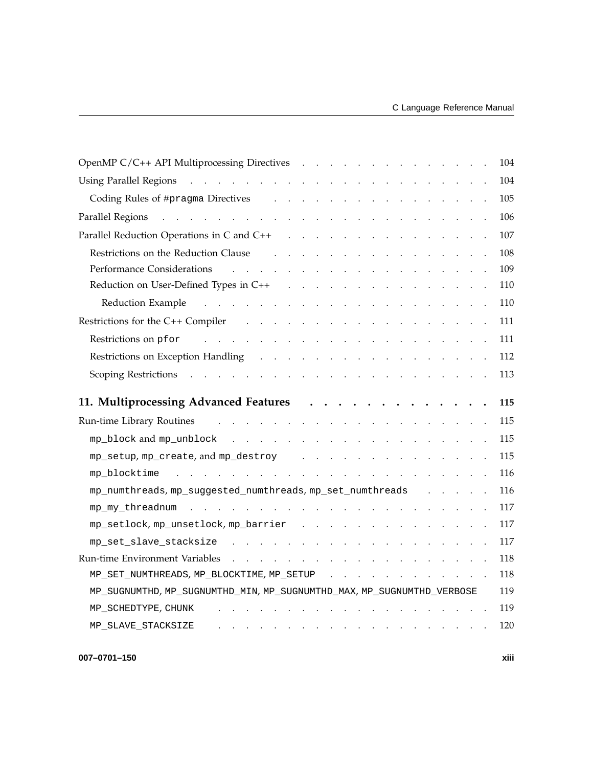| OpenMP C/C++ API Multiprocessing Directives                                                                                                                                                                                                                            |          |  |  |                                                           |  | 104 |
|------------------------------------------------------------------------------------------------------------------------------------------------------------------------------------------------------------------------------------------------------------------------|----------|--|--|-----------------------------------------------------------|--|-----|
| and the contract of the contract of the contract of the contract of the contract of<br><b>Using Parallel Regions</b>                                                                                                                                                   |          |  |  |                                                           |  | 104 |
| Coding Rules of #pragma Directives (e.g., e.g., e.g., e.g., e.g., e.g., e.g., e.g., e.g., e.g., e.g., e.g., e.g., e.g., e.g., e.g., e.g., e.g., e.g., e.g., e.g., e.g., e.g., e.g., e.g., e.g., e.g., e.g., e.g., e.g., e.g.,                                          |          |  |  |                                                           |  | 105 |
| والمتواطن والمتواطن والمتواطن والمتواطن والمتواطن والمتواطن والمتواطن والمتواطن والمتواطن<br>Parallel Regions                                                                                                                                                          |          |  |  |                                                           |  | 106 |
| Parallel Reduction Operations in C and C++ results and results and results are a set of the Parallel Reduction Operations in C and C++                                                                                                                                 |          |  |  |                                                           |  | 107 |
| Restrictions on the Reduction Clause<br>and the contract of the contract of the contract of the contract of the contract of the contract of the contract of the contract of the contract of the contract of the contract of the contract of the contract of the contra |          |  |  |                                                           |  | 108 |
| <b>Performance Considerations</b><br>$\frac{1}{2}$ . The state of the state of the state of the state of the state of the state of the state of the state of the state of the state of the state of the state of the state of the state of the state of the state of t |          |  |  |                                                           |  | 109 |
|                                                                                                                                                                                                                                                                        |          |  |  |                                                           |  | 110 |
| Reduction Example (e.g., e.g., e.g., e.g., e.g., e.g., e.g., e.g., e.g., e.g., e.g., e.g., e.g., e.g., e.g., e.g., e.g., e.g., e.g., e.g., e.g., e.g., e.g., e.g., e.g., e.g., e.g., e.g., e.g., e.g., e.g., e.g., e.g., e.g.,                                         |          |  |  |                                                           |  | 110 |
| Restrictions for the C++ Compiler (e.g., e.g., e.g., e.g., e.g., e.g., e.g., e.g., e.g., e.g., e.g., e.g., e.g., e.g., e.g., e.g., e.g., e.g., e.g., e.g., e.g., e.g., e.g., e.g., e.g., e.g., e.g., e.g., e.g., e.g., e.g., e                                         |          |  |  |                                                           |  | 111 |
| <u>. Karatan ing kabupatèn Sumah Pangalang Kabupatèn Sumah Pangalang Kabupatèn Sumah Pangalang Kabupatèn Sumah Pan</u><br>Restrictions on pfor                                                                                                                         |          |  |  |                                                           |  | 111 |
| Restrictions on Exception Handling (e.g., e.g., e.g., e.g., e.g., e.g., e.g., e.g., e.g., e.g., e.g., e.g., e.g., e.g., e.g., e.g., e.g., e.g., e.g., e.g., e.g., e.g., e.g., e.g., e.g., e.g., e.g., e.g., e.g., e.g., e.g.,                                          |          |  |  |                                                           |  | 112 |
| Scoping Restrictions resolution and contact the contact of the contact of the contact of the contact of the contact of the contact of the contact of the contact of the contact of the contact of the contact of the contact o                                         |          |  |  |                                                           |  | 113 |
| 11. Multiprocessing Advanced Features                                                                                                                                                                                                                                  | $\cdots$ |  |  |                                                           |  | 115 |
| والمتعاون والمتناول والمتناول والمتناول والمتناول والمتناول والمتناول<br>Run-time Library Routines                                                                                                                                                                     |          |  |  |                                                           |  | 115 |
|                                                                                                                                                                                                                                                                        |          |  |  |                                                           |  |     |
|                                                                                                                                                                                                                                                                        |          |  |  |                                                           |  | 115 |
| mp_setup, mp_create, and mp_destroy                                                                                                                                                                                                                                    |          |  |  |                                                           |  | 115 |
| mp blocktime<br>and a series of the contract of the contract of the contract of the contract of the contract of the contract of                                                                                                                                        |          |  |  |                                                           |  | 116 |
| mp_numthreads, mp_suggested_numthreads, mp_set_numthreads                                                                                                                                                                                                              |          |  |  | $\mathbf{r}$ , $\mathbf{r}$ , $\mathbf{r}$ , $\mathbf{r}$ |  | 116 |
|                                                                                                                                                                                                                                                                        |          |  |  |                                                           |  | 117 |
| mp_setlock, mp_unsetlock, mp_barrier                                                                                                                                                                                                                                   |          |  |  |                                                           |  | 117 |
| mp_set_slave_stacksize                                                                                                                                                                                                                                                 |          |  |  |                                                           |  | 117 |
| a construction of the construction of the construction of the construction of the construction of the construction of the construction of the construction of the construction of the construction of the construction of the<br>Run-time Environment Variables        |          |  |  |                                                           |  | 118 |
| MP_SET_NUMTHREADS, MP_BLOCKTIME, MP_SETUP                                                                                                                                                                                                                              |          |  |  |                                                           |  | 118 |
| MP_SUGNUMTHD, MP_SUGNUMTHD_MIN, MP_SUGNUMTHD_MAX, MP_SUGNUMTHD_VERBOSE                                                                                                                                                                                                 |          |  |  |                                                           |  | 119 |
| MP_SCHEDTYPE, CHUNK                                                                                                                                                                                                                                                    |          |  |  |                                                           |  | 119 |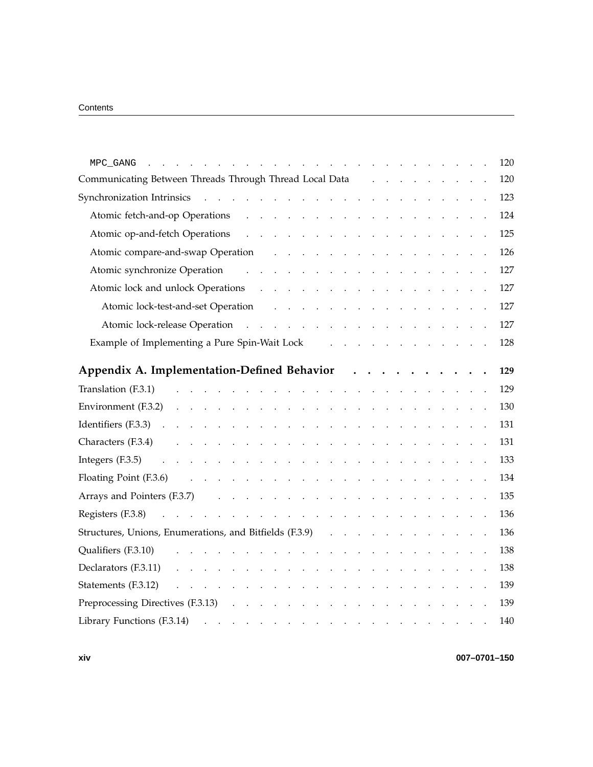| MPC_GANG                                                                                                                                                                                                                                                                  |                                          |  |  |  |  | 120 |
|---------------------------------------------------------------------------------------------------------------------------------------------------------------------------------------------------------------------------------------------------------------------------|------------------------------------------|--|--|--|--|-----|
| Communicating Between Threads Through Thread Local Data                                                                                                                                                                                                                   |                                          |  |  |  |  | 120 |
| Synchronization Intrinsics<br><u>a carra da santa da sala</u>                                                                                                                                                                                                             |                                          |  |  |  |  | 123 |
| Atomic fetch-and-op Operations<br>$\mathbf{1}$ and $\mathbf{1}$ and $\mathbf{1}$ and $\mathbf{1}$<br>$\sim$ $\sim$                                                                                                                                                        | $\mathbf{L}^{\text{max}}$                |  |  |  |  | 124 |
| Atomic op-and-fetch Operations<br>$\mathbf{1}^{\prime}$ and $\mathbf{1}^{\prime}$                                                                                                                                                                                         | $\sim 10^{11}$ km s $^{-1}$ km s $^{-1}$ |  |  |  |  | 125 |
| Atomic compare-and-swap Operation                                                                                                                                                                                                                                         |                                          |  |  |  |  | 126 |
| Atomic synchronize Operation<br>$\ddot{\phantom{a}}$<br>$\sim$<br>$\sim$ .<br>$\sim$                                                                                                                                                                                      | $\mathbb{Z}^2$<br>$\sim$                 |  |  |  |  | 127 |
| Atomic lock and unlock Operations<br>$\mathbf{r}$ and $\mathbf{r}$ are the set of the set of the set of the set of the set of the set of the set of the set of the set of the set of the set of the set of the set of the set of the set of the set of the set of the set |                                          |  |  |  |  | 127 |
| Atomic lock-test-and-set Operation<br>$\mathbf{1}$ and $\mathbf{1}$ and $\mathbf{1}$ and $\mathbf{1}$                                                                                                                                                                     | <b>Carl Contract Contract Contract</b>   |  |  |  |  | 127 |
| Atomic lock-release Operation<br>$\mathcal{A}$ . The second contribution of the second contribution $\mathcal{A}$                                                                                                                                                         |                                          |  |  |  |  | 127 |
| Example of Implementing a Pure Spin-Wait Lock                                                                                                                                                                                                                             |                                          |  |  |  |  | 128 |
|                                                                                                                                                                                                                                                                           |                                          |  |  |  |  |     |
| Appendix A. Implementation-Defined Behavior                                                                                                                                                                                                                               |                                          |  |  |  |  | 129 |
| Translation (F.3.1)                                                                                                                                                                                                                                                       |                                          |  |  |  |  | 129 |
| Environment (F.3.2)                                                                                                                                                                                                                                                       | $\sim$<br>$\ddot{\phantom{a}}$           |  |  |  |  | 130 |
| Identifiers (F.3.3)<br>$\mathbf{L}$ and $\mathbf{L}$                                                                                                                                                                                                                      |                                          |  |  |  |  | 131 |
| Characters (F.3.4)                                                                                                                                                                                                                                                        |                                          |  |  |  |  | 131 |
| Integers (F.3.5)<br>and a state of<br>$\ddot{\phantom{a}}$                                                                                                                                                                                                                |                                          |  |  |  |  | 133 |
| Floating Point (F.3.6)<br>$\mathbf{r}$ . The set of $\mathbf{r}$<br>$\ddot{\phantom{a}}$<br>$\ddot{\phantom{a}}$                                                                                                                                                          |                                          |  |  |  |  | 134 |
| Arrays and Pointers (F.3.7)<br>$\mathbf{r} = \mathbf{r} - \mathbf{r}$ , $\mathbf{r} = \mathbf{r} - \mathbf{r}$ , $\mathbf{r} = \mathbf{r} - \mathbf{r}$                                                                                                                   | $\ddot{\phantom{a}}$                     |  |  |  |  | 135 |
| Registers (F.3.8)<br>and a series of the contract of the contract of the                                                                                                                                                                                                  |                                          |  |  |  |  | 136 |
| Structures, Unions, Enumerations, and Bitfields (F.3.9)                                                                                                                                                                                                                   |                                          |  |  |  |  | 136 |
| Qualifiers (F.3.10)<br>$\sim$ $\sim$ $\sim$                                                                                                                                                                                                                               |                                          |  |  |  |  | 138 |
| Declarators (F.3.11)                                                                                                                                                                                                                                                      |                                          |  |  |  |  | 138 |
| Statements (F.3.12)<br>$\mathbf{r}$ . The set of $\mathbf{r}$<br>$\sim$<br>$\cdot$                                                                                                                                                                                        |                                          |  |  |  |  | 139 |
| Preprocessing Directives (F.3.13)                                                                                                                                                                                                                                         |                                          |  |  |  |  | 139 |
| Library Functions (F.3.14)                                                                                                                                                                                                                                                |                                          |  |  |  |  | 140 |
|                                                                                                                                                                                                                                                                           |                                          |  |  |  |  |     |

**xiv 007–0701–150**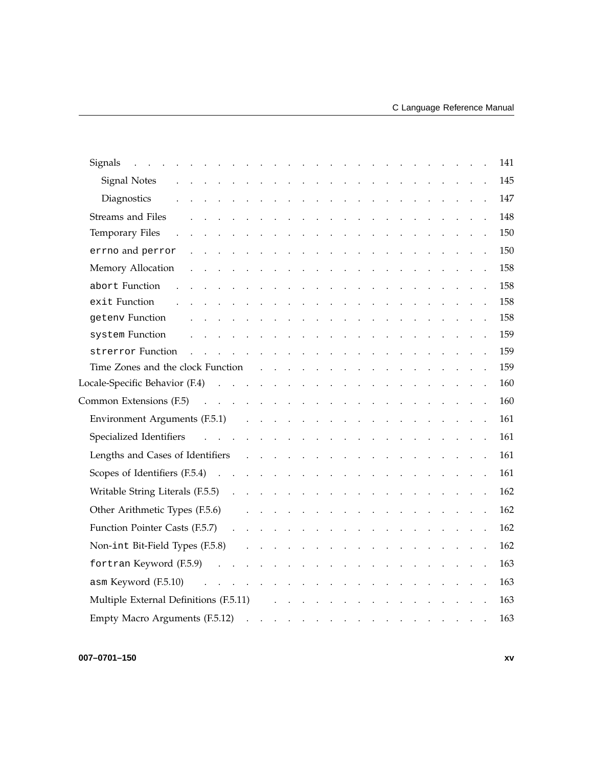| Signals                                                                                                          |               |                                                             |                                                     |                         |                             |                      |                           | the contract of the contract of                                                     |                            |                         |                      |                                                             |                       |                                                                                                  |  |  | 141 |
|------------------------------------------------------------------------------------------------------------------|---------------|-------------------------------------------------------------|-----------------------------------------------------|-------------------------|-----------------------------|----------------------|---------------------------|-------------------------------------------------------------------------------------|----------------------------|-------------------------|----------------------|-------------------------------------------------------------|-----------------------|--------------------------------------------------------------------------------------------------|--|--|-----|
| Signal Notes<br>the contract of the contract of the contract of the contract of the                              |               |                                                             |                                                     |                         |                             |                      |                           |                                                                                     |                            |                         |                      |                                                             |                       |                                                                                                  |  |  | 145 |
| Diagnostics<br>$\mathcal{A}=\mathcal{A}=\mathcal{A}$                                                             |               | $\mathcal{A}^{\mathcal{A}}$ and $\mathcal{A}^{\mathcal{A}}$ |                                                     | $\sim$                  | $\sim 10^{-1}$ km $^{-1}$   |                      | $\sim 100$ km s $^{-1}$   |                                                                                     | $\mathcal{L}_{\mathbf{r}}$ | $\sim 100$              | $\Box$               | $\mathcal{A}^{\mathcal{A}}$ and $\mathcal{A}^{\mathcal{A}}$ |                       | $\mathcal{L} \in \mathcal{L}$ .                                                                  |  |  | 147 |
| Streams and Files                                                                                                |               |                                                             |                                                     |                         |                             |                      | $\mathbf{L} = \mathbf{L}$ |                                                                                     | $\sim$                     |                         |                      |                                                             |                       |                                                                                                  |  |  | 148 |
| Temporary Files<br>$\sim$                                                                                        | $\sim$ $\sim$ | $\ddot{\phantom{a}}$                                        | $\sim$ .                                            | $\mathbb{Z}^2$          |                             |                      |                           | and the contract of the con-                                                        |                            |                         |                      | $\sim$ .                                                    |                       | $\mathcal{A}^{\mathcal{A}}$ and $\mathcal{A}^{\mathcal{A}}$ . In the $\mathcal{A}^{\mathcal{A}}$ |  |  | 150 |
| errno and perror                                                                                                 |               |                                                             |                                                     |                         |                             |                      |                           | the contract of the contract of the con-                                            |                            |                         |                      |                                                             |                       | and the contract of the con-                                                                     |  |  | 150 |
| Memory Allocation<br>$\ddot{\phantom{a}}$                                                                        |               |                                                             | $\sim$ $\sim$                                       | $\sim$                  | $\sim$ $\sim$ $\sim$ $\sim$ |                      |                           | $\mathcal{A}=\mathcal{A}=\mathcal{A}$ .                                             |                            | $\sim 100$              | $\ddot{\phantom{a}}$ |                                                             | $\sim 10^{-1}$ $\sim$ |                                                                                                  |  |  | 158 |
| abort Function                                                                                                   |               |                                                             |                                                     |                         | $\sim$ $\sim$               |                      |                           | $\mathbf{r}$ , $\mathbf{r}$ , $\mathbf{r}$                                          |                            |                         |                      |                                                             |                       |                                                                                                  |  |  | 158 |
| exit Function                                                                                                    |               |                                                             |                                                     | $\mathcal{L}_{\bullet}$ |                             |                      |                           | <b>Carl Adams</b>                                                                   |                            |                         |                      |                                                             |                       |                                                                                                  |  |  | 158 |
| geteny Function                                                                                                  |               |                                                             |                                                     |                         |                             |                      |                           | $\mathbf{z} = \mathbf{z} + \mathbf{z}$ .                                            |                            |                         |                      |                                                             |                       |                                                                                                  |  |  | 158 |
| system Function                                                                                                  |               |                                                             |                                                     |                         |                             | $\sim$               | $\sim$ $\sim$             | $\sim$ $\sim$                                                                       | $\sim$                     |                         | $\sim$               |                                                             |                       |                                                                                                  |  |  | 159 |
| strerror Function                                                                                                |               |                                                             | $\mathbf{L}^{\text{max}}$                           |                         |                             | $\ddot{\phantom{a}}$ |                           | and the state of the state of                                                       |                            |                         | $\ddot{\phantom{a}}$ |                                                             |                       | and the company                                                                                  |  |  | 159 |
| Time Zones and the clock Function                                                                                |               |                                                             | $\mathbf{1}$ $\mathbf{1}$ $\mathbf{1}$ $\mathbf{1}$ |                         |                             |                      |                           | $\cdots$                                                                            |                            |                         |                      |                                                             |                       |                                                                                                  |  |  | 159 |
| Locale-Specific Behavior $(F.4)$                                                                                 |               |                                                             |                                                     |                         |                             |                      |                           |                                                                                     |                            | $\sim 100$ km s $^{-1}$ |                      |                                                             |                       | the contract of the contract of                                                                  |  |  | 160 |
| Common Extensions $(F.5)$                                                                                        |               |                                                             |                                                     |                         |                             |                      |                           | and the contract of the                                                             |                            |                         |                      |                                                             |                       | and the contract of the                                                                          |  |  | 160 |
| Environment Arguments (F.5.1) (Changel Arguments (F.5.1)                                                         |               |                                                             |                                                     |                         |                             |                      |                           |                                                                                     |                            |                         |                      |                                                             |                       | $\mathcal{A}=\mathcal{A}=\mathcal{A}=\mathcal{A}=\mathcal{A}$                                    |  |  | 161 |
| Specialized Identifiers<br>and the contract of the contract of the contract of                                   |               |                                                             |                                                     |                         |                             |                      |                           |                                                                                     |                            |                         |                      |                                                             |                       | and the contract of the                                                                          |  |  | 161 |
|                                                                                                                  |               |                                                             |                                                     |                         |                             |                      |                           |                                                                                     |                            |                         |                      |                                                             |                       |                                                                                                  |  |  | 161 |
|                                                                                                                  |               |                                                             |                                                     |                         |                             |                      |                           |                                                                                     |                            |                         |                      |                                                             |                       |                                                                                                  |  |  | 161 |
|                                                                                                                  |               |                                                             |                                                     |                         |                             |                      |                           |                                                                                     |                            |                         |                      |                                                             |                       |                                                                                                  |  |  | 162 |
| Other Arithmetic Types (F.5.6)                                                                                   |               |                                                             |                                                     |                         |                             |                      |                           | and a series of the contract of the contract of the contract of                     |                            |                         |                      |                                                             |                       |                                                                                                  |  |  | 162 |
| Function Pointer Casts (F.5.7)<br>$\mathbf{L}^{\text{max}}$                                                      |               |                                                             |                                                     |                         |                             |                      |                           | and a series of the contract of the contract of the contract of                     |                            |                         |                      |                                                             |                       |                                                                                                  |  |  | 162 |
| Non-int Bit-Field Types (F.5.8)                                                                                  |               |                                                             |                                                     |                         |                             |                      |                           | and a series of the contract of the contract of the contract of                     |                            |                         |                      |                                                             |                       |                                                                                                  |  |  | 162 |
| fortran Keyword (F.5.9)<br>$\mathcal{A}$ . The set of the set of the set of the set of $\mathcal{A}$<br>$\sim$ . |               |                                                             |                                                     |                         |                             |                      |                           |                                                                                     |                            | $\mathbf{r}$ .          |                      |                                                             |                       | and the contract of the                                                                          |  |  | 163 |
| $\alpha$ sm Keyword (F.5.10) $\cdots$ $\cdots$ $\cdots$ $\cdots$                                                 |               |                                                             |                                                     |                         |                             |                      |                           |                                                                                     |                            |                         |                      |                                                             |                       |                                                                                                  |  |  | 163 |
|                                                                                                                  |               |                                                             |                                                     |                         |                             |                      |                           | $\mathcal{A}=\mathcal{A}=\mathcal{A}=\mathcal{A}=\mathcal{A}$                       |                            |                         |                      |                                                             |                       | and the control of the state of                                                                  |  |  |     |
| Multiple External Definitions (F.5.11)                                                                           |               |                                                             |                                                     |                         |                             |                      |                           | and the contract of the contract of the contract of the contract of the contract of |                            |                         |                      |                                                             |                       |                                                                                                  |  |  | 163 |
| Empty Macro Arguments (F.5.12)                                                                                   |               |                                                             |                                                     |                         |                             |                      |                           |                                                                                     |                            |                         |                      |                                                             |                       | $\mathbf{u} = \mathbf{u} + \mathbf{u} + \mathbf{u}$                                              |  |  | 163 |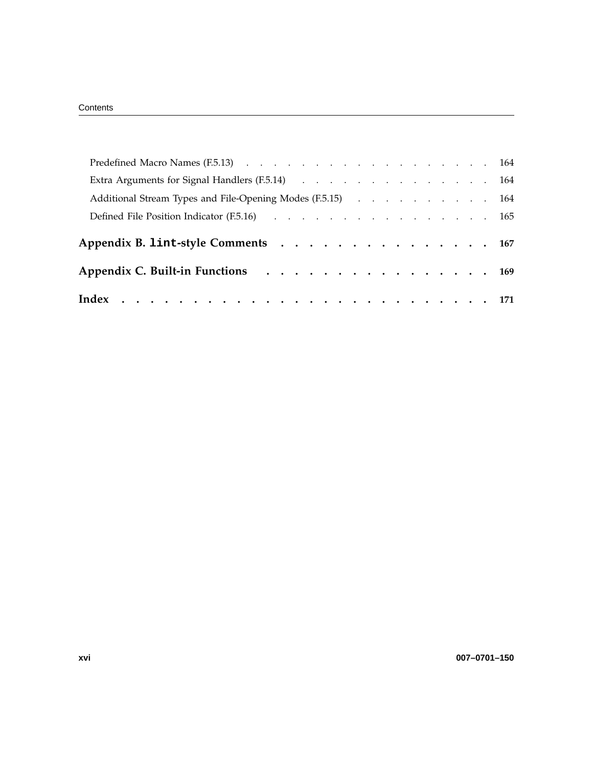| Extra Arguments for Signal Handlers (F.5.14) (Chapter Contains the Contact Contact Contact Contact Contact Contact Contact Contact Contact Contact Contact Contact Contact Contact Contact Contact Contact Contact Contact Con |  |  |  |  |
|--------------------------------------------------------------------------------------------------------------------------------------------------------------------------------------------------------------------------------|--|--|--|--|
| Additional Stream Types and File-Opening Modes (F.5.15) 164                                                                                                                                                                    |  |  |  |  |
| Defined File Position Indicator (F.5.16) 165                                                                                                                                                                                   |  |  |  |  |
|                                                                                                                                                                                                                                |  |  |  |  |
| Appendix B. lint-style Comments 167                                                                                                                                                                                            |  |  |  |  |
| Appendix C. Built-in Functions 169                                                                                                                                                                                             |  |  |  |  |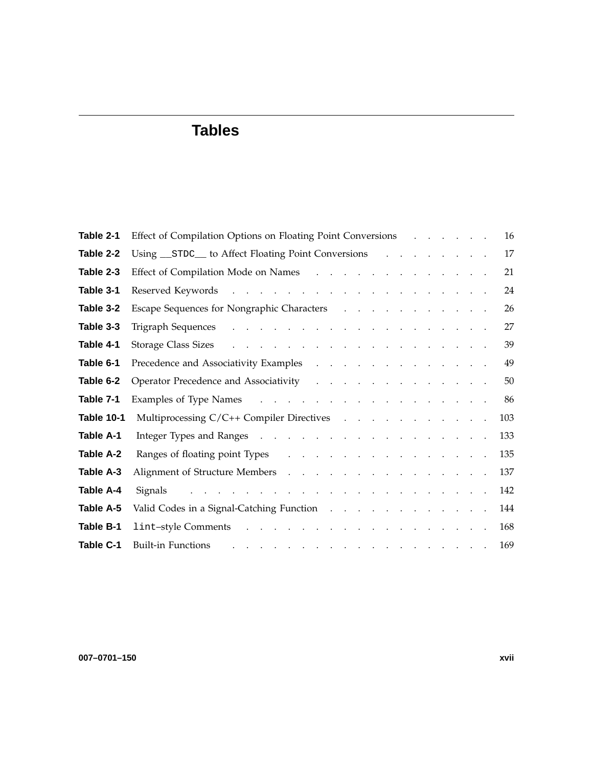# **Tables**

| Table 2-1         | Effect of Compilation Options on Floating Point Conversions                                                                                                                                                                    |  |  |  | 16  |
|-------------------|--------------------------------------------------------------------------------------------------------------------------------------------------------------------------------------------------------------------------------|--|--|--|-----|
| Table 2-2         | Using STDC to Affect Floating Point Conversions                                                                                                                                                                                |  |  |  | 17  |
| Table 2-3         | Effect of Compilation Mode on Names                                                                                                                                                                                            |  |  |  | 21  |
| Table 3-1         |                                                                                                                                                                                                                                |  |  |  | 24  |
| Table 3-2         | Escape Sequences for Nongraphic Characters (Escape Sequences for Nongraphic Characters (Escape Fig. 2014)                                                                                                                      |  |  |  | 26  |
| Table 3-3         |                                                                                                                                                                                                                                |  |  |  | 27  |
| Table 4-1         | Storage Class Sizes and the contract of the contract of the contract of the contract of the contract of the contract of the contract of the contract of the contract of the contract of the contract of the contract of the co |  |  |  | 39  |
| Table 6-1         |                                                                                                                                                                                                                                |  |  |  | 49  |
| Table 6-2         | Operator Precedence and Associativity                                                                                                                                                                                          |  |  |  | 50  |
| Table 7-1         | Examples of Type Names and a contract the contract of Type Names and a contract of the contract of the Contract of Type Names                                                                                                  |  |  |  | 86  |
| <b>Table 10-1</b> | Multiprocessing C/C++ Compiler Directives                                                                                                                                                                                      |  |  |  | 103 |
| Table A-1         | Integer Types and Ranges (a) and (b) and (b) and (b) and (b) and (b) and (b) and (b) and (b) and (b) and (b) and (b) and (b) and (b) and (b) and (b) and (b) and (b) and (b) and (b) and (b) and (b) and (b) and (b) and (b) a |  |  |  | 133 |
| Table A-2         | Ranges of floating point Types                                                                                                                                                                                                 |  |  |  | 135 |
| Table A-3         | Alignment of Structure Members (Alignment of Structure Members (Alignment of Structure Members)                                                                                                                                |  |  |  | 137 |
| <b>Table A-4</b>  | Signals and a contract of the contract of the state of the state of the state of the state of the state of the                                                                                                                 |  |  |  | 142 |
| Table A-5         | Valid Codes in a Signal-Catching Function enterstance with the codes in a Signal-Catching Function enterstance                                                                                                                 |  |  |  | 144 |
| Table B-1         |                                                                                                                                                                                                                                |  |  |  | 168 |
| Table C-1         | . The second contribution of the second contribution of the second contribution $\mathcal{L}_\mathcal{A}$<br><b>Built-in Functions</b>                                                                                         |  |  |  | 169 |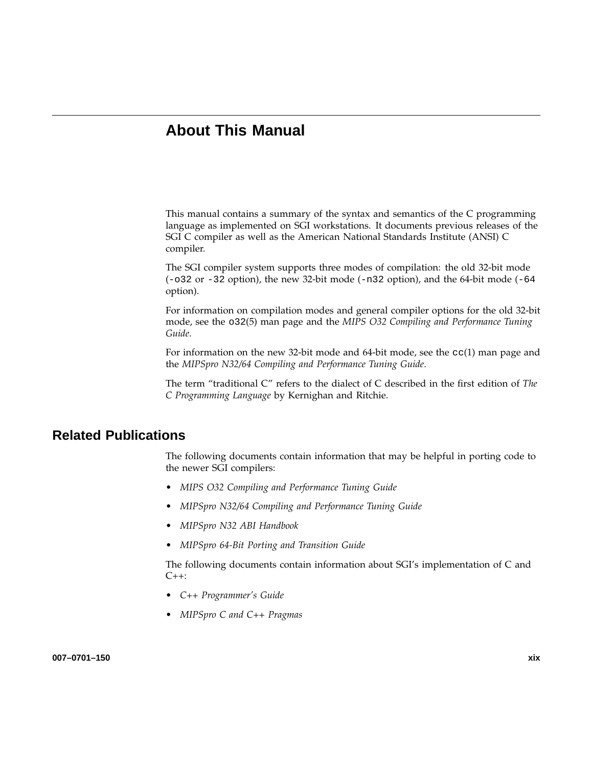# **About This Manual**

This manual contains a summary of the syntax and semantics of the C programming language as implemented on SGI workstations. It documents previous releases of the SGI C compiler as well as the American National Standards Institute (ANSI) C compiler.

The SGI compiler system supports three modes of compilation: the old 32-bit mode  $(-032 \text{ or } -32 \text{ option})$ , the new 32-bit mode  $(-n32 \text{ option})$ , and the 64-bit mode  $(-64 \text{ or } -64 \text{.)}$ option).

For information on compilation modes and general compiler options for the old 32-bit mode, see the o32(5) man page and the *MIPS O32 Compiling and Performance Tuning Guide*.

For information on the new 32-bit mode and 64-bit mode, see the  $cc(1)$  man page and the *MIPSpro N32/64 Compiling and Performance Tuning Guide*.

The term "traditional C" refers to the dialect of C described in the first edition of *The C Programming Language* by Kernighan and Ritchie.

## **Related Publications**

The following documents contain information that may be helpful in porting code to the newer SGI compilers:

- *MIPS O32 Compiling and Performance Tuning Guide*
- *MIPSpro N32/64 Compiling and Performance Tuning Guide*
- *MIPSpro N32 ABI Handbook*
- *MIPSpro 64-Bit Porting and Transition Guide*

The following documents contain information about SGI's implementation of C and C++:

- *C++ Programmer's Guide*
- *MIPSpro C and C++ Pragmas*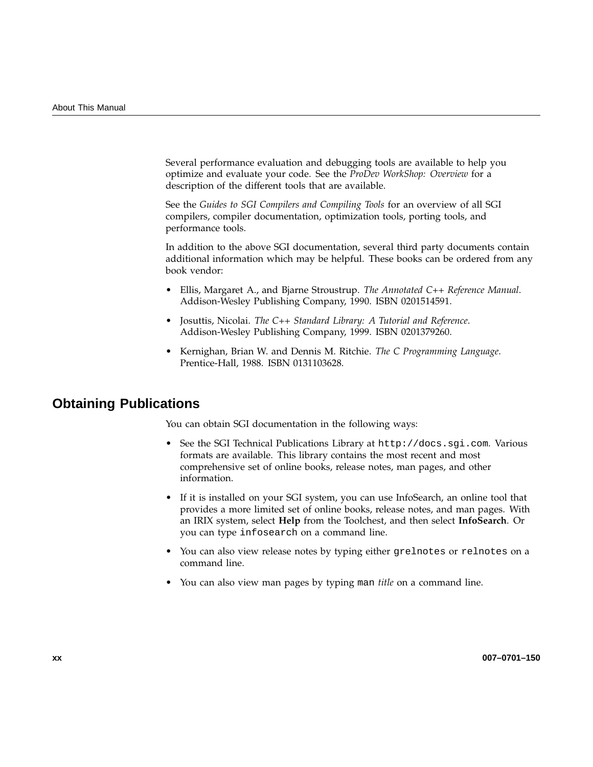Several performance evaluation and debugging tools are available to help you optimize and evaluate your code. See the *ProDev WorkShop: Overview* for a description of the different tools that are available.

See the *Guides to SGI Compilers and Compiling Tools* for an overview of all SGI compilers, compiler documentation, optimization tools, porting tools, and performance tools.

In addition to the above SGI documentation, several third party documents contain additional information which may be helpful. These books can be ordered from any book vendor:

- Ellis, Margaret A., and Bjarne Stroustrup. *The Annotated C++ Reference Manual*. Addison-Wesley Publishing Company, 1990. ISBN 0201514591.
- Josuttis, Nicolai. *The C++ Standard Library: A Tutorial and Reference*. Addison-Wesley Publishing Company, 1999. ISBN 0201379260.
- Kernighan, Brian W. and Dennis M. Ritchie. *The C Programming Language*. Prentice-Hall, 1988. ISBN 0131103628.

### **Obtaining Publications**

You can obtain SGI documentation in the following ways:

- See the SGI Technical Publications Library at http://docs.sgi.com. Various formats are available. This library contains the most recent and most comprehensive set of online books, release notes, man pages, and other information.
- If it is installed on your SGI system, you can use InfoSearch, an online tool that provides a more limited set of online books, release notes, and man pages. With an IRIX system, select **Help** from the Toolchest, and then select **InfoSearch**. Or you can type infosearch on a command line.
- You can also view release notes by typing either grelnotes or relnotes on a command line.
- You can also view man pages by typing man *title* on a command line.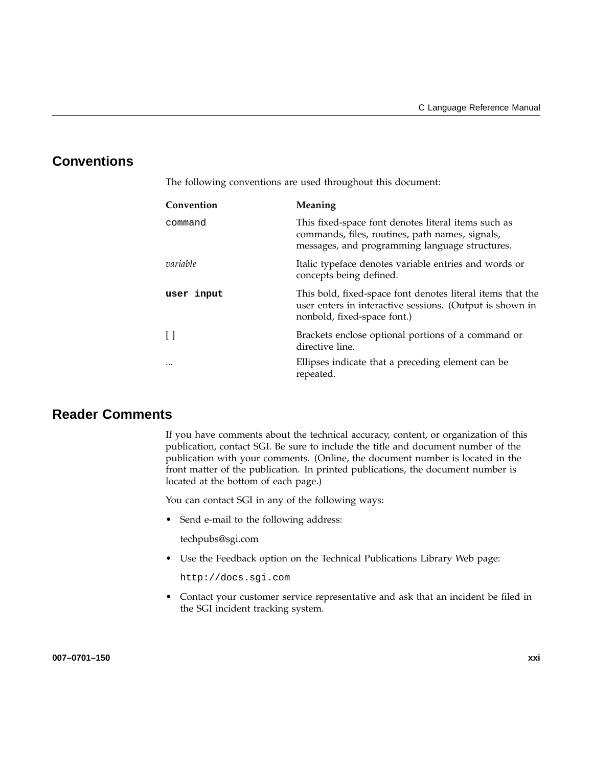# **Conventions**

The following conventions are used throughout this document:

| Convention | Meaning                                                                                                                                                  |
|------------|----------------------------------------------------------------------------------------------------------------------------------------------------------|
| command    | This fixed-space font denotes literal items such as<br>commands, files, routines, path names, signals,<br>messages, and programming language structures. |
| variable   | Italic typeface denotes variable entries and words or<br>concepts being defined.                                                                         |
| user input | This bold, fixed-space font denotes literal items that the<br>user enters in interactive sessions. (Output is shown in<br>nonbold, fixed-space font.)    |
| $\Box$     | Brackets enclose optional portions of a command or<br>directive line.                                                                                    |
|            | Ellipses indicate that a preceding element can be<br>repeated.                                                                                           |

## **Reader Comments**

If you have comments about the technical accuracy, content, or organization of this publication, contact SGI. Be sure to include the title and document number of the publication with your comments. (Online, the document number is located in the front matter of the publication. In printed publications, the document number is located at the bottom of each page.)

You can contact SGI in any of the following ways:

• Send e-mail to the following address:

techpubs@sgi.com

• Use the Feedback option on the Technical Publications Library Web page:

http://docs.sgi.com

• Contact your customer service representative and ask that an incident be filed in the SGI incident tracking system.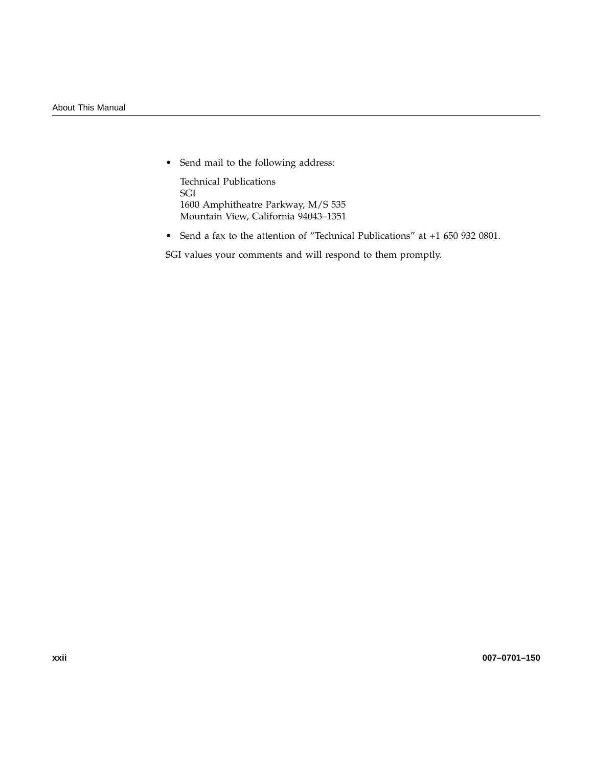• Send mail to the following address:

Technical Publications SGI 1600 Amphitheatre Parkway, M/S 535 Mountain View, California 94043–1351

• Send a fax to the attention of "Technical Publications" at +1 650 932 0801.

SGI values your comments and will respond to them promptly.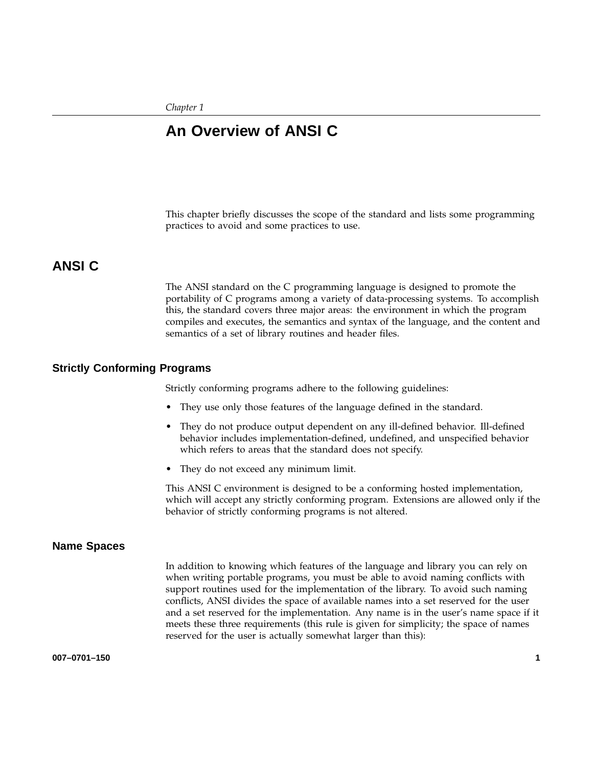*Chapter 1*

## **An Overview of ANSI C**

This chapter briefly discusses the scope of the standard and lists some programming practices to avoid and some practices to use.

## **ANSI C**

The ANSI standard on the C programming language is designed to promote the portability of C programs among a variety of data-processing systems. To accomplish this, the standard covers three major areas: the environment in which the program compiles and executes, the semantics and syntax of the language, and the content and semantics of a set of library routines and header files.

#### **Strictly Conforming Programs**

Strictly conforming programs adhere to the following guidelines:

- They use only those features of the language defined in the standard.
- They do not produce output dependent on any ill-defined behavior. Ill-defined behavior includes implementation-defined, undefined, and unspecified behavior which refers to areas that the standard does not specify.
- They do not exceed any minimum limit.

This ANSI C environment is designed to be a conforming hosted implementation, which will accept any strictly conforming program. Extensions are allowed only if the behavior of strictly conforming programs is not altered.

#### **Name Spaces**

In addition to knowing which features of the language and library you can rely on when writing portable programs, you must be able to avoid naming conflicts with support routines used for the implementation of the library. To avoid such naming conflicts, ANSI divides the space of available names into a set reserved for the user and a set reserved for the implementation. Any name is in the user's name space if it meets these three requirements (this rule is given for simplicity; the space of names reserved for the user is actually somewhat larger than this):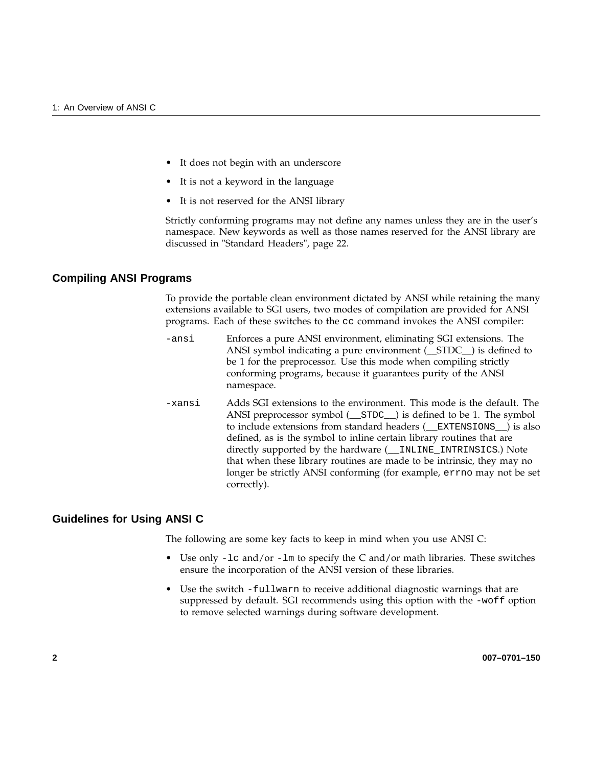- It does not begin with an underscore
- It is not a keyword in the language
- It is not reserved for the ANSI library

Strictly conforming programs may not define any names unless they are in the user's namespace. New keywords as well as those names reserved for the ANSI library are discussed in "Standard Headers", page 22.

#### **Compiling ANSI Programs**

To provide the portable clean environment dictated by ANSI while retaining the many extensions available to SGI users, two modes of compilation are provided for ANSI programs. Each of these switches to the cc command invokes the ANSI compiler:

- -ansi Enforces a pure ANSI environment, eliminating SGI extensions. The ANSI symbol indicating a pure environment (\_\_STDC\_\_) is defined to be 1 for the preprocessor. Use this mode when compiling strictly conforming programs, because it guarantees purity of the ANSI namespace.
- -xansi Adds SGI extensions to the environment. This mode is the default. The ANSI preprocessor symbol (\_\_STDC\_\_) is defined to be 1. The symbol to include extensions from standard headers (\_\_EXTENSIONS\_\_) is also defined, as is the symbol to inline certain library routines that are directly supported by the hardware (\_\_INLINE\_INTRINSICS.) Note that when these library routines are made to be intrinsic, they may no longer be strictly ANSI conforming (for example, errno may not be set correctly).

#### **Guidelines for Using ANSI C**

The following are some key facts to keep in mind when you use ANSI C:

- Use only -1c and/or -1m to specify the C and/or math libraries. These switches ensure the incorporation of the ANSI version of these libraries.
- Use the switch -fullwarn to receive additional diagnostic warnings that are suppressed by default. SGI recommends using this option with the -woff option to remove selected warnings during software development.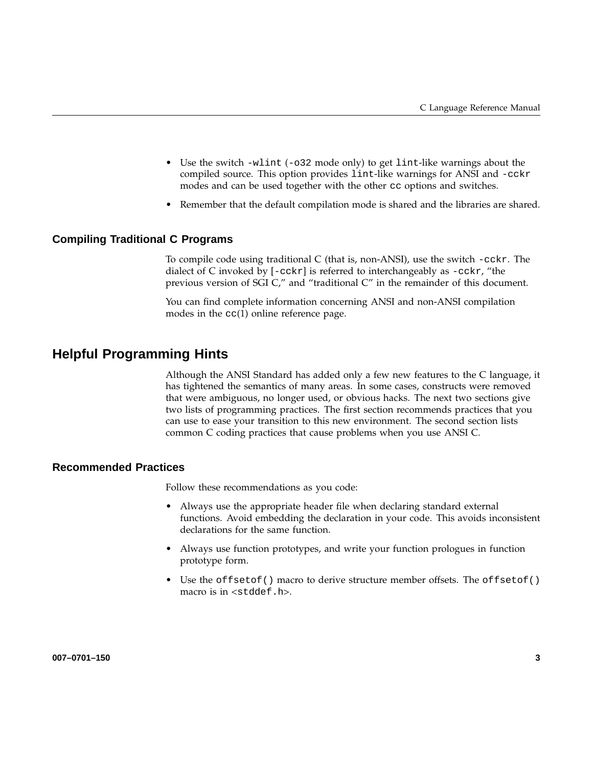- Use the switch  $-\text{wlint }(-\text{032} \text{ mode only})$  to get lint-like warnings about the compiled source. This option provides lint-like warnings for ANSI and -cckr modes and can be used together with the other cc options and switches.
- Remember that the default compilation mode is shared and the libraries are shared.

### **Compiling Traditional C Programs**

To compile code using traditional C (that is, non-ANSI), use the switch -cckr. The dialect of C invoked by [-cckr] is referred to interchangeably as -cckr, "the previous version of SGI C," and "traditional C" in the remainder of this document.

You can find complete information concerning ANSI and non-ANSI compilation modes in the cc(1) online reference page.

### **Helpful Programming Hints**

Although the ANSI Standard has added only a few new features to the C language, it has tightened the semantics of many areas. In some cases, constructs were removed that were ambiguous, no longer used, or obvious hacks. The next two sections give two lists of programming practices. The first section recommends practices that you can use to ease your transition to this new environment. The second section lists common C coding practices that cause problems when you use ANSI C.

#### **Recommended Practices**

Follow these recommendations as you code:

- Always use the appropriate header file when declaring standard external functions. Avoid embedding the declaration in your code. This avoids inconsistent declarations for the same function.
- Always use function prototypes, and write your function prologues in function prototype form.
- Use the offsetof() macro to derive structure member offsets. The offsetof() macro is in <stddef.h>.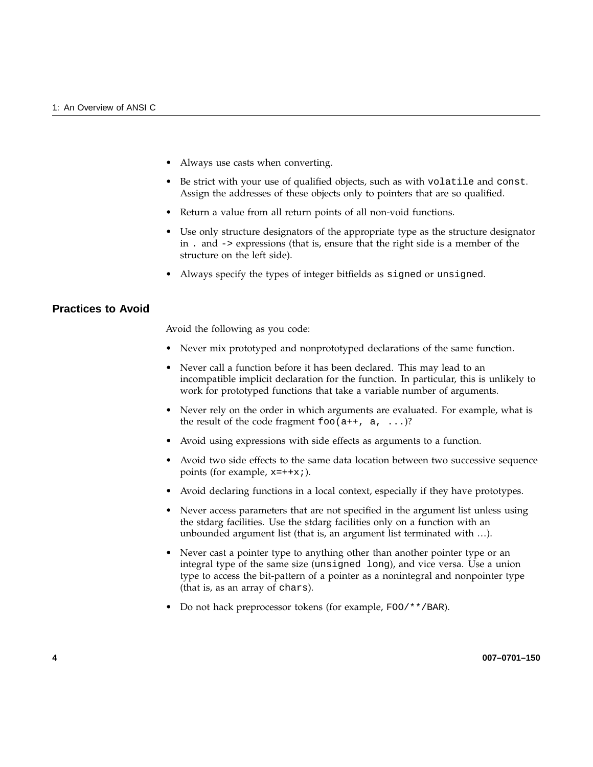- Always use casts when converting.
- Be strict with your use of qualified objects, such as with volatile and const. Assign the addresses of these objects only to pointers that are so qualified.
- Return a value from all return points of all non-void functions.
- Use only structure designators of the appropriate type as the structure designator in . and -> expressions (that is, ensure that the right side is a member of the structure on the left side).
- Always specify the types of integer bitfields as signed or unsigned.

#### **Practices to Avoid**

Avoid the following as you code:

- Never mix prototyped and nonprototyped declarations of the same function.
- Never call a function before it has been declared. This may lead to an incompatible implicit declaration for the function. In particular, this is unlikely to work for prototyped functions that take a variable number of arguments.
- Never rely on the order in which arguments are evaluated. For example, what is the result of the code fragment  $f \circ \circ (a++, a, \ldots)$ ?
- Avoid using expressions with side effects as arguments to a function.
- Avoid two side effects to the same data location between two successive sequence points (for example,  $x=++x;$ ).
- Avoid declaring functions in a local context, especially if they have prototypes.
- Never access parameters that are not specified in the argument list unless using the stdarg facilities. Use the stdarg facilities only on a function with an unbounded argument list (that is, an argument list terminated with …).
- Never cast a pointer type to anything other than another pointer type or an integral type of the same size (unsigned long), and vice versa. Use a union type to access the bit-pattern of a pointer as a nonintegral and nonpointer type (that is, as an array of chars).
- Do not hack preprocessor tokens (for example, FOO/\*\*/BAR).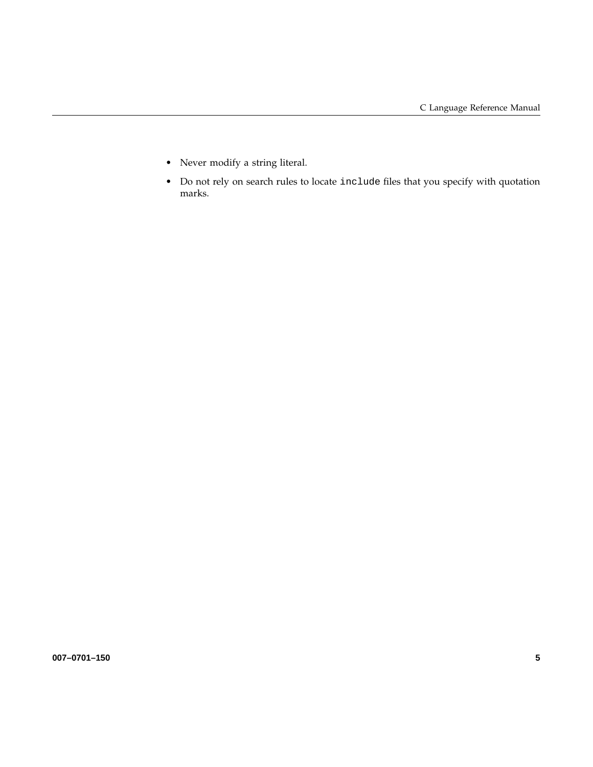- Never modify a string literal.
- Do not rely on search rules to locate include files that you specify with quotation marks.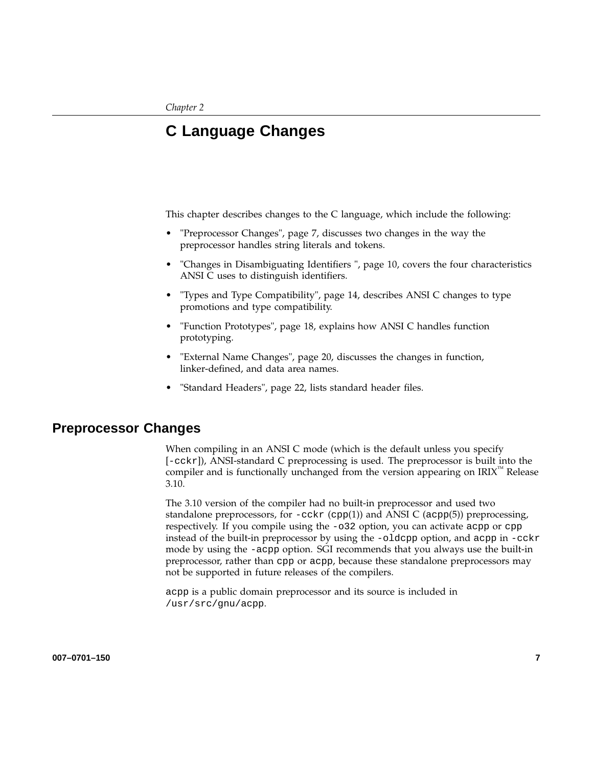# **C Language Changes**

This chapter describes changes to the C language, which include the following:

- "Preprocessor Changes", page 7, discusses two changes in the way the preprocessor handles string literals and tokens.
- "Changes in Disambiguating Identifiers ", page 10, covers the four characteristics ANSI C uses to distinguish identifiers.
- "Types and Type Compatibility", page 14, describes ANSI C changes to type promotions and type compatibility.
- "Function Prototypes", page 18, explains how ANSI C handles function prototyping.
- "External Name Changes", page 20, discusses the changes in function, linker-defined, and data area names.
- "Standard Headers", page 22, lists standard header files.

### **Preprocessor Changes**

When compiling in an ANSI C mode (which is the default unless you specify [-cckr]), ANSI-standard C preprocessing is used. The preprocessor is built into the compiler and is functionally unchanged from the version appearing on  $IRIX^{\dagger n}$  Release 3.10.

The 3.10 version of the compiler had no built-in preprocessor and used two standalone preprocessors, for  $-cckr$  (cpp(1)) and ANSI C (acpp(5)) preprocessing, respectively. If you compile using the -o32 option, you can activate acpp or cpp instead of the built-in preprocessor by using the -oldcpp option, and acpp in -cckr mode by using the -acpp option. SGI recommends that you always use the built-in preprocessor, rather than cpp or acpp, because these standalone preprocessors may not be supported in future releases of the compilers.

acpp is a public domain preprocessor and its source is included in /usr/src/gnu/acpp.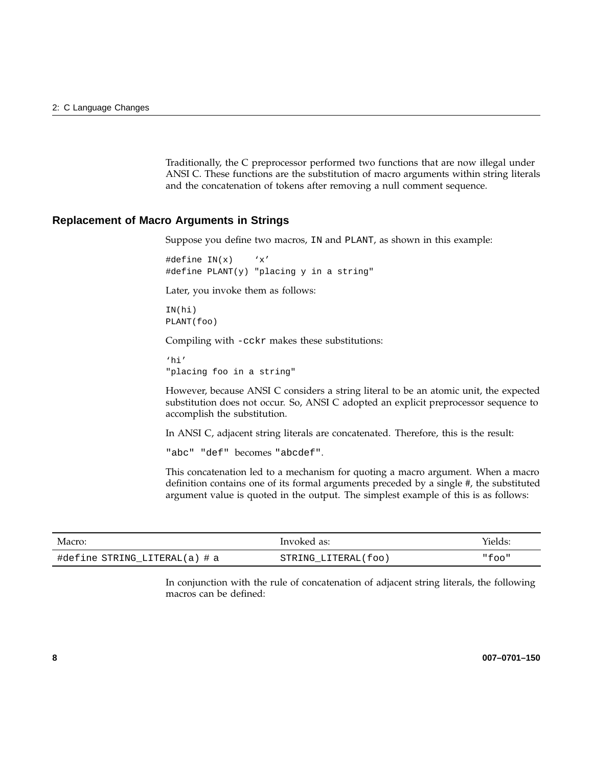Traditionally, the C preprocessor performed two functions that are now illegal under ANSI C. These functions are the substitution of macro arguments within string literals and the concatenation of tokens after removing a null comment sequence.

#### **Replacement of Macro Arguments in Strings**

Suppose you define two macros, IN and PLANT, as shown in this example:

#define IN(x) 'x' #define PLANT(y) "placing y in a string"

Later, you invoke them as follows:

IN(hi) PLANT(foo)

Compiling with -cckr makes these substitutions:

'hi' "placing foo in a string"

However, because ANSI C considers a string literal to be an atomic unit, the expected substitution does not occur. So, ANSI C adopted an explicit preprocessor sequence to accomplish the substitution.

In ANSI C, adjacent string literals are concatenated. Therefore, this is the result:

"abc" "def" becomes "abcdef".

This concatenation led to a mechanism for quoting a macro argument. When a macro definition contains one of its formal arguments preceded by a single #, the substituted argument value is quoted in the output. The simplest example of this is as follows:

| Macro:                        | Invoked as:         | Yields: |
|-------------------------------|---------------------|---------|
| #define STRING_LITERAL(a) # a | STRING LITERAL(foo) | "foo"   |

In conjunction with the rule of concatenation of adjacent string literals, the following macros can be defined: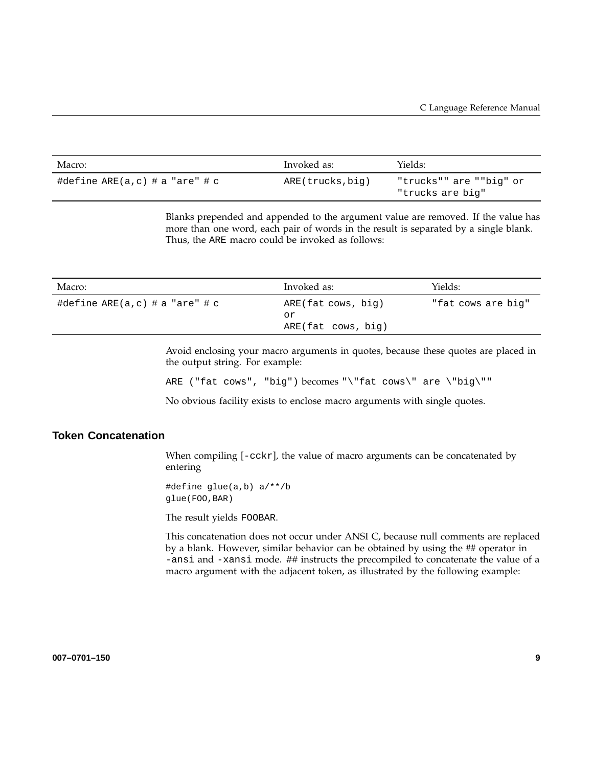| Macro:                         | Invoked as:      | Yields:                                     |
|--------------------------------|------------------|---------------------------------------------|
| #define ARE(a,c) # a "are" # c | ARE(trucks, big) | "trucks"" are ""big" or<br>"trucks are big" |

Blanks prepended and appended to the argument value are removed. If the value has more than one word, each pair of words in the result is separated by a single blank. Thus, the ARE macro could be invoked as follows:

| Yields:                                                                                    |
|--------------------------------------------------------------------------------------------|
| ARE(fat cows, big)<br>"fat cows are big"<br>$ARE(fat \, \, \text{cows}, \, \, \text{big})$ |
|                                                                                            |

Avoid enclosing your macro arguments in quotes, because these quotes are placed in the output string. For example:

ARE ("fat cows", "big") becomes "\"fat cows\" are \"big\""

No obvious facility exists to enclose macro arguments with single quotes.

#### **Token Concatenation**

When compiling [-cckr], the value of macro arguments can be concatenated by entering

#define glue(a,b) a/\*\*/b glue(FOO,BAR)

The result yields FOOBAR.

This concatenation does not occur under ANSI C, because null comments are replaced by a blank. However, similar behavior can be obtained by using the ## operator in -ansi and -xansi mode. ## instructs the precompiled to concatenate the value of a macro argument with the adjacent token, as illustrated by the following example: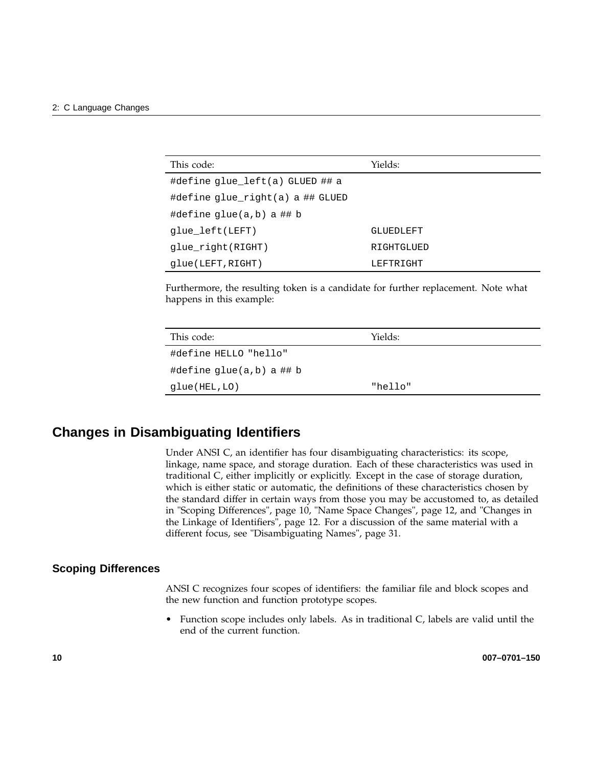| This code:                       | Yields:    |
|----------------------------------|------------|
| #define glue left(a) GLUED ## a  |            |
| #define glue right(a) a ## GLUED |            |
| #define qlue(a,b) a ## b         |            |
| glue left(LEFT)                  | GLUEDLEFT  |
| glue right(RIGHT)                | RIGHTGLUED |
| qlue(LEFT, RIGHT)                | LEFTRIGHT  |

Furthermore, the resulting token is a candidate for further replacement. Note what happens in this example:

| This code:                 | Yields: |
|----------------------------|---------|
| #define HELLO "hello"      |         |
| #define $qlue(a,b)$ a ## b |         |
| glue(HEL,LO)               | "hello" |

## **Changes in Disambiguating Identifiers**

Under ANSI C, an identifier has four disambiguating characteristics: its scope, linkage, name space, and storage duration. Each of these characteristics was used in traditional C, either implicitly or explicitly. Except in the case of storage duration, which is either static or automatic, the definitions of these characteristics chosen by the standard differ in certain ways from those you may be accustomed to, as detailed in "Scoping Differences", page 10, "Name Space Changes", page 12, and "Changes in the Linkage of Identifiers", page 12. For a discussion of the same material with a different focus, see "Disambiguating Names", page 31.

#### **Scoping Differences**

ANSI C recognizes four scopes of identifiers: the familiar file and block scopes and the new function and function prototype scopes.

• Function scope includes only labels. As in traditional C, labels are valid until the end of the current function.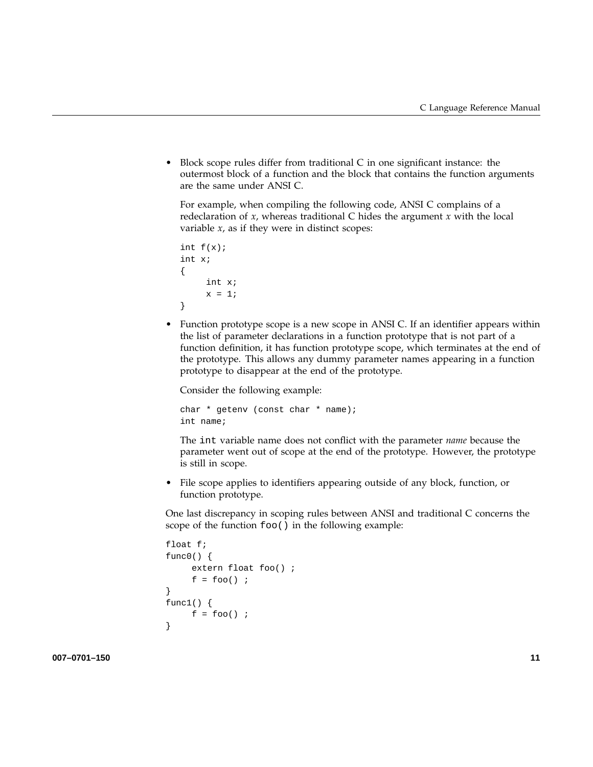• Block scope rules differ from traditional C in one significant instance: the outermost block of a function and the block that contains the function arguments are the same under ANSI C.

For example, when compiling the following code, ANSI C complains of a redeclaration of *x*, whereas traditional C hides the argument *x* with the local variable *x*, as if they were in distinct scopes:

```
int f(x);
int x;
{
     int x;
     x = 1;}
```
• Function prototype scope is a new scope in ANSI C. If an identifier appears within the list of parameter declarations in a function prototype that is not part of a function definition, it has function prototype scope, which terminates at the end of the prototype. This allows any dummy parameter names appearing in a function prototype to disappear at the end of the prototype.

Consider the following example:

char \* getenv (const char \* name); int name;

The int variable name does not conflict with the parameter *name* because the parameter went out of scope at the end of the prototype. However, the prototype is still in scope.

• File scope applies to identifiers appearing outside of any block, function, or function prototype.

One last discrepancy in scoping rules between ANSI and traditional C concerns the scope of the function foo() in the following example:

```
float f;
func0() \{extern float foo() ;
     f = foo();
}
func1() \{f = foo() ;
}
```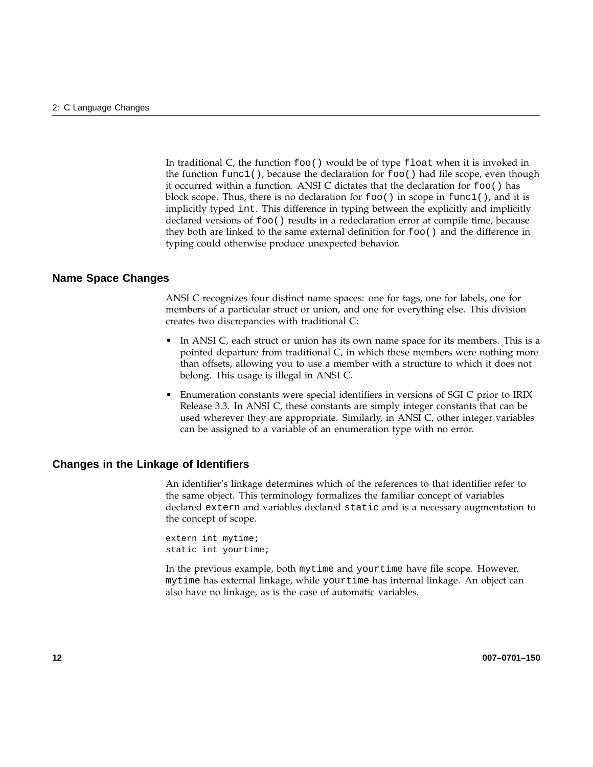In traditional C, the function foo() would be of type float when it is invoked in the function  $func1()$ , because the declaration for  $foo()$  had file scope, even though it occurred within a function. ANSI C dictates that the declaration for foo() has block scope. Thus, there is no declaration for  $f \circ \circ ($ ) in scope in  $f \circ \circ ($ ), and it is implicitly typed int. This difference in typing between the explicitly and implicitly declared versions of foo() results in a redeclaration error at compile time, because they both are linked to the same external definition for foo() and the difference in typing could otherwise produce unexpected behavior.

#### **Name Space Changes**

ANSI C recognizes four distinct name spaces: one for tags, one for labels, one for members of a particular struct or union, and one for everything else. This division creates two discrepancies with traditional C:

- In ANSI C, each struct or union has its own name space for its members. This is a pointed departure from traditional C, in which these members were nothing more than offsets, allowing you to use a member with a structure to which it does not belong. This usage is illegal in ANSI C.
- Enumeration constants were special identifiers in versions of SGI C prior to IRIX Release 3.3. In ANSI C, these constants are simply integer constants that can be used wherever they are appropriate. Similarly, in ANSI C, other integer variables can be assigned to a variable of an enumeration type with no error.

#### **Changes in the Linkage of Identifiers**

An identifier's linkage determines which of the references to that identifier refer to the same object. This terminology formalizes the familiar concept of variables declared extern and variables declared static and is a necessary augmentation to the concept of scope.

extern int mytime; static int yourtime;

In the previous example, both mytime and yourtime have file scope. However, mytime has external linkage, while yourtime has internal linkage. An object can also have no linkage, as is the case of automatic variables.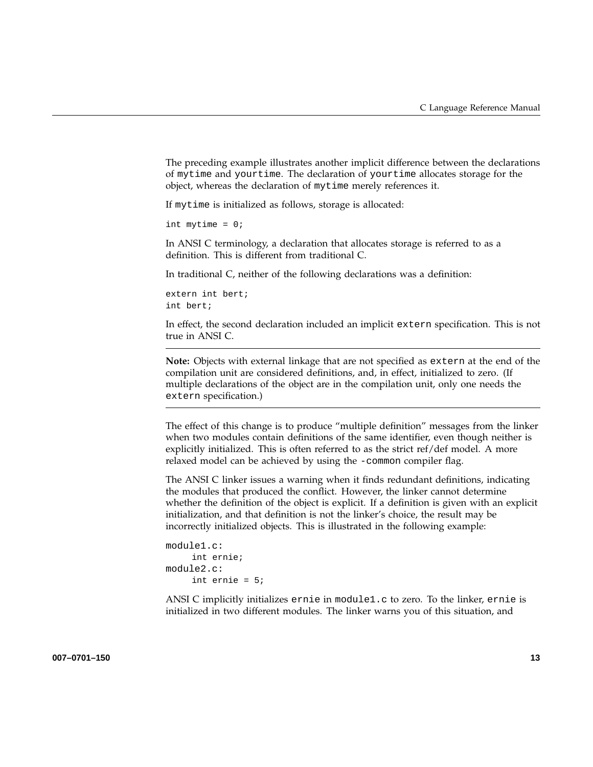The preceding example illustrates another implicit difference between the declarations of mytime and yourtime. The declaration of yourtime allocates storage for the object, whereas the declaration of mytime merely references it.

If mytime is initialized as follows, storage is allocated:

```
int mytime = 0;
```
In ANSI C terminology, a declaration that allocates storage is referred to as a definition. This is different from traditional C.

In traditional C, neither of the following declarations was a definition:

```
extern int bert;
int bert;
```
In effect, the second declaration included an implicit extern specification. This is not true in ANSI C.

**Note:** Objects with external linkage that are not specified as extern at the end of the compilation unit are considered definitions, and, in effect, initialized to zero. (If multiple declarations of the object are in the compilation unit, only one needs the extern specification.)

The effect of this change is to produce "multiple definition" messages from the linker when two modules contain definitions of the same identifier, even though neither is explicitly initialized. This is often referred to as the strict ref/def model. A more relaxed model can be achieved by using the -common compiler flag.

The ANSI C linker issues a warning when it finds redundant definitions, indicating the modules that produced the conflict. However, the linker cannot determine whether the definition of the object is explicit. If a definition is given with an explicit initialization, and that definition is not the linker's choice, the result may be incorrectly initialized objects. This is illustrated in the following example:

```
module1.c:
     int ernie;
module2.c:
     int ernie = 5;
```
ANSI C implicitly initializes ernie in module1.c to zero. To the linker, ernie is initialized in two different modules. The linker warns you of this situation, and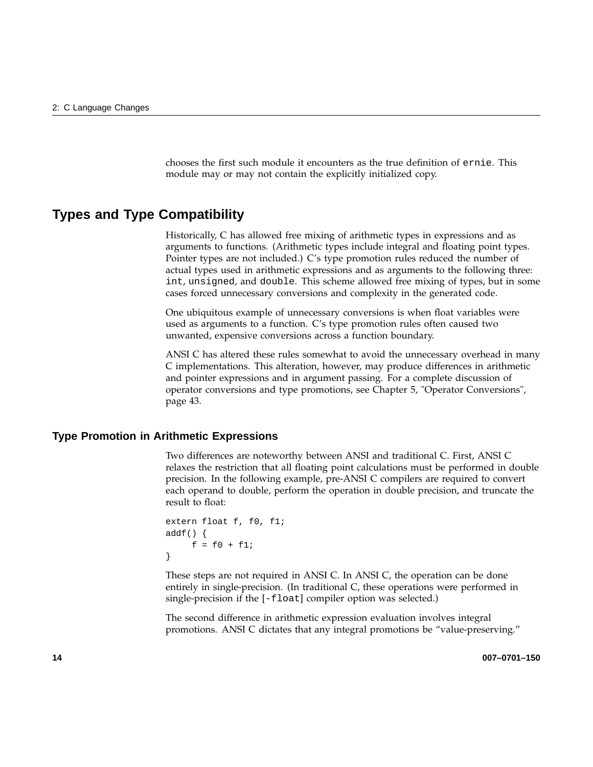chooses the first such module it encounters as the true definition of ernie. This module may or may not contain the explicitly initialized copy.

### **Types and Type Compatibility**

Historically, C has allowed free mixing of arithmetic types in expressions and as arguments to functions. (Arithmetic types include integral and floating point types. Pointer types are not included.) C's type promotion rules reduced the number of actual types used in arithmetic expressions and as arguments to the following three: int, unsigned, and double. This scheme allowed free mixing of types, but in some cases forced unnecessary conversions and complexity in the generated code.

One ubiquitous example of unnecessary conversions is when float variables were used as arguments to a function. C's type promotion rules often caused two unwanted, expensive conversions across a function boundary.

ANSI C has altered these rules somewhat to avoid the unnecessary overhead in many C implementations. This alteration, however, may produce differences in arithmetic and pointer expressions and in argument passing. For a complete discussion of operator conversions and type promotions, see Chapter 5, "Operator Conversions", page 43.

#### **Type Promotion in Arithmetic Expressions**

Two differences are noteworthy between ANSI and traditional C. First, ANSI C relaxes the restriction that all floating point calculations must be performed in double precision. In the following example, pre-ANSI C compilers are required to convert each operand to double, perform the operation in double precision, and truncate the result to float:

```
extern float f, f0, f1;
addf() {
     f = f0 + f1;}
```
These steps are not required in ANSI C. In ANSI C, the operation can be done entirely in single-precision. (In traditional C, these operations were performed in single-precision if the [-float] compiler option was selected.)

The second difference in arithmetic expression evaluation involves integral promotions. ANSI C dictates that any integral promotions be "value-preserving."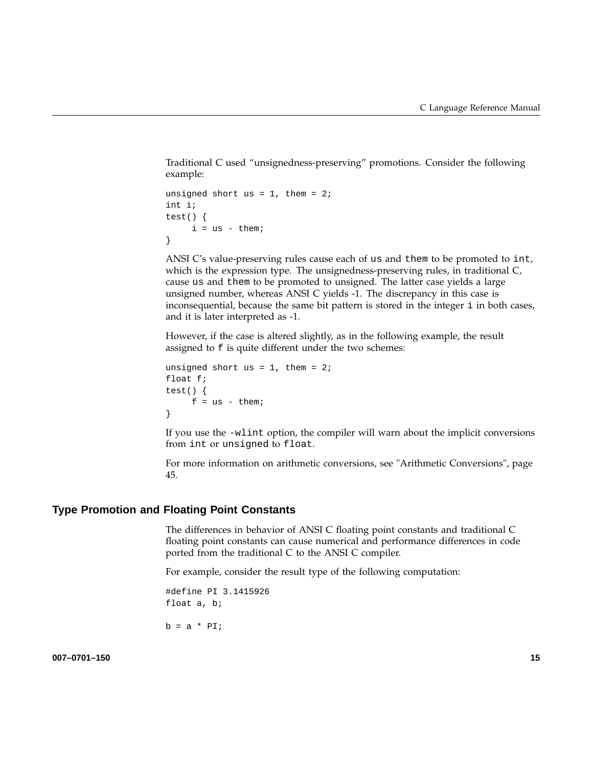Traditional C used "unsignedness-preserving" promotions. Consider the following example:

```
unsigned short us = 1, them = 2iint i;
test() {
    i = us - them}
```
ANSI C's value-preserving rules cause each of us and them to be promoted to int, which is the expression type. The unsignedness-preserving rules, in traditional C, cause us and them to be promoted to unsigned. The latter case yields a large unsigned number, whereas ANSI C yields -1. The discrepancy in this case is inconsequential, because the same bit pattern is stored in the integer i in both cases, and it is later interpreted as -1.

However, if the case is altered slightly, as in the following example, the result assigned to f is quite different under the two schemes:

```
unsigned short us = 1, them = 2ifloat f;
test() {
    f = us - them}
```
If you use the -wlint option, the compiler will warn about the implicit conversions from int or unsigned to float.

For more information on arithmetic conversions, see "Arithmetic Conversions", page 45.

#### **Type Promotion and Floating Point Constants**

The differences in behavior of ANSI C floating point constants and traditional C floating point constants can cause numerical and performance differences in code ported from the traditional C to the ANSI C compiler.

For example, consider the result type of the following computation:

#define PI 3.1415926 float a, b;

 $b = a * PI;$ 

**007–0701–150 15**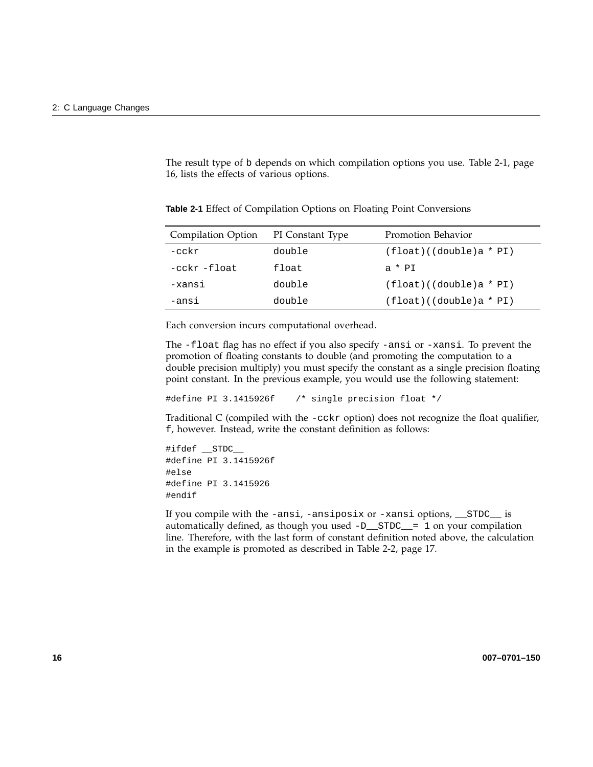The result type of b depends on which compilation options you use. Table 2-1, page 16, lists the effects of various options.

| Compilation Option | PI Constant Type | Promotion Behavior         |
|--------------------|------------------|----------------------------|
| $-cckr$            | double           | $(fload)$ ((double)a * PI) |
| -cckr -float       | float            | $a * PT$                   |
| -xansi             | double           | $(fload)$ ((double)a * PI) |
| -ansi              | double           | $(fload)$ ((double)a * PI) |

**Table 2-1** Effect of Compilation Options on Floating Point Conversions

Each conversion incurs computational overhead.

The -float flag has no effect if you also specify -ansi or -xansi. To prevent the promotion of floating constants to double (and promoting the computation to a double precision multiply) you must specify the constant as a single precision floating point constant. In the previous example, you would use the following statement:

#define PI 3.1415926f /\* single precision float \*/

Traditional C (compiled with the -cckr option) does not recognize the float qualifier, f, however. Instead, write the constant definition as follows:

```
#ifdef __STDC__
#define PI 3.1415926f
#else
#define PI 3.1415926
#endif
```
If you compile with the -ansi, -ansiposix or -xansi options, \_\_STDC\_\_ is automatically defined, as though you used  $-D$   $STDC$  = 1 on your compilation line. Therefore, with the last form of constant definition noted above, the calculation in the example is promoted as described in Table 2-2, page 17.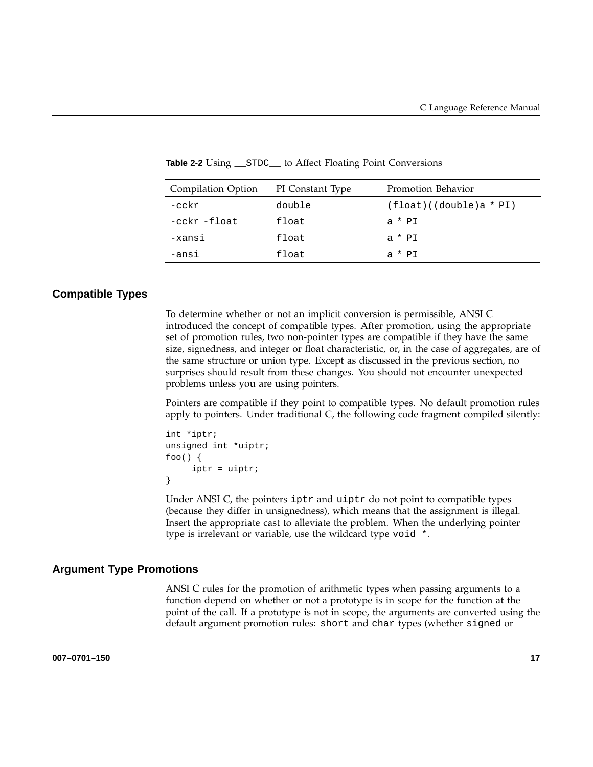| Compilation Option | PI Constant Type | Promotion Behavior         |
|--------------------|------------------|----------------------------|
| $-cckr$            | double           | $(fload)$ ((double)a * PI) |
| -cckr -float       | float            | $a * PI$                   |
| -xansi             | float            | $a * PI$                   |
| -ansi              | float            | $a * PT$                   |

**Table 2-2** Using \_\_STDC\_\_ to Affect Floating Point Conversions

### **Compatible Types**

To determine whether or not an implicit conversion is permissible, ANSI C introduced the concept of compatible types. After promotion, using the appropriate set of promotion rules, two non-pointer types are compatible if they have the same size, signedness, and integer or float characteristic, or, in the case of aggregates, are of the same structure or union type. Except as discussed in the previous section, no surprises should result from these changes. You should not encounter unexpected problems unless you are using pointers.

Pointers are compatible if they point to compatible types. No default promotion rules apply to pointers. Under traditional C, the following code fragment compiled silently:

```
int *iptr;
unsigned int *uiptr;
foo()iptr = uiptr;
}
```
Under ANSI C, the pointers iptr and uiptr do not point to compatible types (because they differ in unsignedness), which means that the assignment is illegal. Insert the appropriate cast to alleviate the problem. When the underlying pointer type is irrelevant or variable, use the wildcard type void \*.

#### **Argument Type Promotions**

ANSI C rules for the promotion of arithmetic types when passing arguments to a function depend on whether or not a prototype is in scope for the function at the point of the call. If a prototype is not in scope, the arguments are converted using the default argument promotion rules: short and char types (whether signed or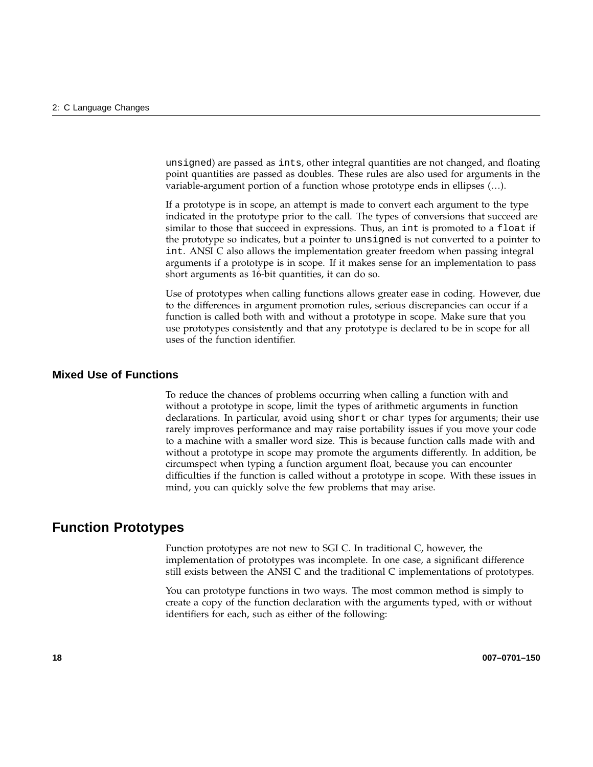unsigned) are passed as ints, other integral quantities are not changed, and floating point quantities are passed as doubles. These rules are also used for arguments in the variable-argument portion of a function whose prototype ends in ellipses (…).

If a prototype is in scope, an attempt is made to convert each argument to the type indicated in the prototype prior to the call. The types of conversions that succeed are similar to those that succeed in expressions. Thus, an int is promoted to a float if the prototype so indicates, but a pointer to unsigned is not converted to a pointer to int. ANSI C also allows the implementation greater freedom when passing integral arguments if a prototype is in scope. If it makes sense for an implementation to pass short arguments as 16-bit quantities, it can do so.

Use of prototypes when calling functions allows greater ease in coding. However, due to the differences in argument promotion rules, serious discrepancies can occur if a function is called both with and without a prototype in scope. Make sure that you use prototypes consistently and that any prototype is declared to be in scope for all uses of the function identifier.

### **Mixed Use of Functions**

To reduce the chances of problems occurring when calling a function with and without a prototype in scope, limit the types of arithmetic arguments in function declarations. In particular, avoid using short or char types for arguments; their use rarely improves performance and may raise portability issues if you move your code to a machine with a smaller word size. This is because function calls made with and without a prototype in scope may promote the arguments differently. In addition, be circumspect when typing a function argument float, because you can encounter difficulties if the function is called without a prototype in scope. With these issues in mind, you can quickly solve the few problems that may arise.

### **Function Prototypes**

Function prototypes are not new to SGI C. In traditional C, however, the implementation of prototypes was incomplete. In one case, a significant difference still exists between the ANSI C and the traditional C implementations of prototypes.

You can prototype functions in two ways. The most common method is simply to create a copy of the function declaration with the arguments typed, with or without identifiers for each, such as either of the following: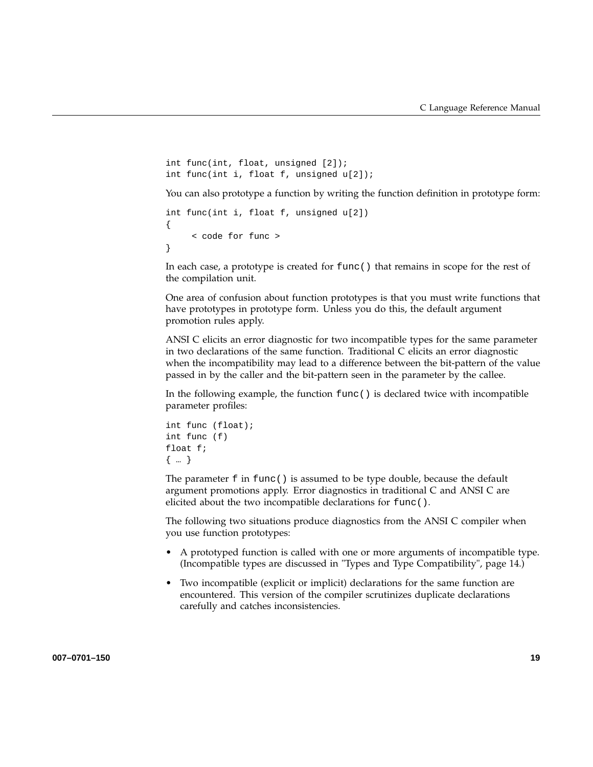```
int func(int, float, unsigned [2]);
int func(int i, float f, unsigned u[2]);
```
You can also prototype a function by writing the function definition in prototype form:

```
int func(int i, float f, unsigned u[2])
{
     < code for func >
}
```
In each case, a prototype is created for func() that remains in scope for the rest of the compilation unit.

One area of confusion about function prototypes is that you must write functions that have prototypes in prototype form. Unless you do this, the default argument promotion rules apply.

ANSI C elicits an error diagnostic for two incompatible types for the same parameter in two declarations of the same function. Traditional C elicits an error diagnostic when the incompatibility may lead to a difference between the bit-pattern of the value passed in by the caller and the bit-pattern seen in the parameter by the callee.

In the following example, the function func() is declared twice with incompatible parameter profiles:

```
int func (float);
int func (f)
float f;
{ … }
```
The parameter f in func() is assumed to be type double, because the default argument promotions apply. Error diagnostics in traditional C and ANSI C are elicited about the two incompatible declarations for func().

The following two situations produce diagnostics from the ANSI C compiler when you use function prototypes:

- A prototyped function is called with one or more arguments of incompatible type. (Incompatible types are discussed in "Types and Type Compatibility", page 14.)
- Two incompatible (explicit or implicit) declarations for the same function are encountered. This version of the compiler scrutinizes duplicate declarations carefully and catches inconsistencies.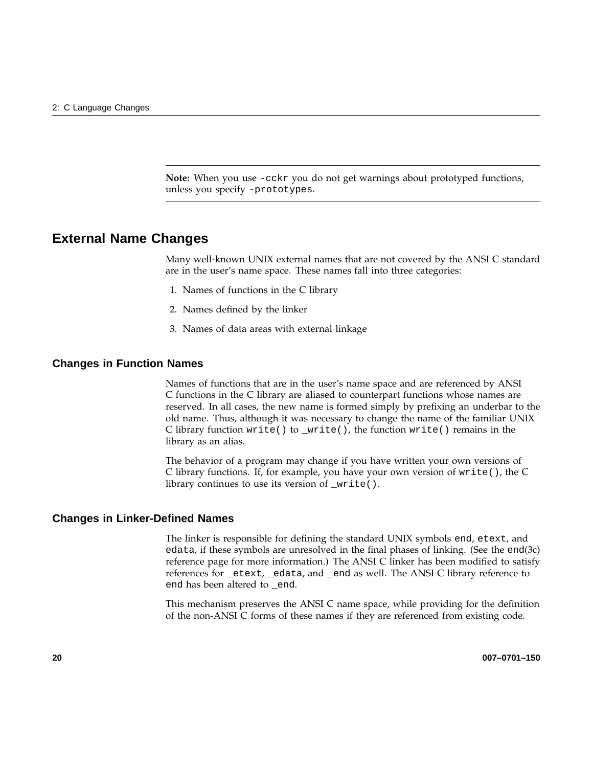**Note:** When you use -cckr you do not get warnings about prototyped functions, unless you specify -prototypes.

## **External Name Changes**

Many well-known UNIX external names that are not covered by the ANSI C standard are in the user's name space. These names fall into three categories:

- 1. Names of functions in the C library
- 2. Names defined by the linker
- 3. Names of data areas with external linkage

#### **Changes in Function Names**

Names of functions that are in the user's name space and are referenced by ANSI C functions in the C library are aliased to counterpart functions whose names are reserved. In all cases, the new name is formed simply by prefixing an underbar to the old name. Thus, although it was necessary to change the name of the familiar UNIX C library function  $write()$  to  $_write()$ , the function  $write()$  remains in the library as an alias.

The behavior of a program may change if you have written your own versions of C library functions. If, for example, you have your own version of write(), the C library continues to use its version of \_write().

#### **Changes in Linker-Defined Names**

The linker is responsible for defining the standard UNIX symbols end, etext, and edata, if these symbols are unresolved in the final phases of linking. (See the end(3c) reference page for more information.) The ANSI C linker has been modified to satisfy references for \_etext, \_edata, and \_end as well. The ANSI C library reference to end has been altered to \_end.

This mechanism preserves the ANSI C name space, while providing for the definition of the non-ANSI C forms of these names if they are referenced from existing code.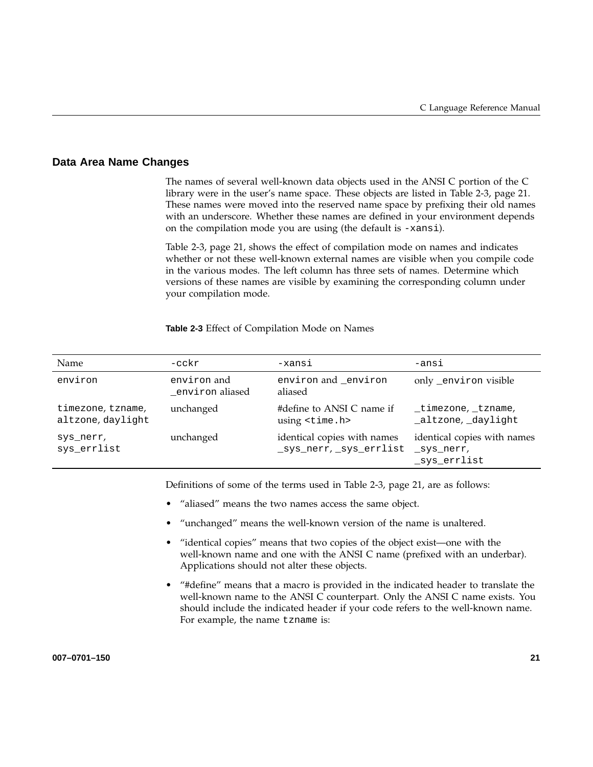#### **Data Area Name Changes**

The names of several well-known data objects used in the ANSI C portion of the C library were in the user's name space. These objects are listed in Table 2-3, page 21. These names were moved into the reserved name space by prefixing their old names with an underscore. Whether these names are defined in your environment depends on the compilation mode you are using (the default is -xansi).

Table 2-3, page 21, shows the effect of compilation mode on names and indicates whether or not these well-known external names are visible when you compile code in the various modes. The left column has three sets of names. Determine which versions of these names are visible by examining the corresponding column under your compilation mode.

#### **Table 2-3** Effect of Compilation Mode on Names

| Name                                   | $-cckr$                        | -xansi                                                 | -ansi                                                     |
|----------------------------------------|--------------------------------|--------------------------------------------------------|-----------------------------------------------------------|
| environ                                | environ and<br>environ aliased | environ and _environ<br>aliased                        | only_environ visible                                      |
| timezone, tzname,<br>altzone, daylight | unchanged                      | #define to ANSI C name if<br>using <time.h></time.h>   | timezone, tzname,<br>_altzone, _daylight                  |
| sys nerr,<br>sys_errlist               | unchanged                      | identical copies with names<br>_sys_nerr, _sys_errlist | identical copies with names<br>_sys_nerr,<br>_sys_errlist |

Definitions of some of the terms used in Table 2-3, page 21, are as follows:

- "aliased" means the two names access the same object.
- "unchanged" means the well-known version of the name is unaltered.
- "identical copies" means that two copies of the object exist—one with the well-known name and one with the ANSI C name (prefixed with an underbar). Applications should not alter these objects.
- "#define" means that a macro is provided in the indicated header to translate the well-known name to the ANSI C counterpart. Only the ANSI C name exists. You should include the indicated header if your code refers to the well-known name. For example, the name tzname is: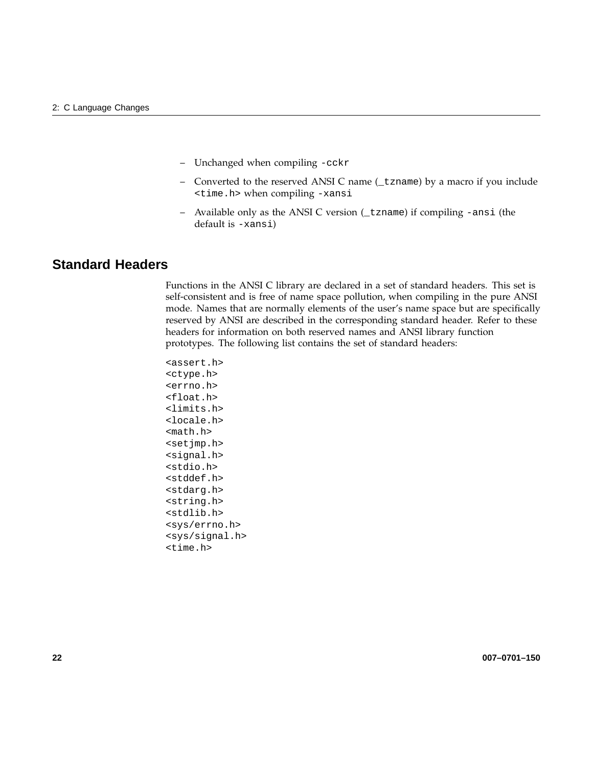- Unchanged when compiling -cckr
- Converted to the reserved ANSI C name (\_tzname) by a macro if you include <time.h> when compiling -xansi
- Available only as the ANSI C version (\_tzname) if compiling -ansi (the default is -xansi)

## **Standard Headers**

Functions in the ANSI C library are declared in a set of standard headers. This set is self-consistent and is free of name space pollution, when compiling in the pure ANSI mode. Names that are normally elements of the user's name space but are specifically reserved by ANSI are described in the corresponding standard header. Refer to these headers for information on both reserved names and ANSI library function prototypes. The following list contains the set of standard headers:

```
<assert.h>
<ctype.h>
<errno.h>
<float.h>
<limits.h>
<locale.h>
<math.h>
<setjmp.h>
<signal.h>
<stdio.h>
<stddef.h>
<stdarg.h>
<string.h>
<stdlib.h>
<sys/errno.h>
<sys/signal.h>
<time.h>
```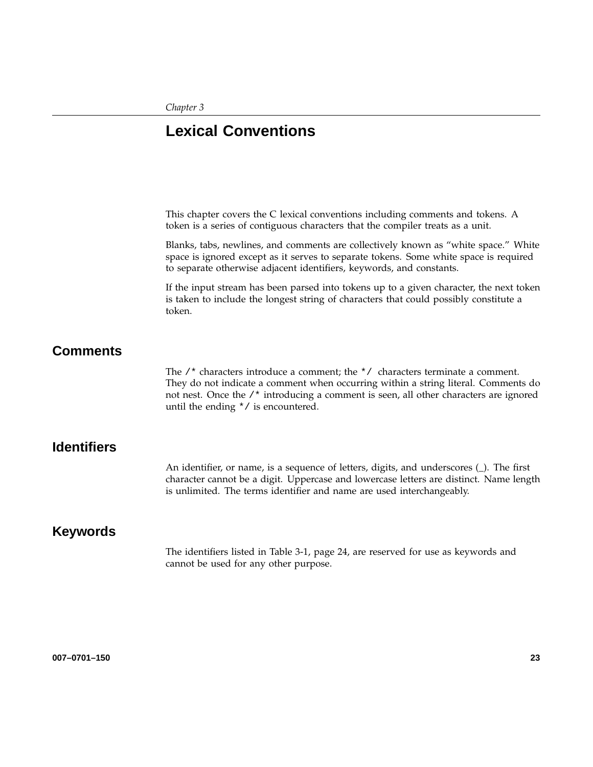*Chapter 3*

# **Lexical Conventions**

This chapter covers the C lexical conventions including comments and tokens. A token is a series of contiguous characters that the compiler treats as a unit.

Blanks, tabs, newlines, and comments are collectively known as "white space." White space is ignored except as it serves to separate tokens. Some white space is required to separate otherwise adjacent identifiers, keywords, and constants.

If the input stream has been parsed into tokens up to a given character, the next token is taken to include the longest string of characters that could possibly constitute a token.

# **Comments**

The  $/*$  characters introduce a comment; the  $*/$  characters terminate a comment. They do not indicate a comment when occurring within a string literal. Comments do not nest. Once the /\* introducing a comment is seen, all other characters are ignored until the ending \*/ is encountered.

# **Identifiers**

An identifier, or name, is a sequence of letters, digits, and underscores (\_). The first character cannot be a digit. Uppercase and lowercase letters are distinct. Name length is unlimited. The terms identifier and name are used interchangeably.

# **Keywords**

The identifiers listed in Table 3-1, page 24, are reserved for use as keywords and cannot be used for any other purpose.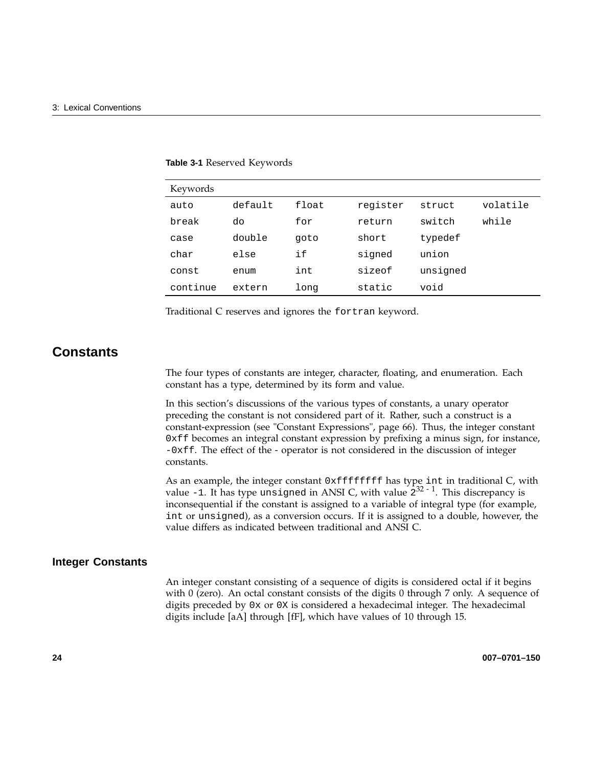| Keywords |         |       |          |          |          |
|----------|---------|-------|----------|----------|----------|
| auto     | default | float | register | struct   | volatile |
| break    | do      | for   | return   | switch   | while    |
| case     | double  | goto  | short    | typedef  |          |
| char     | else    | if    | signed   | union    |          |
| const    | enum    | int   | sizeof   | unsigned |          |
| continue | extern  | long  | static   | void     |          |

**Table 3-1** Reserved Keywords

Traditional C reserves and ignores the fortran keyword.

# **Constants**

The four types of constants are integer, character, floating, and enumeration. Each constant has a type, determined by its form and value.

In this section's discussions of the various types of constants, a unary operator preceding the constant is not considered part of it. Rather, such a construct is a constant-expression (see "Constant Expressions", page 66). Thus, the integer constant 0xff becomes an integral constant expression by prefixing a minus sign, for instance, -0xff. The effect of the - operator is not considered in the discussion of integer constants.

As an example, the integer constant 0xffffffff has type int in traditional C, with value -1. It has type unsigned in ANSI C, with value  $2^{32-1}$ . This discrepancy is inconsequential if the constant is assigned to a variable of integral type (for example, int or unsigned), as a conversion occurs. If it is assigned to a double, however, the value differs as indicated between traditional and ANSI C.

### **Integer Constants**

An integer constant consisting of a sequence of digits is considered octal if it begins with 0 (zero). An octal constant consists of the digits 0 through 7 only. A sequence of digits preceded by 0x or 0X is considered a hexadecimal integer. The hexadecimal digits include [aA] through [fF], which have values of 10 through 15.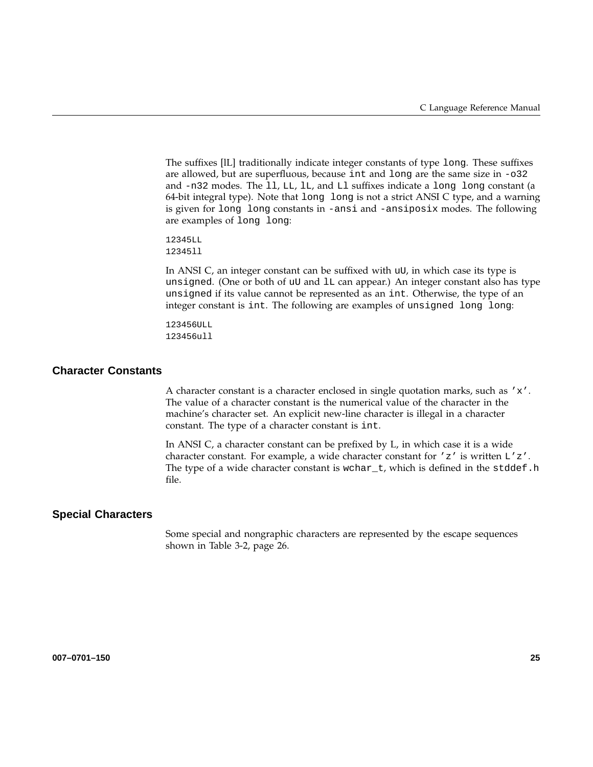The suffixes [lL] traditionally indicate integer constants of type long. These suffixes are allowed, but are superfluous, because int and long are the same size in -o32 and -n32 modes. The ll, LL, lL, and Ll suffixes indicate a long long constant (a 64-bit integral type). Note that long long is not a strict ANSI C type, and a warning is given for long long constants in -ansi and -ansiposix modes. The following are examples of long long:

12345LL 12345ll

In ANSI C, an integer constant can be suffixed with uU, in which case its type is unsigned. (One or both of uU and lL can appear.) An integer constant also has type unsigned if its value cannot be represented as an int. Otherwise, the type of an integer constant is int. The following are examples of unsigned long long:

```
123456ULL
123456ull
```
#### **Character Constants**

A character constant is a character enclosed in single quotation marks, such as 'x'. The value of a character constant is the numerical value of the character in the machine's character set. An explicit new-line character is illegal in a character constant. The type of a character constant is int.

In ANSI C, a character constant can be prefixed by L, in which case it is a wide character constant. For example, a wide character constant for  $'z'$  is written  $L'z'$ . The type of a wide character constant is wchar\_t, which is defined in the stddef.h file.

#### **Special Characters**

Some special and nongraphic characters are represented by the escape sequences shown in Table 3-2, page 26.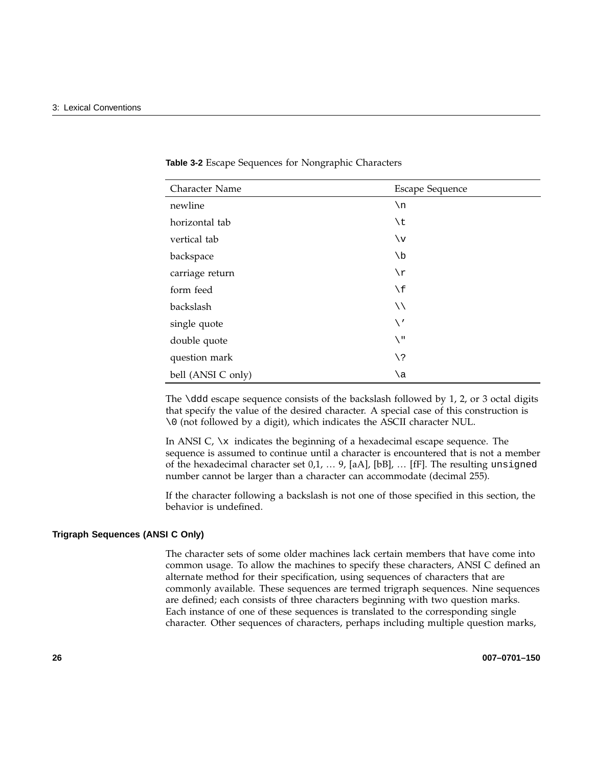| Character Name     | <b>Escape Sequence</b> |
|--------------------|------------------------|
| newline            | $\n\langle n$          |
| horizontal tab     | \t                     |
| vertical tab       | $\vee$                 |
| backspace          | $\setminus b$          |
| carriage return    | $\setminus r$          |
| form feed          | $\setminus f$          |
| backslash          | $\setminus \setminus$  |
| single quote       | $\setminus'$           |
| double quote       | $\setminus$ "          |
| question mark      | $/$ 5                  |
| bell (ANSI C only) | ∖a                     |

**Table 3-2** Escape Sequences for Nongraphic Characters

The  $\ddot{o}$  ddd escape sequence consists of the backslash followed by 1, 2, or 3 octal digits that specify the value of the desired character. A special case of this construction is \0 (not followed by a digit), which indicates the ASCII character NUL.

In ANSI C,  $\chi$  indicates the beginning of a hexadecimal escape sequence. The sequence is assumed to continue until a character is encountered that is not a member of the hexadecimal character set 0,1, … 9, [aA], [bB], … [fF]. The resulting unsigned number cannot be larger than a character can accommodate (decimal 255).

If the character following a backslash is not one of those specified in this section, the behavior is undefined.

#### **Trigraph Sequences (ANSI C Only)**

The character sets of some older machines lack certain members that have come into common usage. To allow the machines to specify these characters, ANSI C defined an alternate method for their specification, using sequences of characters that are commonly available. These sequences are termed trigraph sequences. Nine sequences are defined; each consists of three characters beginning with two question marks. Each instance of one of these sequences is translated to the corresponding single character. Other sequences of characters, perhaps including multiple question marks,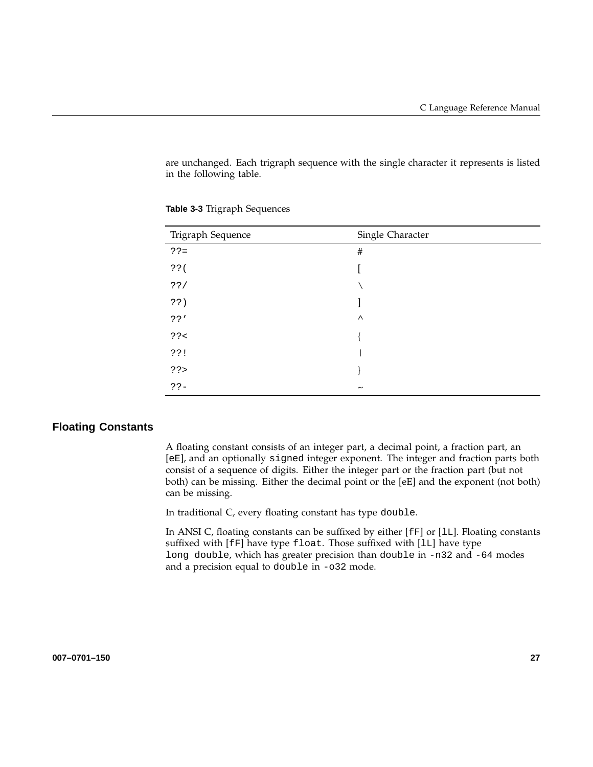are unchanged. Each trigraph sequence with the single character it represents is listed in the following table.

| Trigraph Sequence | Single Character      |
|-------------------|-----------------------|
| $?? =$            | $\#$                  |
| $??$ (            |                       |
| ??/               |                       |
| ??)               |                       |
| ? ?'              | $\wedge$              |
| ? ? <             |                       |
| ??!               |                       |
| ??                |                       |
| $?? -$            | $\tilde{\phantom{a}}$ |

**Table 3-3** Trigraph Sequences

### **Floating Constants**

A floating constant consists of an integer part, a decimal point, a fraction part, an [eE], and an optionally signed integer exponent. The integer and fraction parts both consist of a sequence of digits. Either the integer part or the fraction part (but not both) can be missing. Either the decimal point or the [eE] and the exponent (not both) can be missing.

In traditional C, every floating constant has type double.

In ANSI C, floating constants can be suffixed by either [fF] or [lL]. Floating constants suffixed with [fF] have type float. Those suffixed with [lL] have type long double, which has greater precision than double in -n32 and -64 modes and a precision equal to double in -o32 mode.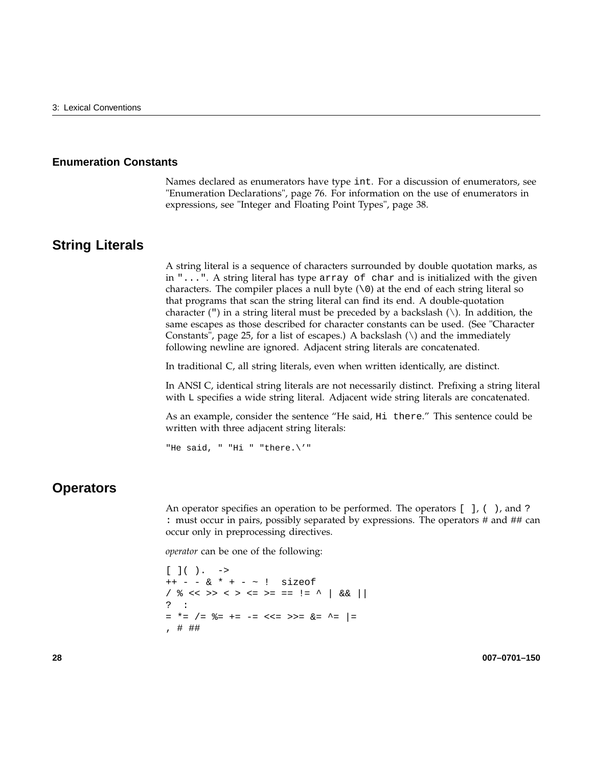#### **Enumeration Constants**

Names declared as enumerators have type int. For a discussion of enumerators, see "Enumeration Declarations", page 76. For information on the use of enumerators in expressions, see "Integer and Floating Point Types", page 38.

### **String Literals**

A string literal is a sequence of characters surrounded by double quotation marks, as in "...". A string literal has type array of char and is initialized with the given characters. The compiler places a null byte  $(\setminus 0)$  at the end of each string literal so that programs that scan the string literal can find its end. A double-quotation character (") in a string literal must be preceded by a backslash  $(\cdot)$ . In addition, the same escapes as those described for character constants can be used. (See "Character Constants", page 25, for a list of escapes.) A backslash  $(\setminus)$  and the immediately following newline are ignored. Adjacent string literals are concatenated.

In traditional C, all string literals, even when written identically, are distinct.

In ANSI C, identical string literals are not necessarily distinct. Prefixing a string literal with L specifies a wide string literal. Adjacent wide string literals are concatenated.

As an example, consider the sentence "He said, Hi there." This sentence could be written with three adjacent string literals:

"He said, " "Hi " "there.\'"

## **Operators**

An operator specifies an operation to be performed. The operators [ ], ( ), and ? : must occur in pairs, possibly separated by expressions. The operators # and ## can occur only in preprocessing directives.

*operator* can be one of the following:

```
[ ] ( ) . - >++ - - & * + - ~ ! sizeof
/ % << >> < > <= >= == != ^ | && ||
? :
= *= /= %= += -= <<= >>= &= ^= |=
, # ##
```
**28 007–0701–150**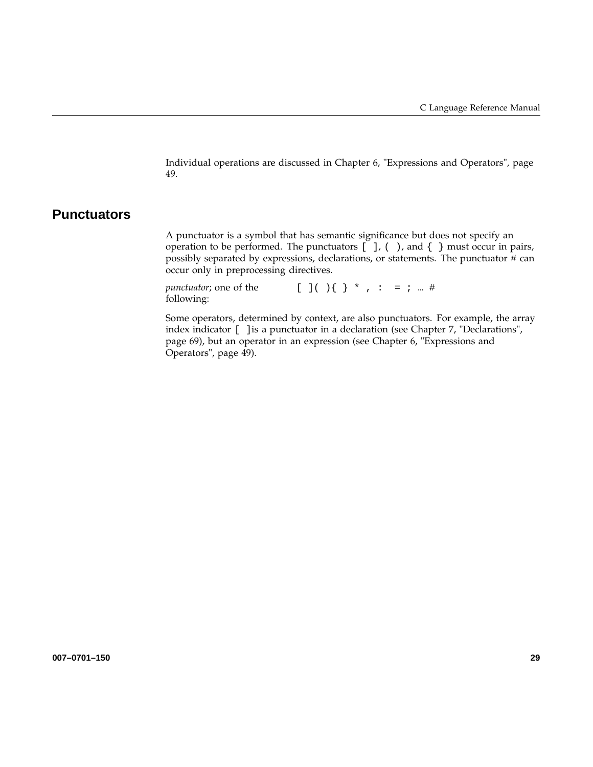Individual operations are discussed in Chapter 6, "Expressions and Operators", page 49.

# **Punctuators**

A punctuator is a symbol that has semantic significance but does not specify an operation to be performed. The punctuators  $[ \ ]$ ,  $( \ )$ , and  $[ \ ]$  must occur in pairs, possibly separated by expressions, declarations, or statements. The punctuator # can occur only in preprocessing directives.

*punctuator*; one of the following:  $[ ] ( ) ( ) \{ \} * , : = ; ...#$ 

Some operators, determined by context, are also punctuators. For example, the array index indicator [ ]is a punctuator in a declaration (see Chapter 7, "Declarations", page 69), but an operator in an expression (see Chapter 6, "Expressions and Operators", page 49).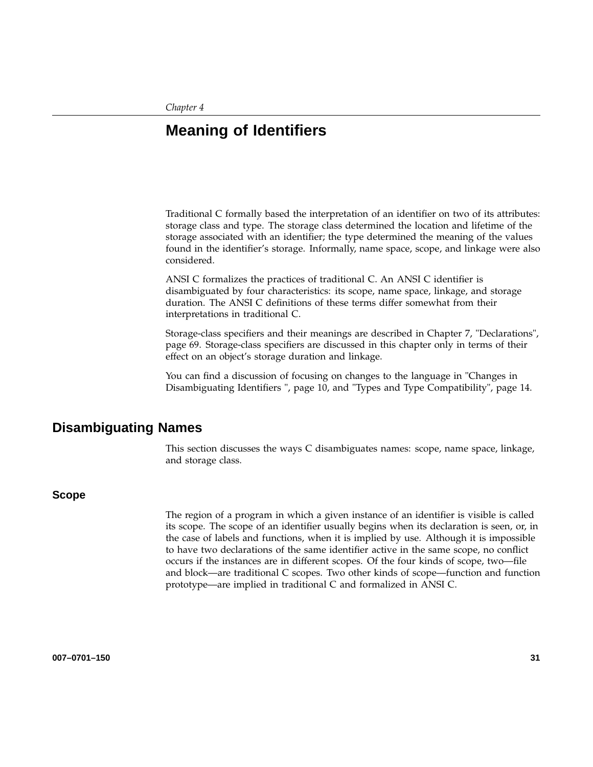*Chapter 4*

# **Meaning of Identifiers**

Traditional C formally based the interpretation of an identifier on two of its attributes: storage class and type. The storage class determined the location and lifetime of the storage associated with an identifier; the type determined the meaning of the values found in the identifier's storage. Informally, name space, scope, and linkage were also considered.

ANSI C formalizes the practices of traditional C. An ANSI C identifier is disambiguated by four characteristics: its scope, name space, linkage, and storage duration. The ANSI C definitions of these terms differ somewhat from their interpretations in traditional C.

Storage-class specifiers and their meanings are described in Chapter 7, "Declarations", page 69. Storage-class specifiers are discussed in this chapter only in terms of their effect on an object's storage duration and linkage.

You can find a discussion of focusing on changes to the language in "Changes in Disambiguating Identifiers ", page 10, and "Types and Type Compatibility", page 14.

## **Disambiguating Names**

This section discusses the ways C disambiguates names: scope, name space, linkage, and storage class.

#### **Scope**

The region of a program in which a given instance of an identifier is visible is called its scope. The scope of an identifier usually begins when its declaration is seen, or, in the case of labels and functions, when it is implied by use. Although it is impossible to have two declarations of the same identifier active in the same scope, no conflict occurs if the instances are in different scopes. Of the four kinds of scope, two—file and block—are traditional C scopes. Two other kinds of scope—function and function prototype—are implied in traditional C and formalized in ANSI C.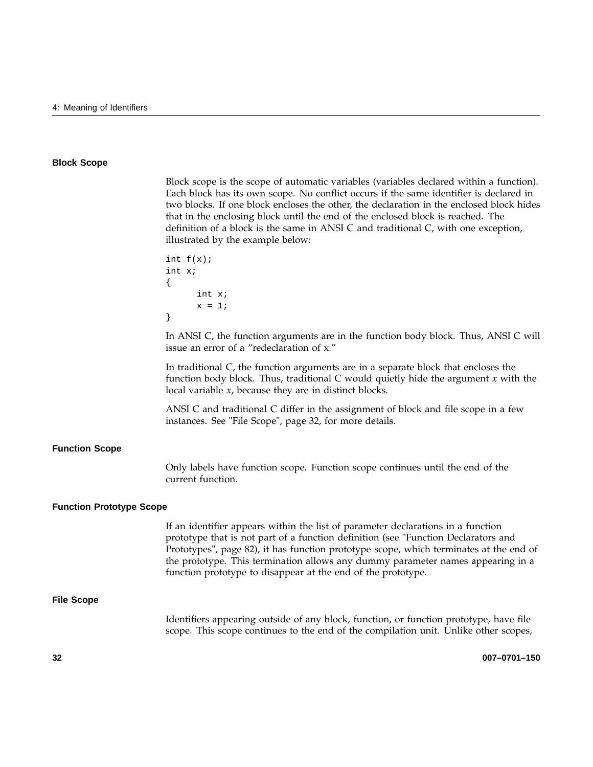#### **Block Scope**

Block scope is the scope of automatic variables (variables declared within a function). Each block has its own scope. No conflict occurs if the same identifier is declared in two blocks. If one block encloses the other, the declaration in the enclosed block hides that in the enclosing block until the end of the enclosed block is reached. The definition of a block is the same in ANSI C and traditional C, with one exception, illustrated by the example below:

```
int f(x);
int x;
{
      int x;
      x = 1;}
```
In ANSI C, the function arguments are in the function body block. Thus, ANSI C will issue an error of a "redeclaration of x."

In traditional C, the function arguments are in a separate block that encloses the function body block. Thus, traditional C would quietly hide the argument *x* with the local variable *x*, because they are in distinct blocks.

ANSI C and traditional C differ in the assignment of block and file scope in a few instances. See "File Scope", page 32, for more details.

#### **Function Scope**

Only labels have function scope. Function scope continues until the end of the current function.

#### **Function Prototype Scope**

If an identifier appears within the list of parameter declarations in a function prototype that is not part of a function definition (see "Function Declarators and Prototypes", page 82), it has function prototype scope, which terminates at the end of the prototype. This termination allows any dummy parameter names appearing in a function prototype to disappear at the end of the prototype.

#### **File Scope**

Identifiers appearing outside of any block, function, or function prototype, have file scope. This scope continues to the end of the compilation unit. Unlike other scopes,

**32 007–0701–150**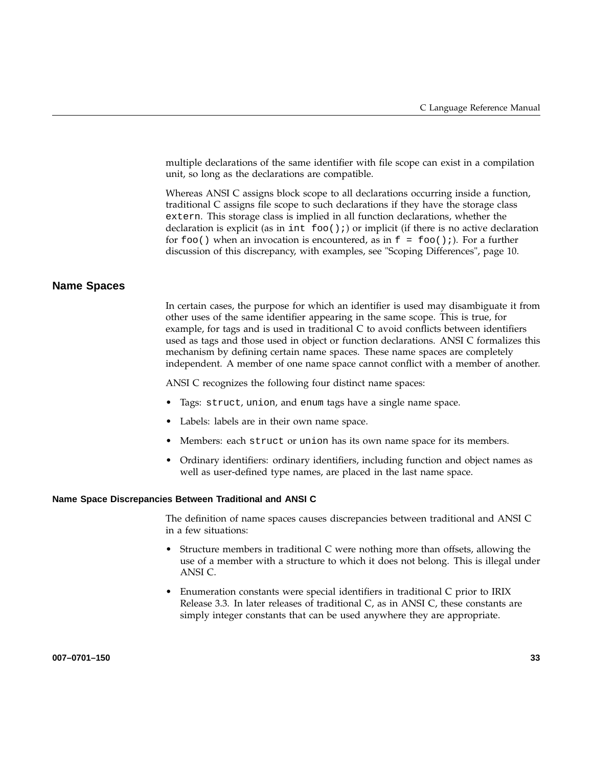multiple declarations of the same identifier with file scope can exist in a compilation unit, so long as the declarations are compatible.

Whereas ANSI C assigns block scope to all declarations occurring inside a function, traditional C assigns file scope to such declarations if they have the storage class extern. This storage class is implied in all function declarations, whether the declaration is explicit (as in int  $f \circ \circ (x)$ ; ) or implicit (if there is no active declaration for  $f \circ \circ$  () when an invocation is encountered, as in  $f = f \circ \circ$  ();). For a further discussion of this discrepancy, with examples, see "Scoping Differences", page 10.

### **Name Spaces**

In certain cases, the purpose for which an identifier is used may disambiguate it from other uses of the same identifier appearing in the same scope. This is true, for example, for tags and is used in traditional C to avoid conflicts between identifiers used as tags and those used in object or function declarations. ANSI C formalizes this mechanism by defining certain name spaces. These name spaces are completely independent. A member of one name space cannot conflict with a member of another.

ANSI C recognizes the following four distinct name spaces:

- Tags: struct, union, and enum tags have a single name space.
- Labels: labels are in their own name space.
- Members: each struct or union has its own name space for its members.
- Ordinary identifiers: ordinary identifiers, including function and object names as well as user-defined type names, are placed in the last name space.

#### **Name Space Discrepancies Between Traditional and ANSI C**

The definition of name spaces causes discrepancies between traditional and ANSI C in a few situations:

- Structure members in traditional C were nothing more than offsets, allowing the use of a member with a structure to which it does not belong. This is illegal under ANSI C.
- Enumeration constants were special identifiers in traditional C prior to IRIX Release 3.3. In later releases of traditional C, as in ANSI C, these constants are simply integer constants that can be used anywhere they are appropriate.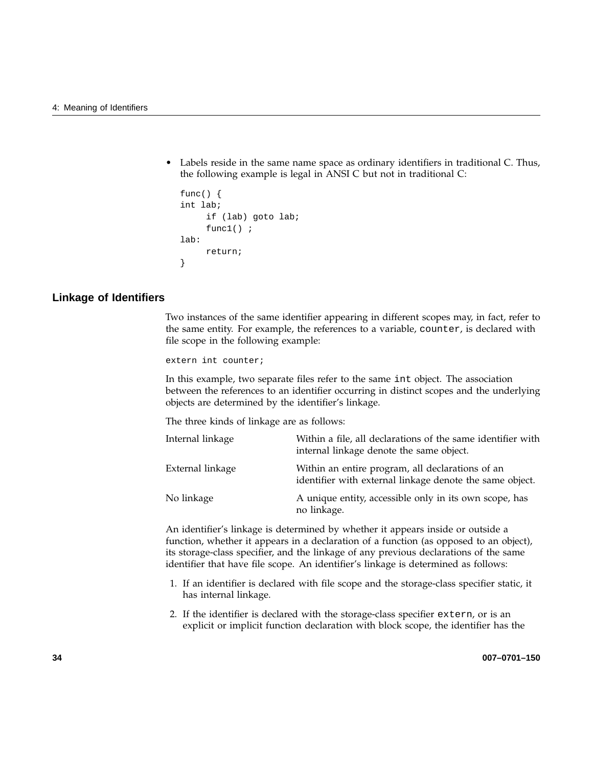Labels reside in the same name space as ordinary identifiers in traditional C. Thus, the following example is legal in ANSI C but not in traditional C:

```
func() \{int lab;
     if (lab) goto lab;
     func1();
lab:
     return;
}
```
### **Linkage of Identifiers**

Two instances of the same identifier appearing in different scopes may, in fact, refer to the same entity. For example, the references to a variable, counter, is declared with file scope in the following example:

extern int counter;

In this example, two separate files refer to the same int object. The association between the references to an identifier occurring in distinct scopes and the underlying objects are determined by the identifier's linkage.

The three kinds of linkage are as follows:

| Internal linkage | Within a file, all declarations of the same identifier with<br>internal linkage denote the same object.      |
|------------------|--------------------------------------------------------------------------------------------------------------|
| External linkage | Within an entire program, all declarations of an<br>identifier with external linkage denote the same object. |
| No linkage       | A unique entity, accessible only in its own scope, has<br>no linkage.                                        |

An identifier's linkage is determined by whether it appears inside or outside a function, whether it appears in a declaration of a function (as opposed to an object), its storage-class specifier, and the linkage of any previous declarations of the same identifier that have file scope. An identifier's linkage is determined as follows:

- 1. If an identifier is declared with file scope and the storage-class specifier static, it has internal linkage.
- 2. If the identifier is declared with the storage-class specifier extern, or is an explicit or implicit function declaration with block scope, the identifier has the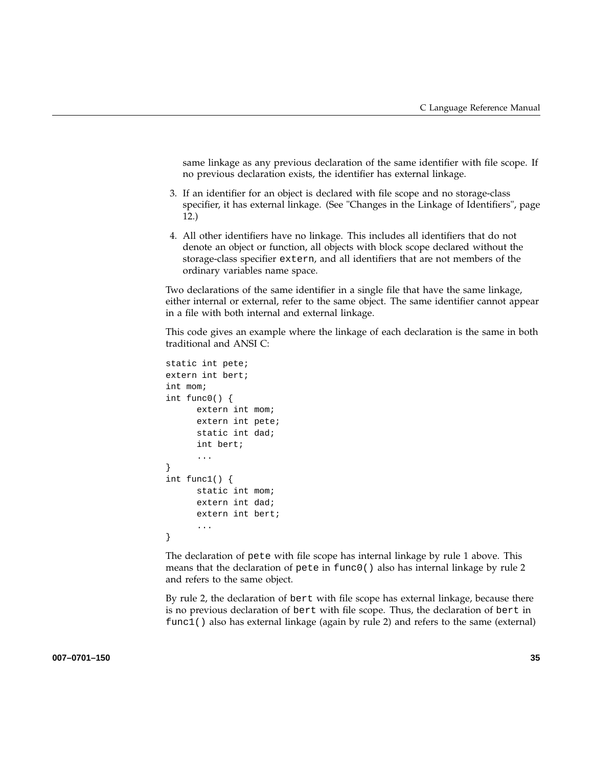same linkage as any previous declaration of the same identifier with file scope. If no previous declaration exists, the identifier has external linkage.

- 3. If an identifier for an object is declared with file scope and no storage-class specifier, it has external linkage. (See "Changes in the Linkage of Identifiers", page 12.)
- 4. All other identifiers have no linkage. This includes all identifiers that do not denote an object or function, all objects with block scope declared without the storage-class specifier extern, and all identifiers that are not members of the ordinary variables name space.

Two declarations of the same identifier in a single file that have the same linkage, either internal or external, refer to the same object. The same identifier cannot appear in a file with both internal and external linkage.

This code gives an example where the linkage of each declaration is the same in both traditional and ANSI C:

```
static int pete;
extern int bert;
int mom;
int func0() {
      extern int mom;
      extern int pete;
      static int dad;
      int bert;
      ...
}
int func1() {
      static int mom;
      extern int dad;
      extern int bert;
      ...
}
```
The declaration of pete with file scope has internal linkage by rule 1 above. This means that the declaration of pete in func0() also has internal linkage by rule 2 and refers to the same object.

By rule 2, the declaration of bert with file scope has external linkage, because there is no previous declaration of bert with file scope. Thus, the declaration of bert in func1() also has external linkage (again by rule 2) and refers to the same (external)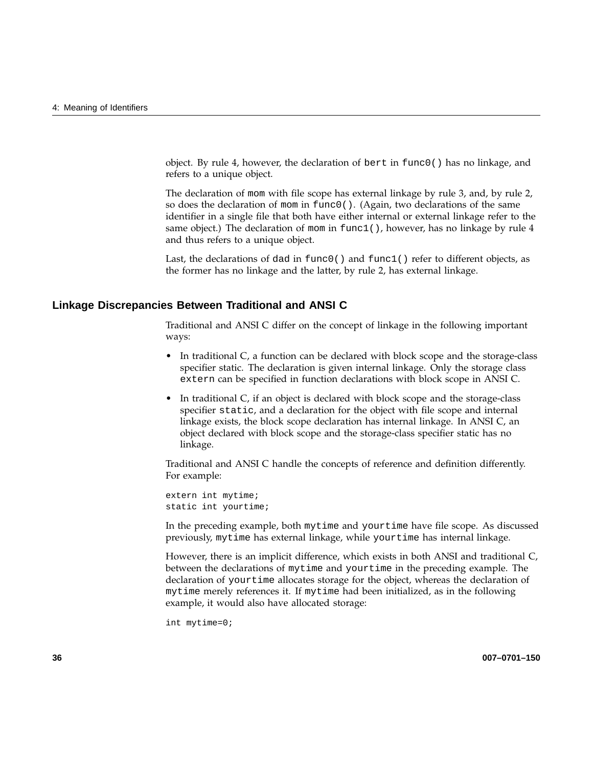object. By rule 4, however, the declaration of bert in  $func()$  has no linkage, and refers to a unique object.

The declaration of mom with file scope has external linkage by rule 3, and, by rule 2, so does the declaration of mom in func0(). (Again, two declarations of the same identifier in a single file that both have either internal or external linkage refer to the same object.) The declaration of mom in  $func1()$ , however, has no linkage by rule 4 and thus refers to a unique object.

Last, the declarations of dad in  $func0()$  and  $func1()$  refer to different objects, as the former has no linkage and the latter, by rule 2, has external linkage.

### **Linkage Discrepancies Between Traditional and ANSI C**

Traditional and ANSI C differ on the concept of linkage in the following important ways:

- In traditional C, a function can be declared with block scope and the storage-class specifier static. The declaration is given internal linkage. Only the storage class extern can be specified in function declarations with block scope in ANSI C.
- In traditional C, if an object is declared with block scope and the storage-class specifier static, and a declaration for the object with file scope and internal linkage exists, the block scope declaration has internal linkage. In ANSI C, an object declared with block scope and the storage-class specifier static has no linkage.

Traditional and ANSI C handle the concepts of reference and definition differently. For example:

extern int mytime; static int yourtime;

In the preceding example, both mytime and yourtime have file scope. As discussed previously, mytime has external linkage, while yourtime has internal linkage.

However, there is an implicit difference, which exists in both ANSI and traditional C, between the declarations of mytime and yourtime in the preceding example. The declaration of yourtime allocates storage for the object, whereas the declaration of mytime merely references it. If mytime had been initialized, as in the following example, it would also have allocated storage:

int mytime=0;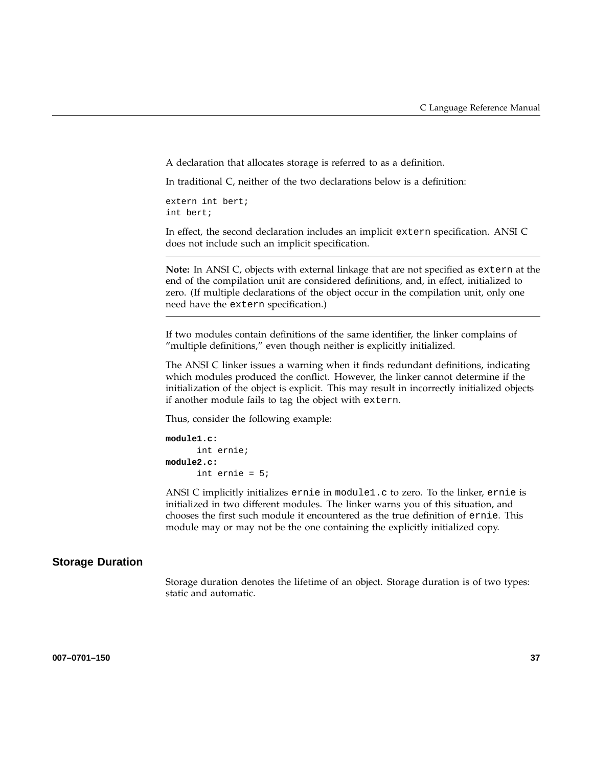A declaration that allocates storage is referred to as a definition.

In traditional C, neither of the two declarations below is a definition:

extern int bert; int bert;

In effect, the second declaration includes an implicit extern specification. ANSI C does not include such an implicit specification.

**Note:** In ANSI C, objects with external linkage that are not specified as extern at the end of the compilation unit are considered definitions, and, in effect, initialized to zero. (If multiple declarations of the object occur in the compilation unit, only one need have the extern specification.)

If two modules contain definitions of the same identifier, the linker complains of "multiple definitions," even though neither is explicitly initialized.

The ANSI C linker issues a warning when it finds redundant definitions, indicating which modules produced the conflict. However, the linker cannot determine if the initialization of the object is explicit. This may result in incorrectly initialized objects if another module fails to tag the object with extern.

Thus, consider the following example:

```
module1.c:
      int ernie;
module2.c:
      int ernie = 5;
```
ANSI C implicitly initializes ernie in module1.c to zero. To the linker, ernie is initialized in two different modules. The linker warns you of this situation, and chooses the first such module it encountered as the true definition of ernie. This module may or may not be the one containing the explicitly initialized copy.

#### **Storage Duration**

Storage duration denotes the lifetime of an object. Storage duration is of two types: static and automatic.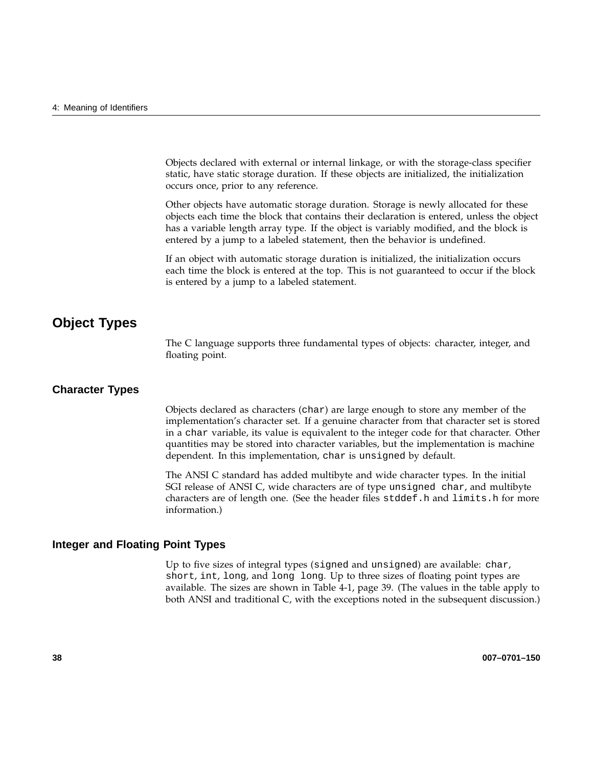Objects declared with external or internal linkage, or with the storage-class specifier static, have static storage duration. If these objects are initialized, the initialization occurs once, prior to any reference.

Other objects have automatic storage duration. Storage is newly allocated for these objects each time the block that contains their declaration is entered, unless the object has a variable length array type. If the object is variably modified, and the block is entered by a jump to a labeled statement, then the behavior is undefined.

If an object with automatic storage duration is initialized, the initialization occurs each time the block is entered at the top. This is not guaranteed to occur if the block is entered by a jump to a labeled statement.

## **Object Types**

The C language supports three fundamental types of objects: character, integer, and floating point.

#### **Character Types**

Objects declared as characters (char) are large enough to store any member of the implementation's character set. If a genuine character from that character set is stored in a char variable, its value is equivalent to the integer code for that character. Other quantities may be stored into character variables, but the implementation is machine dependent. In this implementation, char is unsigned by default.

The ANSI C standard has added multibyte and wide character types. In the initial SGI release of ANSI C, wide characters are of type unsigned char, and multibyte characters are of length one. (See the header files stddef.h and limits.h for more information.)

#### **Integer and Floating Point Types**

Up to five sizes of integral types (signed and unsigned) are available: char, short, int, long, and long long. Up to three sizes of floating point types are available. The sizes are shown in Table 4-1, page 39. (The values in the table apply to both ANSI and traditional C, with the exceptions noted in the subsequent discussion.)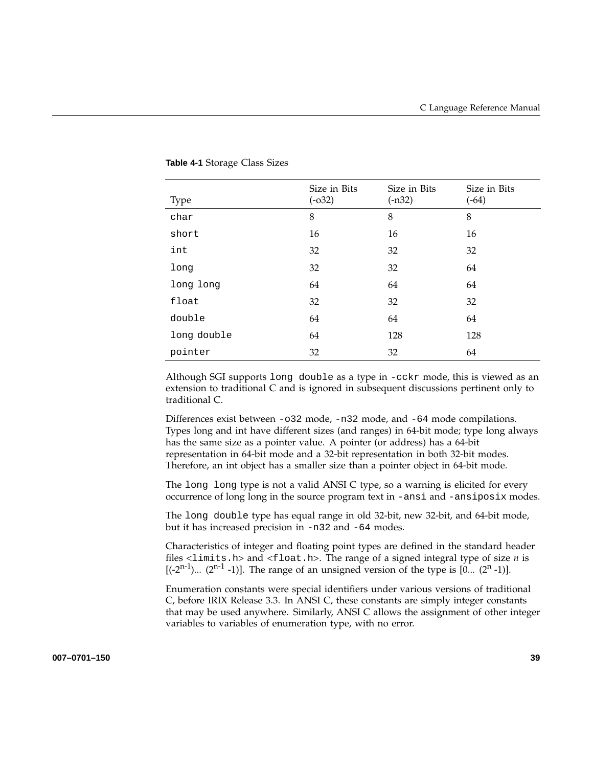| <b>Type</b> | Size in Bits<br>$(-032)$ | Size in Bits<br>$(-n32)$ | Size in Bits<br>$(-64)$ |
|-------------|--------------------------|--------------------------|-------------------------|
| char        | 8                        | 8                        | 8                       |
| short       | 16                       | 16                       | 16                      |
| int         | 32                       | 32                       | 32                      |
| long        | 32                       | 32                       | 64                      |
| long long   | 64                       | 64                       | 64                      |
| float       | 32                       | 32                       | 32                      |
| double      | 64                       | 64                       | 64                      |
| long double | 64                       | 128                      | 128                     |
| pointer     | 32                       | 32                       | 64                      |

#### **Table 4-1** Storage Class Sizes

Although SGI supports long double as a type in -cckr mode, this is viewed as an extension to traditional C and is ignored in subsequent discussions pertinent only to traditional C.

Differences exist between -o32 mode, -n32 mode, and -64 mode compilations. Types long and int have different sizes (and ranges) in 64-bit mode; type long always has the same size as a pointer value. A pointer (or address) has a 64-bit representation in 64-bit mode and a 32-bit representation in both 32-bit modes. Therefore, an int object has a smaller size than a pointer object in 64-bit mode.

The long long type is not a valid ANSI C type, so a warning is elicited for every occurrence of long long in the source program text in -ansi and -ansiposix modes.

The long double type has equal range in old 32-bit, new 32-bit, and 64-bit mode, but it has increased precision in -n32 and -64 modes.

Characteristics of integer and floating point types are defined in the standard header files <limits.h> and <float.h>. The range of a signed integral type of size *n* is  $[(-2^{n-1})... (2^{n-1} -1)]$ . The range of an unsigned version of the type is  $[0... (2^{n} -1)]$ .

Enumeration constants were special identifiers under various versions of traditional C, before IRIX Release 3.3. In ANSI C, these constants are simply integer constants that may be used anywhere. Similarly, ANSI C allows the assignment of other integer variables to variables of enumeration type, with no error.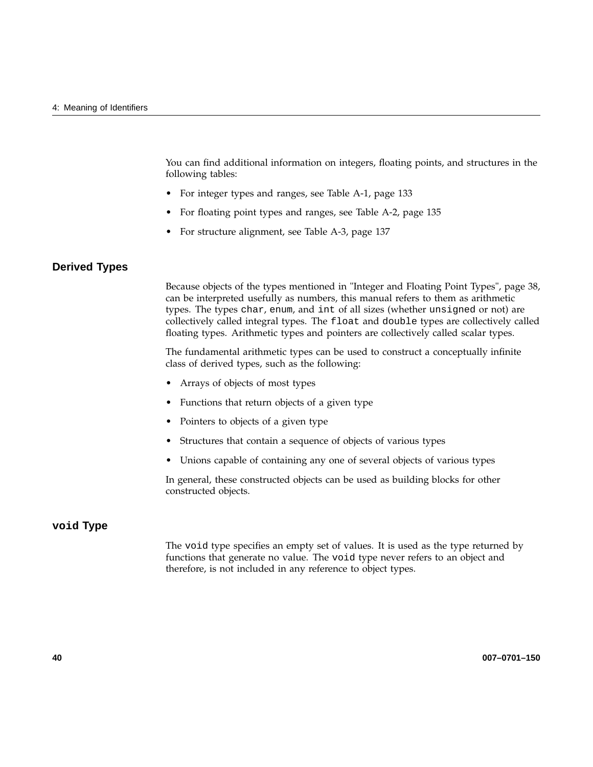You can find additional information on integers, floating points, and structures in the following tables:

- For integer types and ranges, see Table A-1, page 133
- For floating point types and ranges, see Table A-2, page 135
- For structure alignment, see Table A-3, page 137

### **Derived Types**

Because objects of the types mentioned in "Integer and Floating Point Types", page 38, can be interpreted usefully as numbers, this manual refers to them as arithmetic types. The types char, enum, and int of all sizes (whether unsigned or not) are collectively called integral types. The float and double types are collectively called floating types. Arithmetic types and pointers are collectively called scalar types.

The fundamental arithmetic types can be used to construct a conceptually infinite class of derived types, such as the following:

- Arrays of objects of most types
- Functions that return objects of a given type
- Pointers to objects of a given type
- Structures that contain a sequence of objects of various types
- Unions capable of containing any one of several objects of various types

In general, these constructed objects can be used as building blocks for other constructed objects.

### **void Type**

The void type specifies an empty set of values. It is used as the type returned by functions that generate no value. The void type never refers to an object and therefore, is not included in any reference to object types.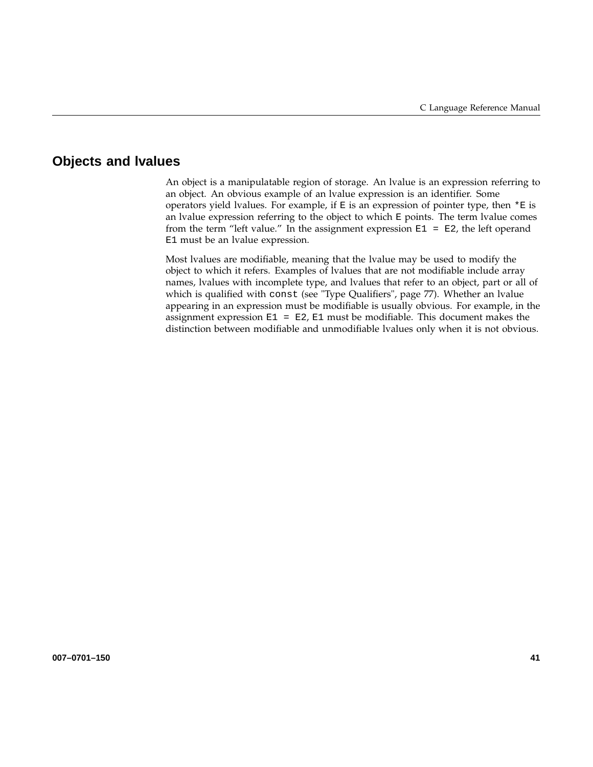# **Objects and lvalues**

An object is a manipulatable region of storage. An lvalue is an expression referring to an object. An obvious example of an lvalue expression is an identifier. Some operators yield lvalues. For example, if  $E$  is an expression of pointer type, then  $*E$  is an lvalue expression referring to the object to which E points. The term lvalue comes from the term "left value." In the assignment expression  $E1 = E2$ , the left operand E1 must be an lvalue expression.

Most lvalues are modifiable, meaning that the lvalue may be used to modify the object to which it refers. Examples of lvalues that are not modifiable include array names, lvalues with incomplete type, and lvalues that refer to an object, part or all of which is qualified with const (see "Type Qualifiers", page 77). Whether an lvalue appearing in an expression must be modifiable is usually obvious. For example, in the assignment expression  $E1 = E2$ ,  $E1$  must be modifiable. This document makes the distinction between modifiable and unmodifiable lvalues only when it is not obvious.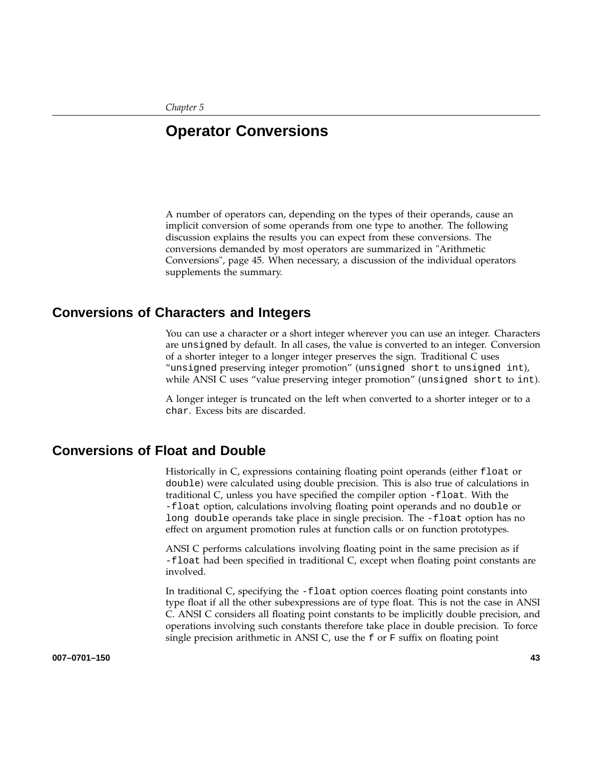*Chapter 5*

# **Operator Conversions**

A number of operators can, depending on the types of their operands, cause an implicit conversion of some operands from one type to another. The following discussion explains the results you can expect from these conversions. The conversions demanded by most operators are summarized in "Arithmetic Conversions", page 45. When necessary, a discussion of the individual operators supplements the summary.

## **Conversions of Characters and Integers**

You can use a character or a short integer wherever you can use an integer. Characters are unsigned by default. In all cases, the value is converted to an integer. Conversion of a shorter integer to a longer integer preserves the sign. Traditional C uses "unsigned preserving integer promotion" (unsigned short to unsigned int), while ANSI C uses "value preserving integer promotion" (unsigned short to int).

A longer integer is truncated on the left when converted to a shorter integer or to a char. Excess bits are discarded.

## **Conversions of Float and Double**

Historically in C, expressions containing floating point operands (either float or double) were calculated using double precision. This is also true of calculations in traditional C, unless you have specified the compiler option -float. With the -float option, calculations involving floating point operands and no double or long double operands take place in single precision. The -float option has no effect on argument promotion rules at function calls or on function prototypes.

ANSI C performs calculations involving floating point in the same precision as if -float had been specified in traditional C, except when floating point constants are involved.

In traditional C, specifying the -float option coerces floating point constants into type float if all the other subexpressions are of type float. This is not the case in ANSI C. ANSI C considers all floating point constants to be implicitly double precision, and operations involving such constants therefore take place in double precision. To force single precision arithmetic in ANSI C, use the f or F suffix on floating point

**007–0701–150 43**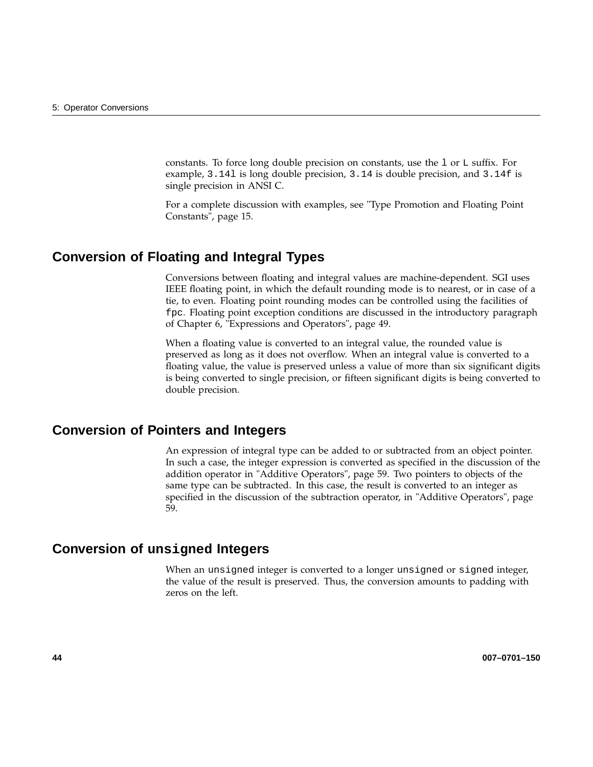constants. To force long double precision on constants, use the l or L suffix. For example, 3.14l is long double precision, 3.14 is double precision, and 3.14f is single precision in ANSI C.

For a complete discussion with examples, see "Type Promotion and Floating Point Constants", page 15.

# **Conversion of Floating and Integral Types**

Conversions between floating and integral values are machine-dependent. SGI uses IEEE floating point, in which the default rounding mode is to nearest, or in case of a tie, to even. Floating point rounding modes can be controlled using the facilities of fpc. Floating point exception conditions are discussed in the introductory paragraph of Chapter 6, "Expressions and Operators", page 49.

When a floating value is converted to an integral value, the rounded value is preserved as long as it does not overflow. When an integral value is converted to a floating value, the value is preserved unless a value of more than six significant digits is being converted to single precision, or fifteen significant digits is being converted to double precision.

# **Conversion of Pointers and Integers**

An expression of integral type can be added to or subtracted from an object pointer. In such a case, the integer expression is converted as specified in the discussion of the addition operator in "Additive Operators", page 59. Two pointers to objects of the same type can be subtracted. In this case, the result is converted to an integer as specified in the discussion of the subtraction operator, in "Additive Operators", page 59.

## **Conversion of unsigned Integers**

When an unsigned integer is converted to a longer unsigned or signed integer, the value of the result is preserved. Thus, the conversion amounts to padding with zeros on the left.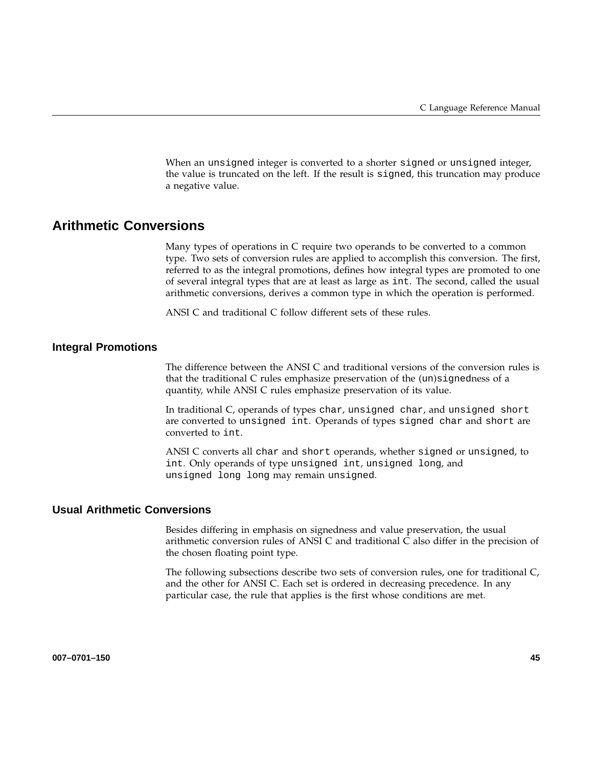When an unsigned integer is converted to a shorter signed or unsigned integer, the value is truncated on the left. If the result is signed, this truncation may produce a negative value.

# **Arithmetic Conversions**

Many types of operations in C require two operands to be converted to a common type. Two sets of conversion rules are applied to accomplish this conversion. The first, referred to as the integral promotions, defines how integral types are promoted to one of several integral types that are at least as large as int. The second, called the usual arithmetic conversions, derives a common type in which the operation is performed.

ANSI C and traditional C follow different sets of these rules.

#### **Integral Promotions**

The difference between the ANSI C and traditional versions of the conversion rules is that the traditional C rules emphasize preservation of the (un)signedness of a quantity, while ANSI C rules emphasize preservation of its value.

In traditional C, operands of types char, unsigned char, and unsigned short are converted to unsigned int. Operands of types signed char and short are converted to int.

ANSI C converts all char and short operands, whether signed or unsigned, to int. Only operands of type unsigned int, unsigned long, and unsigned long long may remain unsigned.

### **Usual Arithmetic Conversions**

Besides differing in emphasis on signedness and value preservation, the usual arithmetic conversion rules of ANSI C and traditional C also differ in the precision of the chosen floating point type.

The following subsections describe two sets of conversion rules, one for traditional C, and the other for ANSI C. Each set is ordered in decreasing precedence. In any particular case, the rule that applies is the first whose conditions are met.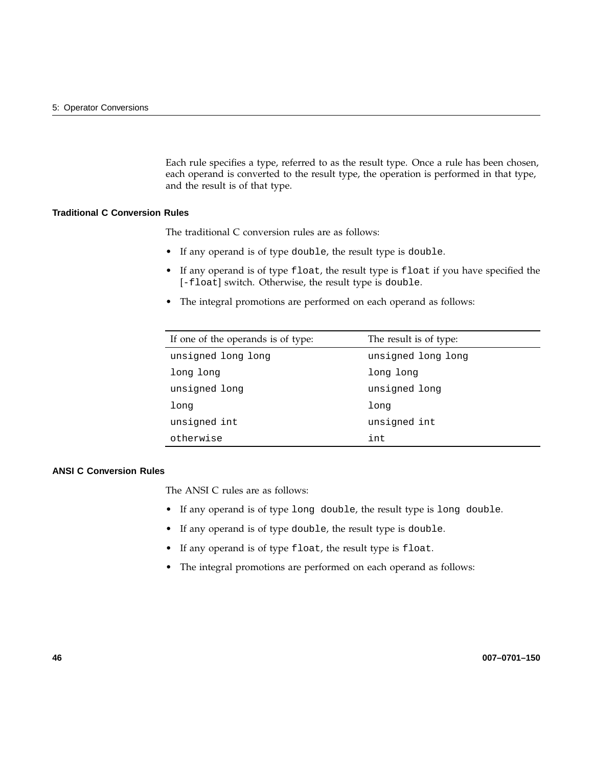Each rule specifies a type, referred to as the result type. Once a rule has been chosen, each operand is converted to the result type, the operation is performed in that type, and the result is of that type.

### **Traditional C Conversion Rules**

The traditional C conversion rules are as follows:

- If any operand is of type double, the result type is double.
- If any operand is of type float, the result type is float if you have specified the [-float] switch. Otherwise, the result type is double.
- The integral promotions are performed on each operand as follows:

| If one of the operands is of type: | The result is of type: |
|------------------------------------|------------------------|
| unsigned long long                 | unsigned long long     |
| long long                          | long long              |
| unsigned long                      | unsigned long          |
| long                               | long                   |
| unsigned int                       | unsigned int           |
| otherwise                          | int                    |

#### **ANSI C Conversion Rules**

The ANSI C rules are as follows:

- If any operand is of type long double, the result type is long double.
- If any operand is of type double, the result type is double.
- If any operand is of type float, the result type is float.
- The integral promotions are performed on each operand as follows: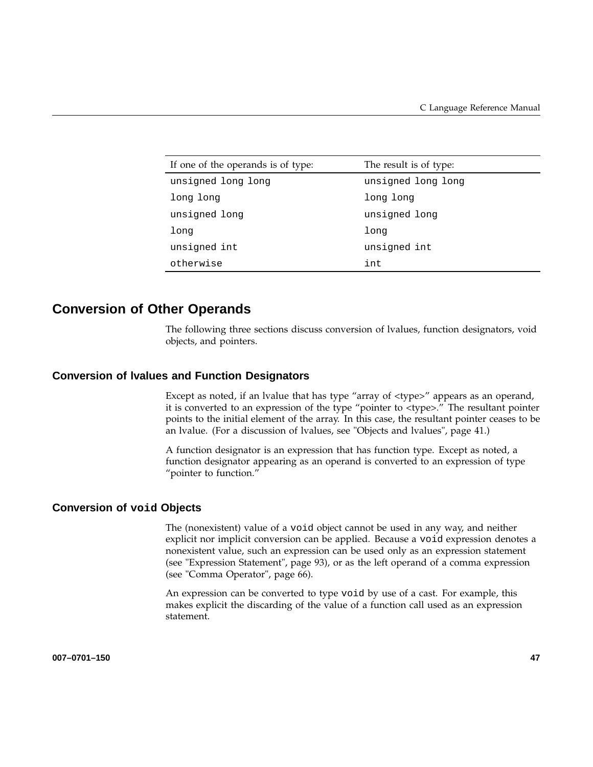| If one of the operands is of type: | The result is of type: |
|------------------------------------|------------------------|
| unsigned long long                 | unsigned long long     |
| long long                          | long long              |
| unsigned long                      | unsigned long          |
| long                               | long                   |
| unsigned int                       | unsigned int           |
| otherwise                          | int                    |

## **Conversion of Other Operands**

The following three sections discuss conversion of lvalues, function designators, void objects, and pointers.

#### **Conversion of lvalues and Function Designators**

Except as noted, if an lyalue that has type "array of <type>" appears as an operand, it is converted to an expression of the type "pointer to <type>." The resultant pointer points to the initial element of the array. In this case, the resultant pointer ceases to be an lvalue. (For a discussion of lvalues, see "Objects and lvalues", page 41.)

A function designator is an expression that has function type. Except as noted, a function designator appearing as an operand is converted to an expression of type "pointer to function."

### **Conversion of void Objects**

The (nonexistent) value of a void object cannot be used in any way, and neither explicit nor implicit conversion can be applied. Because a void expression denotes a nonexistent value, such an expression can be used only as an expression statement (see "Expression Statement", page 93), or as the left operand of a comma expression (see "Comma Operator", page 66).

An expression can be converted to type void by use of a cast. For example, this makes explicit the discarding of the value of a function call used as an expression statement.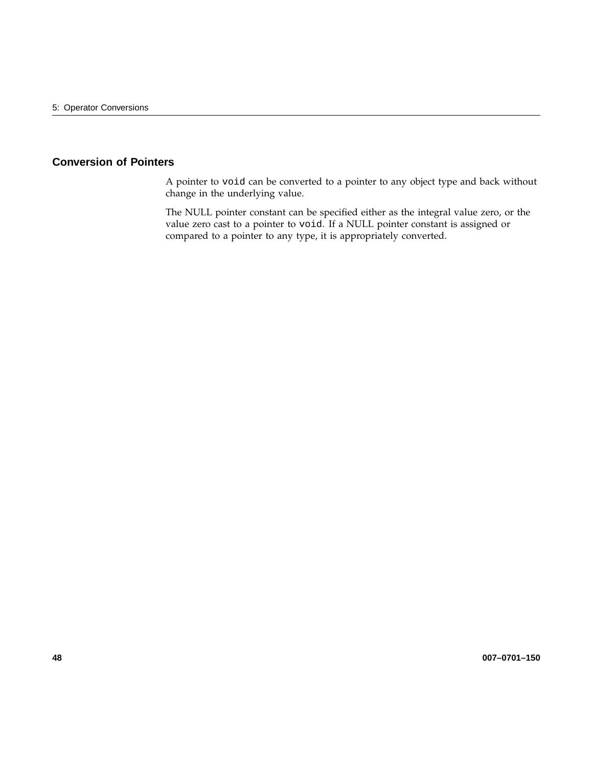### **Conversion of Pointers**

A pointer to void can be converted to a pointer to any object type and back without change in the underlying value.

The NULL pointer constant can be specified either as the integral value zero, or the value zero cast to a pointer to void. If a NULL pointer constant is assigned or compared to a pointer to any type, it is appropriately converted.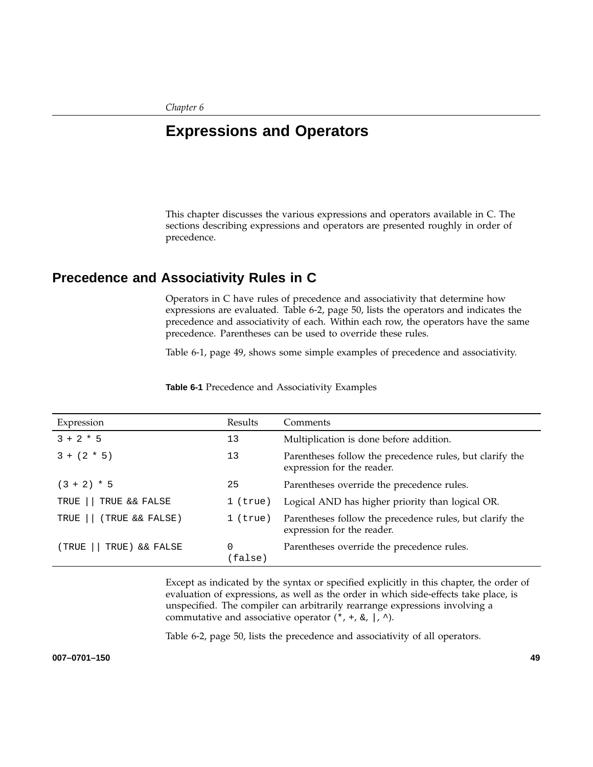# **Expressions and Operators**

This chapter discusses the various expressions and operators available in C. The sections describing expressions and operators are presented roughly in order of precedence.

# **Precedence and Associativity Rules in C**

Operators in C have rules of precedence and associativity that determine how expressions are evaluated. Table 6-2, page 50, lists the operators and indicates the precedence and associativity of each. Within each row, the operators have the same precedence. Parentheses can be used to override these rules.

Table 6-1, page 49, shows some simple examples of precedence and associativity.

| Expression               | Results      | Comments                                                                               |
|--------------------------|--------------|----------------------------------------------------------------------------------------|
| $3 + 2 * 5$              | 13           | Multiplication is done before addition.                                                |
| $3 + (2 * 5)$            | 13           | Parentheses follow the precedence rules, but clarify the<br>expression for the reader. |
| $(3 + 2) * 5$            | 25           | Parentheses override the precedence rules.                                             |
| TRUE<br>TRUE && FALSE    | $1$ (true)   | Logical AND has higher priority than logical OR.                                       |
| (TRUE && FALSE)<br>TRUE  | $1$ (true)   | Parentheses follow the precedence rules, but clarify the<br>expression for the reader. |
| (TRUE<br>TRUE) & & FALSE | 0<br>(false) | Parentheses override the precedence rules.                                             |

**Table 6-1** Precedence and Associativity Examples

Except as indicated by the syntax or specified explicitly in this chapter, the order of evaluation of expressions, as well as the order in which side-effects take place, is unspecified. The compiler can arbitrarily rearrange expressions involving a commutative and associative operator  $(*, +, \&, |, \wedge)$ .

Table 6-2, page 50, lists the precedence and associativity of all operators.

**007–0701–150 49**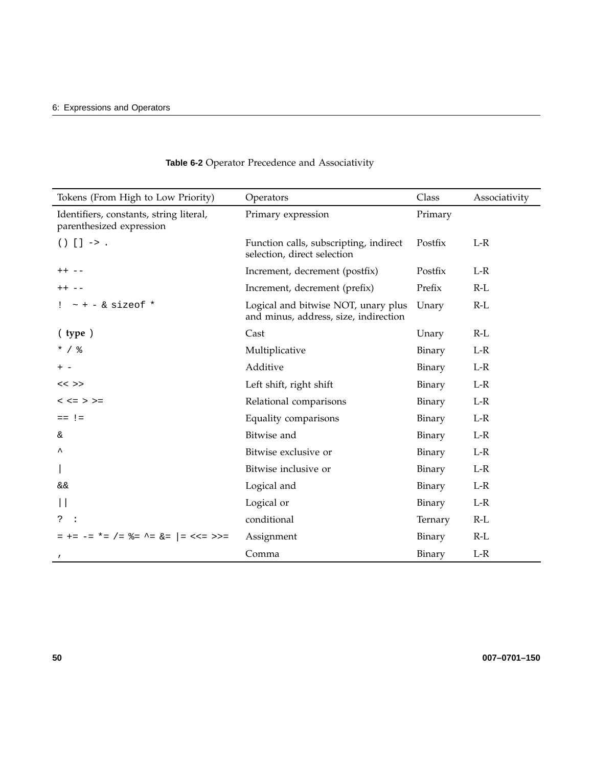| Tokens (From High to Low Priority)                                  | Operators                                                                    | Class   | Associativity |
|---------------------------------------------------------------------|------------------------------------------------------------------------------|---------|---------------|
| Identifiers, constants, string literal,<br>parenthesized expression | Primary expression                                                           | Primary |               |
| $() [ ] -> .$                                                       | Function calls, subscripting, indirect<br>selection, direct selection        | Postfix | $L-R$         |
| $++ - -$                                                            | Increment, decrement (postfix)                                               | Postfix | $L-R$         |
| $++ - -$                                                            | Increment, decrement (prefix)                                                | Prefix  | $R-L$         |
| $\sim$ + - & sizeof *                                               | Logical and bitwise NOT, unary plus<br>and minus, address, size, indirection | Unary   | $R-L$         |
| ( type )                                                            | Cast                                                                         | Unary   | $R-L$         |
| $*$ / $\frac{6}{6}$                                                 | Multiplicative                                                               | Binary  | $L-R$         |
| $+ -$                                                               | Additive                                                                     | Binary  | $L-R$         |
| $<<$ >>                                                             | Left shift, right shift                                                      | Binary  | $L-R$         |
| $< z = > > =$                                                       | Relational comparisons                                                       | Binary  | $L-R$         |
| $==$ ! =                                                            | Equality comparisons                                                         | Binary  | $L-R$         |
| &.                                                                  | Bitwise and                                                                  | Binary  | $L-R$         |
| ᄉ                                                                   | Bitwise exclusive or                                                         | Binary  | $L-R$         |
|                                                                     | Bitwise inclusive or                                                         | Binary  | $L-R$         |
| &&                                                                  | Logical and                                                                  | Binary  | $L-R$         |
|                                                                     | Logical or                                                                   | Binary  | $L-R$         |
| ?<br>- :                                                            | conditional                                                                  | Ternary | $R-L$         |
| = += -= *= /= %= ^= &=  = <<= >>=                                   | Assignment                                                                   | Binary  | $R-L$         |
| $\pmb{r}$                                                           | Comma                                                                        | Binary  | $L-R$         |

## **Table 6-2** Operator Precedence and Associativity

**50 007–0701–150**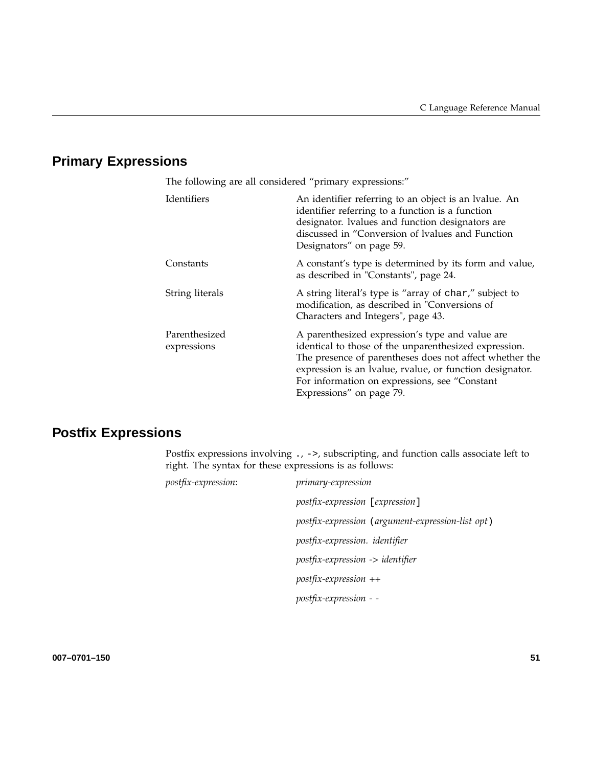# **Primary Expressions**

| The following are all considered "primary expressions:" |                                                                                                                                                                                                                                                                                                              |  |
|---------------------------------------------------------|--------------------------------------------------------------------------------------------------------------------------------------------------------------------------------------------------------------------------------------------------------------------------------------------------------------|--|
| Identifiers                                             | An identifier referring to an object is an Ivalue. An<br>identifier referring to a function is a function<br>designator. Ivalues and function designators are<br>discussed in "Conversion of Ivalues and Function<br>Designators" on page 59.                                                                |  |
| Constants                                               | A constant's type is determined by its form and value,<br>as described in "Constants", page 24.                                                                                                                                                                                                              |  |
| String literals                                         | A string literal's type is "array of char," subject to<br>modification, as described in "Conversions of<br>Characters and Integers", page 43.                                                                                                                                                                |  |
| Parenthesized<br>expressions                            | A parenthesized expression's type and value are<br>identical to those of the unparenthesized expression.<br>The presence of parentheses does not affect whether the<br>expression is an Ivalue, rvalue, or function designator.<br>For information on expressions, see "Constant<br>Expressions" on page 79. |  |

# **Postfix Expressions**

Postfix expressions involving ., ->, subscripting, and function calls associate left to right. The syntax for these expressions is as follows:

| postfix-expression: | <i>primary-expression</i>                         |
|---------------------|---------------------------------------------------|
|                     | postfix-expression [expression]                   |
|                     | postfix-expression (argument-expression-list opt) |
|                     | postfix-expression. identifier                    |
|                     | postfix-expression -> identifier                  |
|                     | $postfix-expression$ ++                           |
|                     | postfix-expression - -                            |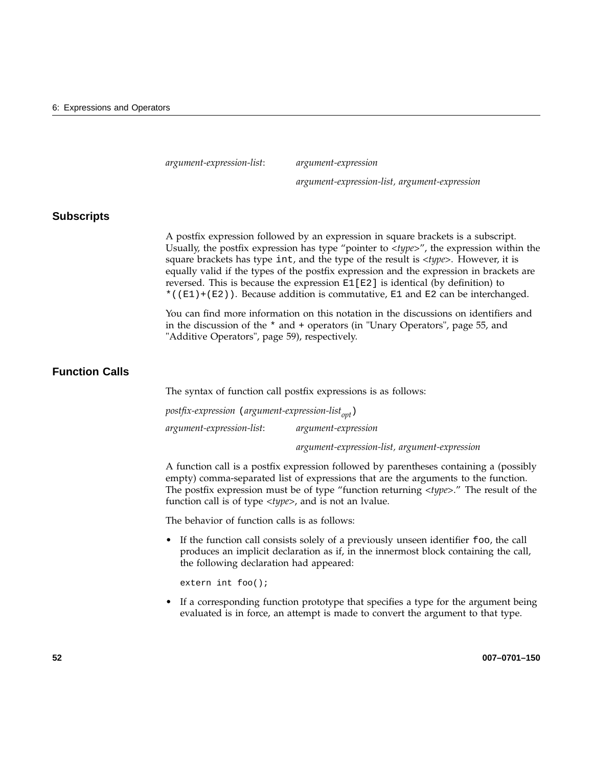*argument-expression-list*: *argument-expression*

*argument-expression-list, argument-expression*

#### **Subscripts**

A postfix expression followed by an expression in square brackets is a subscript. Usually, the postfix expression has type "pointer to <*type*>", the expression within the square brackets has type int, and the type of the result is <*type*>. However, it is equally valid if the types of the postfix expression and the expression in brackets are reversed. This is because the expression E1[E2] is identical (by definition) to \*( $(E1)+(E2)$ ). Because addition is commutative, E1 and E2 can be interchanged.

You can find more information on this notation in the discussions on identifiers and in the discussion of the \* and + operators (in "Unary Operators", page 55, and "Additive Operators", page 59), respectively.

### **Function Calls**

The syntax of function call postfix expressions is as follows:

*postfix-expression* (*argument-expression-list*<sub>ont</sub>) *argument-expression-list*: *argument-expression argument-expression-list, argument-expression*

A function call is a postfix expression followed by parentheses containing a (possibly empty) comma-separated list of expressions that are the arguments to the function. The postfix expression must be of type "function returning <*type*>." The result of the

The behavior of function calls is as follows:

function call is of type <*type*>, and is not an lvalue.

• If the function call consists solely of a previously unseen identifier foo, the call produces an implicit declaration as if, in the innermost block containing the call, the following declaration had appeared:

extern int foo();

If a corresponding function prototype that specifies a type for the argument being evaluated is in force, an attempt is made to convert the argument to that type.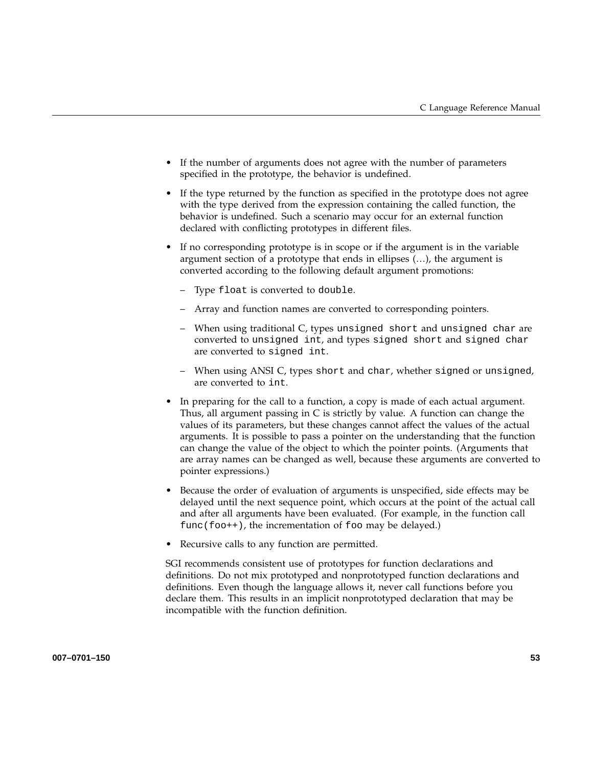- If the number of arguments does not agree with the number of parameters specified in the prototype, the behavior is undefined.
- If the type returned by the function as specified in the prototype does not agree with the type derived from the expression containing the called function, the behavior is undefined. Such a scenario may occur for an external function declared with conflicting prototypes in different files.
- If no corresponding prototype is in scope or if the argument is in the variable argument section of a prototype that ends in ellipses (…), the argument is converted according to the following default argument promotions:
	- Type float is converted to double.
	- Array and function names are converted to corresponding pointers.
	- When using traditional C, types unsigned short and unsigned char are converted to unsigned int, and types signed short and signed char are converted to signed int.
	- When using ANSI C, types short and char, whether signed or unsigned, are converted to int.
- In preparing for the call to a function, a copy is made of each actual argument. Thus, all argument passing in C is strictly by value. A function can change the values of its parameters, but these changes cannot affect the values of the actual arguments. It is possible to pass a pointer on the understanding that the function can change the value of the object to which the pointer points. (Arguments that are array names can be changed as well, because these arguments are converted to pointer expressions.)
- Because the order of evaluation of arguments is unspecified, side effects may be delayed until the next sequence point, which occurs at the point of the actual call and after all arguments have been evaluated. (For example, in the function call  $func(foot+)$ , the incrementation of foo may be delayed.)
- Recursive calls to any function are permitted.

SGI recommends consistent use of prototypes for function declarations and definitions. Do not mix prototyped and nonprototyped function declarations and definitions. Even though the language allows it, never call functions before you declare them. This results in an implicit nonprototyped declaration that may be incompatible with the function definition.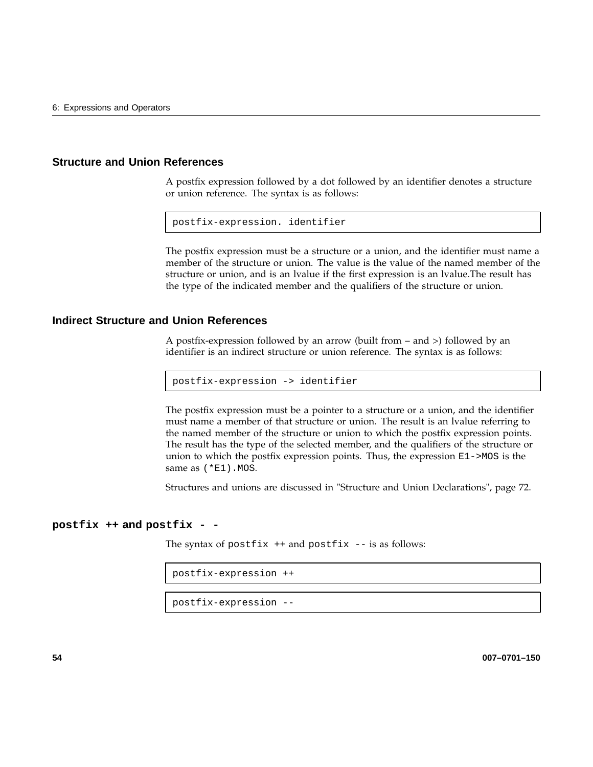#### **Structure and Union References**

A postfix expression followed by a dot followed by an identifier denotes a structure or union reference. The syntax is as follows:

postfix-expression. identifier

The postfix expression must be a structure or a union, and the identifier must name a member of the structure or union. The value is the value of the named member of the structure or union, and is an lvalue if the first expression is an lvalue.The result has the type of the indicated member and the qualifiers of the structure or union.

#### **Indirect Structure and Union References**

A postfix-expression followed by an arrow (built from – and >) followed by an identifier is an indirect structure or union reference. The syntax is as follows:

postfix-expression -> identifier

The postfix expression must be a pointer to a structure or a union, and the identifier must name a member of that structure or union. The result is an lvalue referring to the named member of the structure or union to which the postfix expression points. The result has the type of the selected member, and the qualifiers of the structure or union to which the postfix expression points. Thus, the expression E1->MOS is the same as (\*E1).MOS.

Structures and unions are discussed in "Structure and Union Declarations", page 72.

#### **postfix ++ and postfix - -**

The syntax of postfix  $++$  and postfix  $--$  is as follows:

```
postfix-expression ++
```
postfix-expression --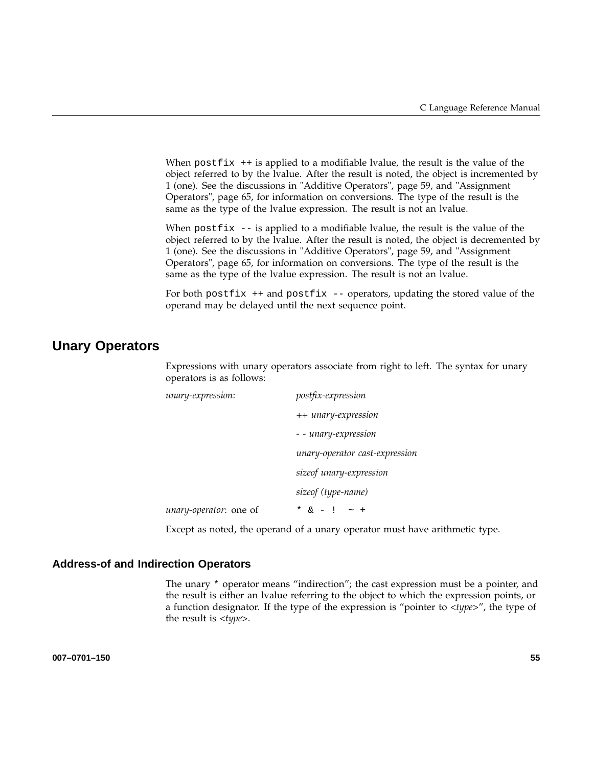When  $postfix + is applied to a modifiable Value, the result is the value of the$ object referred to by the lvalue. After the result is noted, the object is incremented by 1 (one). See the discussions in "Additive Operators", page 59, and "Assignment Operators", page 65, for information on conversions. The type of the result is the same as the type of the lvalue expression. The result is not an lvalue.

When postfix  $-$ - is applied to a modifiable lvalue, the result is the value of the object referred to by the lvalue. After the result is noted, the object is decremented by 1 (one). See the discussions in "Additive Operators", page 59, and "Assignment Operators", page 65, for information on conversions. The type of the result is the same as the type of the lvalue expression. The result is not an lvalue.

For both postfix  $++$  and postfix  $--$  operators, updating the stored value of the operand may be delayed until the next sequence point.

## **Unary Operators**

Expressions with unary operators associate from right to left. The syntax for unary operators is as follows:

| unary-expression:      | postfix-expression             |
|------------------------|--------------------------------|
|                        | ++ unary-expression            |
|                        | - - unary-expression           |
|                        | unary-operator cast-expression |
|                        | sizeof unary-expression        |
|                        | sizeof (type-name)             |
| unary-operator: one of | * $\& - 1$                     |

Except as noted, the operand of a unary operator must have arithmetic type.

#### **Address-of and Indirection Operators**

The unary \* operator means "indirection"; the cast expression must be a pointer, and the result is either an lvalue referring to the object to which the expression points, or a function designator. If the type of the expression is "pointer to <*type*>", the type of the result is <*type*>.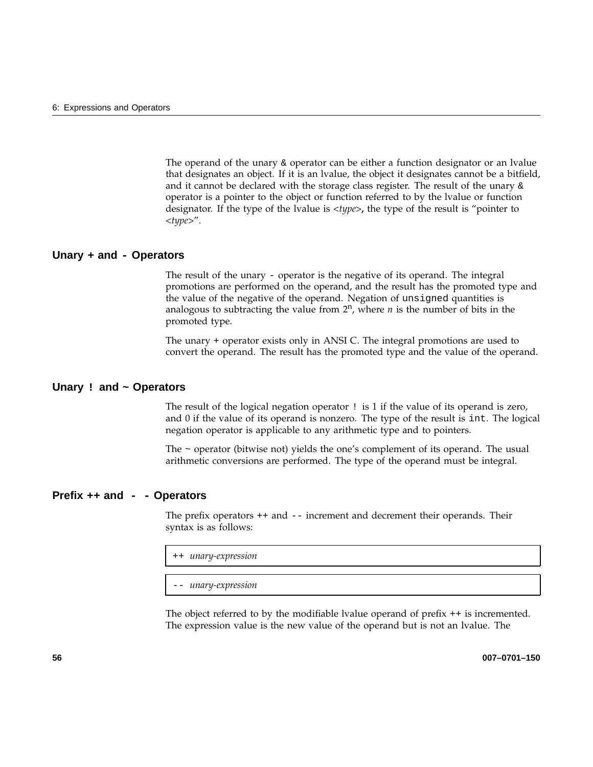The operand of the unary  $\&$  operator can be either a function designator or an Ivalue that designates an object. If it is an lvalue, the object it designates cannot be a bitfield, and it cannot be declared with the storage class register. The result of the unary  $\&$ operator is a pointer to the object or function referred to by the lvalue or function designator. If the type of the lvalue is <*type*>**,** the type of the result is "pointer to <*type*>".

#### **Unary + and - Operators**

The result of the unary - operator is the negative of its operand. The integral promotions are performed on the operand, and the result has the promoted type and the value of the negative of the operand. Negation of unsigned quantities is analogous to subtracting the value from  $2^n$ , where *n* is the number of bits in the promoted type.

The unary + operator exists only in ANSI C. The integral promotions are used to convert the operand. The result has the promoted type and the value of the operand.

#### **Unary ! and ~ Operators**

The result of the logical negation operator ! is 1 if the value of its operand is zero, and 0 if the value of its operand is nonzero. The type of the result is int. The logical negation operator is applicable to any arithmetic type and to pointers.

The ~ operator (bitwise not) yields the one's complement of its operand. The usual arithmetic conversions are performed. The type of the operand must be integral.

#### **Prefix ++ and - - Operators**

The prefix operators ++ and -- increment and decrement their operands. Their syntax is as follows:

++ *unary-expression*

-- *unary-expression*

The object referred to by the modifiable lvalue operand of prefix ++ is incremented. The expression value is the new value of the operand but is not an lvalue. The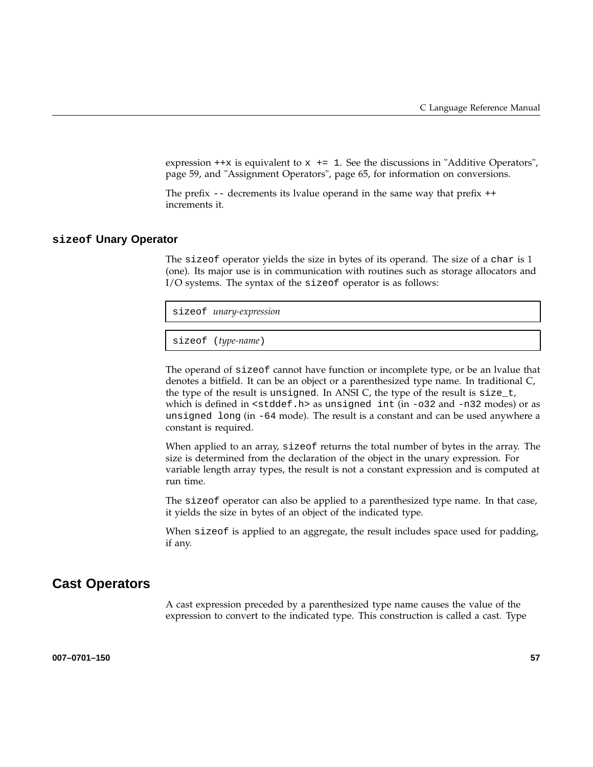expression  $++x$  is equivalent to  $x \leftarrow +1$ . See the discussions in "Additive Operators", page 59, and "Assignment Operators", page 65, for information on conversions.

The prefix  $-$  decrements its lvalue operand in the same way that prefix  $++$ increments it.

#### **sizeof Unary Operator**

The sizeof operator yields the size in bytes of its operand. The size of a char is 1 (one). Its major use is in communication with routines such as storage allocators and I/O systems. The syntax of the sizeof operator is as follows:

| sizeof <i>unary-expression</i> |
|--------------------------------|
|                                |
|                                |

sizeof (*type-name*)

The operand of sizeof cannot have function or incomplete type, or be an lvalue that denotes a bitfield. It can be an object or a parenthesized type name. In traditional C, the type of the result is unsigned. In ANSI C, the type of the result is  $size_t$ , which is defined in <stddef.h> as unsigned int (in -o32 and -n32 modes) or as unsigned long (in -64 mode). The result is a constant and can be used anywhere a constant is required.

When applied to an array, sizeof returns the total number of bytes in the array. The size is determined from the declaration of the object in the unary expression. For variable length array types, the result is not a constant expression and is computed at run time.

The sizeof operator can also be applied to a parenthesized type name. In that case, it yields the size in bytes of an object of the indicated type.

When sizeof is applied to an aggregate, the result includes space used for padding, if any.

### **Cast Operators**

A cast expression preceded by a parenthesized type name causes the value of the expression to convert to the indicated type. This construction is called a cast. Type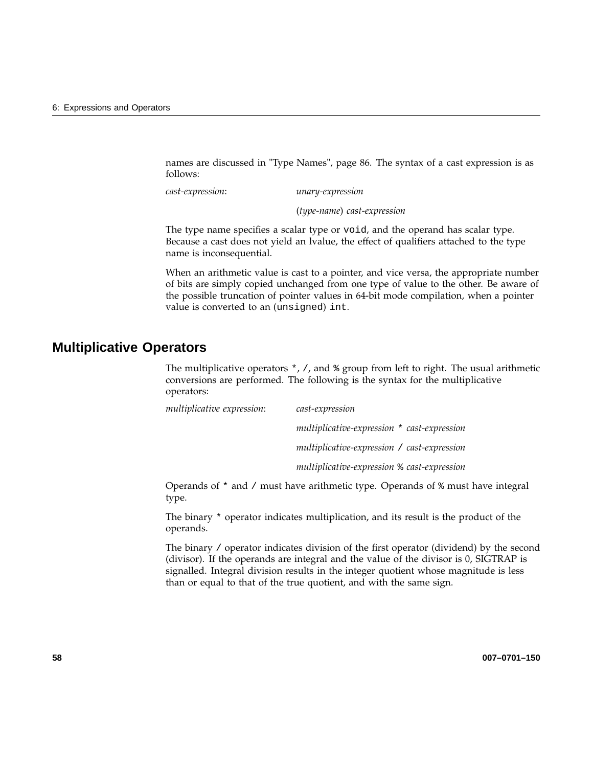names are discussed in "Type Names", page 86. The syntax of a cast expression is as follows:

*cast-expression*: *unary-expression*

(*type-name*) *cast-expression*

The type name specifies a scalar type or void, and the operand has scalar type. Because a cast does not yield an lvalue, the effect of qualifiers attached to the type name is inconsequential.

When an arithmetic value is cast to a pointer, and vice versa, the appropriate number of bits are simply copied unchanged from one type of value to the other. Be aware of the possible truncation of pointer values in 64-bit mode compilation, when a pointer value is converted to an (unsigned) int.

## **Multiplicative Operators**

The multiplicative operators  $\star$ , /, and  $\ast$  group from left to right. The usual arithmetic conversions are performed. The following is the syntax for the multiplicative operators:

| multiplicative expression: | cast-expression                              |
|----------------------------|----------------------------------------------|
|                            | multiplicative-expression * cast-expression  |
|                            | multiplicative-expression / cast-expression  |
|                            | multiplicative-expression \% cast-expression |

Operands of \* and / must have arithmetic type. Operands of % must have integral type.

The binary \* operator indicates multiplication, and its result is the product of the operands.

The binary / operator indicates division of the first operator (dividend) by the second (divisor). If the operands are integral and the value of the divisor is 0, SIGTRAP is signalled. Integral division results in the integer quotient whose magnitude is less than or equal to that of the true quotient, and with the same sign.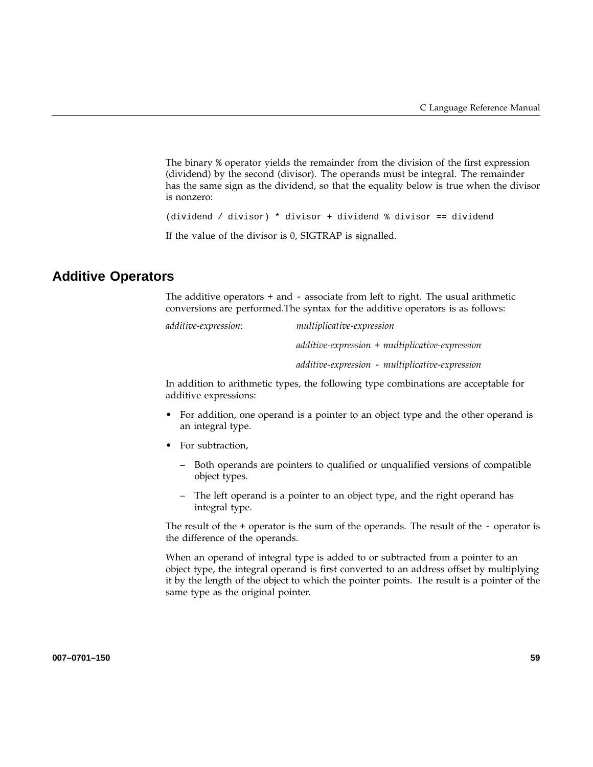The binary % operator yields the remainder from the division of the first expression (dividend) by the second (divisor). The operands must be integral. The remainder has the same sign as the dividend, so that the equality below is true when the divisor is nonzero:

(dividend / divisor) \* divisor + dividend % divisor == dividend

If the value of the divisor is 0, SIGTRAP is signalled.

## **Additive Operators**

The additive operators + and - associate from left to right. The usual arithmetic conversions are performed.The syntax for the additive operators is as follows:

*additive-expression*: *multiplicative-expression*

*additive-expression* + *multiplicative-expression*

*additive-expression* - *multiplicative-expression*

In addition to arithmetic types, the following type combinations are acceptable for additive expressions:

- For addition, one operand is a pointer to an object type and the other operand is an integral type.
- For subtraction,
	- Both operands are pointers to qualified or unqualified versions of compatible object types.
	- The left operand is a pointer to an object type, and the right operand has integral type.

The result of the  $+$  operator is the sum of the operands. The result of the  $-$  operator is the difference of the operands.

When an operand of integral type is added to or subtracted from a pointer to an object type, the integral operand is first converted to an address offset by multiplying it by the length of the object to which the pointer points. The result is a pointer of the same type as the original pointer.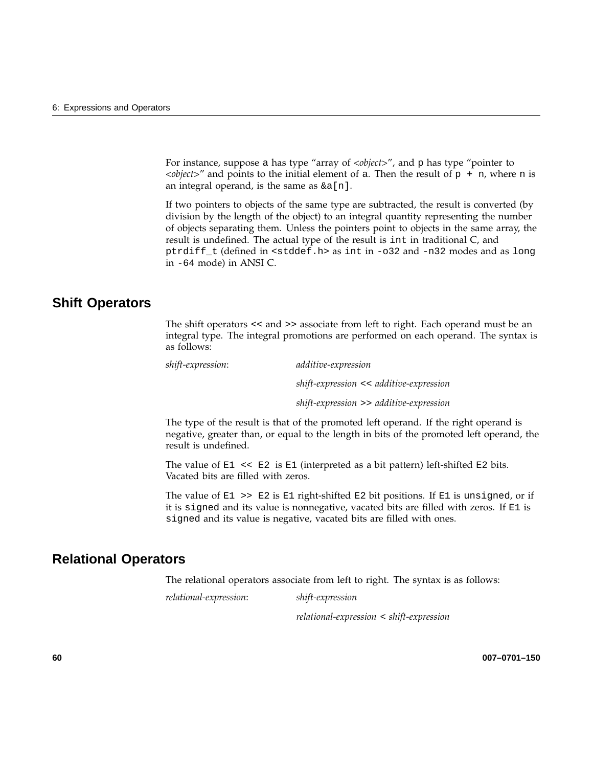For instance, suppose a has type "array of *<object>"*, and p has type "pointer to  $\langle$ *object*>" and points to the initial element of a. Then the result of p + n, where n is an integral operand, is the same as  $\&a[n]$ .

If two pointers to objects of the same type are subtracted, the result is converted (by division by the length of the object) to an integral quantity representing the number of objects separating them. Unless the pointers point to objects in the same array, the result is undefined. The actual type of the result is int in traditional C, and ptrdiff\_t (defined in <stddef.h> as int in -o32 and -n32 modes and as long in -64 mode) in ANSI C.

## **Shift Operators**

The shift operators << and >> associate from left to right. Each operand must be an integral type. The integral promotions are performed on each operand. The syntax is as follows:

*shift-expression*: *additive-expression*

*shift-expression* << *additive-expression*

*shift-expression* >> *additive-expression*

The type of the result is that of the promoted left operand. If the right operand is negative, greater than, or equal to the length in bits of the promoted left operand, the result is undefined.

The value of  $E1 \ll E2$  is  $E1$  (interpreted as a bit pattern) left-shifted  $E2$  bits. Vacated bits are filled with zeros.

The value of  $E1 \gg E2$  is  $E1$  right-shifted  $E2$  bit positions. If  $E1$  is unsigned, or if it is signed and its value is nonnegative, vacated bits are filled with zeros. If E1 is signed and its value is negative, vacated bits are filled with ones.

## **Relational Operators**

The relational operators associate from left to right. The syntax is as follows:

*relational-expression*: *shift-expression*

*relational-expression* < *shift-expression*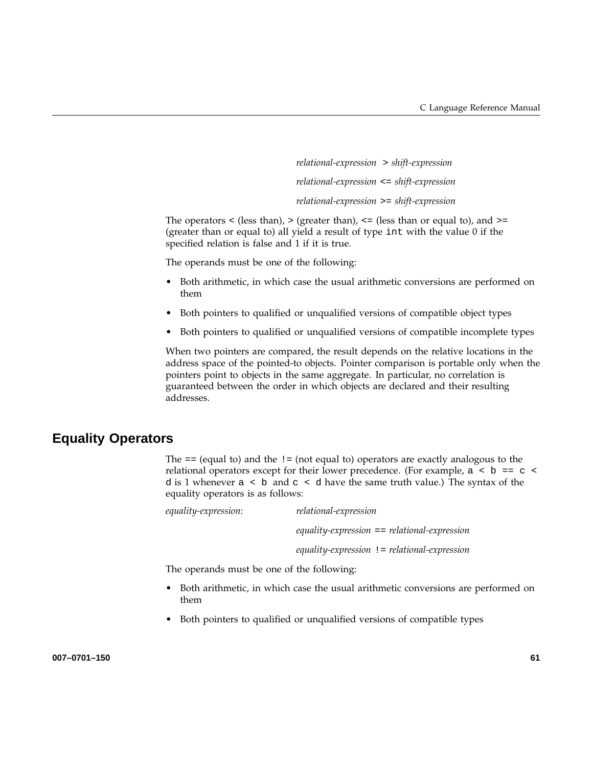*relational-expression* > *shift-expression relational-expression* <= *shift-expression relational-expression* >= *shift-expression*

The operators  $\langle$  (less than),  $\rangle$  (greater than),  $\langle$  = (less than or equal to), and  $\rangle$  = (greater than or equal to) all yield a result of type int with the value 0 if the specified relation is false and 1 if it is true.

The operands must be one of the following:

- Both arithmetic, in which case the usual arithmetic conversions are performed on them
- Both pointers to qualified or unqualified versions of compatible object types
- Both pointers to qualified or unqualified versions of compatible incomplete types

When two pointers are compared, the result depends on the relative locations in the address space of the pointed-to objects. Pointer comparison is portable only when the pointers point to objects in the same aggregate. In particular, no correlation is guaranteed between the order in which objects are declared and their resulting addresses.

## **Equality Operators**

The  $==$  (equal to) and the  $!=$  (not equal to) operators are exactly analogous to the relational operators except for their lower precedence. (For example,  $a \leq b == c \leq$ d is 1 whenever  $a < b$  and  $c < d$  have the same truth value.) The syntax of the equality operators is as follows:

*equality-expression*: *relational-expression equality-expression* == *relational-expression equality-expression* != *relational-expression*

The operands must be one of the following:

- Both arithmetic, in which case the usual arithmetic conversions are performed on them
- Both pointers to qualified or unqualified versions of compatible types

**007–0701–150 61**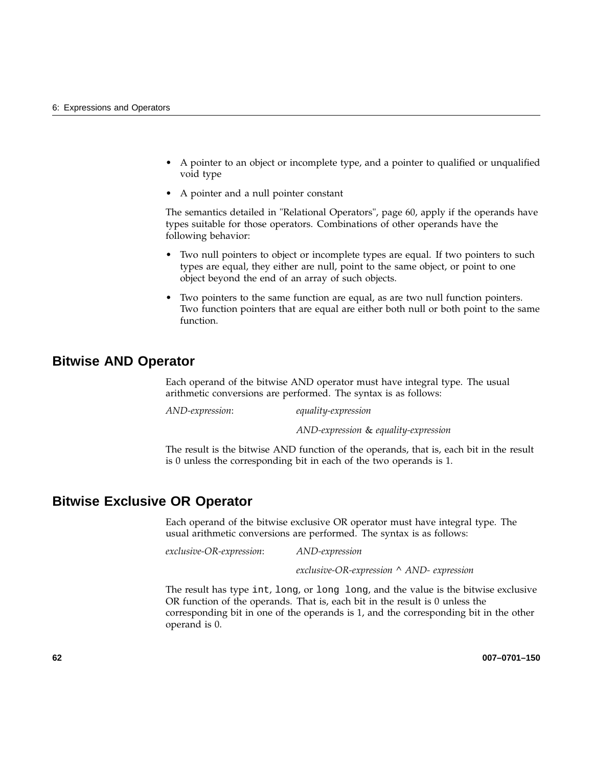- A pointer to an object or incomplete type, and a pointer to qualified or unqualified void type
- A pointer and a null pointer constant

The semantics detailed in "Relational Operators", page 60, apply if the operands have types suitable for those operators. Combinations of other operands have the following behavior:

- Two null pointers to object or incomplete types are equal. If two pointers to such types are equal, they either are null, point to the same object, or point to one object beyond the end of an array of such objects.
- Two pointers to the same function are equal, as are two null function pointers. Two function pointers that are equal are either both null or both point to the same function.

### **Bitwise AND Operator**

Each operand of the bitwise AND operator must have integral type. The usual arithmetic conversions are performed. The syntax is as follows:

*AND-expression*: *equality-expression*

*AND-expression* & *equality-expression*

The result is the bitwise AND function of the operands, that is, each bit in the result is 0 unless the corresponding bit in each of the two operands is 1.

### **Bitwise Exclusive OR Operator**

Each operand of the bitwise exclusive OR operator must have integral type. The usual arithmetic conversions are performed. The syntax is as follows:

*exclusive-OR-expression*: *AND-expression*

*exclusive-OR-expression ^ AND- expression*

The result has type int, long, or long long, and the value is the bitwise exclusive OR function of the operands. That is, each bit in the result is 0 unless the corresponding bit in one of the operands is 1, and the corresponding bit in the other operand is 0.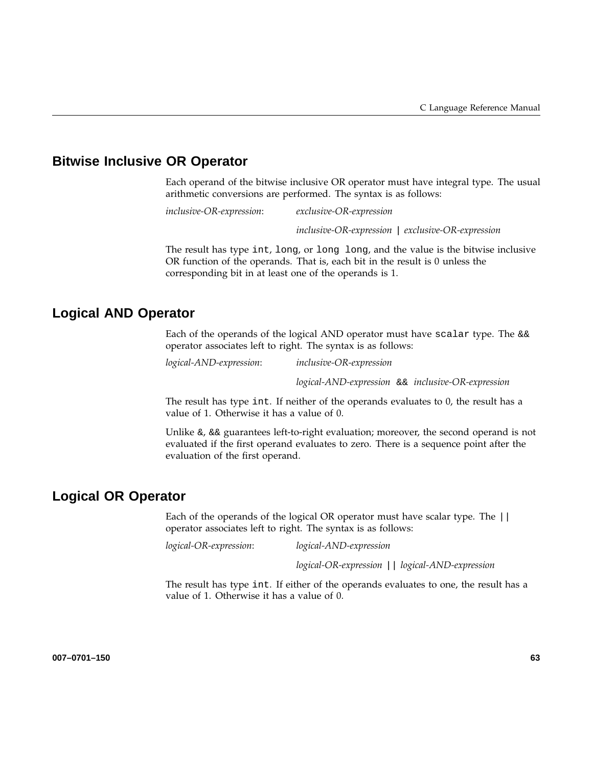## **Bitwise Inclusive OR Operator**

Each operand of the bitwise inclusive OR operator must have integral type. The usual arithmetic conversions are performed. The syntax is as follows:

*inclusive-OR-expression*: *exclusive-OR-expression*

*inclusive-OR-expression* | *exclusive-OR-expression*

The result has type int, long, or long long, and the value is the bitwise inclusive OR function of the operands. That is, each bit in the result is 0 unless the corresponding bit in at least one of the operands is 1.

## **Logical AND Operator**

Each of the operands of the logical AND operator must have scalar type. The  $&&$ operator associates left to right. The syntax is as follows:

*logical-AND-expression*: *inclusive-OR-expression*

*logical-AND-expression* && *inclusive-OR-expression*

The result has type int. If neither of the operands evaluates to 0, the result has a value of 1. Otherwise it has a value of 0.

Unlike  $\⊂>6$ ,  $⊂>6$  guarantees left-to-right evaluation; moreover, the second operand is not evaluated if the first operand evaluates to zero. There is a sequence point after the evaluation of the first operand.

## **Logical OR Operator**

Each of the operands of the logical OR operator must have scalar type. The || operator associates left to right. The syntax is as follows:

*logical-OR-expression*: *logical-AND-expression*

*logical-OR-expression* || *logical-AND-expression*

The result has type int. If either of the operands evaluates to one, the result has a value of 1. Otherwise it has a value of 0.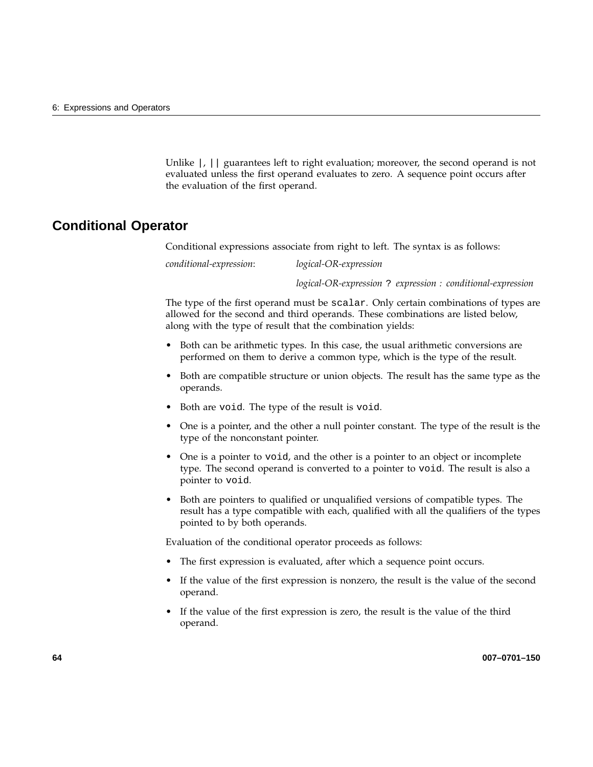Unlike  $\vert \cdot \vert$  guarantees left to right evaluation; moreover, the second operand is not evaluated unless the first operand evaluates to zero. A sequence point occurs after the evaluation of the first operand.

### **Conditional Operator**

Conditional expressions associate from right to left. The syntax is as follows:

*conditional-expression*: *logical-OR-expression*

*logical-OR-expression* ? *expression : conditional-expression*

The type of the first operand must be scalar. Only certain combinations of types are allowed for the second and third operands. These combinations are listed below, along with the type of result that the combination yields:

- Both can be arithmetic types. In this case, the usual arithmetic conversions are performed on them to derive a common type, which is the type of the result.
- Both are compatible structure or union objects. The result has the same type as the operands.
- Both are void. The type of the result is void.
- One is a pointer, and the other a null pointer constant. The type of the result is the type of the nonconstant pointer.
- One is a pointer to void, and the other is a pointer to an object or incomplete type. The second operand is converted to a pointer to void. The result is also a pointer to void.
- Both are pointers to qualified or unqualified versions of compatible types. The result has a type compatible with each, qualified with all the qualifiers of the types pointed to by both operands.

Evaluation of the conditional operator proceeds as follows:

- The first expression is evaluated, after which a sequence point occurs.
- If the value of the first expression is nonzero, the result is the value of the second operand.
- If the value of the first expression is zero, the result is the value of the third operand.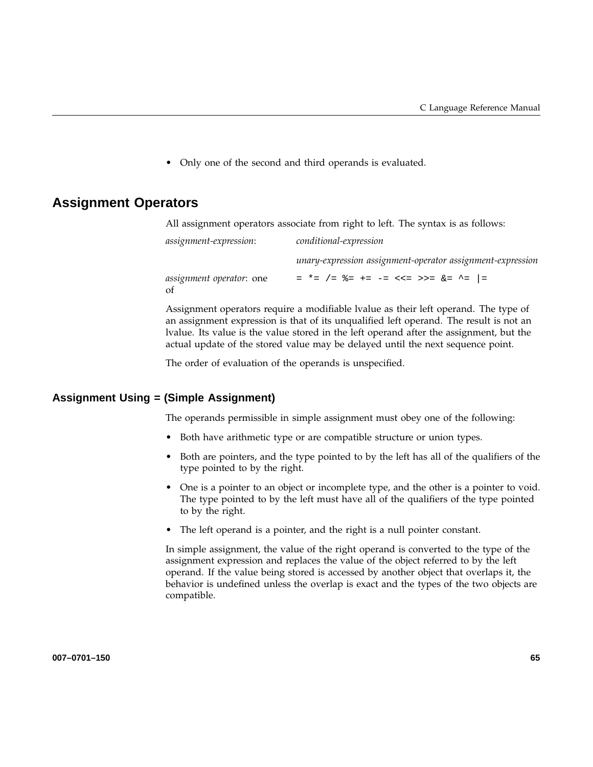• Only one of the second and third operands is evaluated.

## **Assignment Operators**

All assignment operators associate from right to left. The syntax is as follows:

| <i>assignment-expression:</i>   | conditional-expression                                     |  |
|---------------------------------|------------------------------------------------------------|--|
|                                 | unary-expression assignment-operator assignment-expression |  |
| <i>assignment operator:</i> one | = *= /= $\frac{6}{5}$ += -= <<= >>= $\frac{6}{5}$ ^=  =    |  |

Assignment operators require a modifiable lvalue as their left operand. The type of an assignment expression is that of its unqualified left operand. The result is not an lvalue. Its value is the value stored in the left operand after the assignment, but the actual update of the stored value may be delayed until the next sequence point.

The order of evaluation of the operands is unspecified.

#### **Assignment Using = (Simple Assignment)**

The operands permissible in simple assignment must obey one of the following:

- Both have arithmetic type or are compatible structure or union types.
- Both are pointers, and the type pointed to by the left has all of the qualifiers of the type pointed to by the right.
- One is a pointer to an object or incomplete type, and the other is a pointer to void. The type pointed to by the left must have all of the qualifiers of the type pointed to by the right.
- The left operand is a pointer, and the right is a null pointer constant.

In simple assignment, the value of the right operand is converted to the type of the assignment expression and replaces the value of the object referred to by the left operand. If the value being stored is accessed by another object that overlaps it, the behavior is undefined unless the overlap is exact and the types of the two objects are compatible.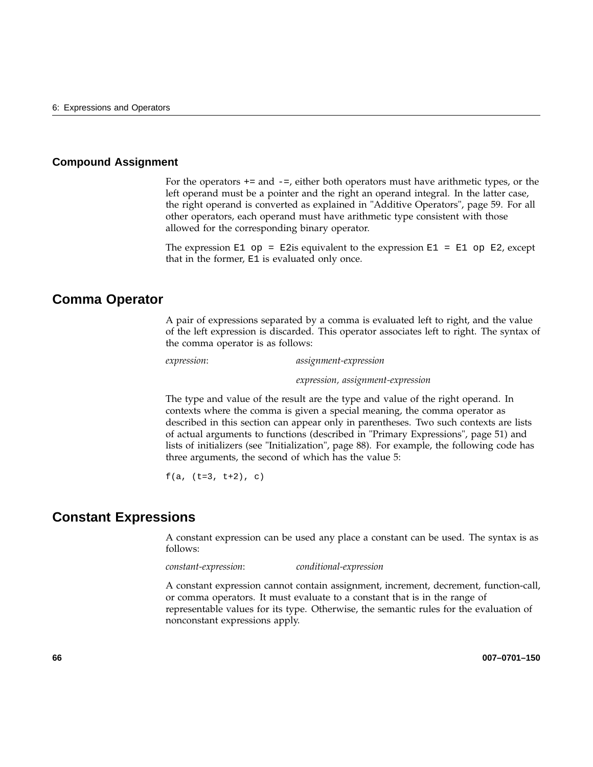#### **Compound Assignment**

For the operators  $+=$  and  $-=$ , either both operators must have arithmetic types, or the left operand must be a pointer and the right an operand integral. In the latter case, the right operand is converted as explained in "Additive Operators", page 59. For all other operators, each operand must have arithmetic type consistent with those allowed for the corresponding binary operator.

The expression E1 op = E2is equivalent to the expression E1 = E1 op E2, except that in the former, E1 is evaluated only once.

### **Comma Operator**

A pair of expressions separated by a comma is evaluated left to right, and the value of the left expression is discarded. This operator associates left to right. The syntax of the comma operator is as follows:

*expression*: *assignment-expression*

*expression, assignment-expression*

The type and value of the result are the type and value of the right operand. In contexts where the comma is given a special meaning, the comma operator as described in this section can appear only in parentheses. Two such contexts are lists of actual arguments to functions (described in "Primary Expressions", page 51) and lists of initializers (see "Initialization", page 88). For example, the following code has three arguments, the second of which has the value 5:

 $f(a, (t=3, t+2), c)$ 

### **Constant Expressions**

A constant expression can be used any place a constant can be used. The syntax is as follows:

*constant-expression*: *conditional-expression*

A constant expression cannot contain assignment, increment, decrement, function-call, or comma operators. It must evaluate to a constant that is in the range of representable values for its type. Otherwise, the semantic rules for the evaluation of nonconstant expressions apply.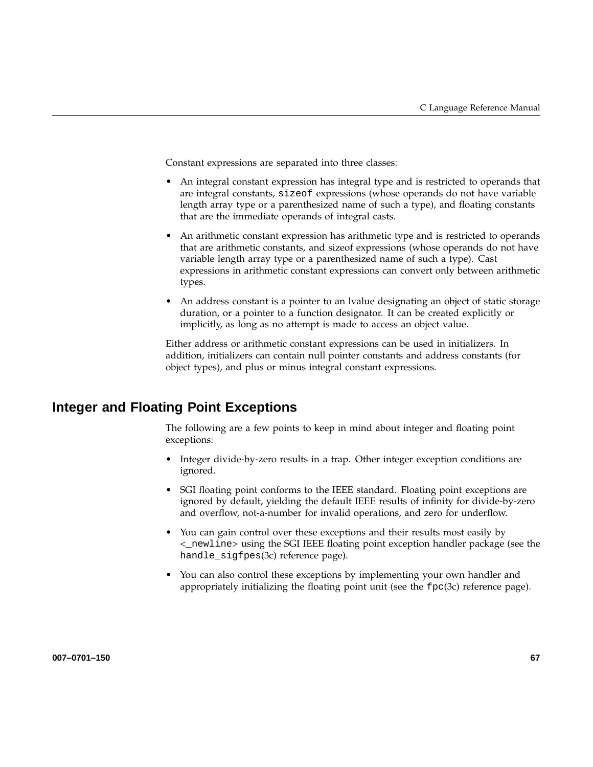Constant expressions are separated into three classes:

- An integral constant expression has integral type and is restricted to operands that are integral constants, sizeof expressions (whose operands do not have variable length array type or a parenthesized name of such a type), and floating constants that are the immediate operands of integral casts.
- An arithmetic constant expression has arithmetic type and is restricted to operands that are arithmetic constants, and sizeof expressions (whose operands do not have variable length array type or a parenthesized name of such a type). Cast expressions in arithmetic constant expressions can convert only between arithmetic types.
- An address constant is a pointer to an Ivalue designating an object of static storage duration, or a pointer to a function designator. It can be created explicitly or implicitly, as long as no attempt is made to access an object value.

Either address or arithmetic constant expressions can be used in initializers. In addition, initializers can contain null pointer constants and address constants (for object types), and plus or minus integral constant expressions.

## **Integer and Floating Point Exceptions**

The following are a few points to keep in mind about integer and floating point exceptions:

- Integer divide-by-zero results in a trap. Other integer exception conditions are ignored.
- SGI floating point conforms to the IEEE standard. Floating point exceptions are ignored by default, yielding the default IEEE results of infinity for divide-by-zero and overflow, not-a-number for invalid operations, and zero for underflow.
- You can gain control over these exceptions and their results most easily by <\_newline> using the SGI IEEE floating point exception handler package (see the handle\_sigfpes(3c) reference page).
- You can also control these exceptions by implementing your own handler and appropriately initializing the floating point unit (see the fpc(3c) reference page).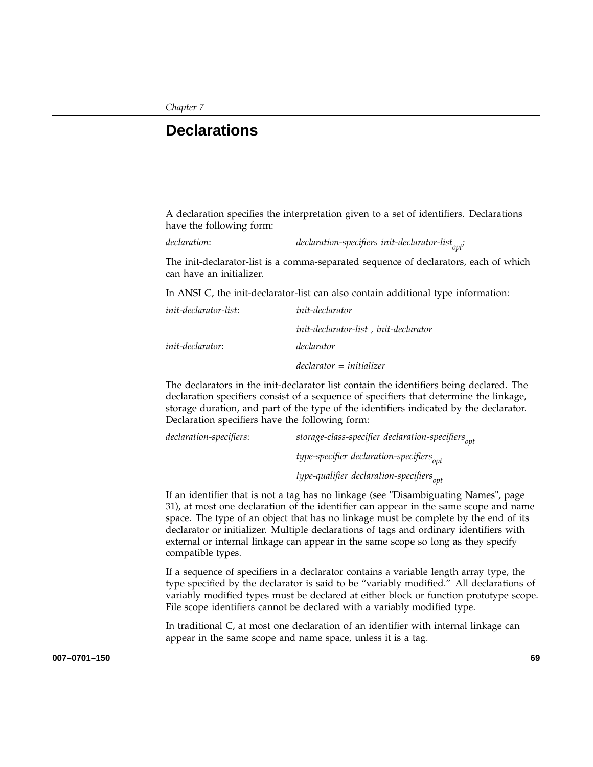## **Declarations**

A declaration specifies the interpretation given to a set of identifiers. Declarations have the following form:

declaration: *declaration-specifiers init-declarator-list<sub>opt</sub>;* 

The init-declarator-list is a comma-separated sequence of declarators, each of which can have an initializer.

In ANSI C, the init-declarator-list can also contain additional type information:

| <i>init-declarator-list:</i> | <i>init-declarator</i>                |
|------------------------------|---------------------------------------|
|                              | init-declarator-list, init-declarator |
| <i>init-declarator:</i>      | declarator                            |
|                              | $declarator = initializer$            |

The declarators in the init-declarator list contain the identifiers being declared. The declaration specifiers consist of a sequence of specifiers that determine the linkage, storage duration, and part of the type of the identifiers indicated by the declarator. Declaration specifiers have the following form:

| declaration-specifiers: | storage-class-specifier declaration-specifiers <sub>opt</sub> |
|-------------------------|---------------------------------------------------------------|
|                         | type-specifier declaration-specifiers <sub>ont</sub>          |
|                         | type-qualifier declaration-specifiers <sub>ont</sub>          |

If an identifier that is not a tag has no linkage (see "Disambiguating Names", page 31), at most one declaration of the identifier can appear in the same scope and name space. The type of an object that has no linkage must be complete by the end of its declarator or initializer. Multiple declarations of tags and ordinary identifiers with external or internal linkage can appear in the same scope so long as they specify compatible types.

If a sequence of specifiers in a declarator contains a variable length array type, the type specified by the declarator is said to be "variably modified." All declarations of variably modified types must be declared at either block or function prototype scope. File scope identifiers cannot be declared with a variably modified type.

In traditional C, at most one declaration of an identifier with internal linkage can appear in the same scope and name space, unless it is a tag.

**007–0701–150 69**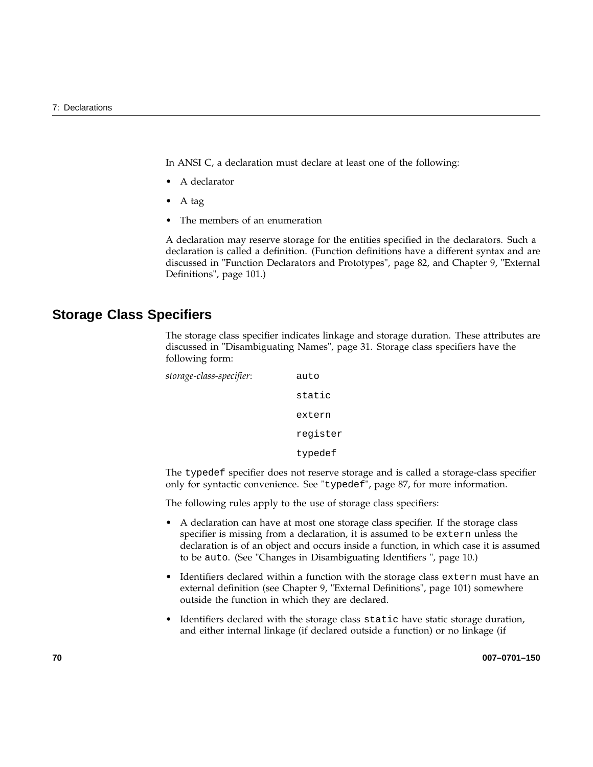In ANSI C, a declaration must declare at least one of the following:

- A declarator
- A tag
- The members of an enumeration

A declaration may reserve storage for the entities specified in the declarators. Such a declaration is called a definition. (Function definitions have a different syntax and are discussed in "Function Declarators and Prototypes", page 82, and Chapter 9, "External Definitions", page 101.)

## **Storage Class Specifiers**

The storage class specifier indicates linkage and storage duration. These attributes are discussed in "Disambiguating Names", page 31. Storage class specifiers have the following form:

```
storage-class-specifier: auto
                         static
                         extern
                         register
                         typedef
```
The typedef specifier does not reserve storage and is called a storage-class specifier only for syntactic convenience. See "typedef", page 87, for more information.

The following rules apply to the use of storage class specifiers:

- A declaration can have at most one storage class specifier. If the storage class specifier is missing from a declaration, it is assumed to be extern unless the declaration is of an object and occurs inside a function, in which case it is assumed to be auto. (See "Changes in Disambiguating Identifiers ", page 10.)
- Identifiers declared within a function with the storage class extern must have an external definition (see Chapter 9, "External Definitions", page 101) somewhere outside the function in which they are declared.
- Identifiers declared with the storage class static have static storage duration, and either internal linkage (if declared outside a function) or no linkage (if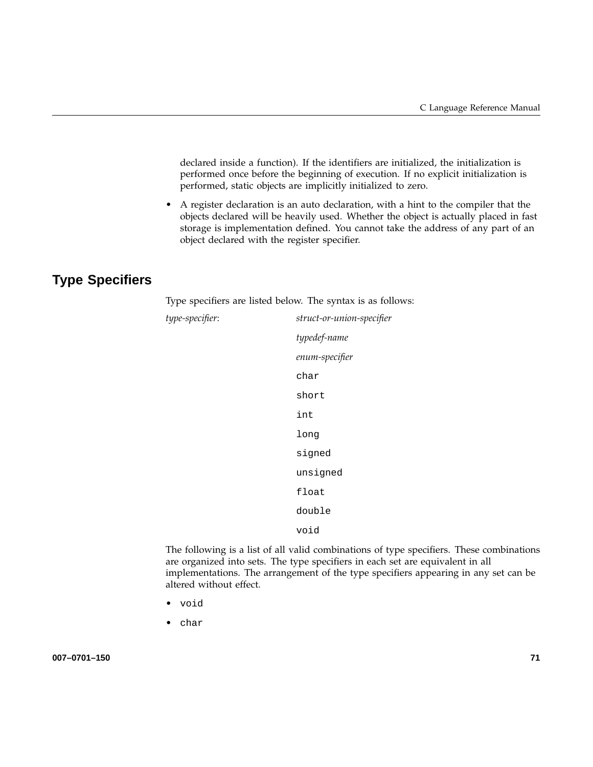declared inside a function). If the identifiers are initialized, the initialization is performed once before the beginning of execution. If no explicit initialization is performed, static objects are implicitly initialized to zero.

• A register declaration is an auto declaration, with a hint to the compiler that the objects declared will be heavily used. Whether the object is actually placed in fast storage is implementation defined. You cannot take the address of any part of an object declared with the register specifier.

## **Type Specifiers**

Type specifiers are listed below. The syntax is as follows:

| type-specifier: | struct-or-union-specifier |
|-----------------|---------------------------|
|                 | typedef-name              |
|                 | enum-specifier            |
|                 | char                      |
|                 | short                     |
|                 | int                       |
|                 | long                      |
|                 | signed                    |
|                 | unsigned                  |
|                 | float                     |
|                 | double                    |
|                 | void                      |
|                 | $\sim$                    |

The following is a list of all valid combinations of type specifiers. These combinations are organized into sets. The type specifiers in each set are equivalent in all implementations. The arrangement of the type specifiers appearing in any set can be altered without effect.

- void
- char

**007–0701–150 71**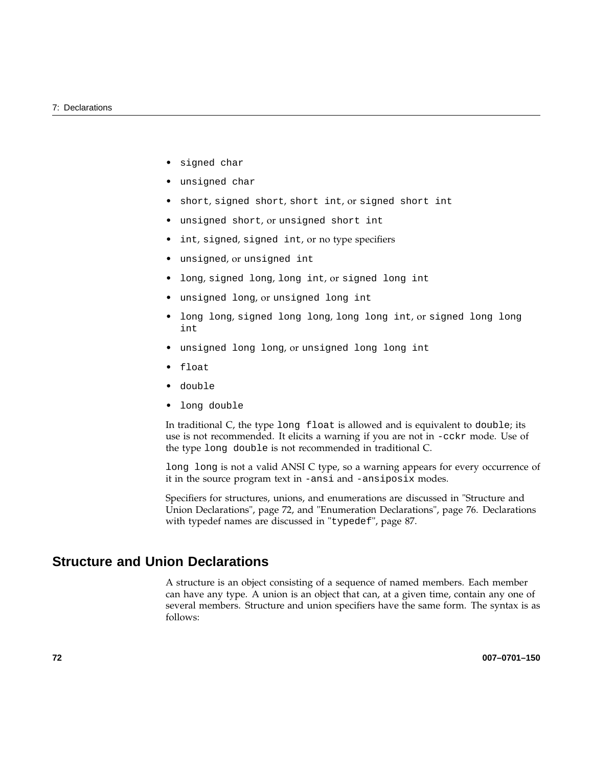- signed char
- unsigned char
- short, signed short, short int, or signed short int
- unsigned short, or unsigned short int
- int, signed, signed int, or no type specifiers
- unsigned, or unsigned int
- long, signed long, long int, or signed long int
- unsigned long, or unsigned long int
- long long, signed long long, long long int, or signed long long int
- unsigned long long, or unsigned long long int
- float
- double
- long double

In traditional C, the type long float is allowed and is equivalent to double; its use is not recommended. It elicits a warning if you are not in -cckr mode. Use of the type long double is not recommended in traditional C.

long long is not a valid ANSI C type, so a warning appears for every occurrence of it in the source program text in -ansi and -ansiposix modes.

Specifiers for structures, unions, and enumerations are discussed in "Structure and Union Declarations", page 72, and "Enumeration Declarations", page 76. Declarations with typedef names are discussed in "typedef", page 87.

## **Structure and Union Declarations**

A structure is an object consisting of a sequence of named members. Each member can have any type. A union is an object that can, at a given time, contain any one of several members. Structure and union specifiers have the same form. The syntax is as follows: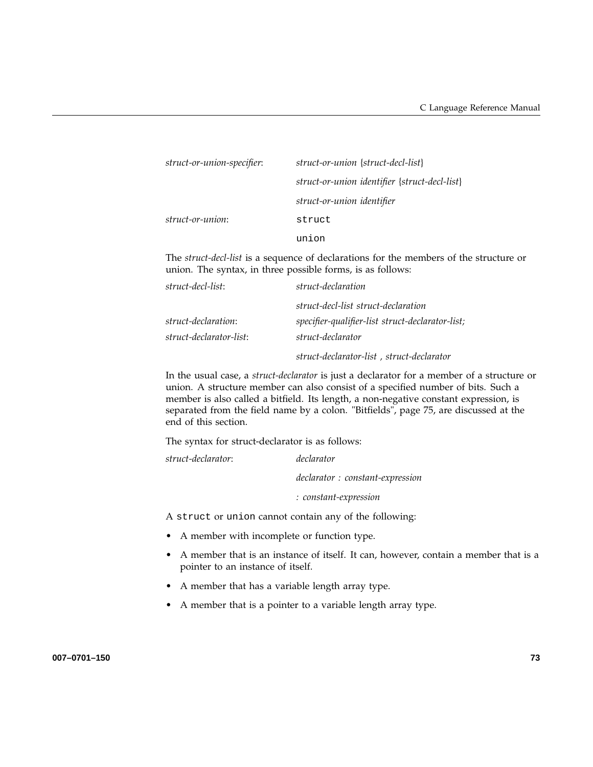| struct-or-union-specifier: | struct-or-union {struct-decl-list}            |
|----------------------------|-----------------------------------------------|
|                            | struct-or-union identifier {struct-decl-list} |
|                            | struct-or-union identifier                    |
| struct-or-union:           | struct                                        |
|                            | union                                         |
|                            |                                               |

The *struct-decl-list* is a sequence of declarations for the members of the structure or union. The syntax, in three possible forms, is as follows:

| struct-decl-list:       | struct-declaration                               |
|-------------------------|--------------------------------------------------|
|                         | struct-decl-list struct-declaration              |
| struct-declaration:     | specifier-qualifier-list struct-declarator-list; |
| struct-declarator-list: | struct-declarator                                |
|                         | struct-declarator-list, struct-declarator        |

In the usual case, a *struct-declarator* is just a declarator for a member of a structure or union. A structure member can also consist of a specified number of bits. Such a member is also called a bitfield. Its length, a non-negative constant expression, is separated from the field name by a colon. "Bitfields", page 75, are discussed at the end of this section.

The syntax for struct-declarator is as follows:

*struct-declarator*: *declarator declarator : constant-expression : constant-expression*

A struct or union cannot contain any of the following:

- A member with incomplete or function type.
- A member that is an instance of itself. It can, however, contain a member that is a pointer to an instance of itself.
- A member that has a variable length array type.
- A member that is a pointer to a variable length array type.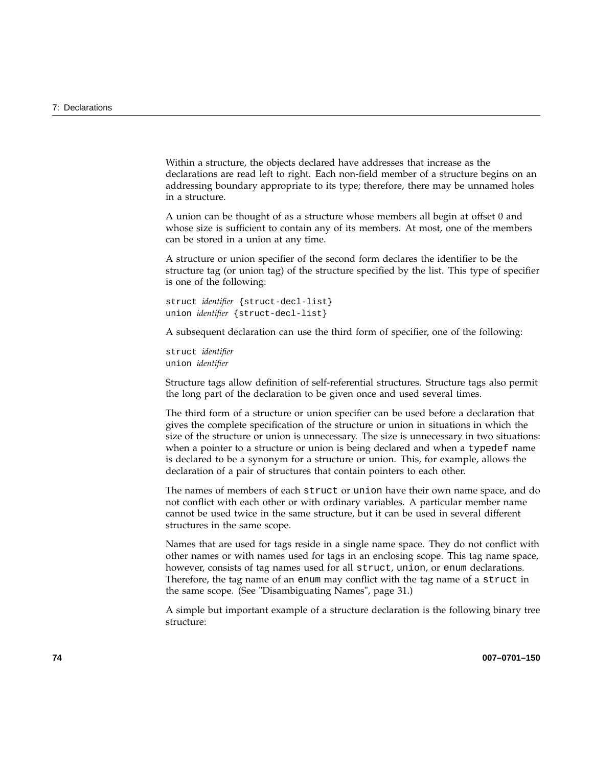Within a structure, the objects declared have addresses that increase as the declarations are read left to right. Each non-field member of a structure begins on an addressing boundary appropriate to its type; therefore, there may be unnamed holes in a structure.

A union can be thought of as a structure whose members all begin at offset 0 and whose size is sufficient to contain any of its members. At most, one of the members can be stored in a union at any time.

A structure or union specifier of the second form declares the identifier to be the structure tag (or union tag) of the structure specified by the list. This type of specifier is one of the following:

```
struct identifier {struct-decl-list}
union identifier {struct-decl-list}
```
A subsequent declaration can use the third form of specifier, one of the following:

```
struct identifier
union identifier
```
Structure tags allow definition of self-referential structures. Structure tags also permit the long part of the declaration to be given once and used several times.

The third form of a structure or union specifier can be used before a declaration that gives the complete specification of the structure or union in situations in which the size of the structure or union is unnecessary. The size is unnecessary in two situations: when a pointer to a structure or union is being declared and when a typedef name is declared to be a synonym for a structure or union. This, for example, allows the declaration of a pair of structures that contain pointers to each other.

The names of members of each struct or union have their own name space, and do not conflict with each other or with ordinary variables. A particular member name cannot be used twice in the same structure, but it can be used in several different structures in the same scope.

Names that are used for tags reside in a single name space. They do not conflict with other names or with names used for tags in an enclosing scope. This tag name space, however, consists of tag names used for all struct, union, or enum declarations. Therefore, the tag name of an enum may conflict with the tag name of a struct in the same scope. (See "Disambiguating Names", page 31.)

A simple but important example of a structure declaration is the following binary tree structure: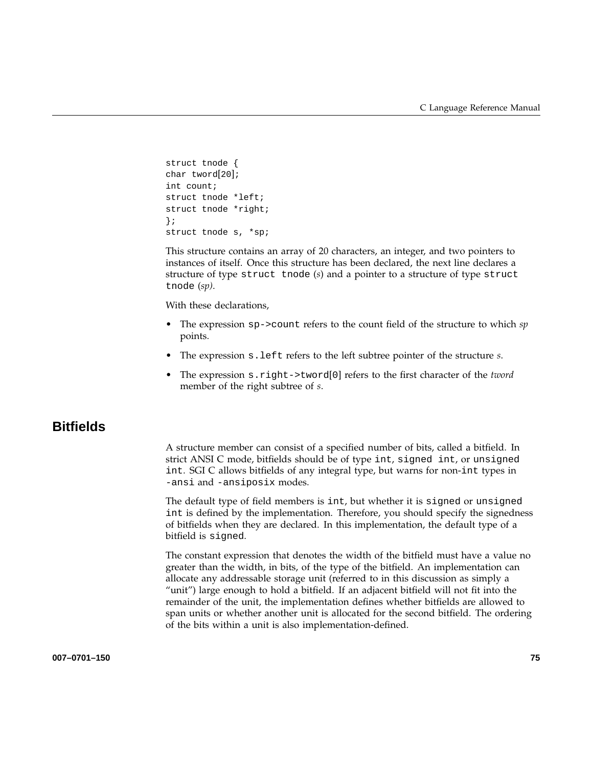```
struct tnode {
char tword[20];
int count;
struct tnode *left;
struct tnode *right;
};
struct tnode s, *sp;
```
This structure contains an array of 20 characters, an integer, and two pointers to instances of itself. Once this structure has been declared, the next line declares a structure of type struct tnode (*s*) and a pointer to a structure of type struct tnode (*sp)*.

With these declarations,

- The expression sp->count refers to the count field of the structure to which *sp* points.
- The expression s.left refers to the left subtree pointer of the structure *s*.
- The expression s.right->tword[0] refers to the first character of the *tword* member of the right subtree of *s*.

## **Bitfields**

A structure member can consist of a specified number of bits, called a bitfield. In strict ANSI C mode, bitfields should be of type int, signed int, or unsigned int. SGI C allows bitfields of any integral type, but warns for non-int types in -ansi and -ansiposix modes.

The default type of field members is int, but whether it is signed or unsigned int is defined by the implementation. Therefore, you should specify the signedness of bitfields when they are declared. In this implementation, the default type of a bitfield is signed.

The constant expression that denotes the width of the bitfield must have a value no greater than the width, in bits, of the type of the bitfield. An implementation can allocate any addressable storage unit (referred to in this discussion as simply a "unit") large enough to hold a bitfield. If an adjacent bitfield will not fit into the remainder of the unit, the implementation defines whether bitfields are allowed to span units or whether another unit is allocated for the second bitfield. The ordering of the bits within a unit is also implementation-defined.

#### **007–0701–150 75**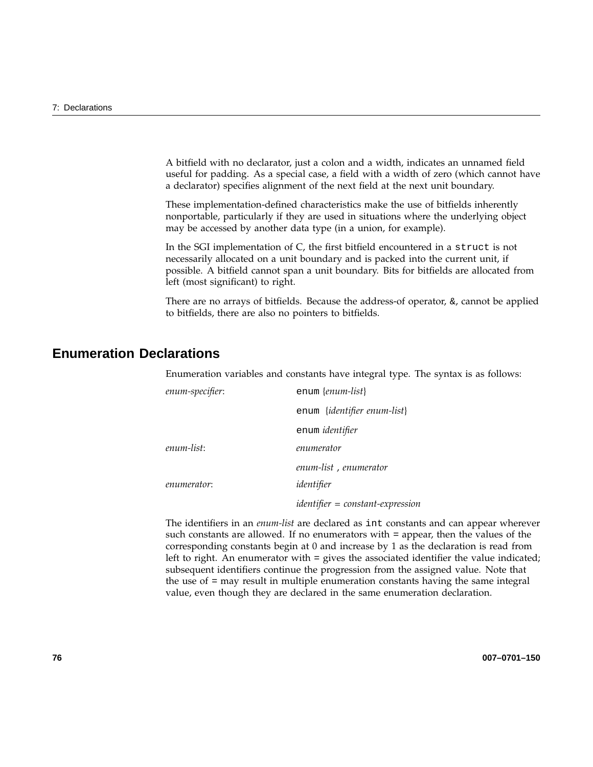A bitfield with no declarator, just a colon and a width, indicates an unnamed field useful for padding. As a special case, a field with a width of zero (which cannot have a declarator) specifies alignment of the next field at the next unit boundary.

These implementation-defined characteristics make the use of bitfields inherently nonportable, particularly if they are used in situations where the underlying object may be accessed by another data type (in a union, for example).

In the SGI implementation of C, the first bitfield encountered in a struct is not necessarily allocated on a unit boundary and is packed into the current unit, if possible. A bitfield cannot span a unit boundary. Bits for bitfields are allocated from left (most significant) to right.

There are no arrays of bitfields. Because the address-of operator,  $\&$ , cannot be applied to bitfields, there are also no pointers to bitfields.

## **Enumeration Declarations**

Enumeration variables and constants have integral type. The syntax is as follows:

| enum-specifier: | enum {enum-list}                     |
|-----------------|--------------------------------------|
|                 | enum { <i>identifier enum-list</i> } |
|                 | enum identifier                      |
| enum-list:      | enumerator                           |
|                 | enum-list, enumerator                |
| enumerator:     | identifier                           |
|                 | $identityier = constant-expression$  |

The identifiers in an *enum-list* are declared as int constants and can appear wherever such constants are allowed. If no enumerators with = appear, then the values of the corresponding constants begin at 0 and increase by 1 as the declaration is read from left to right. An enumerator with = gives the associated identifier the value indicated; subsequent identifiers continue the progression from the assigned value. Note that the use of = may result in multiple enumeration constants having the same integral value, even though they are declared in the same enumeration declaration.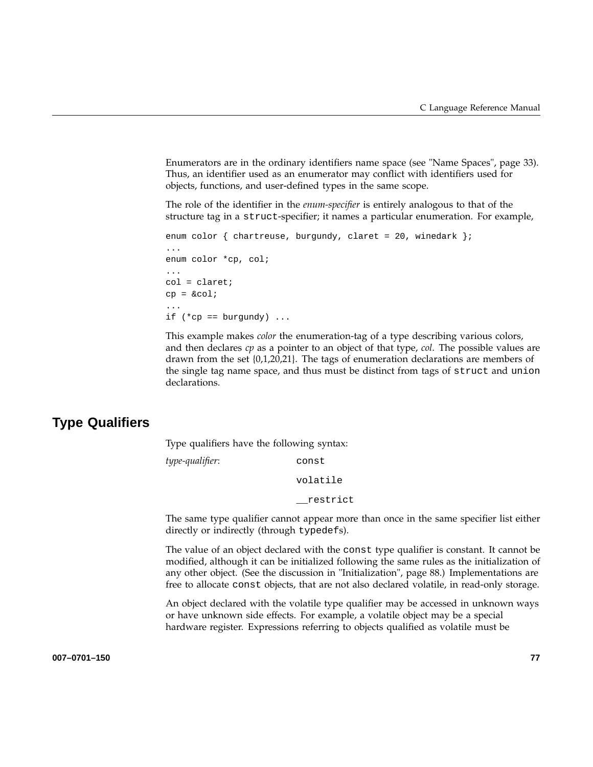Enumerators are in the ordinary identifiers name space (see "Name Spaces", page 33). Thus, an identifier used as an enumerator may conflict with identifiers used for objects, functions, and user-defined types in the same scope.

The role of the identifier in the *enum-specifier* is entirely analogous to that of the structure tag in a struct-specifier; it names a particular enumeration. For example,

```
enum color { chartreuse, burgundy, claret = 20, winedark };
...
enum color *cp, col;
...
col = claret;
cp = \&col;...
if (*cp == burgundy) ...
```
This example makes *color* the enumeration-tag of a type describing various colors, and then declares *cp* as a pointer to an object of that type, *col*. The possible values are drawn from the set {0,1,20,21}. The tags of enumeration declarations are members of the single tag name space, and thus must be distinct from tags of struct and union declarations.

## **Type Qualifiers**

Type qualifiers have the following syntax:

*type-qualifier*: const volatile \_\_restrict

The same type qualifier cannot appear more than once in the same specifier list either directly or indirectly (through typedefs).

The value of an object declared with the const type qualifier is constant. It cannot be modified, although it can be initialized following the same rules as the initialization of any other object. (See the discussion in "Initialization", page 88.) Implementations are free to allocate const objects, that are not also declared volatile, in read-only storage.

An object declared with the volatile type qualifier may be accessed in unknown ways or have unknown side effects. For example, a volatile object may be a special hardware register. Expressions referring to objects qualified as volatile must be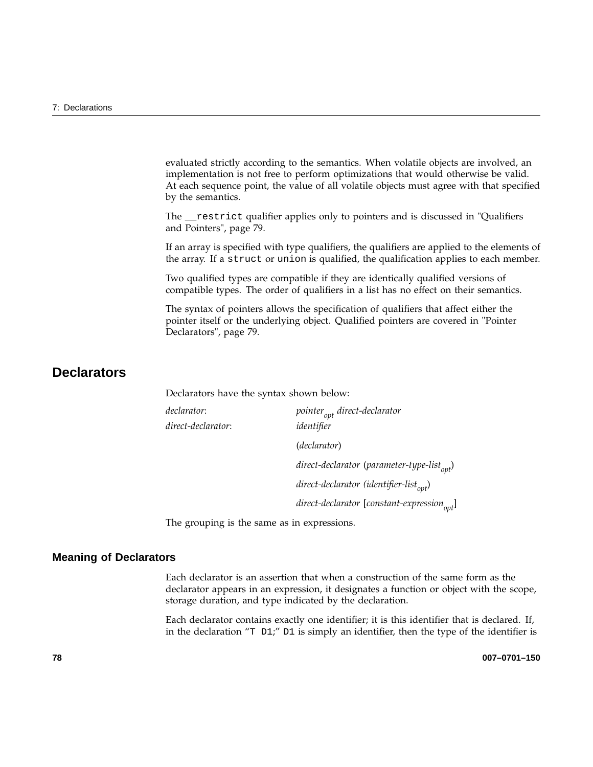evaluated strictly according to the semantics. When volatile objects are involved, an implementation is not free to perform optimizations that would otherwise be valid. At each sequence point, the value of all volatile objects must agree with that specified by the semantics.

The \_\_restrict qualifier applies only to pointers and is discussed in "Qualifiers and Pointers", page 79.

If an array is specified with type qualifiers, the qualifiers are applied to the elements of the array. If a struct or union is qualified, the qualification applies to each member.

Two qualified types are compatible if they are identically qualified versions of compatible types. The order of qualifiers in a list has no effect on their semantics.

The syntax of pointers allows the specification of qualifiers that affect either the pointer itself or the underlying object. Qualified pointers are covered in "Pointer Declarators", page 79.

## **Declarators**

Declarators have the syntax shown below:

| declarator:        | pointer <sub>opt</sub> direct-declarator                |
|--------------------|---------------------------------------------------------|
| direct-declarator: | identifier                                              |
|                    | (declarator)                                            |
|                    | direct-declarator (parameter-type-list $_{opt}$ )       |
|                    | direct-declarator (identifier-list $_{\text{opt}}$ )    |
|                    | direct-declarator [constant-expression <sub>opt</sub> ] |

The grouping is the same as in expressions.

#### **Meaning of Declarators**

Each declarator is an assertion that when a construction of the same form as the declarator appears in an expression, it designates a function or object with the scope, storage duration, and type indicated by the declaration.

Each declarator contains exactly one identifier; it is this identifier that is declared. If, in the declaration " $T$  D1;" D1 is simply an identifier, then the type of the identifier is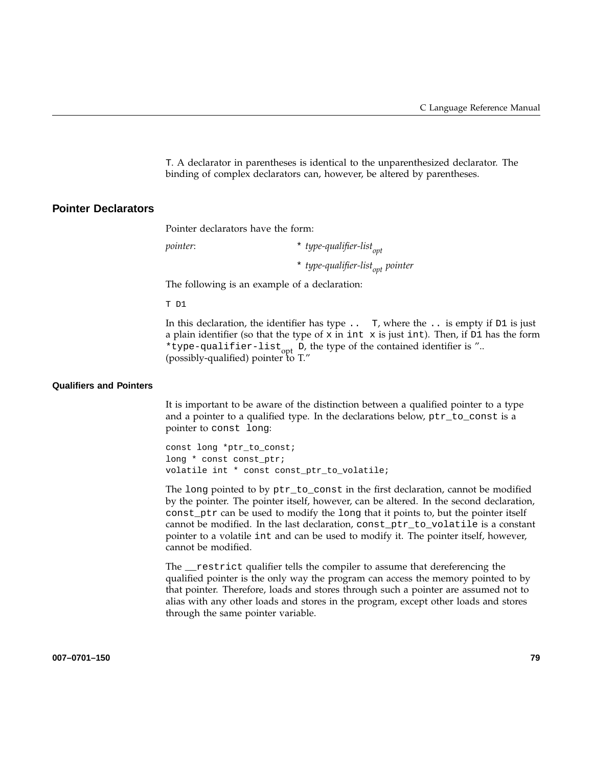T. A declarator in parentheses is identical to the unparenthesized declarator. The binding of complex declarators can, however, be altered by parentheses.

#### **Pointer Declarators**

Pointer declarators have the form:

*pointer*:  $\star$  *type-qualifier-list*<sub>ont</sub>

\* type-qualifier-list<sub>opt</sub> pointer

The following is an example of a declaration:

T D1

In this declaration, the identifier has type  $\ldots$  T, where the  $\ldots$  is empty if D1 is just a plain identifier (so that the type of x in int x is just int). Then, if  $D1$  has the form \*type-qualifier-list<sub>opt</sub> D, the type of the contained identifier is ".. (possibly-qualified) pointer to T."

#### **Qualifiers and Pointers**

It is important to be aware of the distinction between a qualified pointer to a type and a pointer to a qualified type. In the declarations below, ptr\_to\_const is a pointer to const long:

const long \*ptr\_to\_const; long \* const const\_ptr; volatile int \* const const\_ptr\_to\_volatile;

The long pointed to by ptr\_to\_const in the first declaration, cannot be modified by the pointer. The pointer itself, however, can be altered. In the second declaration, const\_ptr can be used to modify the long that it points to, but the pointer itself cannot be modified. In the last declaration, const\_ptr\_to\_volatile is a constant pointer to a volatile int and can be used to modify it. The pointer itself, however, cannot be modified.

The \_\_restrict qualifier tells the compiler to assume that dereferencing the qualified pointer is the only way the program can access the memory pointed to by that pointer. Therefore, loads and stores through such a pointer are assumed not to alias with any other loads and stores in the program, except other loads and stores through the same pointer variable.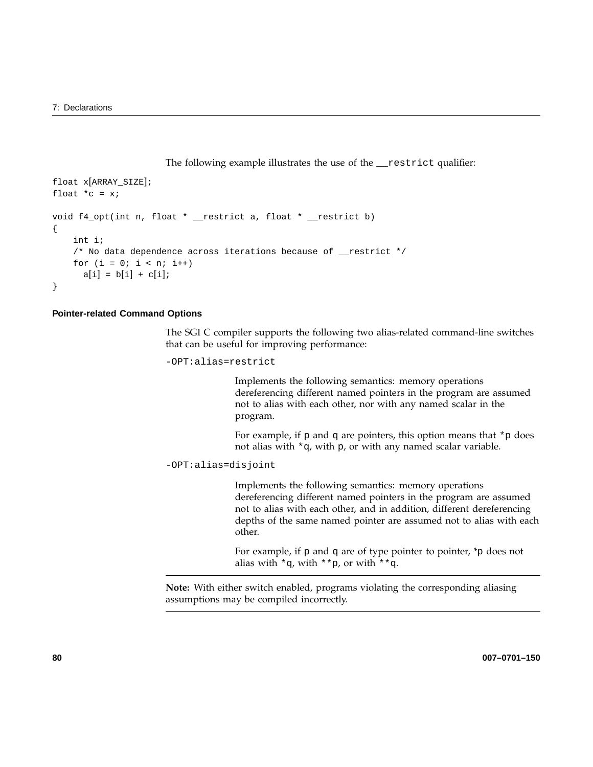The following example illustrates the use of the \_\_restrict qualifier:

```
float x[ARRAY_SIZE];
float *c = xivoid f4_opt(int n, float * __restrict a, float * __restrict b)
{
    int i;
    /* No data dependence across iterations because of __restrict */
    for (i = 0; i < n; i++)a[i] = b[i] + c[i];}
```
#### **Pointer-related Command Options**

The SGI C compiler supports the following two alias-related command-line switches that can be useful for improving performance:

-OPT:alias=restrict

Implements the following semantics: memory operations dereferencing different named pointers in the program are assumed not to alias with each other, nor with any named scalar in the program.

For example, if  $p$  and  $q$  are pointers, this option means that  $\ast_{p}$  does not alias with \*q, with p, or with any named scalar variable.

```
-OPT:alias=disjoint
```
Implements the following semantics: memory operations dereferencing different named pointers in the program are assumed not to alias with each other, and in addition, different dereferencing depths of the same named pointer are assumed not to alias with each other.

For example, if p and q are of type pointer to pointer, \*p does not alias with  $*q$ , with  $*p$ , or with  $*q$ .

**Note:** With either switch enabled, programs violating the corresponding aliasing assumptions may be compiled incorrectly.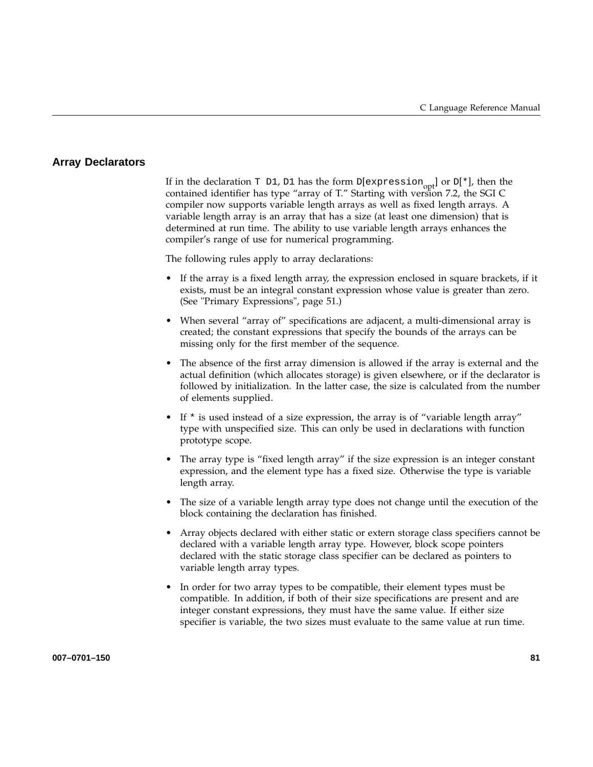#### **Array Declarators**

If in the declaration T D1, D1 has the form D[expression<sub>opt</sub>] or D[\*], then the contained identifier has type "array of T." Starting with version 7.2, the SGI C compiler now supports variable length arrays as well as fixed length arrays. A variable length array is an array that has a size (at least one dimension) that is determined at run time. The ability to use variable length arrays enhances the compiler's range of use for numerical programming.

The following rules apply to array declarations:

- If the array is a fixed length array, the expression enclosed in square brackets, if it exists, must be an integral constant expression whose value is greater than zero. (See "Primary Expressions", page 51.)
- When several "array of" specifications are adjacent, a multi-dimensional array is created; the constant expressions that specify the bounds of the arrays can be missing only for the first member of the sequence.
- The absence of the first array dimension is allowed if the array is external and the actual definition (which allocates storage) is given elsewhere, or if the declarator is followed by initialization. In the latter case, the size is calculated from the number of elements supplied.
- If \* is used instead of a size expression, the array is of "variable length array" type with unspecified size. This can only be used in declarations with function prototype scope.
- The array type is "fixed length array" if the size expression is an integer constant expression, and the element type has a fixed size. Otherwise the type is variable length array.
- The size of a variable length array type does not change until the execution of the block containing the declaration has finished.
- Array objects declared with either static or extern storage class specifiers cannot be declared with a variable length array type. However, block scope pointers declared with the static storage class specifier can be declared as pointers to variable length array types.
- In order for two array types to be compatible, their element types must be compatible. In addition, if both of their size specifications are present and are integer constant expressions, they must have the same value. If either size specifier is variable, the two sizes must evaluate to the same value at run time.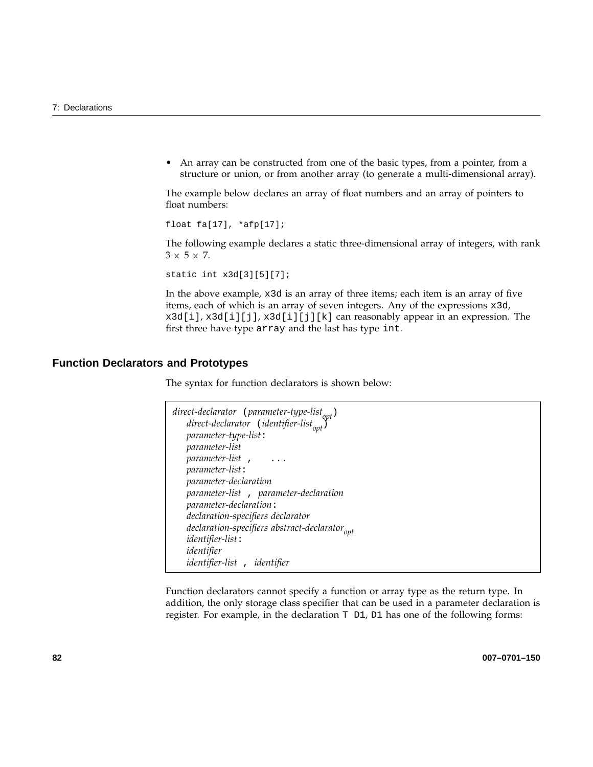• An array can be constructed from one of the basic types, from a pointer, from a structure or union, or from another array (to generate a multi-dimensional array).

The example below declares an array of float numbers and an array of pointers to float numbers:

float fa[17], \*afp[17];

The following example declares a static three-dimensional array of integers, with rank  $3 \times 5 \times 7$ .

static int x3d[3][5][7];

In the above example, x3d is an array of three items; each item is an array of five items, each of which is an array of seven integers. Any of the expressions x3d, x3d[i], x3d[i][j], x3d[i][j][k] can reasonably appear in an expression. The first three have type array and the last has type int.

#### **Function Declarators and Prototypes**

The syntax for function declarators is shown below:

```
direct-declarator (parameter-type-list<sub>opt</sub>)
    direct-declarator (identifier-list<sub>opt</sub>)
    parameter-type-list:
    parameter-list
    parameter-list , ...
    parameter-list:
    parameter-declaration
    parameter-list , parameter-declaration
    parameter-declaration:
    declaration-specifiers declarator
    declaration-specifiers abstract-declarator<sub>opt</sub> identifier-list:
    identifier
    identifier-list , identifier
```
Function declarators cannot specify a function or array type as the return type. In addition, the only storage class specifier that can be used in a parameter declaration is register. For example, in the declaration  $T$   $D1$ ,  $D1$  has one of the following forms: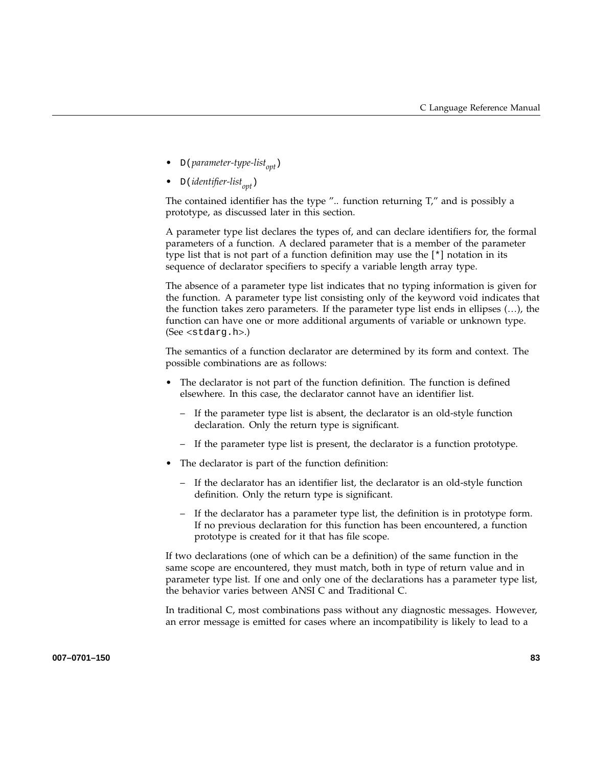- D(parameter-type-list<sub>ont</sub>)
- D(*identifier-list<sub>opt</sub>*)

The contained identifier has the type  $\%$ . function returning  $T\prime\prime$  and is possibly a prototype, as discussed later in this section.

A parameter type list declares the types of, and can declare identifiers for, the formal parameters of a function. A declared parameter that is a member of the parameter type list that is not part of a function definition may use the [\*] notation in its sequence of declarator specifiers to specify a variable length array type.

The absence of a parameter type list indicates that no typing information is given for the function. A parameter type list consisting only of the keyword void indicates that the function takes zero parameters. If the parameter type list ends in ellipses (…), the function can have one or more additional arguments of variable or unknown type. (See <stdarg.h>.)

The semantics of a function declarator are determined by its form and context. The possible combinations are as follows:

- The declarator is not part of the function definition. The function is defined elsewhere. In this case, the declarator cannot have an identifier list.
	- If the parameter type list is absent, the declarator is an old-style function declaration. Only the return type is significant.
	- If the parameter type list is present, the declarator is a function prototype.
- The declarator is part of the function definition:
	- If the declarator has an identifier list, the declarator is an old-style function definition. Only the return type is significant.
	- If the declarator has a parameter type list, the definition is in prototype form. If no previous declaration for this function has been encountered, a function prototype is created for it that has file scope.

If two declarations (one of which can be a definition) of the same function in the same scope are encountered, they must match, both in type of return value and in parameter type list. If one and only one of the declarations has a parameter type list, the behavior varies between ANSI C and Traditional C.

In traditional C, most combinations pass without any diagnostic messages. However, an error message is emitted for cases where an incompatibility is likely to lead to a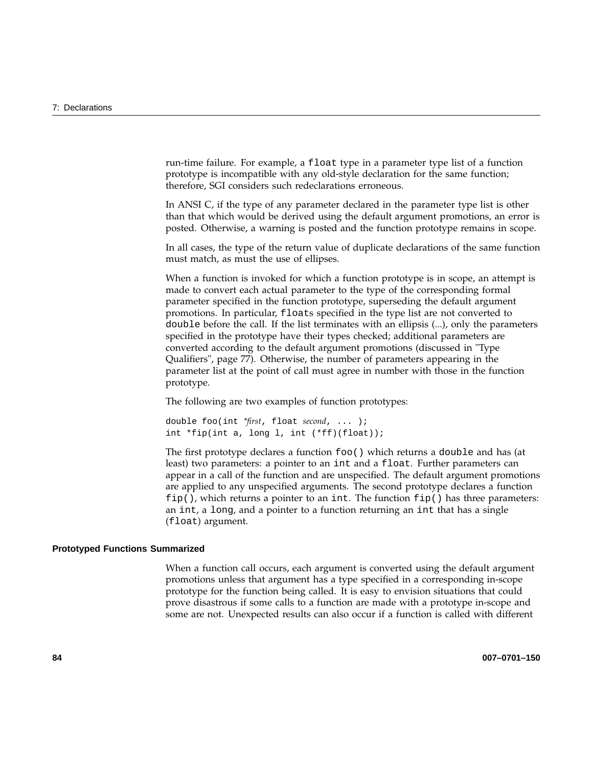run-time failure. For example, a float type in a parameter type list of a function prototype is incompatible with any old-style declaration for the same function; therefore, SGI considers such redeclarations erroneous.

In ANSI C, if the type of any parameter declared in the parameter type list is other than that which would be derived using the default argument promotions, an error is posted. Otherwise, a warning is posted and the function prototype remains in scope.

In all cases, the type of the return value of duplicate declarations of the same function must match, as must the use of ellipses.

When a function is invoked for which a function prototype is in scope, an attempt is made to convert each actual parameter to the type of the corresponding formal parameter specified in the function prototype, superseding the default argument promotions. In particular, floats specified in the type list are not converted to double before the call. If the list terminates with an ellipsis (...), only the parameters specified in the prototype have their types checked; additional parameters are converted according to the default argument promotions (discussed in "Type Qualifiers", page 77). Otherwise, the number of parameters appearing in the parameter list at the point of call must agree in number with those in the function prototype.

The following are two examples of function prototypes:

double foo(int *\*first*, float *second*, ... ); int \*fip(int a, long l, int (\*ff)(float));

The first prototype declares a function foo() which returns a double and has (at least) two parameters: a pointer to an int and a float. Further parameters can appear in a call of the function and are unspecified. The default argument promotions are applied to any unspecified arguments. The second prototype declares a function  $fip()$ , which returns a pointer to an int. The function  $fip()$  has three parameters: an int, a long, and a pointer to a function returning an int that has a single (float) argument.

#### **Prototyped Functions Summarized**

When a function call occurs, each argument is converted using the default argument promotions unless that argument has a type specified in a corresponding in-scope prototype for the function being called. It is easy to envision situations that could prove disastrous if some calls to a function are made with a prototype in-scope and some are not. Unexpected results can also occur if a function is called with different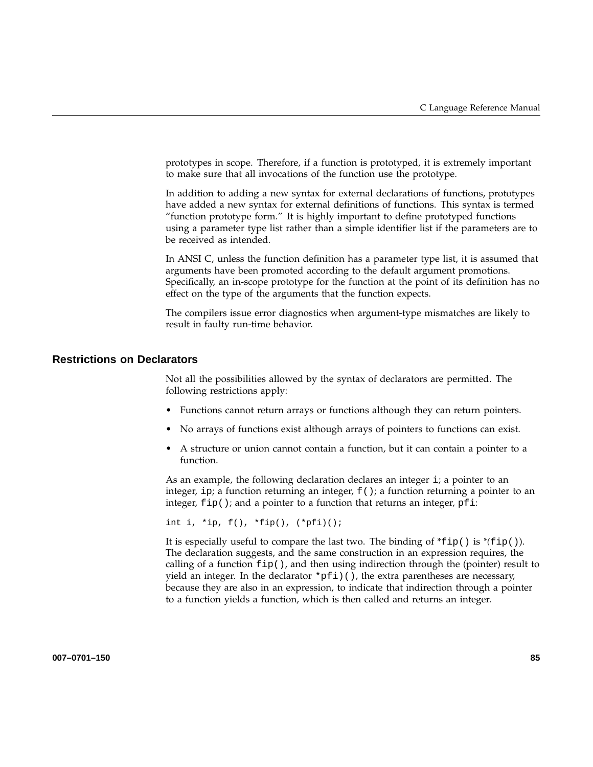prototypes in scope. Therefore, if a function is prototyped, it is extremely important to make sure that all invocations of the function use the prototype.

In addition to adding a new syntax for external declarations of functions, prototypes have added a new syntax for external definitions of functions. This syntax is termed "function prototype form." It is highly important to define prototyped functions using a parameter type list rather than a simple identifier list if the parameters are to be received as intended.

In ANSI C, unless the function definition has a parameter type list, it is assumed that arguments have been promoted according to the default argument promotions. Specifically, an in-scope prototype for the function at the point of its definition has no effect on the type of the arguments that the function expects.

The compilers issue error diagnostics when argument-type mismatches are likely to result in faulty run-time behavior.

#### **Restrictions on Declarators**

Not all the possibilities allowed by the syntax of declarators are permitted. The following restrictions apply:

- Functions cannot return arrays or functions although they can return pointers.
- No arrays of functions exist although arrays of pointers to functions can exist.
- A structure or union cannot contain a function, but it can contain a pointer to a function.

As an example, the following declaration declares an integer i; a pointer to an integer, ip; a function returning an integer,  $f(.)$ ; a function returning a pointer to an integer,  $fip()$ ; and a pointer to a function that returns an integer,  $pfi$ :

int i, \*ip, f(), \*fip(), (\*pfi)();

It is especially useful to compare the last two. The binding of \*fip() is *\*(*fip()). The declaration suggests, and the same construction in an expression requires, the calling of a function  $f$ ip(), and then using indirection through the (pointer) result to yield an integer. In the declarator  $\star$ pfi)(), the extra parentheses are necessary, because they are also in an expression, to indicate that indirection through a pointer to a function yields a function, which is then called and returns an integer.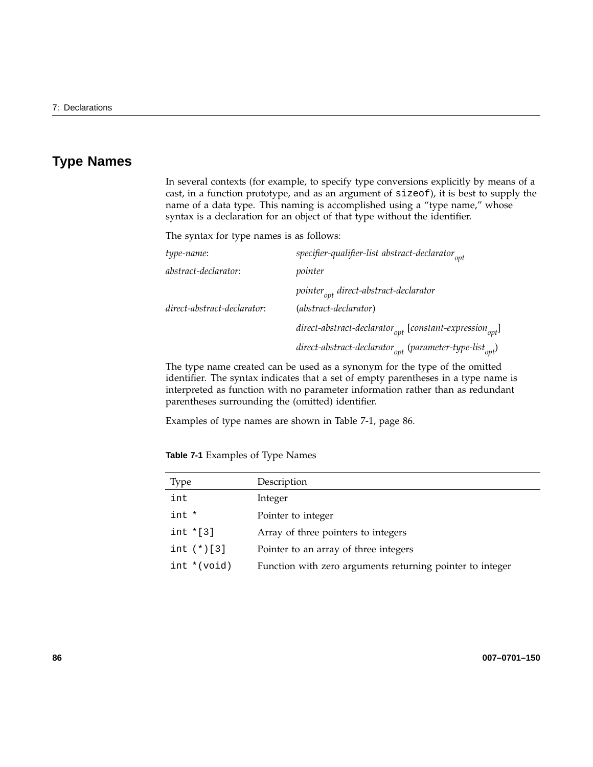## **Type Names**

In several contexts (for example, to specify type conversions explicitly by means of a cast, in a function prototype, and as an argument of sizeof), it is best to supply the name of a data type. This naming is accomplished using a "type name," whose syntax is a declaration for an object of that type without the identifier.

The syntax for type names is as follows:

| specifier-qualifier-list abstract-declarator <sub>opt</sub>         |
|---------------------------------------------------------------------|
| pointer                                                             |
| $\emph{pointer}_{\emph{opt}}$ direct-abstract-declarator            |
| (abstract-declarator)                                               |
| $direct-abstraction_{opt}$ [constant-expression <sub>opt</sub> ]    |
| direct-abstract-declarator $_{opt}$ (parameter-type-list $_{opt}$ ) |
|                                                                     |

The type name created can be used as a synonym for the type of the omitted identifier. The syntax indicates that a set of empty parentheses in a type name is interpreted as function with no parameter information rather than as redundant parentheses surrounding the (omitted) identifier.

Examples of type names are shown in Table 7-1, page 86.

**Table 7-1** Examples of Type Names

| Type           | Description                                               |
|----------------|-----------------------------------------------------------|
| int            | Integer                                                   |
| int *          | Pointer to integer                                        |
| int $*[3]$     | Array of three pointers to integers                       |
| int $(*)$ [3]  | Pointer to an array of three integers                     |
| $int * (void)$ | Function with zero arguments returning pointer to integer |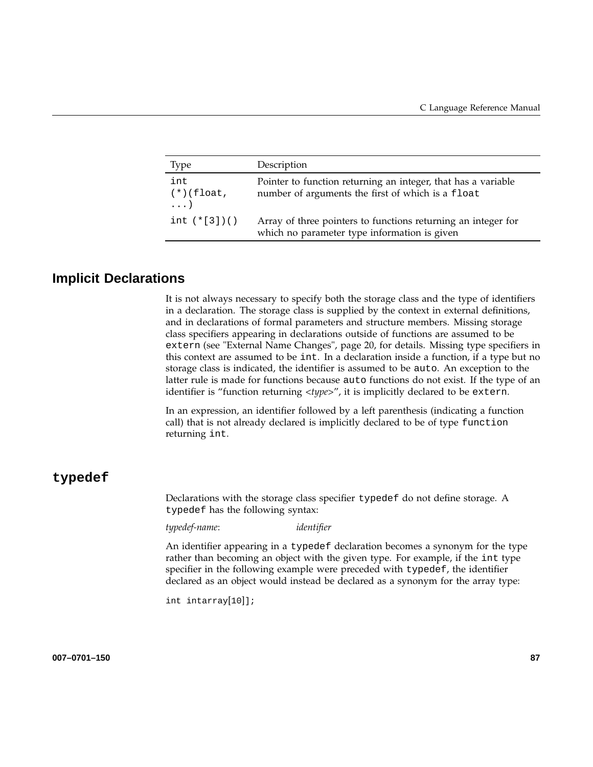| <b>Type</b>                        | Description                                                                                                        |
|------------------------------------|--------------------------------------------------------------------------------------------------------------------|
| int<br>$(*)$ (float,<br>$\ldots$ ) | Pointer to function returning an integer, that has a variable<br>number of arguments the first of which is a float |
| int $(*[3])()$                     | Array of three pointers to functions returning an integer for<br>which no parameter type information is given      |

## **Implicit Declarations**

It is not always necessary to specify both the storage class and the type of identifiers in a declaration. The storage class is supplied by the context in external definitions, and in declarations of formal parameters and structure members. Missing storage class specifiers appearing in declarations outside of functions are assumed to be extern (see "External Name Changes", page 20, for details. Missing type specifiers in this context are assumed to be int. In a declaration inside a function, if a type but no storage class is indicated, the identifier is assumed to be auto. An exception to the latter rule is made for functions because auto functions do not exist. If the type of an identifier is "function returning <*type*>", it is implicitly declared to be extern.

In an expression, an identifier followed by a left parenthesis (indicating a function call) that is not already declared is implicitly declared to be of type function returning int.

### **typedef**

Declarations with the storage class specifier typedef do not define storage. A typedef has the following syntax:

*typedef-name*: *identifier*

An identifier appearing in a typedef declaration becomes a synonym for the type rather than becoming an object with the given type. For example, if the int type specifier in the following example were preceded with typedef, the identifier declared as an object would instead be declared as a synonym for the array type:

int intarray[10]];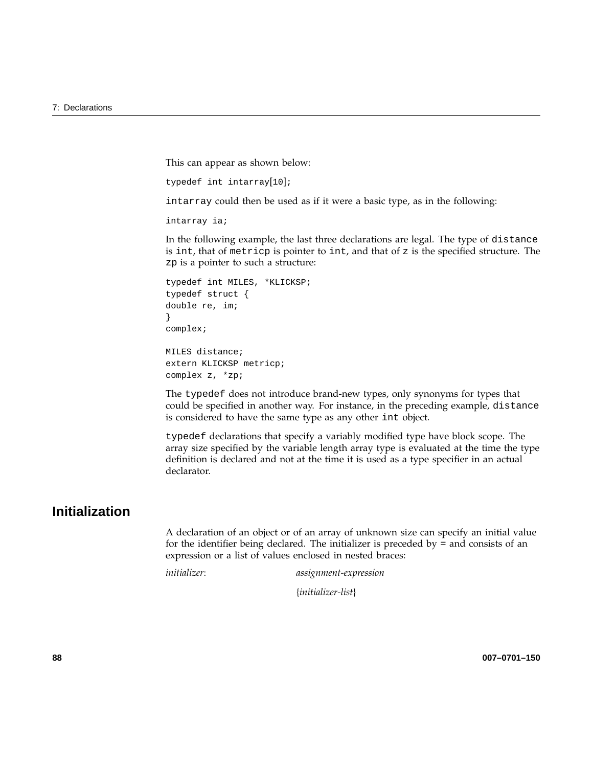This can appear as shown below:

typedef int intarray[10];

intarray could then be used as if it were a basic type, as in the following:

intarray ia;

In the following example, the last three declarations are legal. The type of distance is int, that of metricp is pointer to int, and that of  $z$  is the specified structure. The zp is a pointer to such a structure:

```
typedef int MILES, *KLICKSP;
typedef struct {
double re, im;
}
complex;
MILES distance;
extern KLICKSP metricp;
```
complex z, \*zp;

The typedef does not introduce brand-new types, only synonyms for types that could be specified in another way. For instance, in the preceding example, distance is considered to have the same type as any other int object.

typedef declarations that specify a variably modified type have block scope. The array size specified by the variable length array type is evaluated at the time the type definition is declared and not at the time it is used as a type specifier in an actual declarator.

## **Initialization**

A declaration of an object or of an array of unknown size can specify an initial value for the identifier being declared. The initializer is preceded by = and consists of an expression or a list of values enclosed in nested braces:

*initializer*: *assignment-expression*

{*initializer-list*}

**88 007–0701–150**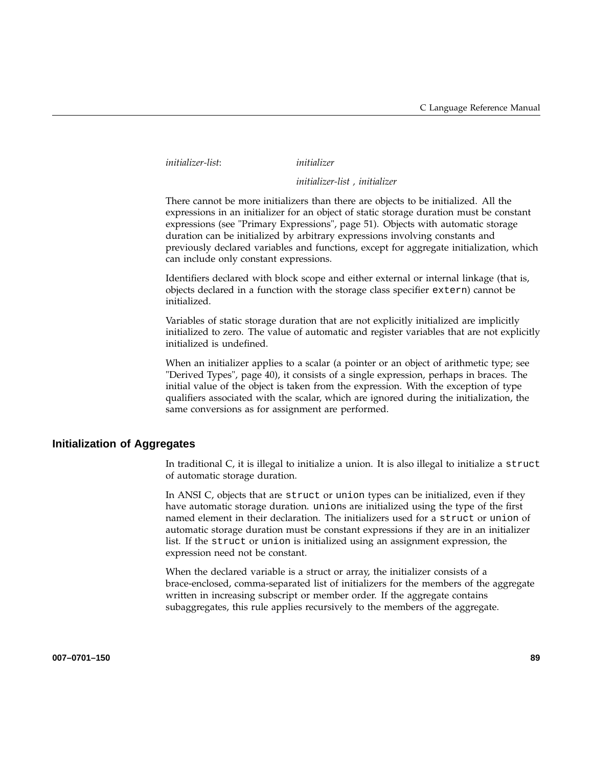*initializer-list*: *initializer*

*initializer-list , initializer*

There cannot be more initializers than there are objects to be initialized. All the expressions in an initializer for an object of static storage duration must be constant expressions (see "Primary Expressions", page 51). Objects with automatic storage duration can be initialized by arbitrary expressions involving constants and previously declared variables and functions, except for aggregate initialization, which can include only constant expressions.

Identifiers declared with block scope and either external or internal linkage (that is, objects declared in a function with the storage class specifier extern) cannot be initialized.

Variables of static storage duration that are not explicitly initialized are implicitly initialized to zero. The value of automatic and register variables that are not explicitly initialized is undefined.

When an initializer applies to a scalar (a pointer or an object of arithmetic type; see "Derived Types", page 40), it consists of a single expression, perhaps in braces. The initial value of the object is taken from the expression. With the exception of type qualifiers associated with the scalar, which are ignored during the initialization, the same conversions as for assignment are performed.

#### **Initialization of Aggregates**

In traditional C, it is illegal to initialize a union. It is also illegal to initialize a struct of automatic storage duration.

In ANSI C, objects that are struct or union types can be initialized, even if they have automatic storage duration. unions are initialized using the type of the first named element in their declaration. The initializers used for a struct or union of automatic storage duration must be constant expressions if they are in an initializer list. If the struct or union is initialized using an assignment expression, the expression need not be constant.

When the declared variable is a struct or array, the initializer consists of a brace-enclosed, comma-separated list of initializers for the members of the aggregate written in increasing subscript or member order. If the aggregate contains subaggregates, this rule applies recursively to the members of the aggregate.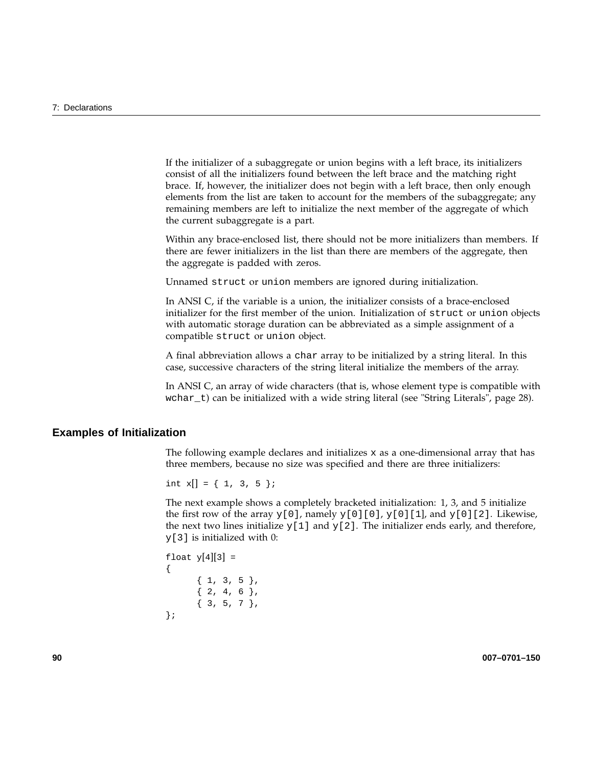If the initializer of a subaggregate or union begins with a left brace, its initializers consist of all the initializers found between the left brace and the matching right brace. If, however, the initializer does not begin with a left brace, then only enough elements from the list are taken to account for the members of the subaggregate; any remaining members are left to initialize the next member of the aggregate of which the current subaggregate is a part.

Within any brace-enclosed list, there should not be more initializers than members. If there are fewer initializers in the list than there are members of the aggregate, then the aggregate is padded with zeros.

Unnamed struct or union members are ignored during initialization.

In ANSI C, if the variable is a union, the initializer consists of a brace-enclosed initializer for the first member of the union. Initialization of struct or union objects with automatic storage duration can be abbreviated as a simple assignment of a compatible struct or union object.

A final abbreviation allows a char array to be initialized by a string literal. In this case, successive characters of the string literal initialize the members of the array.

In ANSI C, an array of wide characters (that is, whose element type is compatible with wchar\_t) can be initialized with a wide string literal (see "String Literals", page 28).

#### **Examples of Initialization**

The following example declares and initializes  $x$  as a one-dimensional array that has three members, because no size was specified and there are three initializers:

```
int x[] = \{ 1, 3, 5 \};
```
The next example shows a completely bracketed initialization: 1, 3, and 5 initialize the first row of the array  $y[0]$ , namely  $y[0][0]$ ,  $y[0][1]$ , and  $y[0][2]$ . Likewise, the next two lines initialize  $y[1]$  and  $y[2]$ . The initializer ends early, and therefore, y[3] is initialized with 0:

```
float y[4][3] ={
     {1, 3, 5}{2, 4, 6}{3, 5, 7}};
```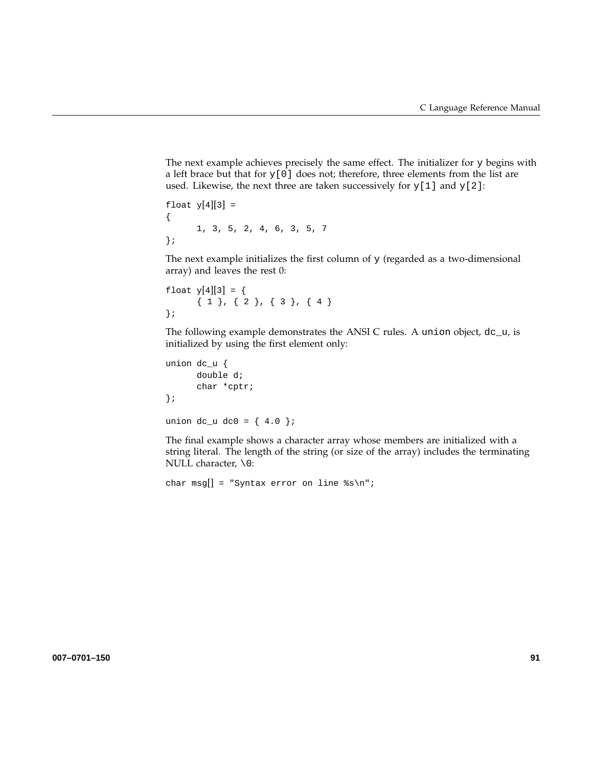The next example achieves precisely the same effect. The initializer for y begins with a left brace but that for  $y[0]$  does not; therefore, three elements from the list are used. Likewise, the next three are taken successively for  $y[1]$  and  $y[2]$ :

```
float y[4][3] =
{
      1, 3, 5, 2, 4, 6, 3, 5, 7
};
```
The next example initializes the first column of  $y$  (regarded as a two-dimensional array) and leaves the rest 0:

```
float y[4][3] = {
      { 1 }, { 2 }, { 3 }, { 4 }};
```
The following example demonstrates the ANSI C rules. A union object, dc\_u, is initialized by using the first element only:

```
union dc_u {
      double d;
      char *cptr;
};
```
union dc\_u dc0 = {  $4.0$  };

The final example shows a character array whose members are initialized with a string literal. The length of the string (or size of the array) includes the terminating NULL character, \0:

```
char msg[] = "Syntax error on line s\n\ni";
```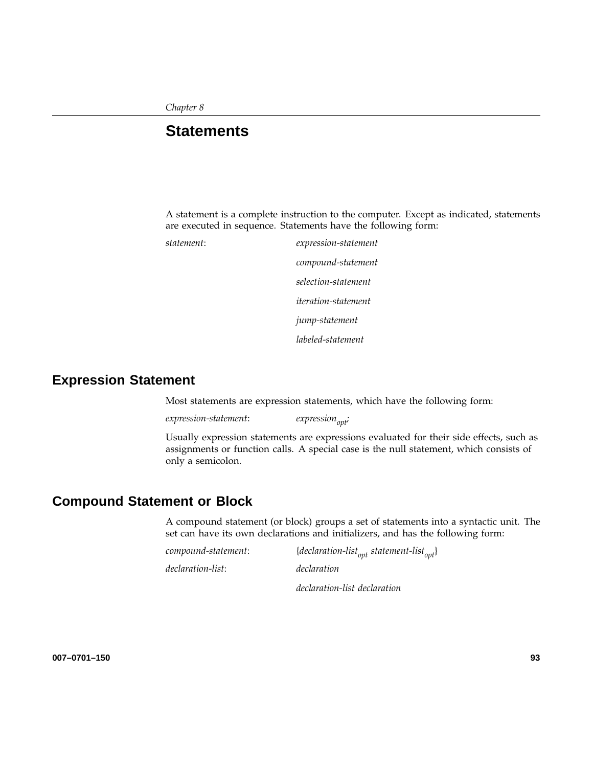*Chapter 8*

## **Statements**

A statement is a complete instruction to the computer. Except as indicated, statements are executed in sequence. Statements have the following form:

*statement*: *expression-statement compound-statement selection-statement iteration-statement jump-statement labeled-statement*

**Expression Statement**

Most statements are expression statements, which have the following form:

*expression-statement*: *expressionopt;*

Usually expression statements are expressions evaluated for their side effects, such as assignments or function calls. A special case is the null statement, which consists of only a semicolon.

## **Compound Statement or Block**

A compound statement (or block) groups a set of statements into a syntactic unit. The set can have its own declarations and initializers, and has the following form:

| compound-statement: | {declaration-list <sub>ont</sub> statement-list <sub>ont</sub> } |
|---------------------|------------------------------------------------------------------|
| declaration-list:   | declaration                                                      |
|                     | declaration-list declaration                                     |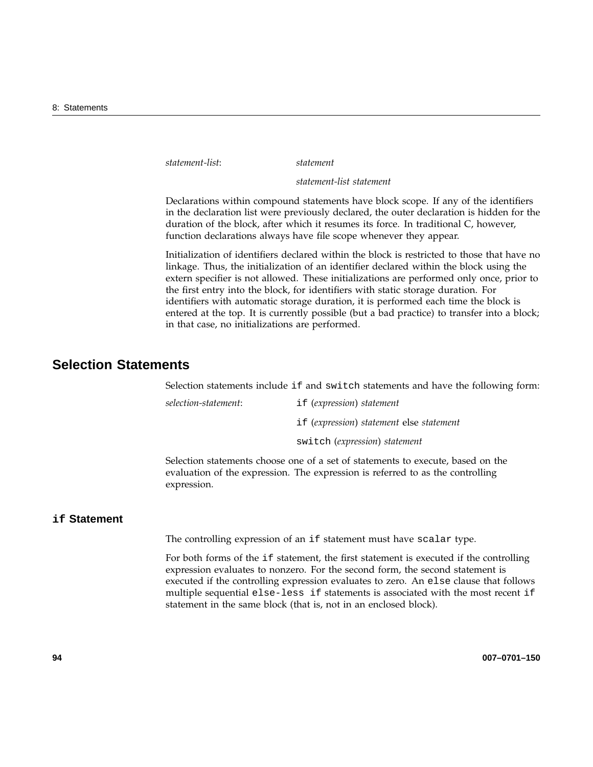*statement-list*: *statement*

*statement-list statement*

Declarations within compound statements have block scope. If any of the identifiers in the declaration list were previously declared, the outer declaration is hidden for the duration of the block, after which it resumes its force. In traditional C, however, function declarations always have file scope whenever they appear.

Initialization of identifiers declared within the block is restricted to those that have no linkage. Thus, the initialization of an identifier declared within the block using the extern specifier is not allowed. These initializations are performed only once, prior to the first entry into the block, for identifiers with static storage duration. For identifiers with automatic storage duration, it is performed each time the block is entered at the top. It is currently possible (but a bad practice) to transfer into a block; in that case, no initializations are performed.

## **Selection Statements**

Selection statements include if and switch statements and have the following form:

| selection-statement: | if (expression) statement                |
|----------------------|------------------------------------------|
|                      | if (expression) statement else statement |
|                      | switch (expression) statement            |

Selection statements choose one of a set of statements to execute, based on the evaluation of the expression. The expression is referred to as the controlling expression.

#### **if Statement**

The controlling expression of an if statement must have scalar type.

For both forms of the if statement, the first statement is executed if the controlling expression evaluates to nonzero. For the second form, the second statement is executed if the controlling expression evaluates to zero. An else clause that follows multiple sequential else-less if statements is associated with the most recent if statement in the same block (that is, not in an enclosed block).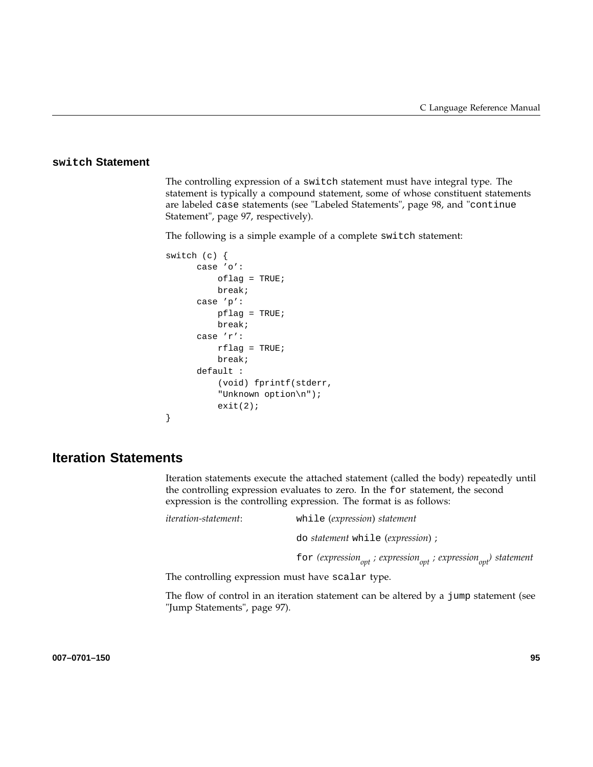### **switch Statement**

The controlling expression of a switch statement must have integral type. The statement is typically a compound statement, some of whose constituent statements are labeled case statements (see "Labeled Statements", page 98, and "continue Statement", page 97, respectively).

The following is a simple example of a complete switch statement:

```
switch (c) {
     case 'o':
         oflag = TRUE;
         break;
     case 'p':
         pflag = TRUE;
         break;
     case 'r':
         rflag = TRUE;break;
     default :
          (void) fprintf(stderr,
          "Unknown option\n");
          exit(2);
```
## **Iteration Statements**

}

Iteration statements execute the attached statement (called the body) repeatedly until the controlling expression evaluates to zero. In the for statement, the second expression is the controlling expression. The format is as follows:

| iteration-statement: | while (expression) statement                                                                       |
|----------------------|----------------------------------------------------------------------------------------------------|
|                      | do <i>statement</i> while <i>(expression)</i> ;                                                    |
|                      | for (expression <sub>ont</sub> ; expression <sub>ont</sub> ; expression <sub>opt</sub> ) statement |

The controlling expression must have scalar type.

The flow of control in an iteration statement can be altered by a jump statement (see "Jump Statements", page 97).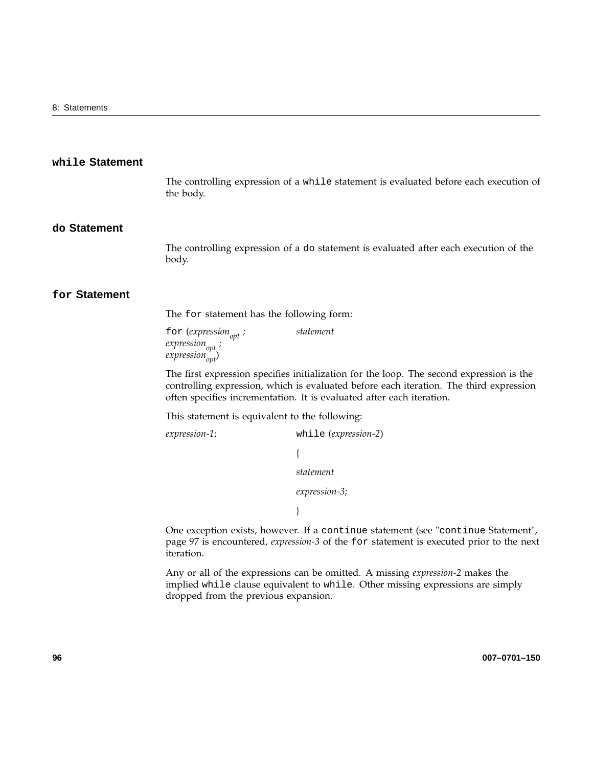### **while Statement**

The controlling expression of a while statement is evaluated before each execution of the body.

### **do Statement**

The controlling expression of a do statement is evaluated after each execution of the body.

### **for Statement**

The for statement has the following form:

for (*expression*<sub>opt</sub>;  $expression_{opt}$ ;  $expression_{opt}$ <sup>\*</sup> *statement*

The first expression specifies initialization for the loop. The second expression is the controlling expression, which is evaluated before each iteration. The third expression often specifies incrementation. It is evaluated after each iteration.

This statement is equivalent to the following:

dropped from the previous expansion.

```
expression-1; while (expression-2)
                            {
                            statement
                            expression-3;
                            }
One exception exists, however. If a continue statement (see "continue Statement",
page 97 is encountered, expression-3 of the for statement is executed prior to the next
```
iteration. Any or all of the expressions can be omitted. A missing *expression-2* makes the implied while clause equivalent to while. Other missing expressions are simply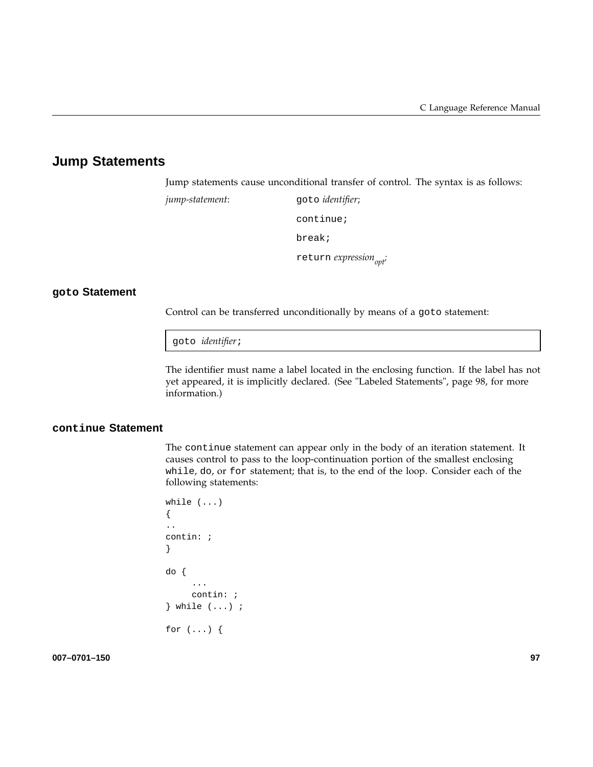## **Jump Statements**

Jump statements cause unconditional transfer of control. The syntax is as follows:

*jump-statement*: goto *identifier*; continue; break; return *expression*<sub>opt</sub>;

### **goto Statement**

Control can be transferred unconditionally by means of a goto statement:

goto *identifier*;

The identifier must name a label located in the enclosing function. If the label has not yet appeared, it is implicitly declared. (See "Labeled Statements", page 98, for more information.)

### **continue Statement**

The continue statement can appear only in the body of an iteration statement. It causes control to pass to the loop-continuation portion of the smallest enclosing while, do, or for statement; that is, to the end of the loop. Consider each of the following statements:

```
while (...)
{
..
contin: ;
}
do {
     ...
     contin: ;
} while (...) ;
for (...) {
```
**007–0701–150 97**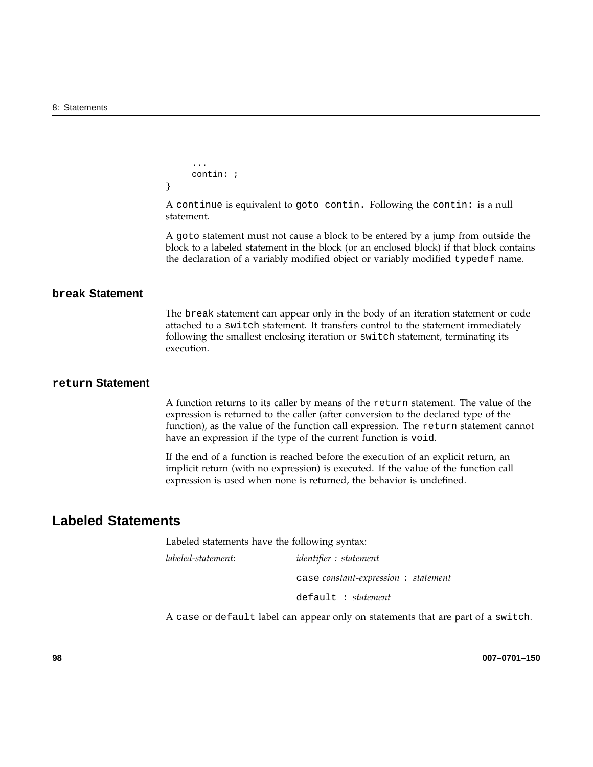```
...
     contin: ;
}
```
A continue is equivalent to goto contin. Following the contin: is a null statement.

A goto statement must not cause a block to be entered by a jump from outside the block to a labeled statement in the block (or an enclosed block) if that block contains the declaration of a variably modified object or variably modified typedef name.

### **break Statement**

The break statement can appear only in the body of an iteration statement or code attached to a switch statement. It transfers control to the statement immediately following the smallest enclosing iteration or switch statement, terminating its execution.

### **return Statement**

A function returns to its caller by means of the return statement. The value of the expression is returned to the caller (after conversion to the declared type of the function), as the value of the function call expression. The return statement cannot have an expression if the type of the current function is void.

If the end of a function is reached before the execution of an explicit return, an implicit return (with no expression) is executed. If the value of the function call expression is used when none is returned, the behavior is undefined.

### **Labeled Statements**

Labeled statements have the following syntax:

*labeled-statement*: *identifier : statement*

case *constant-expression* : *statement*

default : *statement*

A case or default label can appear only on statements that are part of a switch.

**98 007–0701–150**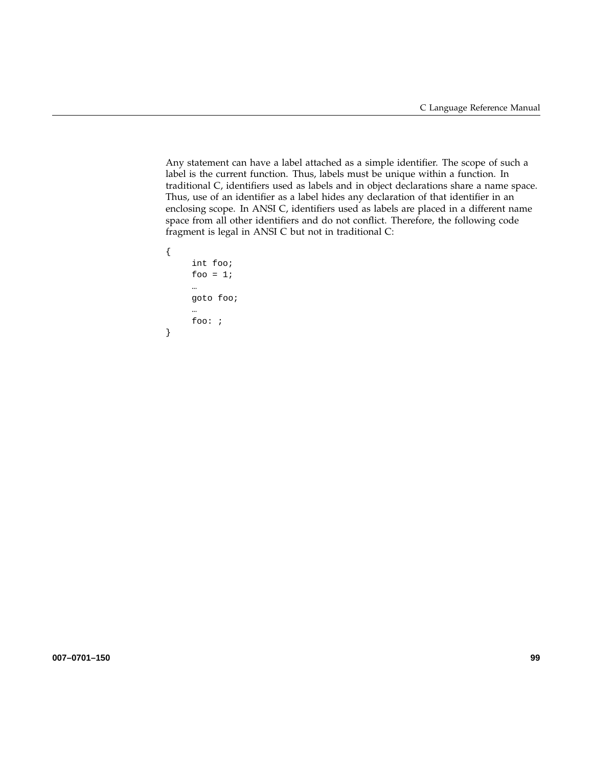Any statement can have a label attached as a simple identifier. The scope of such a label is the current function. Thus, labels must be unique within a function. In traditional C, identifiers used as labels and in object declarations share a name space. Thus, use of an identifier as a label hides any declaration of that identifier in an enclosing scope. In ANSI C, identifiers used as labels are placed in a different name space from all other identifiers and do not conflict. Therefore, the following code fragment is legal in ANSI C but not in traditional C:

```
{
     int foo;
     foo = 1;
     …
     goto foo;
     …
     foo: ;
}
```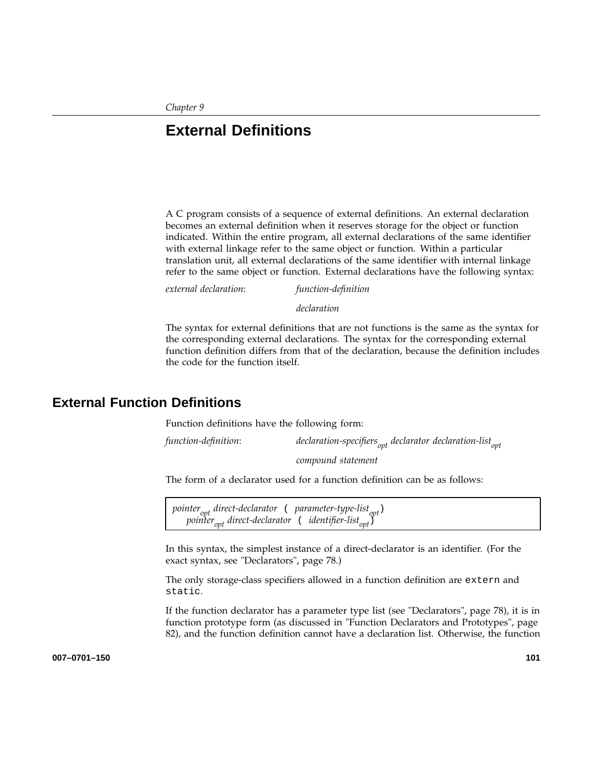*Chapter 9*

# **External Definitions**

A C program consists of a sequence of external definitions. An external declaration becomes an external definition when it reserves storage for the object or function indicated. Within the entire program, all external declarations of the same identifier with external linkage refer to the same object or function. Within a particular translation unit, all external declarations of the same identifier with internal linkage refer to the same object or function. External declarations have the following syntax:

*external declaration*: *function-definition*

*declaration*

The syntax for external definitions that are not functions is the same as the syntax for the corresponding external declarations. The syntax for the corresponding external function definition differs from that of the declaration, because the definition includes the code for the function itself.

## **External Function Definitions**

Function definitions have the following form:

*function-definition*: *declaration-specifiersopt declarator declaration-listopt*

*compound statement*

The form of a declarator used for a function definition can be as follows:

pointer<sub>opt</sub> direct-declarator ( parameter-type-list<sub>opt</sub>) *pointeropt direct-declarator* ( *identifier-listopt*)

In this syntax, the simplest instance of a direct-declarator is an identifier. (For the exact syntax, see "Declarators", page 78.)

The only storage-class specifiers allowed in a function definition are extern and static.

If the function declarator has a parameter type list (see "Declarators", page 78), it is in function prototype form (as discussed in "Function Declarators and Prototypes", page 82), and the function definition cannot have a declaration list. Otherwise, the function

**007–0701–150 101**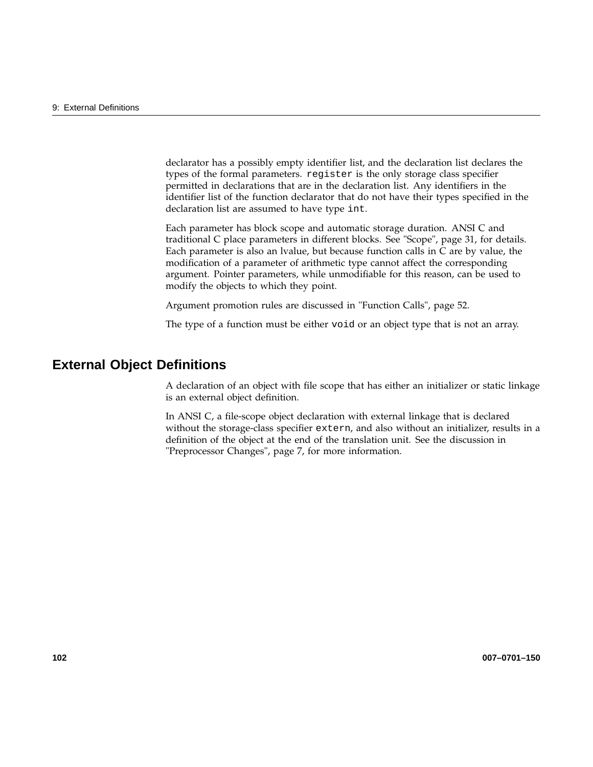declarator has a possibly empty identifier list, and the declaration list declares the types of the formal parameters. register is the only storage class specifier permitted in declarations that are in the declaration list. Any identifiers in the identifier list of the function declarator that do not have their types specified in the declaration list are assumed to have type int.

Each parameter has block scope and automatic storage duration. ANSI C and traditional C place parameters in different blocks. See "Scope", page 31, for details. Each parameter is also an lvalue, but because function calls in C are by value, the modification of a parameter of arithmetic type cannot affect the corresponding argument. Pointer parameters, while unmodifiable for this reason, can be used to modify the objects to which they point.

Argument promotion rules are discussed in "Function Calls", page 52.

The type of a function must be either void or an object type that is not an array.

## **External Object Definitions**

A declaration of an object with file scope that has either an initializer or static linkage is an external object definition.

In ANSI C, a file-scope object declaration with external linkage that is declared without the storage-class specifier extern, and also without an initializer, results in a definition of the object at the end of the translation unit. See the discussion in "Preprocessor Changes", page 7, for more information.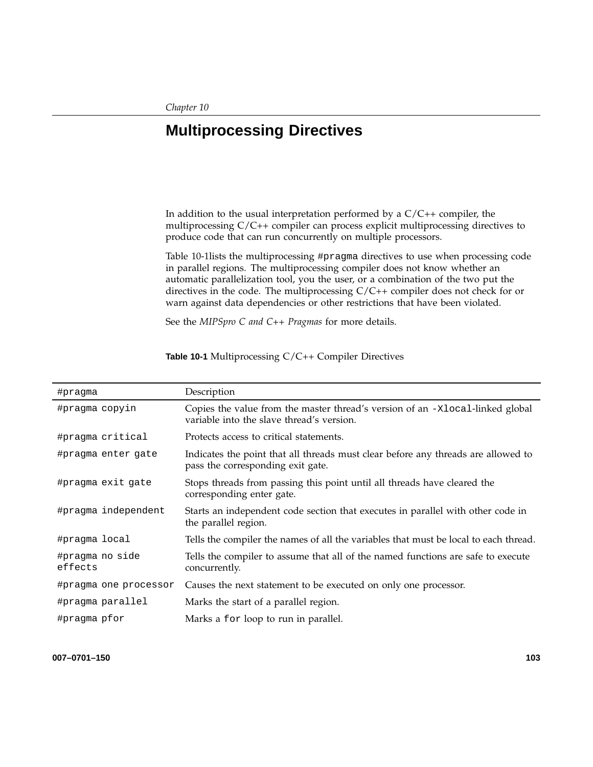# **Multiprocessing Directives**

In addition to the usual interpretation performed by a  $C/C++$  compiler, the multiprocessing C/C++ compiler can process explicit multiprocessing directives to produce code that can run concurrently on multiple processors.

Table 10-1lists the multiprocessing #pragma directives to use when processing code in parallel regions. The multiprocessing compiler does not know whether an automatic parallelization tool, you the user, or a combination of the two put the directives in the code. The multiprocessing C/C++ compiler does not check for or warn against data dependencies or other restrictions that have been violated.

See the *MIPSpro C and C++ Pragmas* for more details.

| #pragma                    | Description                                                                                                                |
|----------------------------|----------------------------------------------------------------------------------------------------------------------------|
| #pragma copyin             | Copies the value from the master thread's version of an -xlocal-linked global<br>variable into the slave thread's version. |
| #pragma critical           | Protects access to critical statements.                                                                                    |
| #pragma enter gate         | Indicates the point that all threads must clear before any threads are allowed to<br>pass the corresponding exit gate.     |
| #pragma exit gate          | Stops threads from passing this point until all threads have cleared the<br>corresponding enter gate.                      |
| #pragma independent        | Starts an independent code section that executes in parallel with other code in<br>the parallel region.                    |
| #pragma local              | Tells the compiler the names of all the variables that must be local to each thread.                                       |
| #pragma no side<br>effects | Tells the compiler to assume that all of the named functions are safe to execute<br>concurrently.                          |
| #pragma one processor      | Causes the next statement to be executed on only one processor.                                                            |
| #pragma parallel           | Marks the start of a parallel region.                                                                                      |
| #pragma pfor               | Marks a for loop to run in parallel.                                                                                       |

**Table 10-1** Multiprocessing C/C++ Compiler Directives

**007–0701–150 103**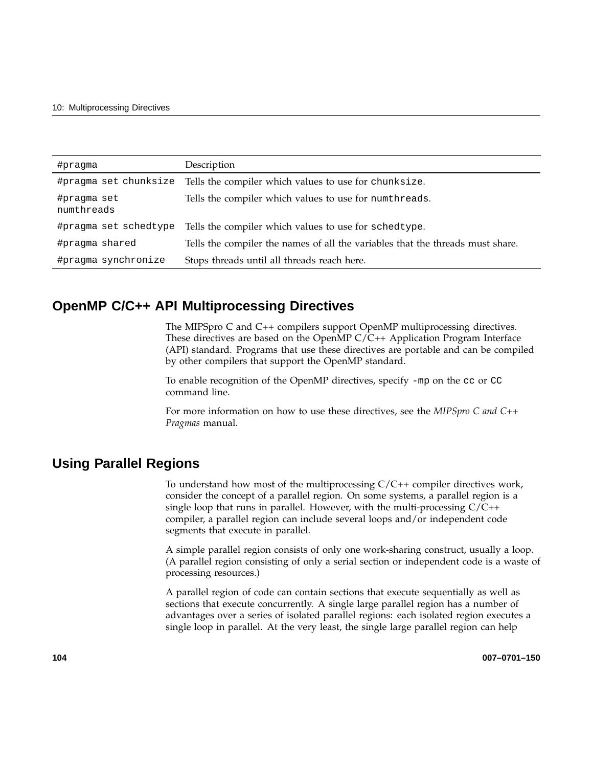| #pragma                   | Description                                                                    |
|---------------------------|--------------------------------------------------------------------------------|
| #pragma set chunksize     | Tells the compiler which values to use for chunksize.                          |
| #pragma set<br>numthreads | Tells the compiler which values to use for numthreads.                         |
| #pragma set schedtype     | Tells the compiler which values to use for schedtype.                          |
| #pragma shared            | Tells the compiler the names of all the variables that the threads must share. |
| #pragma synchronize       | Stops threads until all threads reach here.                                    |

## **OpenMP C/C++ API Multiprocessing Directives**

The MIPSpro C and C++ compilers support OpenMP multiprocessing directives. These directives are based on the OpenMP  $C/C++$  Application Program Interface (API) standard. Programs that use these directives are portable and can be compiled by other compilers that support the OpenMP standard.

To enable recognition of the OpenMP directives, specify -mp on the cc or CC command line.

For more information on how to use these directives, see the *MIPSpro C and C++ Pragmas* manual.

## **Using Parallel Regions**

To understand how most of the multiprocessing C/C++ compiler directives work, consider the concept of a parallel region. On some systems, a parallel region is a single loop that runs in parallel. However, with the multi-processing  $C/C++$ compiler, a parallel region can include several loops and/or independent code segments that execute in parallel.

A simple parallel region consists of only one work-sharing construct, usually a loop. (A parallel region consisting of only a serial section or independent code is a waste of processing resources.)

A parallel region of code can contain sections that execute sequentially as well as sections that execute concurrently. A single large parallel region has a number of advantages over a series of isolated parallel regions: each isolated region executes a single loop in parallel. At the very least, the single large parallel region can help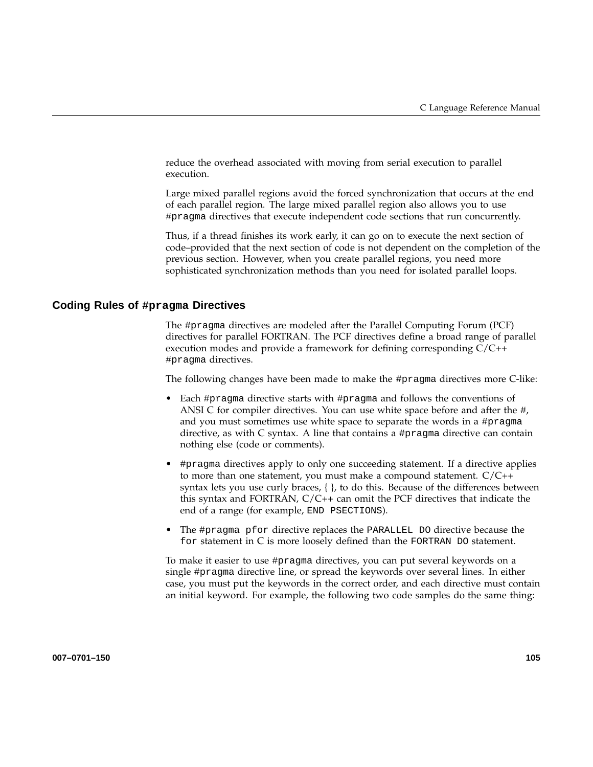reduce the overhead associated with moving from serial execution to parallel execution.

Large mixed parallel regions avoid the forced synchronization that occurs at the end of each parallel region. The large mixed parallel region also allows you to use #pragma directives that execute independent code sections that run concurrently.

Thus, if a thread finishes its work early, it can go on to execute the next section of code–provided that the next section of code is not dependent on the completion of the previous section. However, when you create parallel regions, you need more sophisticated synchronization methods than you need for isolated parallel loops.

#### **Coding Rules of #pragma Directives**

The #pragma directives are modeled after the Parallel Computing Forum (PCF) directives for parallel FORTRAN. The PCF directives define a broad range of parallel execution modes and provide a framework for defining corresponding C/C++ #pragma directives.

The following changes have been made to make the #pragma directives more C-like:

- Each #pragma directive starts with #pragma and follows the conventions of ANSI C for compiler directives. You can use white space before and after the #, and you must sometimes use white space to separate the words in a #pragma directive, as with C syntax. A line that contains a #pragma directive can contain nothing else (code or comments).
- #pragma directives apply to only one succeeding statement. If a directive applies to more than one statement, you must make a compound statement. C/C++ syntax lets you use curly braces, { }, to do this. Because of the differences between this syntax and FORTRAN, C/C++ can omit the PCF directives that indicate the end of a range (for example, END PSECTIONS).
- The #pragma pfor directive replaces the PARALLEL DO directive because the for statement in C is more loosely defined than the FORTRAN DO statement.

To make it easier to use #pragma directives, you can put several keywords on a single #pragma directive line, or spread the keywords over several lines. In either case, you must put the keywords in the correct order, and each directive must contain an initial keyword. For example, the following two code samples do the same thing: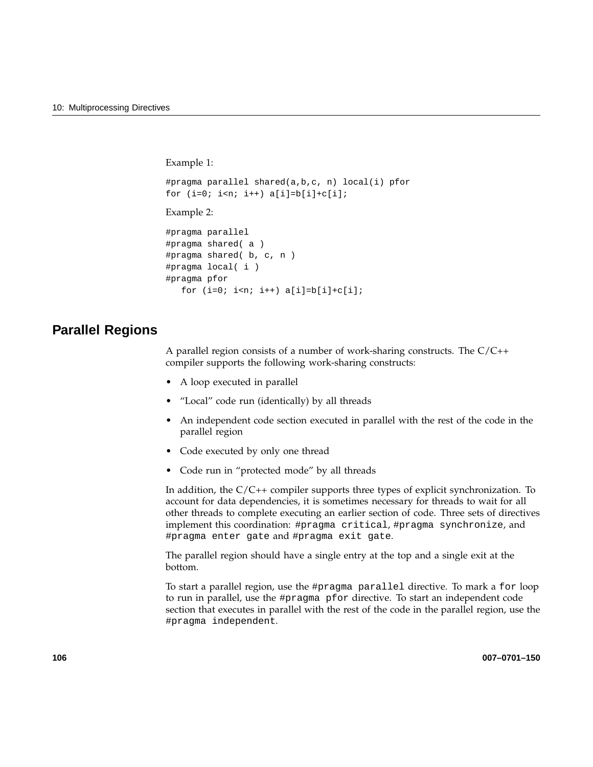```
Example 1:
#pragma parallel shared(a,b,c, n) local(i) pfor
for (i=0; i \le n; i++) a[i]=b[i]+c[i];
Example 2:
#pragma parallel
#pragma shared( a )
#pragma shared( b, c, n )
#pragma local( i )
#pragma pfor
  for (i=0; i<n; i++) a[i]=b[i]+c[i];
```
### **Parallel Regions**

A parallel region consists of a number of work-sharing constructs. The C/C++ compiler supports the following work-sharing constructs:

- A loop executed in parallel
- "Local" code run (identically) by all threads
- An independent code section executed in parallel with the rest of the code in the parallel region
- Code executed by only one thread
- Code run in "protected mode" by all threads

In addition, the C/C++ compiler supports three types of explicit synchronization. To account for data dependencies, it is sometimes necessary for threads to wait for all other threads to complete executing an earlier section of code. Three sets of directives implement this coordination: #pragma critical, #pragma synchronize, and #pragma enter gate and #pragma exit gate.

The parallel region should have a single entry at the top and a single exit at the bottom.

To start a parallel region, use the #pragma parallel directive. To mark a for loop to run in parallel, use the #pragma pfor directive. To start an independent code section that executes in parallel with the rest of the code in the parallel region, use the #pragma independent.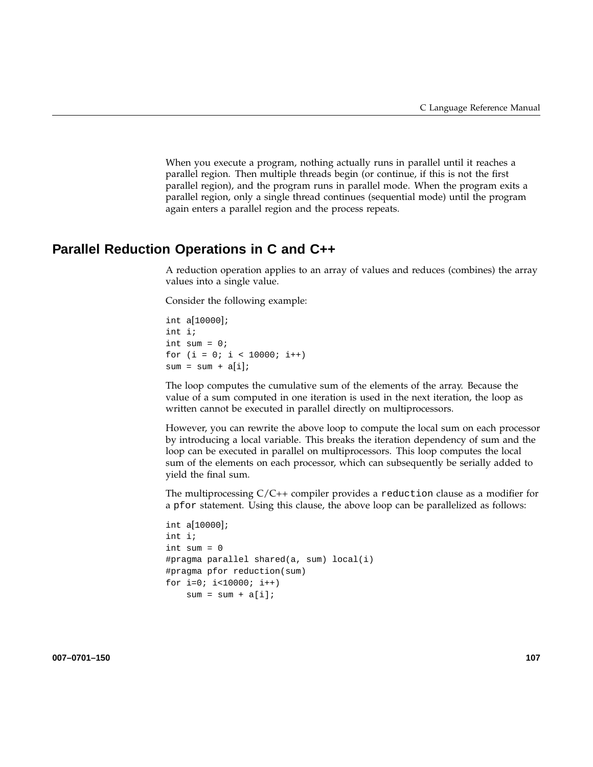When you execute a program, nothing actually runs in parallel until it reaches a parallel region. Then multiple threads begin (or continue, if this is not the first parallel region), and the program runs in parallel mode. When the program exits a parallel region, only a single thread continues (sequential mode) until the program again enters a parallel region and the process repeats.

### **Parallel Reduction Operations in C and C++**

A reduction operation applies to an array of values and reduces (combines) the array values into a single value.

Consider the following example:

int a[10000]; int i; int sum  $= 0;$ for  $(i = 0; i < 10000; i++)$  $sum = sum + a[i];$ 

The loop computes the cumulative sum of the elements of the array. Because the value of a sum computed in one iteration is used in the next iteration, the loop as written cannot be executed in parallel directly on multiprocessors.

However, you can rewrite the above loop to compute the local sum on each processor by introducing a local variable. This breaks the iteration dependency of sum and the loop can be executed in parallel on multiprocessors. This loop computes the local sum of the elements on each processor, which can subsequently be serially added to yield the final sum.

The multiprocessing C/C++ compiler provides a reduction clause as a modifier for a pfor statement. Using this clause, the above loop can be parallelized as follows:

```
int a[10000];
int i;
int sum = 0
#pragma parallel shared(a, sum) local(i)
#pragma pfor reduction(sum)
for i=0; i<10000; i++)
   sum = sum + a[i];
```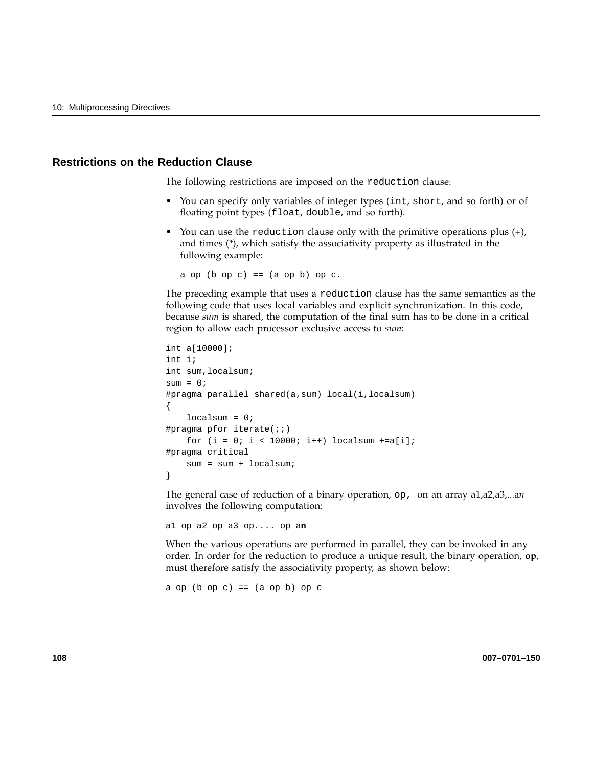### **Restrictions on the Reduction Clause**

The following restrictions are imposed on the reduction clause:

- You can specify only variables of integer types (int, short, and so forth) or of floating point types (float, double, and so forth).
- You can use the reduction clause only with the primitive operations plus  $(+)$ , and times (\*), which satisfy the associativity property as illustrated in the following example:

a op  $(b$  op  $c)$  ==  $(a$  op  $b)$  op  $c$ .

The preceding example that uses a reduction clause has the same semantics as the following code that uses local variables and explicit synchronization. In this code, because *sum* is shared, the computation of the final sum has to be done in a critical region to allow each processor exclusive access to *sum*:

```
int a[10000];
int i;
int sum,localsum;
sum = 0;#pragma parallel shared(a,sum) local(i,localsum)
{
    localsum = 0;
#pragma pfor iterate(;i)for (i = 0; i < 10000; i++) localsum +=a[i];
#pragma critical
    sum = sum + localsum;
}
```
The general case of reduction of a binary operation, op, on an array a1,a2,a3,...a*n* involves the following computation:

a1 op a2 op a3 op.... op a**n**

When the various operations are performed in parallel, they can be invoked in any order. In order for the reduction to produce a unique result, the binary operation, **op**, must therefore satisfy the associativity property, as shown below:

a op  $(b$  op  $c)$  ==  $(a$  op  $b)$  op  $c$ 

**108 007–0701–150**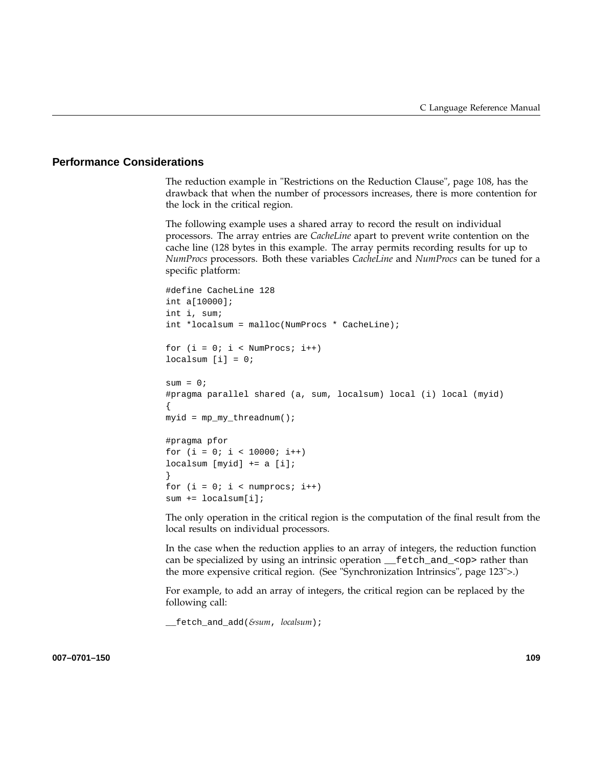### **Performance Considerations**

The reduction example in "Restrictions on the Reduction Clause", page 108, has the drawback that when the number of processors increases, there is more contention for the lock in the critical region.

The following example uses a shared array to record the result on individual processors. The array entries are *CacheLine* apart to prevent write contention on the cache line (128 bytes in this example. The array permits recording results for up to *NumProcs* processors. Both these variables *CacheLine* and *NumProcs* can be tuned for a specific platform:

```
#define CacheLine 128
int a[10000];
int i, sum;
int *localsum = malloc(NumProcs * CacheLine);
for (i = 0; i < NumProcs; i^{++})
localsum [i] = 0;sum = 0;#pragma parallel shared (a, sum, localsum) local (i) local (myid)
{
myid = mp_my_threadnum();
#pragma pfor
for (i = 0; i < 10000; i++)localsum [myid] += a [i];
}
for (i = 0; i < number>numprocess; i++)sum += localsum[i];
```
The only operation in the critical region is the computation of the final result from the local results on individual processors.

In the case when the reduction applies to an array of integers, the reduction function can be specialized by using an intrinsic operation \_\_fetch\_and\_<op> rather than the more expensive critical region. (See "Synchronization Intrinsics", page 123">.)

For example, to add an array of integers, the critical region can be replaced by the following call:

\_\_fetch\_and\_add(*&sum*, *localsum*);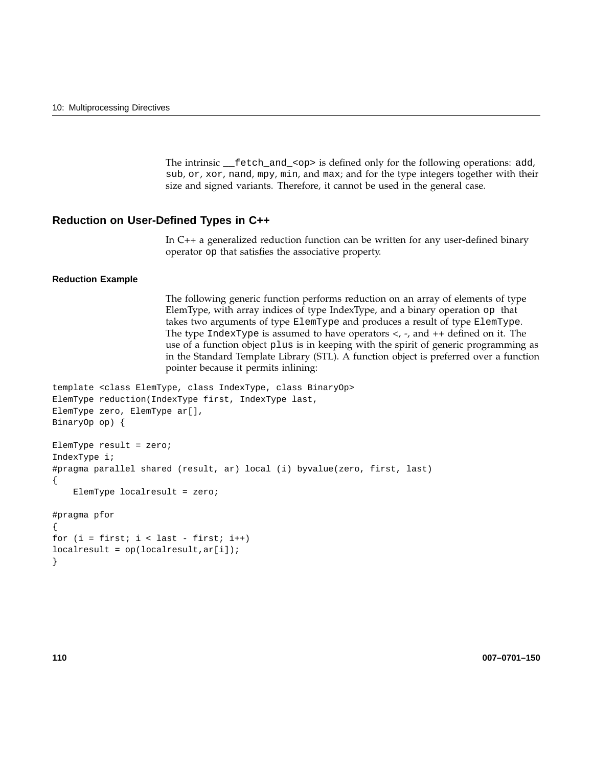The intrinsic \_\_fetch\_and\_<op> is defined only for the following operations: add, sub, or, xor, nand, mpy, min, and max; and for the type integers together with their size and signed variants. Therefore, it cannot be used in the general case.

### **Reduction on User-Defined Types in C++**

In C++ a generalized reduction function can be written for any user-defined binary operator op that satisfies the associative property.

#### **Reduction Example**

The following generic function performs reduction on an array of elements of type ElemType, with array indices of type IndexType, and a binary operation op that takes two arguments of type ElemType and produces a result of type ElemType. The type IndexType is assumed to have operators  $\lt$ , -, and  $++$  defined on it. The use of a function object plus is in keeping with the spirit of generic programming as in the Standard Template Library (STL). A function object is preferred over a function pointer because it permits inlining:

```
template <class ElemType, class IndexType, class BinaryOp>
ElemType reduction(IndexType first, IndexType last,
ElemType zero, ElemType ar[],
BinaryOp op) {
ElemType result = zero;
IndexType i;
#pragma parallel shared (result, ar) local (i) byvalue(zero, first, last)
{
    ElemType localresult = zero;
#pragma pfor
{
for (i = first; i < last - first; i++)local result = op(local result, ar[i]);}
```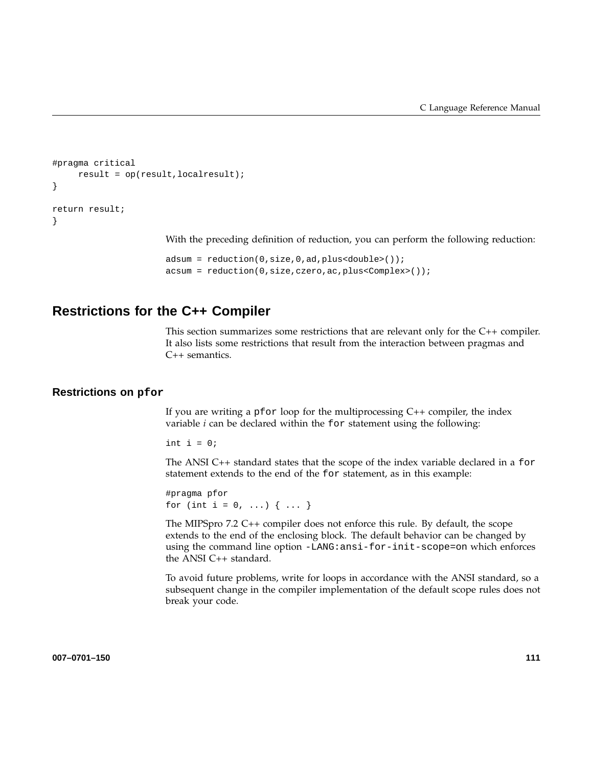```
#pragma critical
     result = op(result,localresult);
}
return result;
}
```
With the preceding definition of reduction, you can perform the following reduction:

```
adsum = reduction(0,size,0,ad,plus<double>());
acsum = reduction(0,size,czero,ac,plus<Complex>());
```
## **Restrictions for the C++ Compiler**

This section summarizes some restrictions that are relevant only for the C++ compiler. It also lists some restrictions that result from the interaction between pragmas and C++ semantics.

#### **Restrictions on pfor**

If you are writing a  $pfor$  loop for the multiprocessing  $C++$  compiler, the index variable *i* can be declared within the for statement using the following:

int  $i = 0$ ;

The ANSI C++ standard states that the scope of the index variable declared in a for statement extends to the end of the for statement, as in this example:

```
#pragma pfor
for (int i = 0, ...) { ... }
```
The MIPSpro 7.2 C++ compiler does not enforce this rule. By default, the scope extends to the end of the enclosing block. The default behavior can be changed by using the command line option -LANG: ansi-for-init-scope=on which enforces the ANSI C++ standard.

To avoid future problems, write for loops in accordance with the ANSI standard, so a subsequent change in the compiler implementation of the default scope rules does not break your code.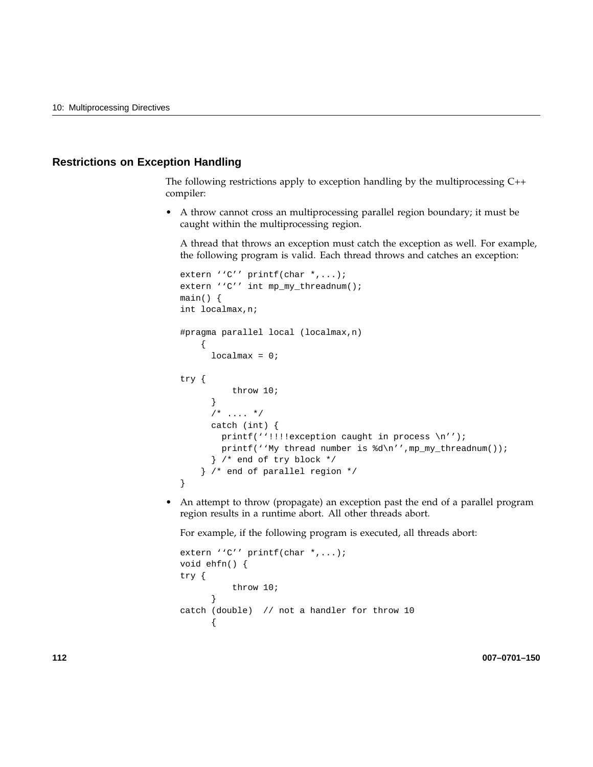### **Restrictions on Exception Handling**

The following restrictions apply to exception handling by the multiprocessing C++ compiler:

• A throw cannot cross an multiprocessing parallel region boundary; it must be caught within the multiprocessing region.

A thread that throws an exception must catch the exception as well. For example, the following program is valid. Each thread throws and catches an exception:

```
extern ''C'' printf(char *,...);
extern ''C'' int mp_my_threadnum();
main() {
int localmax,n;
#pragma parallel local (localmax,n)
    {
     localmax = 0;try {
          throw 10;
      }
      7 * ... * /catch (int) {
       printf(''!!!!exception caught in process \n'');
       printf(''My thread number is d\nu', mp_my_threadnum());
      } /* end of try block */
    } /* end of parallel region */
}
```
• An attempt to throw (propagate) an exception past the end of a parallel program region results in a runtime abort. All other threads abort.

For example, if the following program is executed, all threads abort:

```
extern ''C'' printf(char *,...);
void ehfn() {
try {
          throw 10;
      }
catch (double) // not a handler for throw 10
      {
```
**112 007–0701–150**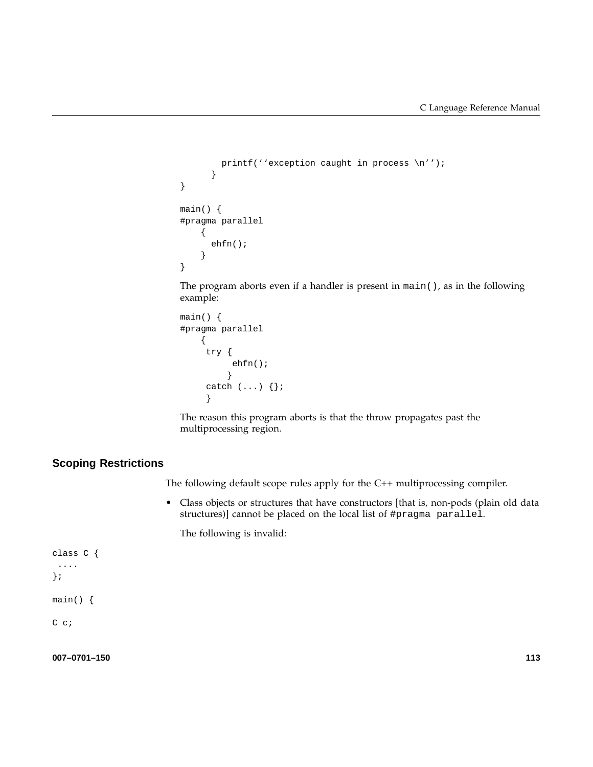```
printf(''exception caught in process \n'');
      }
}
main() {
#pragma parallel
    {
      ehfn();
    }
}
```
The program aborts even if a handler is present in main(), as in the following example:

```
main() {
#pragma parallel
    {
    try {
          ehfn();
         }
     catch (...) {};
     }
```
The reason this program aborts is that the throw propagates past the multiprocessing region.

### **Scoping Restrictions**

The following default scope rules apply for the C++ multiprocessing compiler.

• Class objects or structures that have constructors [that is, non-pods (plain old data structures)] cannot be placed on the local list of #pragma parallel.

The following is invalid:

```
class C {
 ....
};
main() {
C c;
```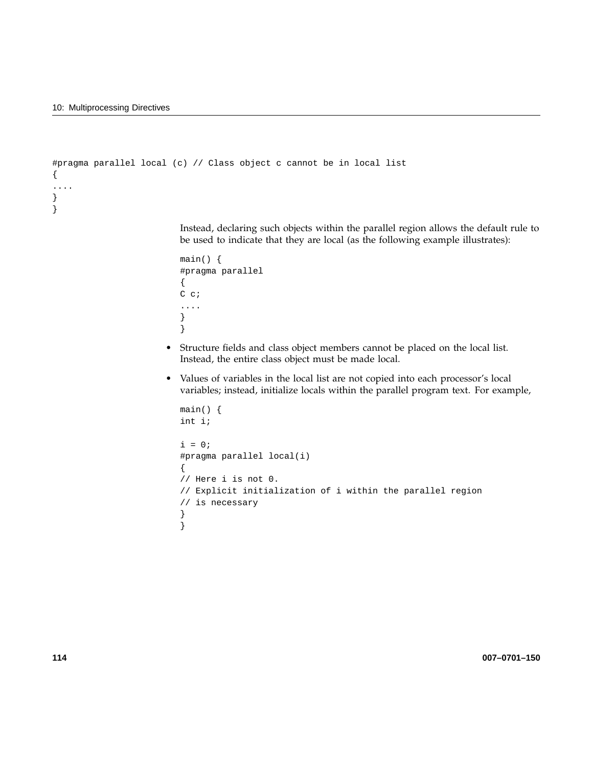```
#pragma parallel local (c) // Class object c cannot be in local list
{
....
}
}
```
Instead, declaring such objects within the parallel region allows the default rule to be used to indicate that they are local (as the following example illustrates):

```
main() {
#pragma parallel
{
C c;
....
}
}
```
- Structure fields and class object members cannot be placed on the local list. Instead, the entire class object must be made local.
- Values of variables in the local list are not copied into each processor's local variables; instead, initialize locals within the parallel program text. For example,

```
main() {
int i;
i = 0;#pragma parallel local(i)
{
// Here i is not 0.
// Explicit initialization of i within the parallel region
// is necessary
}
}
```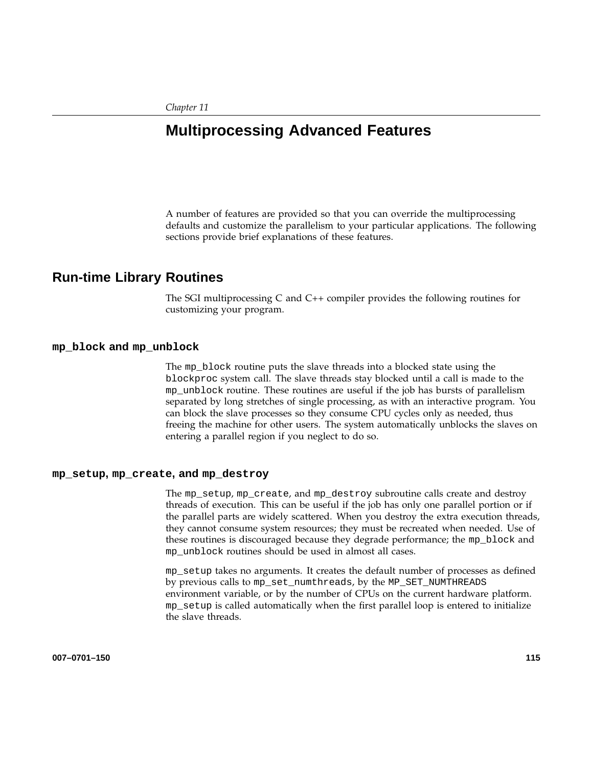# **Multiprocessing Advanced Features**

A number of features are provided so that you can override the multiprocessing defaults and customize the parallelism to your particular applications. The following sections provide brief explanations of these features.

### **Run-time Library Routines**

The SGI multiprocessing C and C++ compiler provides the following routines for customizing your program.

#### **mp\_block and mp\_unblock**

The mp\_block routine puts the slave threads into a blocked state using the blockproc system call. The slave threads stay blocked until a call is made to the mp\_unblock routine. These routines are useful if the job has bursts of parallelism separated by long stretches of single processing, as with an interactive program. You can block the slave processes so they consume CPU cycles only as needed, thus freeing the machine for other users. The system automatically unblocks the slaves on entering a parallel region if you neglect to do so.

#### **mp\_setup, mp\_create, and mp\_destroy**

The mp\_setup, mp\_create, and mp\_destroy subroutine calls create and destroy threads of execution. This can be useful if the job has only one parallel portion or if the parallel parts are widely scattered. When you destroy the extra execution threads, they cannot consume system resources; they must be recreated when needed. Use of these routines is discouraged because they degrade performance; the mp\_block and mp\_unblock routines should be used in almost all cases.

mp\_setup takes no arguments. It creates the default number of processes as defined by previous calls to mp\_set\_numthreads, by the MP\_SET\_NUMTHREADS environment variable, or by the number of CPUs on the current hardware platform. mp\_setup is called automatically when the first parallel loop is entered to initialize the slave threads.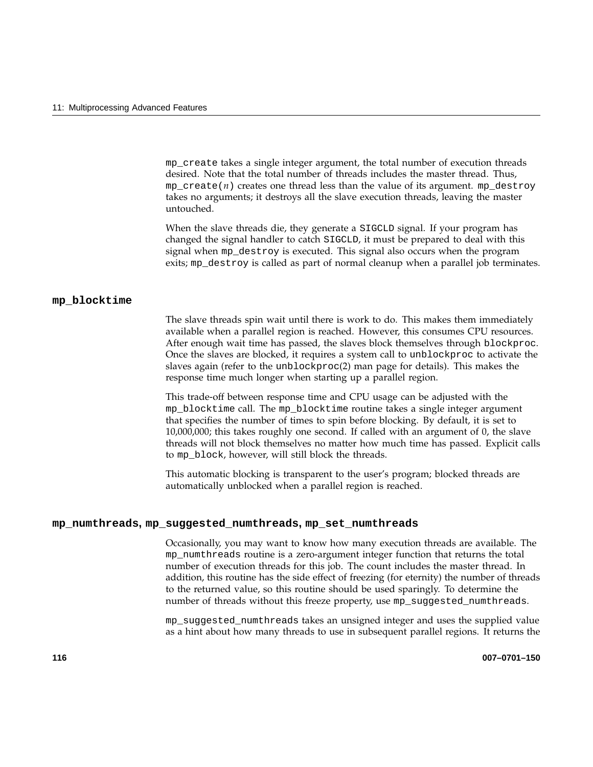mp\_create takes a single integer argument, the total number of execution threads desired. Note that the total number of threads includes the master thread. Thus,  $mp\_create(n)$  creates one thread less than the value of its argument.  $mp\_destroy$ takes no arguments; it destroys all the slave execution threads, leaving the master untouched.

When the slave threads die, they generate a SIGCLD signal. If your program has changed the signal handler to catch SIGCLD, it must be prepared to deal with this signal when mp\_destroy is executed. This signal also occurs when the program exits; mp\_destroy is called as part of normal cleanup when a parallel job terminates.

#### **mp\_blocktime**

The slave threads spin wait until there is work to do. This makes them immediately available when a parallel region is reached. However, this consumes CPU resources. After enough wait time has passed, the slaves block themselves through blockproc. Once the slaves are blocked, it requires a system call to unblockproc to activate the slaves again (refer to the unblockproc(2) man page for details). This makes the response time much longer when starting up a parallel region.

This trade-off between response time and CPU usage can be adjusted with the mp\_blocktime call. The mp\_blocktime routine takes a single integer argument that specifies the number of times to spin before blocking. By default, it is set to 10,000,000; this takes roughly one second. If called with an argument of 0, the slave threads will not block themselves no matter how much time has passed. Explicit calls to mp\_block, however, will still block the threads.

This automatic blocking is transparent to the user's program; blocked threads are automatically unblocked when a parallel region is reached.

#### **mp\_numthreads, mp\_suggested\_numthreads, mp\_set\_numthreads**

Occasionally, you may want to know how many execution threads are available. The mp\_numthreads routine is a zero-argument integer function that returns the total number of execution threads for this job. The count includes the master thread. In addition, this routine has the side effect of freezing (for eternity) the number of threads to the returned value, so this routine should be used sparingly. To determine the number of threads without this freeze property, use mp\_suggested\_numthreads.

mp\_suggested\_numthreads takes an unsigned integer and uses the supplied value as a hint about how many threads to use in subsequent parallel regions. It returns the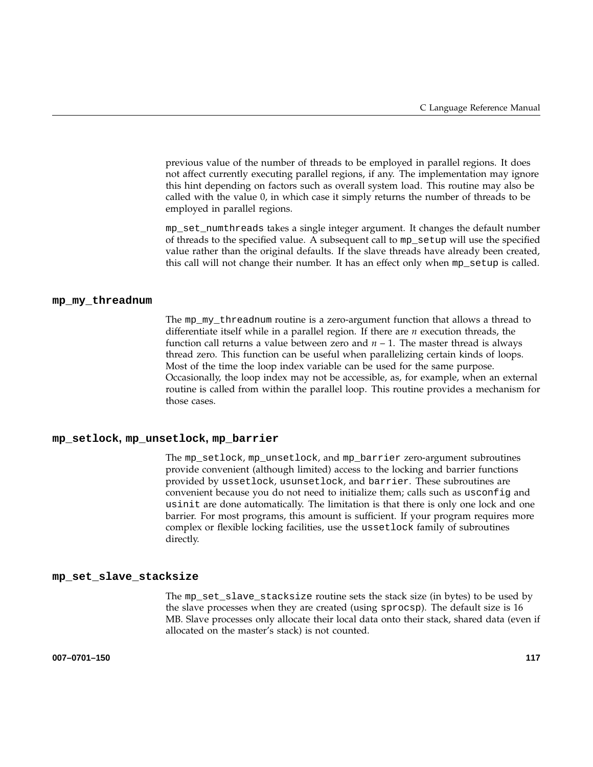previous value of the number of threads to be employed in parallel regions. It does not affect currently executing parallel regions, if any. The implementation may ignore this hint depending on factors such as overall system load. This routine may also be called with the value 0, in which case it simply returns the number of threads to be employed in parallel regions.

mp\_set\_numthreads takes a single integer argument. It changes the default number of threads to the specified value. A subsequent call to mp\_setup will use the specified value rather than the original defaults. If the slave threads have already been created, this call will not change their number. It has an effect only when mp\_setup is called.

#### **mp\_my\_threadnum**

The mp\_my\_threadnum routine is a zero-argument function that allows a thread to differentiate itself while in a parallel region. If there are *n* execution threads, the function call returns a value between zero and  $n - 1$ . The master thread is always thread zero. This function can be useful when parallelizing certain kinds of loops. Most of the time the loop index variable can be used for the same purpose. Occasionally, the loop index may not be accessible, as, for example, when an external routine is called from within the parallel loop. This routine provides a mechanism for those cases.

#### **mp\_setlock, mp\_unsetlock, mp\_barrier**

The mp\_setlock, mp\_unsetlock, and mp\_barrier zero-argument subroutines provide convenient (although limited) access to the locking and barrier functions provided by ussetlock, usunsetlock, and barrier. These subroutines are convenient because you do not need to initialize them; calls such as usconfig and usinit are done automatically. The limitation is that there is only one lock and one barrier. For most programs, this amount is sufficient. If your program requires more complex or flexible locking facilities, use the ussetlock family of subroutines directly.

#### **mp\_set\_slave\_stacksize**

The mp\_set\_slave\_stacksize routine sets the stack size (in bytes) to be used by the slave processes when they are created (using sprocsp). The default size is 16 MB. Slave processes only allocate their local data onto their stack, shared data (even if allocated on the master's stack) is not counted.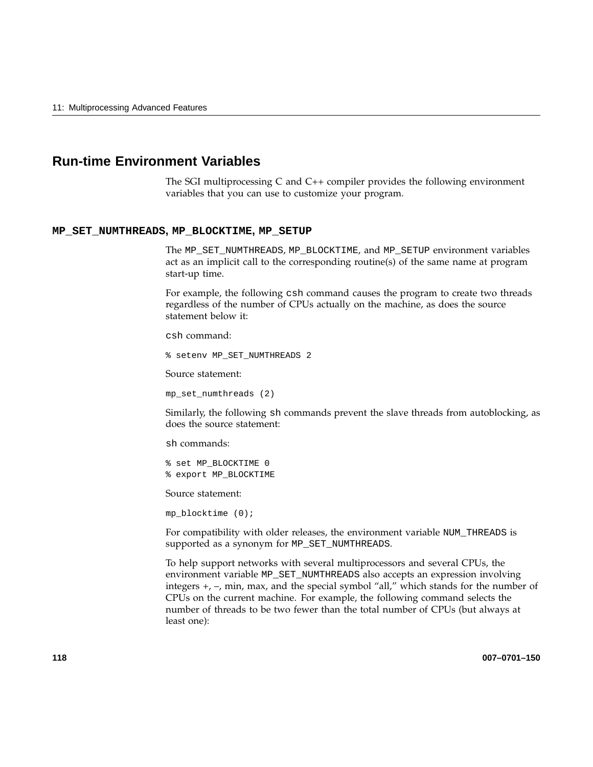## **Run-time Environment Variables**

The SGI multiprocessing C and C++ compiler provides the following environment variables that you can use to customize your program.

#### **MP\_SET\_NUMTHREADS, MP\_BLOCKTIME, MP\_SETUP**

The MP\_SET\_NUMTHREADS, MP\_BLOCKTIME, and MP\_SETUP environment variables act as an implicit call to the corresponding routine(s) of the same name at program start-up time.

For example, the following csh command causes the program to create two threads regardless of the number of CPUs actually on the machine, as does the source statement below it:

csh command:

% setenv MP\_SET\_NUMTHREADS 2

Source statement:

mp\_set\_numthreads (2)

Similarly, the following sh commands prevent the slave threads from autoblocking, as does the source statement:

sh commands:

% set MP\_BLOCKTIME 0 % export MP\_BLOCKTIME

Source statement:

```
mp_blocktime (0);
```
For compatibility with older releases, the environment variable NUM\_THREADS is supported as a synonym for MP\_SET\_NUMTHREADS.

To help support networks with several multiprocessors and several CPUs, the environment variable MP\_SET\_NUMTHREADS also accepts an expression involving integers +, –, min, max, and the special symbol "all," which stands for the number of CPUs on the current machine. For example, the following command selects the number of threads to be two fewer than the total number of CPUs (but always at least one):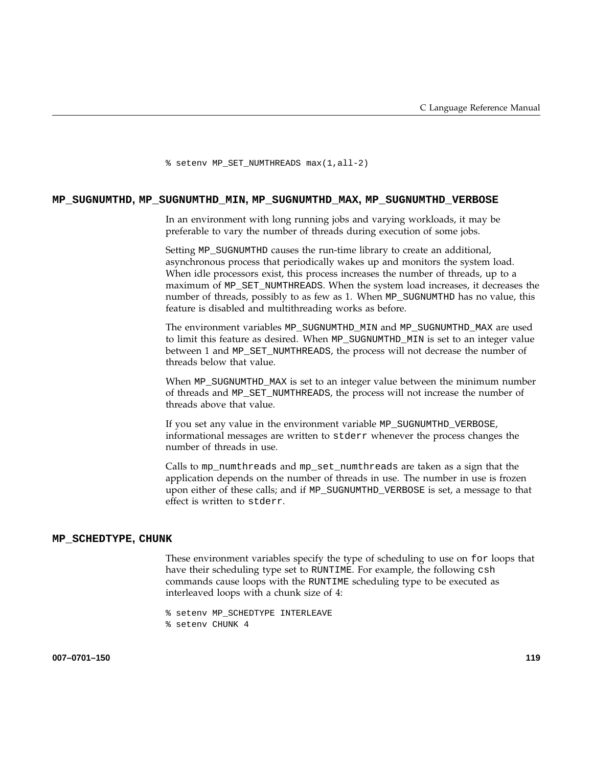% setenv MP\_SET\_NUMTHREADS max(1,all-2)

#### **MP\_SUGNUMTHD, MP\_SUGNUMTHD\_MIN, MP\_SUGNUMTHD\_MAX, MP\_SUGNUMTHD\_VERBOSE**

In an environment with long running jobs and varying workloads, it may be preferable to vary the number of threads during execution of some jobs.

Setting MP\_SUGNUMTHD causes the run-time library to create an additional, asynchronous process that periodically wakes up and monitors the system load. When idle processors exist, this process increases the number of threads, up to a maximum of MP\_SET\_NUMTHREADS. When the system load increases, it decreases the number of threads, possibly to as few as 1. When MP\_SUGNUMTHD has no value, this feature is disabled and multithreading works as before.

The environment variables MP\_SUGNUMTHD\_MIN and MP\_SUGNUMTHD\_MAX are used to limit this feature as desired. When MP\_SUGNUMTHD\_MIN is set to an integer value between 1 and MP\_SET\_NUMTHREADS, the process will not decrease the number of threads below that value.

When MP\_SUGNUMTHD\_MAX is set to an integer value between the minimum number of threads and MP\_SET\_NUMTHREADS, the process will not increase the number of threads above that value.

If you set any value in the environment variable MP\_SUGNUMTHD\_VERBOSE, informational messages are written to stderr whenever the process changes the number of threads in use.

Calls to mp\_numthreads and mp\_set\_numthreads are taken as a sign that the application depends on the number of threads in use. The number in use is frozen upon either of these calls; and if MP\_SUGNUMTHD\_VERBOSE is set, a message to that effect is written to stderr.

#### **MP\_SCHEDTYPE, CHUNK**

These environment variables specify the type of scheduling to use on for loops that have their scheduling type set to RUNTIME. For example, the following csh commands cause loops with the RUNTIME scheduling type to be executed as interleaved loops with a chunk size of 4:

% setenv MP\_SCHEDTYPE INTERLEAVE

% setenv CHUNK 4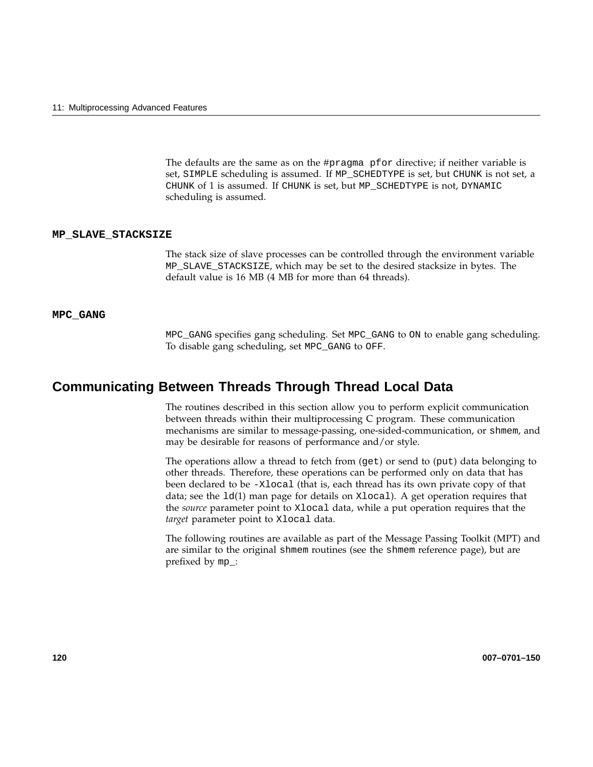The defaults are the same as on the #pragma pfor directive; if neither variable is set, SIMPLE scheduling is assumed. If MP\_SCHEDTYPE is set, but CHUNK is not set, a CHUNK of 1 is assumed. If CHUNK is set, but MP\_SCHEDTYPE is not, DYNAMIC scheduling is assumed.

#### **MP\_SLAVE\_STACKSIZE**

The stack size of slave processes can be controlled through the environment variable MP\_SLAVE\_STACKSIZE, which may be set to the desired stacksize in bytes. The default value is 16 MB (4 MB for more than 64 threads).

### **MPC\_GANG**

MPC\_GANG specifies gang scheduling. Set MPC\_GANG to ON to enable gang scheduling. To disable gang scheduling, set MPC\_GANG to OFF.

### **Communicating Between Threads Through Thread Local Data**

The routines described in this section allow you to perform explicit communication between threads within their multiprocessing C program. These communication mechanisms are similar to message-passing, one-sided-communication, or shmem, and may be desirable for reasons of performance and/or style.

The operations allow a thread to fetch from (get) or send to (put) data belonging to other threads. Therefore, these operations can be performed only on data that has been declared to be -Xlocal (that is, each thread has its own private copy of that data; see the ld(1) man page for details on Xlocal). A get operation requires that the *source* parameter point to Xlocal data, while a put operation requires that the *target* parameter point to Xlocal data.

The following routines are available as part of the Message Passing Toolkit (MPT) and are similar to the original shmem routines (see the shmem reference page), but are prefixed by mp\_: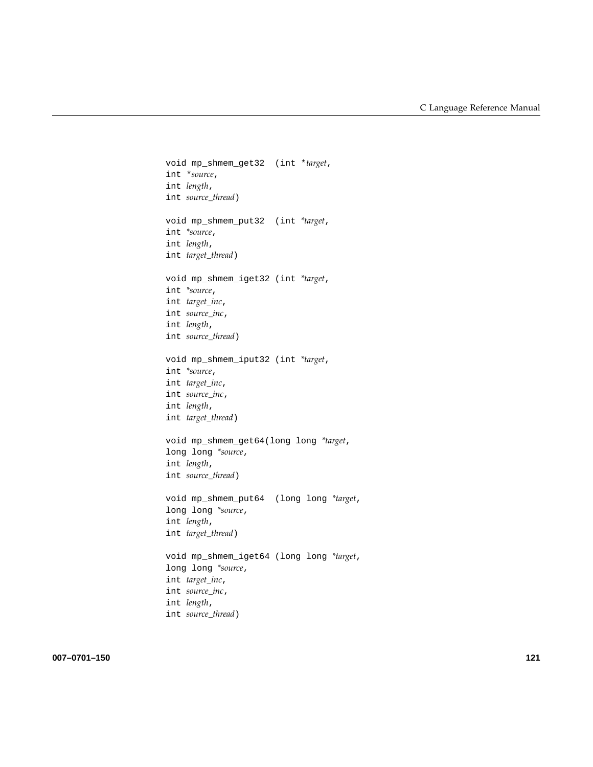```
void mp_shmem_get32 (int *target,
int *source,
int length,
int source_thread)
void mp_shmem_put32 (int *target,
int *source,
int length,
int target_thread)
void mp_shmem_iget32 (int *target,
int *source,
int target_inc,
int source_inc,
int length,
int source_thread)
void mp_shmem_iput32 (int *target,
int *source,
int target_inc,
int source_inc,
int length,
int target_thread)
void mp_shmem_get64(long long *target,
long long *source,
int length,
int source_thread)
void mp_shmem_put64 (long long *target,
long long *source,
int length,
int target_thread)
void mp_shmem_iget64 (long long *target,
long long *source,
int target_inc,
int source_inc,
int length,
int source_thread)
```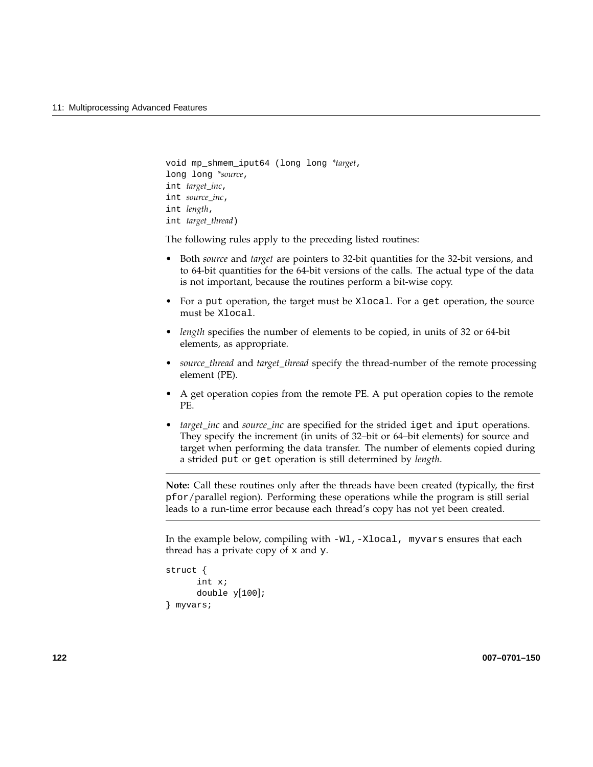```
void mp_shmem_iput64 (long long *target,
long long *source,
int target_inc,
int source_inc,
int length,
int target_thread)
```
The following rules apply to the preceding listed routines:

- Both *source* and *target* are pointers to 32-bit quantities for the 32-bit versions, and to 64-bit quantities for the 64-bit versions of the calls. The actual type of the data is not important, because the routines perform a bit-wise copy.
- For a put operation, the target must be Xlocal. For a get operation, the source must be Xlocal.
- *length* specifies the number of elements to be copied, in units of 32 or 64-bit elements, as appropriate.
- *source\_thread* and *target\_thread* specify the thread-number of the remote processing element (PE).
- A get operation copies from the remote PE. A put operation copies to the remote PE.
- *target\_inc* and *source\_inc* are specified for the strided iget and iput operations. They specify the increment (in units of 32–bit or 64–bit elements) for source and target when performing the data transfer. The number of elements copied during a strided put or get operation is still determined by *length*.

**Note:** Call these routines only after the threads have been created (typically, the first pfor/parallel region). Performing these operations while the program is still serial leads to a run-time error because each thread's copy has not yet been created.

In the example below, compiling with -Wl,-Xlocal, myvars ensures that each thread has a private copy of x and y.

```
struct {
      int x;
      double y[100];
} myvars;
```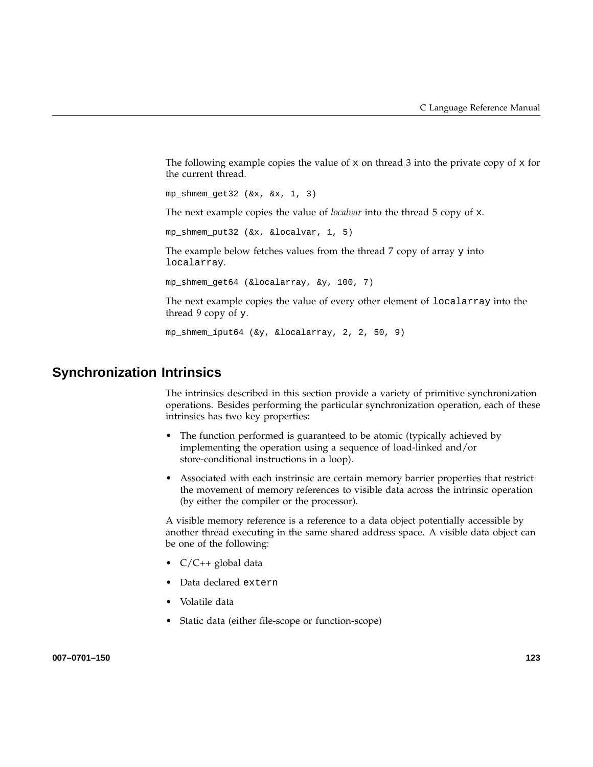The following example copies the value of x on thread 3 into the private copy of x for the current thread.

mp shmem  $qet32$  ( $&x, &x, 1, 3$ )

The next example copies the value of *localvar* into the thread 5 copy of x.

mp\_shmem\_put32 (&x, &localvar, 1, 5)

The example below fetches values from the thread 7 copy of array y into localarray.

mp\_shmem\_get64 (&localarray, &y, 100, 7)

The next example copies the value of every other element of localarray into the thread 9 copy of y.

mp\_shmem\_iput64 (&y, &localarray, 2, 2, 50, 9)

## **Synchronization Intrinsics**

The intrinsics described in this section provide a variety of primitive synchronization operations. Besides performing the particular synchronization operation, each of these intrinsics has two key properties:

- The function performed is guaranteed to be atomic (typically achieved by implementing the operation using a sequence of load-linked and/or store-conditional instructions in a loop).
- Associated with each instrinsic are certain memory barrier properties that restrict the movement of memory references to visible data across the intrinsic operation (by either the compiler or the processor).

A visible memory reference is a reference to a data object potentially accessible by another thread executing in the same shared address space. A visible data object can be one of the following:

- C/C++ global data
- Data declared extern
- Volatile data
- Static data (either file-scope or function-scope)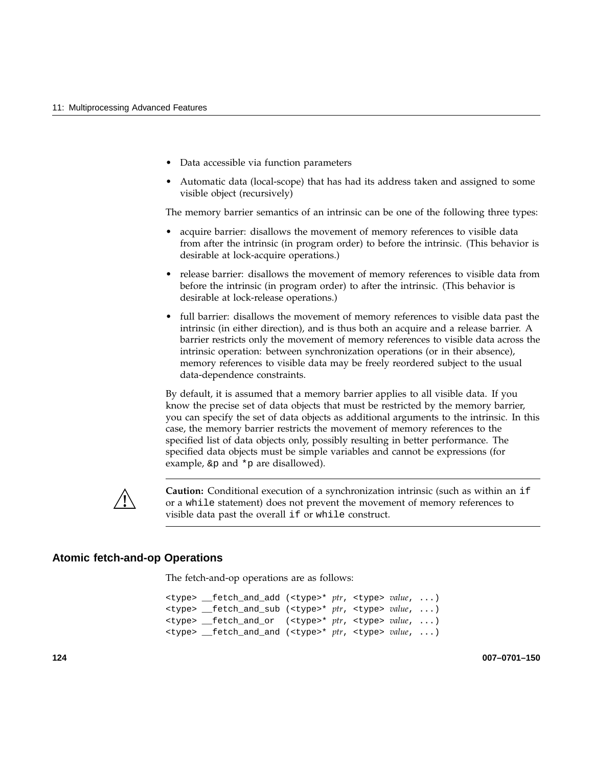- Data accessible via function parameters
- Automatic data (local-scope) that has had its address taken and assigned to some visible object (recursively)

The memory barrier semantics of an intrinsic can be one of the following three types:

- acquire barrier: disallows the movement of memory references to visible data from after the intrinsic (in program order) to before the intrinsic. (This behavior is desirable at lock-acquire operations.)
- release barrier: disallows the movement of memory references to visible data from before the intrinsic (in program order) to after the intrinsic. (This behavior is desirable at lock-release operations.)
- full barrier: disallows the movement of memory references to visible data past the intrinsic (in either direction), and is thus both an acquire and a release barrier. A barrier restricts only the movement of memory references to visible data across the intrinsic operation: between synchronization operations (or in their absence), memory references to visible data may be freely reordered subject to the usual data-dependence constraints.

By default, it is assumed that a memory barrier applies to all visible data. If you know the precise set of data objects that must be restricted by the memory barrier, you can specify the set of data objects as additional arguments to the intrinsic. In this case, the memory barrier restricts the movement of memory references to the specified list of data objects only, possibly resulting in better performance. The specified data objects must be simple variables and cannot be expressions (for example,  $\&p$  and  $*p$  are disallowed).



**Caution:** Conditional execution of a synchronization intrinsic (such as within an if or a while statement) does not prevent the movement of memory references to visible data past the overall if or while construct.

### **Atomic fetch-and-op Operations**

The fetch-and-op operations are as follows:

<type> \_\_fetch\_and\_add (<type>\* *ptr*, <type> *value*, ...) <type> \_\_fetch\_and\_sub (<type>\* *ptr*, <type> *value*, ...) <type> \_\_fetch\_and\_or (<type>\* *ptr*, <type> *value*, ...) <type> \_\_fetch\_and\_and (<type>\* *ptr*, <type> *value*, ...)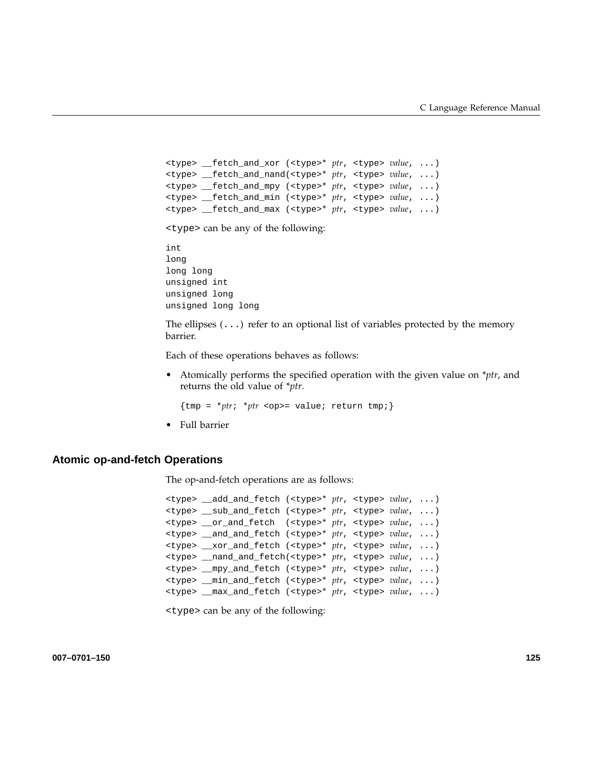```
<type> __fetch_and_xor (<type>* ptr, <type> value, ...)
<type> __fetch_and_nand(<type>* ptr, <type> value, ...)
<type> __fetch_and_mpy (<type>* ptr, <type> value, ...)
<type> __fetch_and_min (<type>* ptr, <type> value, ...)
<type> __fetch_and_max (<type>* ptr, <type> value, ...)
```
<type> can be any of the following:

```
int
long
long long
unsigned int
unsigned long
unsigned long long
```
The ellipses  $(\ldots)$  refer to an optional list of variables protected by the memory barrier.

Each of these operations behaves as follows:

• Atomically performs the specified operation with the given value on \**ptr*, and returns the old value of \**ptr*.

 ${\text{tmp = *ptr; *ptr}}}$  <op>= value; return tmp;

• Full barrier

#### **Atomic op-and-fetch Operations**

The op-and-fetch operations are as follows:

```
<type> __add_and_fetch (<type>* ptr, <type> value, ...)
<type> __sub_and_fetch (<type>* ptr, <type> value, ...)
<type> __or_and_fetch (<type>* ptr, <type> value, ...)
<type> __and_and_fetch (<type>* ptr, <type> value, ...)
<type> __xor_and_fetch (<type>* ptr, <type> value, ...)
<type> __nand_and_fetch(<type>* ptr, <type> value, ...)
<type> __mpy_and_fetch (<type>* ptr, <type> value, ...)
<type> __min_and_fetch (<type>* ptr, <type> value, ...)
<type> __max_and_fetch (<type>* ptr, <type> value, ...)
```
<type> can be any of the following: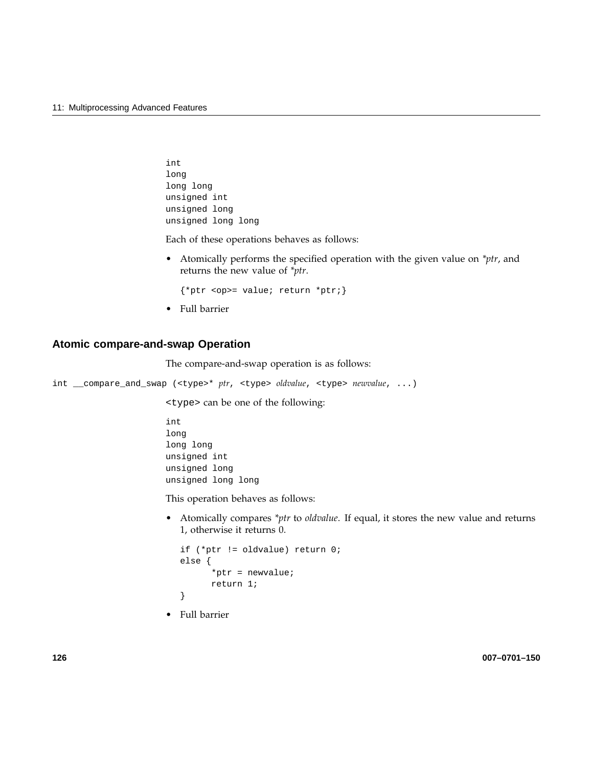```
int
long
long long
unsigned int
unsigned long
unsigned long long
```
Each of these operations behaves as follows:

• Atomically performs the specified operation with the given value on *\*ptr*, and returns the new value of *\*ptr*.

{\*ptr <op>= value; return \*ptr;}

• Full barrier

## **Atomic compare-and-swap Operation**

The compare-and-swap operation is as follows:

int \_\_compare\_and\_swap (<type>\* *ptr*, <type> *oldvalue*, <type> *newvalue*, ...)

<type> can be one of the following:

```
int
long
long long
unsigned int
unsigned long
unsigned long long
```
This operation behaves as follows:

• Atomically compares *\*ptr* to *oldvalue*. If equal, it stores the new value and returns 1, otherwise it returns 0.

```
if (*ptr != oldvalue) return 0;
else {
      *ptr = newvalue;
      return 1;
}
```
• Full barrier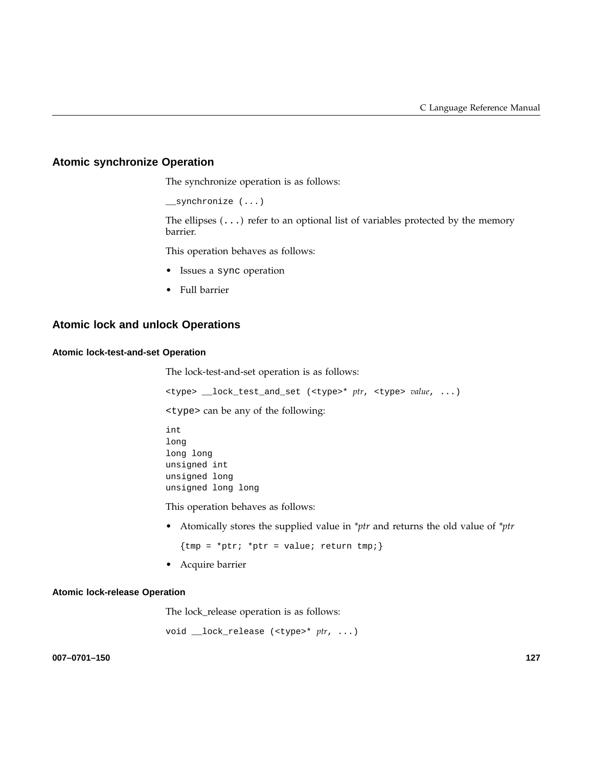## **Atomic synchronize Operation**

The synchronize operation is as follows:

\_\_synchronize (...)

The ellipses  $(\ldots)$  refer to an optional list of variables protected by the memory barrier.

This operation behaves as follows:

- Issues a sync operation
- Full barrier

## **Atomic lock and unlock Operations**

#### **Atomic lock-test-and-set Operation**

The lock-test-and-set operation is as follows:

<type> \_\_lock\_test\_and\_set (<type>\* *ptr*, <type> *value*, ...)

<type> can be any of the following:

int long long long unsigned int unsigned long unsigned long long

This operation behaves as follows:

• Atomically stores the supplied value in *\*ptr* and returns the old value of *\*ptr*

 ${tmp = *ptr; *ptr = value; return tmp; }$ 

• Acquire barrier

#### **Atomic lock-release Operation**

The lock\_release operation is as follows:

void \_\_lock\_release (<type>\* *ptr*, ...)

**007–0701–150 127**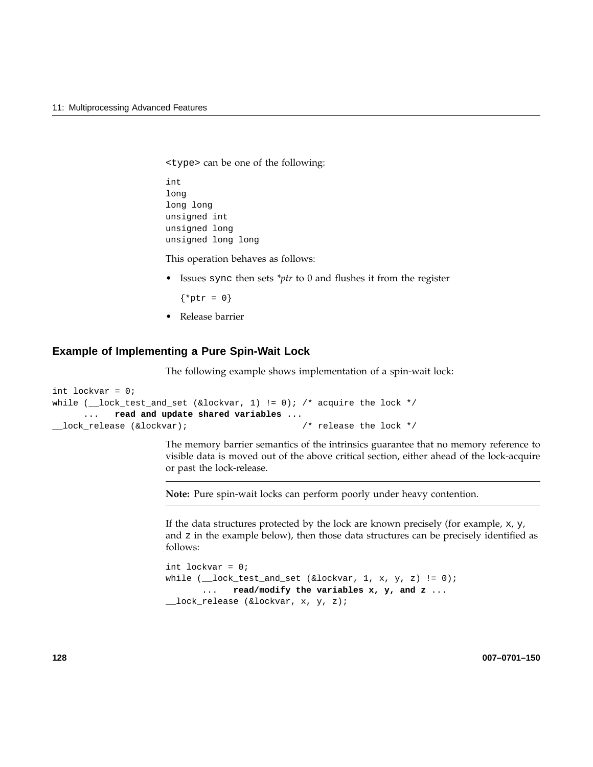<type> can be one of the following:

int long long long unsigned int unsigned long unsigned long long

This operation behaves as follows:

• Issues sync then sets *\*ptr* to 0 and flushes it from the register

 $\{ *ptr = 0\}$ 

• Release barrier

## **Example of Implementing a Pure Spin-Wait Lock**

The following example shows implementation of a spin-wait lock:

```
int lockvar = 0;
while (\_\_lock\_test\_and\_set (&lockvar, 1) != 0); /* acquire the lock */
     ... read and update shared variables ...
__lock_release (&lockvar); /* release the lock */
```
The memory barrier semantics of the intrinsics guarantee that no memory reference to visible data is moved out of the above critical section, either ahead of the lock-acquire or past the lock-release.

**Note:** Pure spin-wait locks can perform poorly under heavy contention.

If the data structures protected by the lock are known precisely (for example, x, y, and z in the example below), then those data structures can be precisely identified as follows:

```
int lockvar = 0;
while (\_\lock_test_and_set (&lockvar, 1, x, y, z) != 0);
      ... read/modify the variables x, y, and z ...
__lock_release (&lockvar, x, y, z);
```
**128 007–0701–150**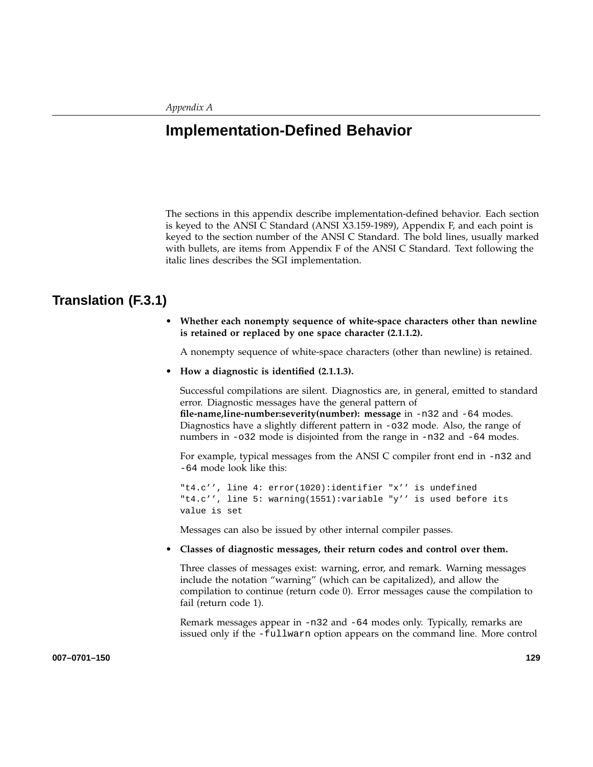# **Implementation-Defined Behavior**

The sections in this appendix describe implementation-defined behavior. Each section is keyed to the ANSI C Standard (ANSI X3.159-1989), Appendix F, and each point is keyed to the section number of the ANSI C Standard. The bold lines, usually marked with bullets, are items from Appendix F of the ANSI C Standard. Text following the italic lines describes the SGI implementation.

# **Translation (F.3.1)**

• **Whether each nonempty sequence of white-space characters other than newline is retained or replaced by one space character (2.1.1.2).**

A nonempty sequence of white-space characters (other than newline) is retained.

• **How a diagnostic is identified (2.1.1.3).**

Successful compilations are silent. Diagnostics are, in general, emitted to standard error. Diagnostic messages have the general pattern of

**file-name,line-number:severity(number): message** in -n32 and -64 modes. Diagnostics have a slightly different pattern in -o32 mode. Also, the range of numbers in -o32 mode is disjointed from the range in -n32 and -64 modes.

For example, typical messages from the ANSI C compiler front end in -n32 and -64 mode look like this:

"t4.c'', line 4: error(1020):identifier "x'' is undefined "t4.c'', line 5: warning(1551):variable "y'' is used before its value is set

Messages can also be issued by other internal compiler passes.

• **Classes of diagnostic messages, their return codes and control over them.**

Three classes of messages exist: warning, error, and remark. Warning messages include the notation "warning" (which can be capitalized), and allow the compilation to continue (return code 0). Error messages cause the compilation to fail (return code 1).

Remark messages appear in -n32 and -64 modes only. Typically, remarks are issued only if the -fullwarn option appears on the command line. More control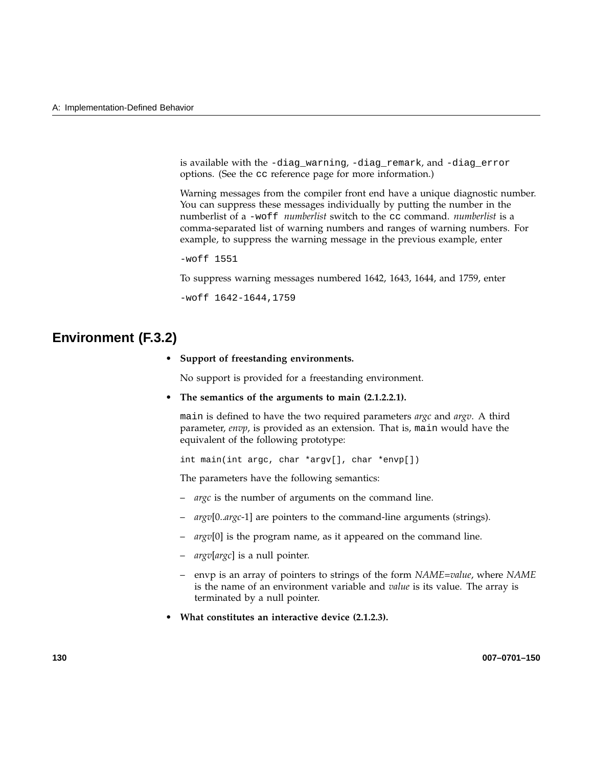is available with the -diag\_warning, -diag\_remark, and -diag\_error options. (See the cc reference page for more information.)

Warning messages from the compiler front end have a unique diagnostic number. You can suppress these messages individually by putting the number in the numberlist of a -woff *numberlist* switch to the cc command. *numberlist* is a comma-separated list of warning numbers and ranges of warning numbers. For example, to suppress the warning message in the previous example, enter

-woff 1551

To suppress warning messages numbered 1642, 1643, 1644, and 1759, enter

-woff 1642-1644,1759

# **Environment (F.3.2)**

• **Support of freestanding environments.**

No support is provided for a freestanding environment.

• **The semantics of the arguments to main (2.1.2.2.1).**

main is defined to have the two required parameters *argc* and *argv*. A third parameter, *envp*, is provided as an extension. That is, main would have the equivalent of the following prototype:

int main(int argc, char \*argv[], char \*envp[])

The parameters have the following semantics:

- *argc* is the number of arguments on the command line.
- *argv*[0..*argc*-1] are pointers to the command-line arguments (strings).
- argv[0] is the program name, as it appeared on the command line.
- *argv*[*argc*] is a null pointer.
- envp is an array of pointers to strings of the form *NAME=value*, where *NAME* is the name of an environment variable and *value* is its value. The array is terminated by a null pointer.
- **What constitutes an interactive device (2.1.2.3).**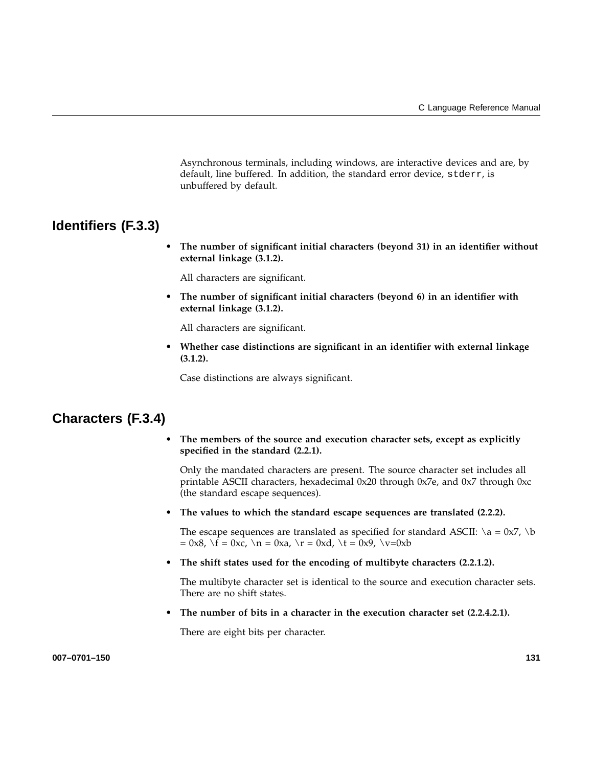Asynchronous terminals, including windows, are interactive devices and are, by default, line buffered. In addition, the standard error device, stderr, is unbuffered by default.

# **Identifiers (F.3.3)**

• **The number of significant initial characters (beyond 31) in an identifier without external linkage (3.1.2).**

All characters are significant.

• **The number of significant initial characters (beyond 6) in an identifier with external linkage (3.1.2).**

All characters are significant.

• **Whether case distinctions are significant in an identifier with external linkage (3.1.2).**

Case distinctions are always significant.

# **Characters (F.3.4)**

• **The members of the source and execution character sets, except as explicitly specified in the standard (2.2.1).**

Only the mandated characters are present. The source character set includes all printable ASCII characters, hexadecimal 0x20 through 0x7e, and 0x7 through 0xc (the standard escape sequences).

• **The values to which the standard escape sequences are translated (2.2.2).**

The escape sequences are translated as specified for standard ASCII:  $\a = 0x7$ ,  $\b$  $= 0x8$ ,  $\{f = 0xc, \ n = 0xa, \ r = 0xd, \ t = 0x9, \ v=0xb\}$ 

• **The shift states used for the encoding of multibyte characters (2.2.1.2).**

The multibyte character set is identical to the source and execution character sets. There are no shift states.

The number of bits in a character in the execution character set  $(2.2.4.2.1)$ .

There are eight bits per character.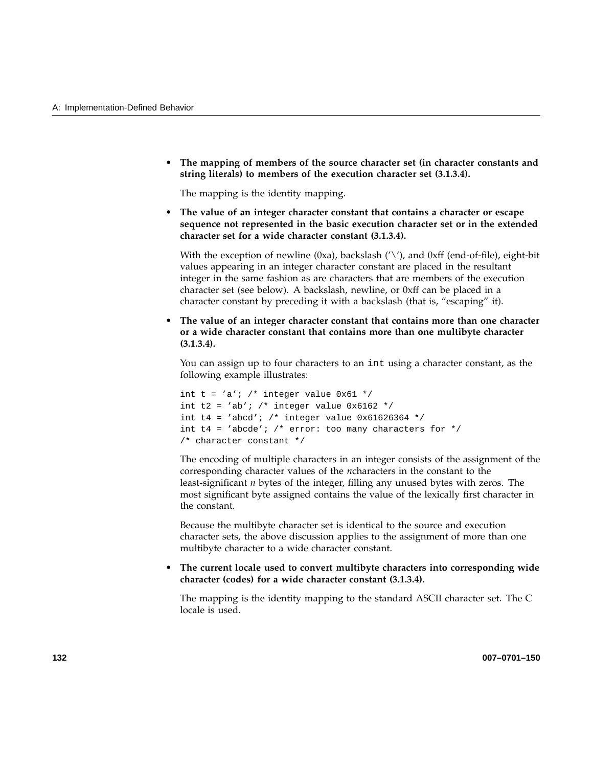• **The mapping of members of the source character set (in character constants and string literals) to members of the execution character set (3.1.3.4).**

The mapping is the identity mapping.

• **The value of an integer character constant that contains a character or escape sequence not represented in the basic execution character set or in the extended character set for a wide character constant (3.1.3.4).**

With the exception of newline (0xa), backslash  $('\prime')$ , and 0xff (end-of-file), eight-bit values appearing in an integer character constant are placed in the resultant integer in the same fashion as are characters that are members of the execution character set (see below). A backslash, newline, or 0xff can be placed in a character constant by preceding it with a backslash (that is, "escaping" it).

• **The value of an integer character constant that contains more than one character or a wide character constant that contains more than one multibyte character (3.1.3.4).**

You can assign up to four characters to an int using a character constant, as the following example illustrates:

```
int t = 'a'; /* integer value 0x61 */
int t2 = 'ab'; /* integer value 0x6162 */
int t4 = 'abcd'; /* integer value 0x61626364 */
int t4 = 'abcde'; /* error: too many characters for *//* character constant */
```
The encoding of multiple characters in an integer consists of the assignment of the corresponding character values of the *n*characters in the constant to the least-significant *n* bytes of the integer, filling any unused bytes with zeros. The most significant byte assigned contains the value of the lexically first character in the constant.

Because the multibyte character set is identical to the source and execution character sets, the above discussion applies to the assignment of more than one multibyte character to a wide character constant.

• **The current locale used to convert multibyte characters into corresponding wide character (codes) for a wide character constant (3.1.3.4).**

The mapping is the identity mapping to the standard ASCII character set. The C locale is used.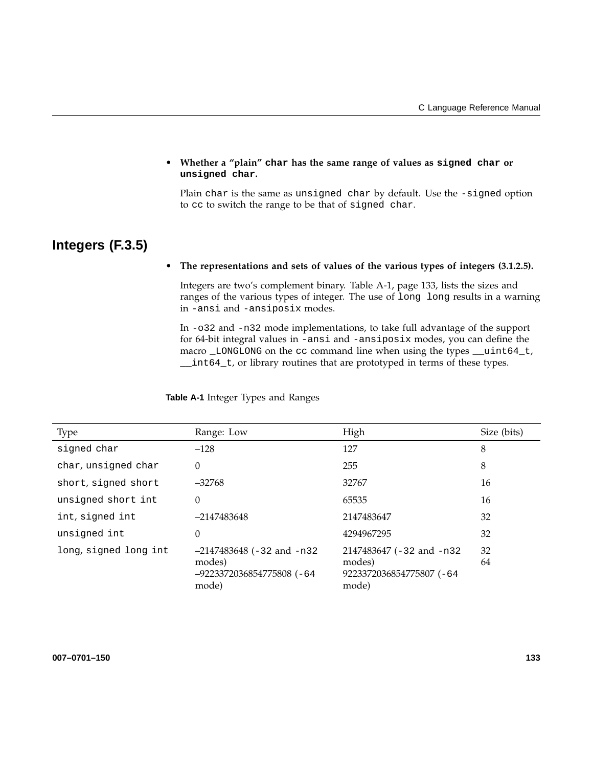## • **Whether a "plain" char has the same range of values as signed char or unsigned char.**

Plain char is the same as unsigned char by default. Use the -signed option to cc to switch the range to be that of signed char.

# **Integers (F.3.5)**

## • **The representations and sets of values of the various types of integers (3.1.2.5).**

Integers are two's complement binary. Table A-1, page 133, lists the sizes and ranges of the various types of integer. The use of long long results in a warning in -ansi and -ansiposix modes.

In -o32 and -n32 mode implementations, to take full advantage of the support for 64-bit integral values in -ansi and -ansiposix modes, you can define the macro \_LONGLONG on the cc command line when using the types \_\_uint64\_t, \_\_int64\_t, or library routines that are prototyped in terms of these types.

**Table A-1** Integer Types and Ranges

| <b>Type</b>           | Range: Low                                                                  | High                                                                     | Size (bits) |
|-----------------------|-----------------------------------------------------------------------------|--------------------------------------------------------------------------|-------------|
| signed char           | $-128$                                                                      | 127                                                                      | 8           |
| char, unsigned char   | $\Omega$                                                                    | 255                                                                      | 8           |
| short, signed short   | $-32768$                                                                    | 32767                                                                    | 16          |
| unsigned short int    | 0                                                                           | 65535                                                                    | 16          |
| int, signed int       | $-2147483648$                                                               | 2147483647                                                               | 32          |
| unsigned int          | 0                                                                           | 4294967295                                                               | 32          |
| long, signed long int | $-2147483648$ (-32 and -n32<br>modes)<br>-9223372036854775808 (-64<br>mode) | 2147483647 (-32 and -n32)<br>modes)<br>9223372036854775807 (-64<br>mode) | 32<br>64    |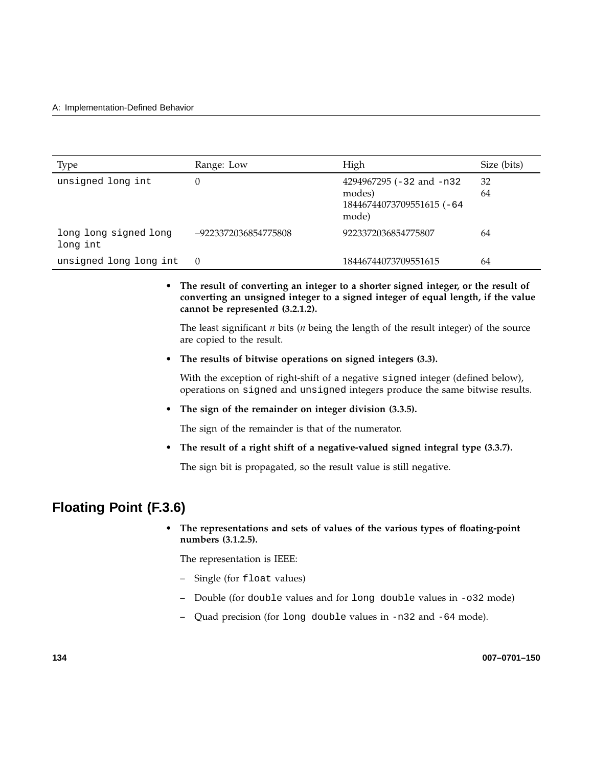| Type                              | Range: Low           | High                                                                     | Size (bits) |
|-----------------------------------|----------------------|--------------------------------------------------------------------------|-------------|
| unsigned long int                 | 0                    | 4294967295 (-32 and -n32<br>modes)<br>18446744073709551615 (-64<br>mode) | 32<br>64    |
| long long signed long<br>long int | -9223372036854775808 | 9223372036854775807                                                      | 64          |
| unsigned long long int            | $\theta$             | 18446744073709551615                                                     | 64          |

## • **The result of converting an integer to a shorter signed integer, or the result of converting an unsigned integer to a signed integer of equal length, if the value cannot be represented (3.2.1.2).**

The least significant *n* bits (*n* being the length of the result integer) of the source are copied to the result.

• **The results of bitwise operations on signed integers (3.3).**

With the exception of right-shift of a negative signed integer (defined below), operations on signed and unsigned integers produce the same bitwise results.

• **The sign of the remainder on integer division (3.3.5).**

The sign of the remainder is that of the numerator.

• **The result of a right shift of a negative-valued signed integral type (3.3.7).**

The sign bit is propagated, so the result value is still negative.

# **Floating Point (F.3.6)**

• **The representations and sets of values of the various types of floating-point numbers (3.1.2.5).**

The representation is IEEE:

- Single (for float values)
- Double (for double values and for long double values in -o32 mode)
- Quad precision (for long double values in -n32 and -64 mode).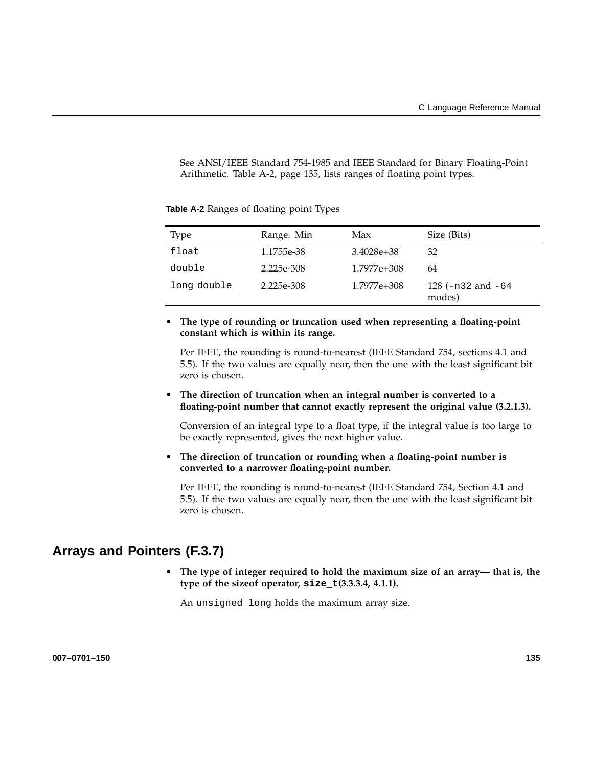See ANSI/IEEE Standard 754-1985 and IEEE Standard for Binary Floating-Point Arithmetic. Table A-2, page 135, lists ranges of floating point types.

| Type        | Range: Min | Max            | Size (Bits)                      |
|-------------|------------|----------------|----------------------------------|
| float       | 1.1755e-38 | $3.4028e + 38$ | 32                               |
| double      | 2.225e-308 | 1.7977e+308    | 64                               |
| long double | 2.225e-308 | 1.7977e+308    | 128 ( $-n32$ and $-64$<br>modes) |

**Table A-2** Ranges of floating point Types

• **The type of rounding or truncation used when representing a floating-point constant which is within its range.**

Per IEEE, the rounding is round-to-nearest (IEEE Standard 754, sections 4.1 and 5.5). If the two values are equally near, then the one with the least significant bit zero is chosen.

• **The direction of truncation when an integral number is converted to a floating-point number that cannot exactly represent the original value (3.2.1.3).**

Conversion of an integral type to a float type, if the integral value is too large to be exactly represented, gives the next higher value.

• **The direction of truncation or rounding when a floating-point number is converted to a narrower floating-point number.**

Per IEEE, the rounding is round-to-nearest (IEEE Standard 754, Section 4.1 and 5.5). If the two values are equally near, then the one with the least significant bit zero is chosen.

## **Arrays and Pointers (F.3.7)**

• **The type of integer required to hold the maximum size of an array— that is, the type of the sizeof operator, size\_t(3.3.3.4, 4.1.1).**

An unsigned long holds the maximum array size.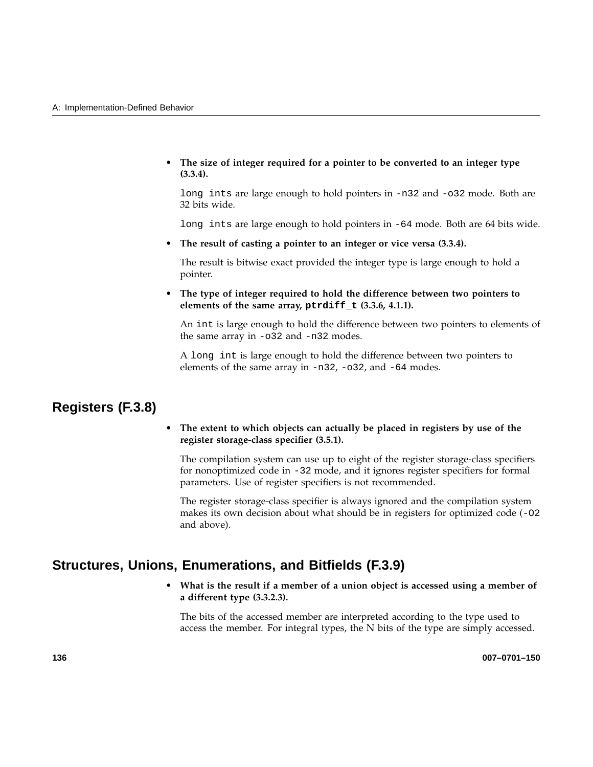• **The size of integer required for a pointer to be converted to an integer type (3.3.4).**

long ints are large enough to hold pointers in -n32 and -o32 mode. Both are 32 bits wide.

long ints are large enough to hold pointers in -64 mode. Both are 64 bits wide.

• **The result of casting a pointer to an integer or vice versa (3.3.4).**

The result is bitwise exact provided the integer type is large enough to hold a pointer.

• **The type of integer required to hold the difference between two pointers to elements of the same array, ptrdiff\_t (3.3.6, 4.1.1).**

An int is large enough to hold the difference between two pointers to elements of the same array in -o32 and -n32 modes.

A long int is large enough to hold the difference between two pointers to elements of the same array in -n32, -o32, and -64 modes.

# **Registers (F.3.8)**

• **The extent to which objects can actually be placed in registers by use of the register storage-class specifier (3.5.1).**

The compilation system can use up to eight of the register storage-class specifiers for nonoptimized code in -32 mode, and it ignores register specifiers for formal parameters. Use of register specifiers is not recommended.

The register storage-class specifier is always ignored and the compilation system makes its own decision about what should be in registers for optimized code  $(-02)$ and above).

## **Structures, Unions, Enumerations, and Bitfields (F.3.9)**

• **What is the result if a member of a union object is accessed using a member of a different type (3.3.2.3).**

The bits of the accessed member are interpreted according to the type used to access the member. For integral types, the N bits of the type are simply accessed.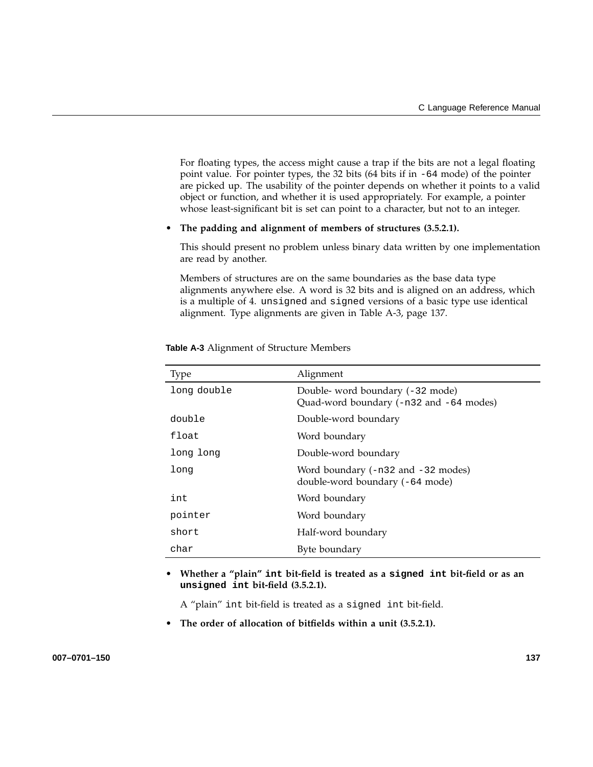For floating types, the access might cause a trap if the bits are not a legal floating point value. For pointer types, the 32 bits (64 bits if in -64 mode) of the pointer are picked up. The usability of the pointer depends on whether it points to a valid object or function, and whether it is used appropriately. For example, a pointer whose least-significant bit is set can point to a character, but not to an integer.

#### • **The padding and alignment of members of structures (3.5.2.1).**

This should present no problem unless binary data written by one implementation are read by another.

Members of structures are on the same boundaries as the base data type alignments anywhere else. A word is 32 bits and is aligned on an address, which is a multiple of 4. unsigned and signed versions of a basic type use identical alignment. Type alignments are given in Table A-3, page 137.

| <b>Type</b> | Alignment                                                                   |
|-------------|-----------------------------------------------------------------------------|
| long double | Double- word boundary (-32 mode)<br>Quad-word boundary (-n32 and -64 modes) |
| double      | Double-word boundary                                                        |
| float       | Word boundary                                                               |
| long long   | Double-word boundary                                                        |
| long        | Word boundary $(-n32$ and $-32$ modes)<br>double-word boundary (-64 mode)   |
| int         | Word boundary                                                               |
| pointer     | Word boundary                                                               |
| short       | Half-word boundary                                                          |
| char        | Byte boundary                                                               |

**Table A-3** Alignment of Structure Members

• **Whether a "plain" int bit-field is treated as a signed int bit-field or as an unsigned int bit-field (3.5.2.1).**

A "plain" int bit-field is treated as a signed int bit-field.

• **The order of allocation of bitfields within a unit (3.5.2.1).**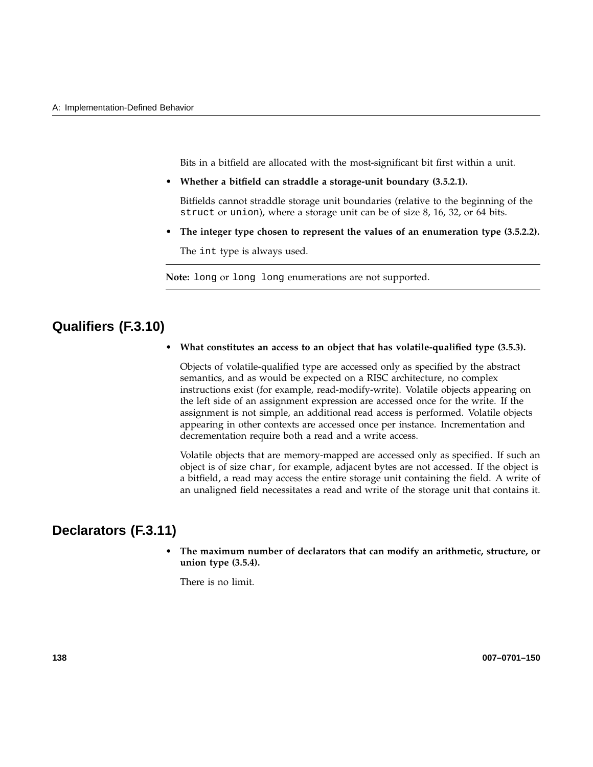Bits in a bitfield are allocated with the most-significant bit first within a unit.

• **Whether a bitfield can straddle a storage-unit boundary (3.5.2.1).**

Bitfields cannot straddle storage unit boundaries (relative to the beginning of the struct or union), where a storage unit can be of size 8, 16, 32, or 64 bits.

• **The integer type chosen to represent the values of an enumeration type (3.5.2.2).**

The int type is always used.

**Note:** long or long long enumerations are not supported.

## **Qualifiers (F.3.10)**

• **What constitutes an access to an object that has volatile-qualified type (3.5.3).**

Objects of volatile-qualified type are accessed only as specified by the abstract semantics, and as would be expected on a RISC architecture, no complex instructions exist (for example, read-modify-write). Volatile objects appearing on the left side of an assignment expression are accessed once for the write. If the assignment is not simple, an additional read access is performed. Volatile objects appearing in other contexts are accessed once per instance. Incrementation and decrementation require both a read and a write access.

Volatile objects that are memory-mapped are accessed only as specified. If such an object is of size char, for example, adjacent bytes are not accessed. If the object is a bitfield, a read may access the entire storage unit containing the field. A write of an unaligned field necessitates a read and write of the storage unit that contains it.

# **Declarators (F.3.11)**

• **The maximum number of declarators that can modify an arithmetic, structure, or union type (3.5.4).**

There is no limit.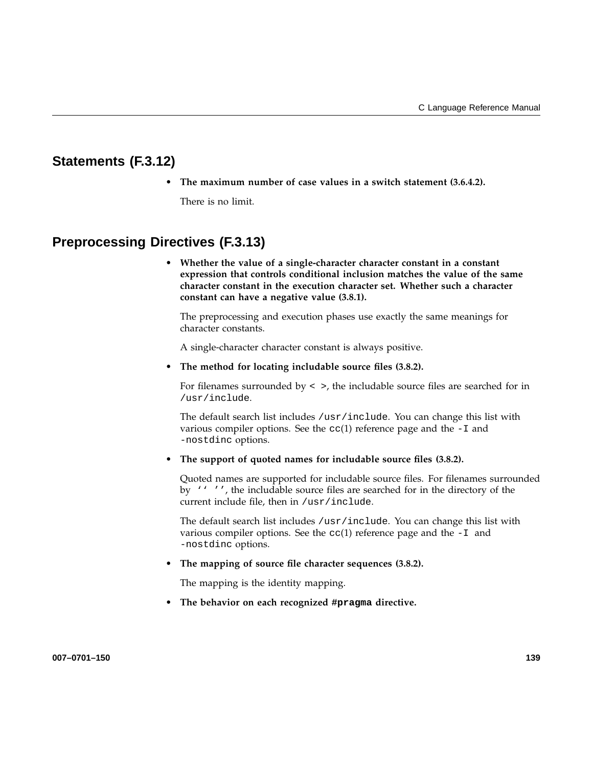# **Statements (F.3.12)**

• **The maximum number of case values in a switch statement (3.6.4.2).**

There is no limit.

# **Preprocessing Directives (F.3.13)**

• **Whether the value of a single-character character constant in a constant expression that controls conditional inclusion matches the value of the same character constant in the execution character set. Whether such a character constant can have a negative value (3.8.1).**

The preprocessing and execution phases use exactly the same meanings for character constants.

A single-character character constant is always positive.

• **The method for locating includable source files (3.8.2).**

For filenames surrounded by  $\lt$  >, the includable source files are searched for in /usr/include.

The default search list includes /usr/include. You can change this list with various compiler options. See the  $cc(1)$  reference page and the  $-I$  and -nostdinc options.

• **The support of quoted names for includable source files (3.8.2).**

Quoted names are supported for includable source files. For filenames surrounded by '' '', the includable source files are searched for in the directory of the current include file, then in /usr/include.

The default search list includes /usr/include. You can change this list with various compiler options. See the  $cc(1)$  reference page and the  $-I$  and -nostdinc options.

• **The mapping of source file character sequences (3.8.2).**

The mapping is the identity mapping.

• **The behavior on each recognized #pragma directive.**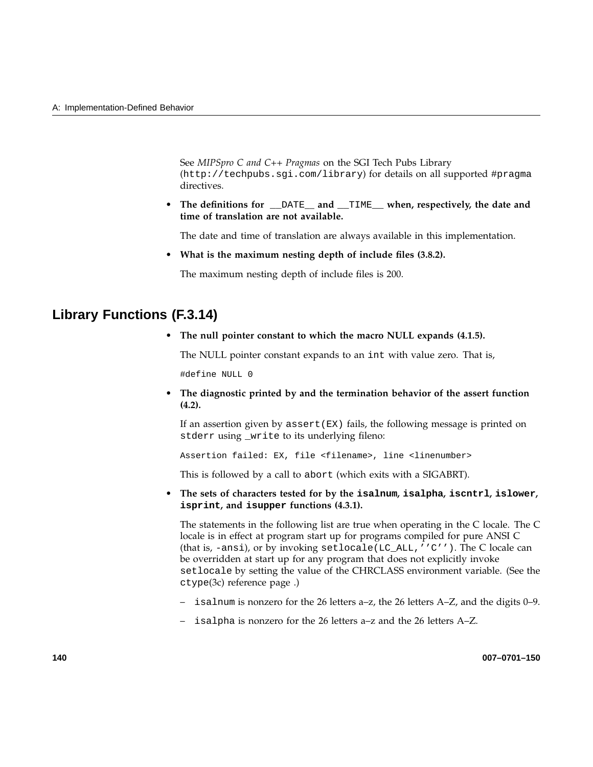See *MIPSpro C and C++ Pragmas* on the SGI Tech Pubs Library (http://techpubs.sgi.com/library) for details on all supported #pragma directives.

• **The definitions for** \_\_DATE**\_\_ and** \_\_TIME\_\_ **when, respectively, the date and time of translation are not available.**

The date and time of translation are always available in this implementation.

• **What is the maximum nesting depth of include files (3.8.2).**

The maximum nesting depth of include files is 200.

## **Library Functions (F.3.14)**

• **The null pointer constant to which the macro NULL expands (4.1.5).**

The NULL pointer constant expands to an int with value zero. That is,

#define NULL 0

• **The diagnostic printed by and the termination behavior of the assert function (4.2).**

If an assertion given by assert( $EX$ ) fails, the following message is printed on stderr using \_write to its underlying fileno:

Assertion failed: EX, file <filename>, line <linenumber>

This is followed by a call to abort (which exits with a SIGABRT).

• **The sets of characters tested for by the isalnum, isalpha, iscntrl, islower, isprint, and isupper functions (4.3.1).**

The statements in the following list are true when operating in the C locale. The C locale is in effect at program start up for programs compiled for pure ANSI C (that is, -ansi), or by invoking setlocale(LC\_ALL,''C''). The C locale can be overridden at start up for any program that does not explicitly invoke setlocale by setting the value of the CHRCLASS environment variable. (See the ctype(3c) reference page .)

- isalnum is nonzero for the 26 letters a–z, the 26 letters A–Z, and the digits 0–9.
- isalpha is nonzero for the 26 letters a–z and the 26 letters A–Z.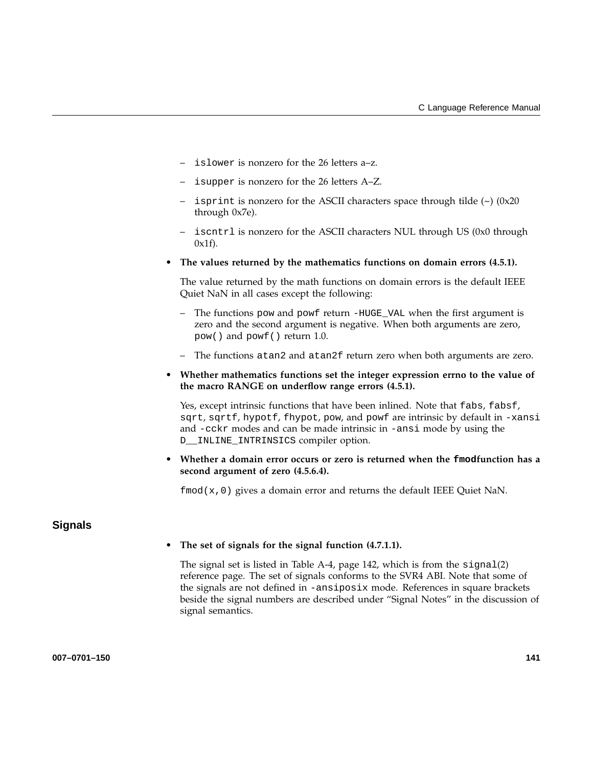- islower is nonzero for the 26 letters a–z.
- isupper is nonzero for the 26 letters A–Z.
- isprint is nonzero for the ASCII characters space through tilde  $(\sim)$  (0x20) through 0x7e).
- iscntrl is nonzero for the ASCII characters NUL through US (0x0 through  $0x1f$ ).
- **The values returned by the mathematics functions on domain errors (4.5.1).**

The value returned by the math functions on domain errors is the default IEEE Quiet NaN in all cases except the following:

- The functions pow and powf return -HUGE\_VAL when the first argument is zero and the second argument is negative. When both arguments are zero, pow() and powf() return 1.0.
- The functions atan2 and atan2f return zero when both arguments are zero.
- **Whether mathematics functions set the integer expression errno to the value of the macro RANGE on underflow range errors (4.5.1).**

Yes, except intrinsic functions that have been inlined. Note that fabs, fabsf, sqrt, sqrtf, hypotf, fhypot, pow, and powf are intrinsic by default in -xansi and -cckr modes and can be made intrinsic in -ansi mode by using the D\_\_INLINE\_INTRINSICS compiler option.

• **Whether a domain error occurs or zero is returned when the fmodfunction has a second argument of zero (4.5.6.4).**

 $fmod(x,0)$  gives a domain error and returns the default IEEE Quiet NaN.

## **Signals**

#### • **The set of signals for the signal function (4.7.1.1).**

The signal set is listed in Table A-4, page 142, which is from the signal(2) reference page. The set of signals conforms to the SVR4 ABI. Note that some of the signals are not defined in -ansiposix mode. References in square brackets beside the signal numbers are described under "Signal Notes" in the discussion of signal semantics.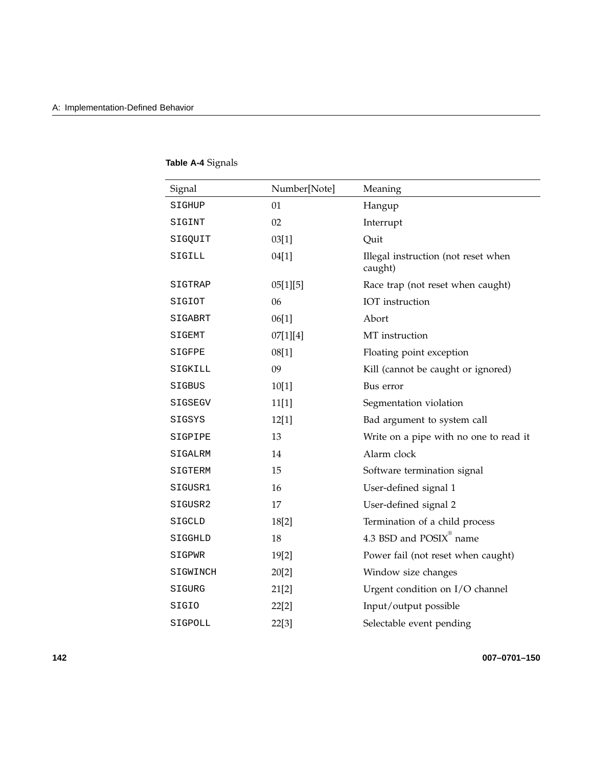| Signal   | Number[Note] | Meaning                                        |
|----------|--------------|------------------------------------------------|
| SIGHUP   | 01           | Hangup                                         |
| SIGINT   | 02           | Interrupt                                      |
| SIGQUIT  | 03[1]        | Quit                                           |
| SIGILL   | 04[1]        | Illegal instruction (not reset when<br>caught) |
| SIGTRAP  | 05[1][5]     | Race trap (not reset when caught)              |
| SIGIOT   | 06           | IOT instruction                                |
| SIGABRT  | 06[1]        | Abort                                          |
| SIGEMT   | 07[1][4]     | MT instruction                                 |
| SIGFPE   | 08[1]        | Floating point exception                       |
| SIGKILL  | 09           | Kill (cannot be caught or ignored)             |
| SIGBUS   | 10[1]        | Bus error                                      |
| SIGSEGV  | 11[1]        | Segmentation violation                         |
| SIGSYS   | 12[1]        | Bad argument to system call                    |
| SIGPIPE  | 13           | Write on a pipe with no one to read it         |
| SIGALRM  | 14           | Alarm clock                                    |
| SIGTERM  | 15           | Software termination signal                    |
| SIGUSR1  | 16           | User-defined signal 1                          |
| SIGUSR2  | 17           | User-defined signal 2                          |
| SIGCLD   | 18[2]        | Termination of a child process                 |
| SIGGHLD  | 18           | $4.3$ BSD and $\mathrm{POSIX}^{\circ}$ name    |
| SIGPWR   | 19[2]        | Power fail (not reset when caught)             |
| SIGWINCH | 20[2]        | Window size changes                            |
| SIGURG   | 21[2]        | Urgent condition on I/O channel                |
| SIGIO    | 22[2]        | Input/output possible                          |
| SIGPOLL  | 22[3]        | Selectable event pending                       |

# **Table A-4** Signals

**142 007–0701–150**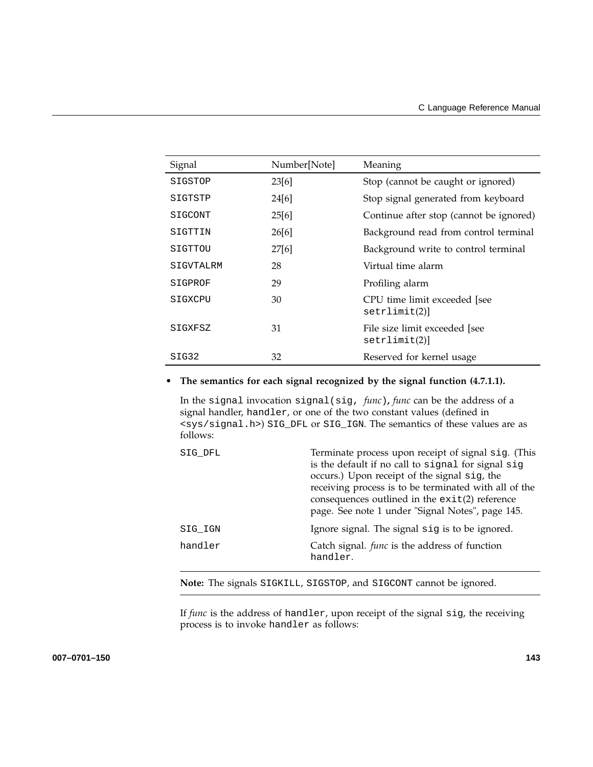| Signal    | Number[Note] | Meaning                                       |
|-----------|--------------|-----------------------------------------------|
| SIGSTOP   | 23[6]        | Stop (cannot be caught or ignored)            |
| SIGTSTP   | 24[6]        | Stop signal generated from keyboard           |
| SIGCONT   | 25[6]        | Continue after stop (cannot be ignored)       |
| SIGTTIN   | 26[6]        | Background read from control terminal         |
| SIGTTOU   | 27[6]        | Background write to control terminal          |
| SIGVTALRM | 28           | Virtual time alarm                            |
| SIGPROF   | 29           | Profiling alarm                               |
| SIGXCPU   | 30           | CPU time limit exceeded [see<br>setrlimit(2)  |
| SIGXFSZ   | 31           | File size limit exceeded [see<br>setrlimit(2) |
| SIG32     | 32           | Reserved for kernel usage                     |

### • **The semantics for each signal recognized by the signal function (4.7.1.1).**

In the signal invocation signal(sig, *func*)**,** *func* can be the address of a signal handler, handler, or one of the two constant values (defined in <sys/signal.h>) SIG\_DFL or SIG\_IGN. The semantics of these values are as follows:

| SIG DFL | Terminate process upon receipt of signal sig. (This<br>is the default if no call to signal for signal sig<br>occurs.) Upon receipt of the signal sig, the<br>receiving process is to be terminated with all of the<br>consequences outlined in the $exit(2)$ reference<br>page. See note 1 under "Signal Notes", page 145. |
|---------|----------------------------------------------------------------------------------------------------------------------------------------------------------------------------------------------------------------------------------------------------------------------------------------------------------------------------|
| SIG IGN | Ignore signal. The signal sig is to be ignored.                                                                                                                                                                                                                                                                            |
| handler | Catch signal. <i>func</i> is the address of function<br>handler.                                                                                                                                                                                                                                                           |
|         |                                                                                                                                                                                                                                                                                                                            |

**Note:** The signals SIGKILL, SIGSTOP, and SIGCONT cannot be ignored.

If *func* is the address of handler, upon receipt of the signal sig, the receiving process is to invoke handler as follows: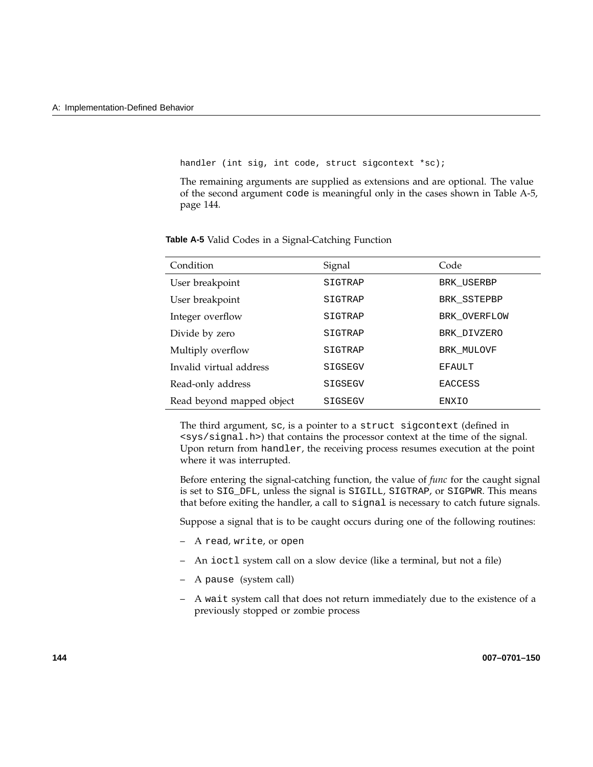handler (int sig, int code, struct sigcontext \*sc);

The remaining arguments are supplied as extensions and are optional. The value of the second argument code is meaningful only in the cases shown in Table A-5, page 144.

| Condition                 | Signal  | Code           |
|---------------------------|---------|----------------|
| User breakpoint           | SIGTRAP | BRK USERBP     |
| User breakpoint           | SIGTRAP | BRK SSTEPBP    |
| Integer overflow          | SIGTRAP | BRK OVERFLOW   |
| Divide by zero            | SIGTRAP | BRK DIVZERO    |
| Multiply overflow         | SIGTRAP | BRK MULOVF     |
| Invalid virtual address   | SIGSEGV | EFAULT         |
| Read-only address         | SIGSEGV | <b>EACCESS</b> |
| Read beyond mapped object | SIGSEGV | ENXIO          |

**Table A-5** Valid Codes in a Signal-Catching Function

The third argument, sc, is a pointer to a struct sigcontext (defined in <sys/signal.h>) that contains the processor context at the time of the signal. Upon return from handler, the receiving process resumes execution at the point where it was interrupted.

Before entering the signal-catching function, the value of *func* for the caught signal is set to SIG\_DFL, unless the signal is SIGILL, SIGTRAP, or SIGPWR. This means that before exiting the handler, a call to signal is necessary to catch future signals.

Suppose a signal that is to be caught occurs during one of the following routines:

- A read, write, or open
- An ioctl system call on a slow device (like a terminal, but not a file)
- A pause (system call)
- A wait system call that does not return immediately due to the existence of a previously stopped or zombie process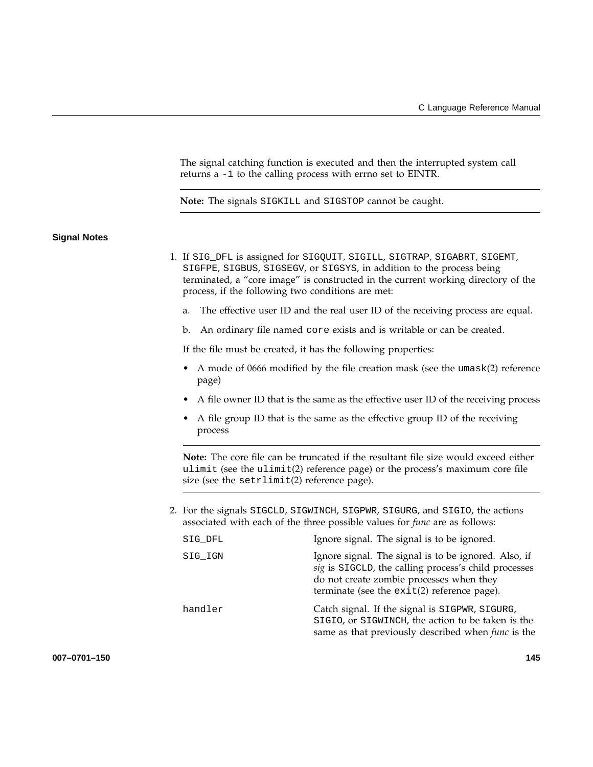The signal catching function is executed and then the interrupted system call returns a -1 to the calling process with errno set to EINTR.

**Note:** The signals SIGKILL and SIGSTOP cannot be caught.

#### **Signal Notes**

- 1. If SIG\_DFL is assigned for SIGQUIT, SIGILL, SIGTRAP, SIGABRT, SIGEMT, SIGFPE, SIGBUS, SIGSEGV, or SIGSYS, in addition to the process being terminated, a "core image" is constructed in the current working directory of the process, if the following two conditions are met:
	- a. The effective user ID and the real user ID of the receiving process are equal.
	- b. An ordinary file named core exists and is writable or can be created.

If the file must be created, it has the following properties:

- A mode of 0666 modified by the file creation mask (see the umask(2) reference page)
- A file owner ID that is the same as the effective user ID of the receiving process
- A file group ID that is the same as the effective group ID of the receiving process

**Note:** The core file can be truncated if the resultant file size would exceed either ulimit (see the ulimit(2) reference page) or the process's maximum core file size (see the setrlimit(2) reference page).

2. For the signals SIGCLD, SIGWINCH, SIGPWR, SIGURG, and SIGIO, the actions associated with each of the three possible values for *func* are as follows:

| SIG DFL | Ignore signal. The signal is to be ignored.                                                                                                                                                               |
|---------|-----------------------------------------------------------------------------------------------------------------------------------------------------------------------------------------------------------|
| SIG IGN | Ignore signal. The signal is to be ignored. Also, if<br>sig is SIGCLD, the calling process's child processes<br>do not create zombie processes when they<br>terminate (see the $exit(2)$ reference page). |
| handler | Catch signal. If the signal is SIGPWR, SIGURG,<br>SIGIO, or SIGWINCH, the action to be taken is the<br>same as that previously described when <i>func</i> is the                                          |

**007–0701–150 145**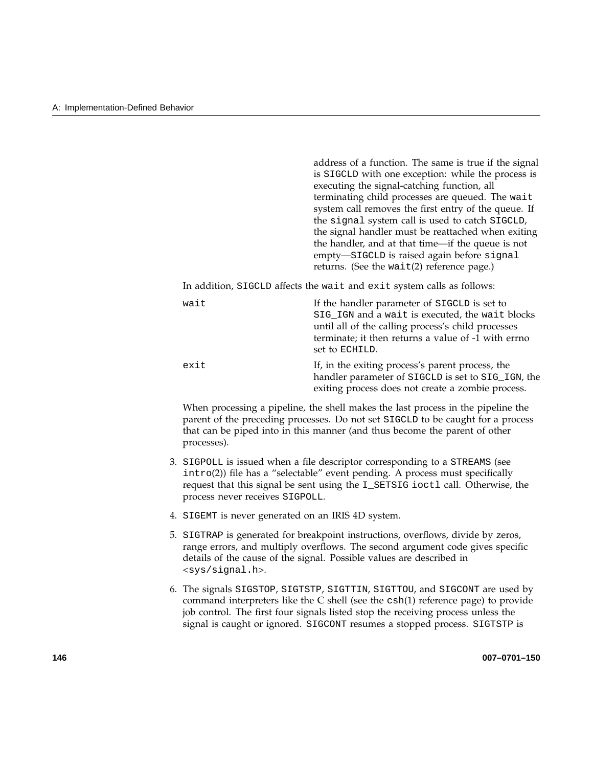address of a function. The same is true if the signal is SIGCLD with one exception: while the process is executing the signal-catching function, all terminating child processes are queued. The wait system call removes the first entry of the queue. If the signal system call is used to catch SIGCLD, the signal handler must be reattached when exiting the handler, and at that time—if the queue is not empty—SIGCLD is raised again before signal returns. (See the wait(2) reference page.)

In addition, SIGCLD affects the wait and exit system calls as follows:

| wait | If the handler parameter of SIGCLD is set to        |
|------|-----------------------------------------------------|
|      | SIG_IGN and a wait is executed, the wait blocks     |
|      | until all of the calling process's child processes  |
|      | terminate; it then returns a value of -1 with errno |
|      | set to ECHILD.                                      |
| exit | If, in the exiting process's parent process, the    |
|      | handler parameter of SIGCLD is set to SIG_IGN, the  |
|      | exiting process does not create a zombie process.   |

When processing a pipeline, the shell makes the last process in the pipeline the parent of the preceding processes. Do not set SIGCLD to be caught for a process that can be piped into in this manner (and thus become the parent of other processes).

- 3. SIGPOLL is issued when a file descriptor corresponding to a STREAMS (see intro(2)) file has a "selectable" event pending. A process must specifically request that this signal be sent using the I\_SETSIG ioctl call. Otherwise, the process never receives SIGPOLL.
- 4. SIGEMT is never generated on an IRIS 4D system.
- 5. SIGTRAP is generated for breakpoint instructions, overflows, divide by zeros, range errors, and multiply overflows. The second argument code gives specific details of the cause of the signal. Possible values are described in <sys/signal.h>.
- 6. The signals SIGSTOP, SIGTSTP, SIGTTIN, SIGTTOU, and SIGCONT are used by command interpreters like the C shell (see the csh(1) reference page) to provide job control. The first four signals listed stop the receiving process unless the signal is caught or ignored. SIGCONT resumes a stopped process. SIGTSTP is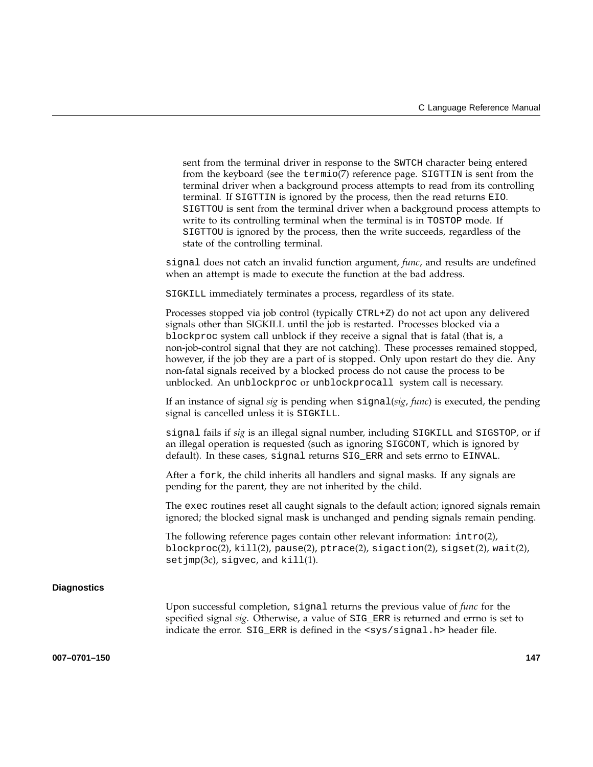|                    | sent from the terminal driver in response to the SWTCH character being entered<br>from the keyboard (see the termio(7) reference page. SIGTTIN is sent from the<br>terminal driver when a background process attempts to read from its controlling<br>terminal. If SIGTTIN is ignored by the process, then the read returns EIO.<br>SIGTTOU is sent from the terminal driver when a background process attempts to<br>write to its controlling terminal when the terminal is in TOSTOP mode. If<br>SIGTTOU is ignored by the process, then the write succeeds, regardless of the<br>state of the controlling terminal. |
|--------------------|------------------------------------------------------------------------------------------------------------------------------------------------------------------------------------------------------------------------------------------------------------------------------------------------------------------------------------------------------------------------------------------------------------------------------------------------------------------------------------------------------------------------------------------------------------------------------------------------------------------------|
|                    | signal does not catch an invalid function argument, func, and results are undefined<br>when an attempt is made to execute the function at the bad address.                                                                                                                                                                                                                                                                                                                                                                                                                                                             |
|                    | SIGKILL immediately terminates a process, regardless of its state.                                                                                                                                                                                                                                                                                                                                                                                                                                                                                                                                                     |
|                    | Processes stopped via job control (typically CTRL+Z) do not act upon any delivered<br>signals other than SIGKILL until the job is restarted. Processes blocked via a<br>blockproc system call unblock if they receive a signal that is fatal (that is, a<br>non-job-control signal that they are not catching). These processes remained stopped,<br>however, if the job they are a part of is stopped. Only upon restart do they die. Any<br>non-fatal signals received by a blocked process do not cause the process to be<br>unblocked. An unblockproc or unblockprocall system call is necessary.                  |
|                    | If an instance of signal sig is pending when $signal(sig, func)$ is executed, the pending<br>signal is cancelled unless it is SIGKILL.                                                                                                                                                                                                                                                                                                                                                                                                                                                                                 |
|                    | signal fails if sig is an illegal signal number, including SIGKILL and SIGSTOP, or if<br>an illegal operation is requested (such as ignoring SIGCONT, which is ignored by<br>default). In these cases, signal returns SIG_ERR and sets errno to EINVAL.                                                                                                                                                                                                                                                                                                                                                                |
|                    | After a fork, the child inherits all handlers and signal masks. If any signals are<br>pending for the parent, they are not inherited by the child.                                                                                                                                                                                                                                                                                                                                                                                                                                                                     |
|                    | The exec routines reset all caught signals to the default action; ignored signals remain<br>ignored; the blocked signal mask is unchanged and pending signals remain pending.                                                                                                                                                                                                                                                                                                                                                                                                                                          |
|                    | The following reference pages contain other relevant information: $\text{intro}(2)$ ,<br>$blockproc(2), kill(2), pause(2), price(2), signature(2), signature(2), safety(2), wait(2),$<br>setjmp(3c), sigvec, and kill(1).                                                                                                                                                                                                                                                                                                                                                                                              |
| <b>Diagnostics</b> |                                                                                                                                                                                                                                                                                                                                                                                                                                                                                                                                                                                                                        |
|                    | Upon successful completion, signal returns the previous value of <i>func</i> for the<br>specified signal sig. Otherwise, a value of SIG_ERR is returned and errno is set to<br>indicate the error. SIG_ERR is defined in the <sys signal.h=""> header file.</sys>                                                                                                                                                                                                                                                                                                                                                      |
| 007-0701-150       | 147                                                                                                                                                                                                                                                                                                                                                                                                                                                                                                                                                                                                                    |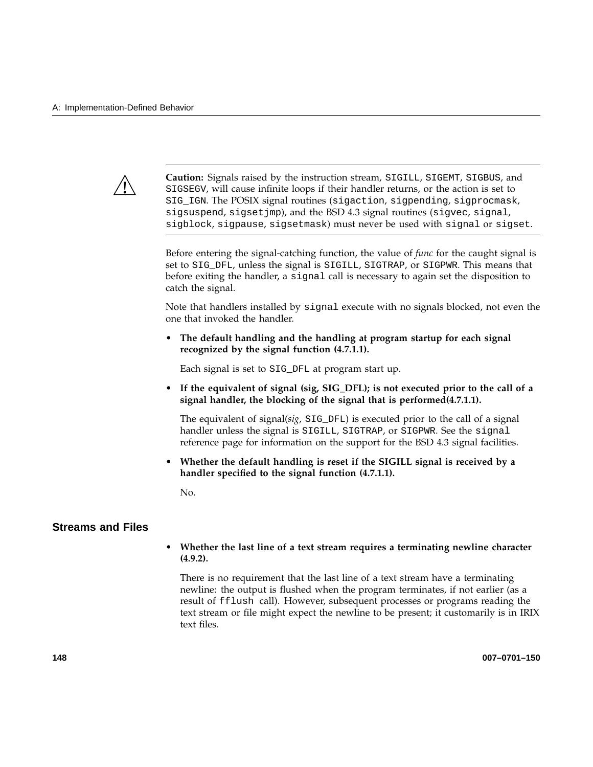

**Caution:** Signals raised by the instruction stream, SIGILL, SIGEMT, SIGBUS, and SIGSEGV, will cause infinite loops if their handler returns, or the action is set to SIG\_IGN. The POSIX signal routines (sigaction, sigpending, sigprocmask, sigsuspend, sigsetjmp), and the BSD 4.3 signal routines (sigvec, signal, sigblock, sigpause, sigsetmask) must never be used with signal or sigset.

Before entering the signal-catching function, the value of *func* for the caught signal is set to SIG\_DFL, unless the signal is SIGILL, SIGTRAP, or SIGPWR. This means that before exiting the handler, a signal call is necessary to again set the disposition to catch the signal.

Note that handlers installed by signal execute with no signals blocked, not even the one that invoked the handler.

• **The default handling and the handling at program startup for each signal recognized by the signal function (4.7.1.1).**

Each signal is set to SIG\_DFL at program start up.

• **If the equivalent of signal (sig, SIG\_DFL); is not executed prior to the call of a signal handler, the blocking of the signal that is performed(4.7.1.1).**

The equivalent of signal(*sig*, SIG\_DFL) is executed prior to the call of a signal handler unless the signal is SIGILL, SIGTRAP, or SIGPWR. See the signal reference page for information on the support for the BSD 4.3 signal facilities.

• **Whether the default handling is reset if the SIGILL signal is received by a handler specified to the signal function (4.7.1.1).**

No.

## **Streams and Files**

## • **Whether the last line of a text stream requires a terminating newline character (4.9.2).**

There is no requirement that the last line of a text stream have a terminating newline: the output is flushed when the program terminates, if not earlier (as a result of fflush call). However, subsequent processes or programs reading the text stream or file might expect the newline to be present; it customarily is in IRIX text files.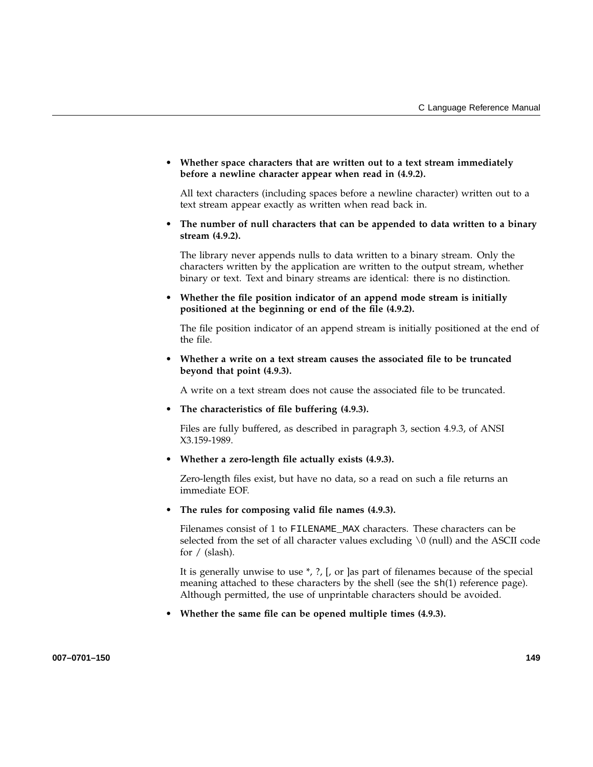• **Whether space characters that are written out to a text stream immediately before a newline character appear when read in (4.9.2).**

All text characters (including spaces before a newline character) written out to a text stream appear exactly as written when read back in.

• **The number of null characters that can be appended to data written to a binary stream (4.9.2).**

The library never appends nulls to data written to a binary stream. Only the characters written by the application are written to the output stream, whether binary or text. Text and binary streams are identical: there is no distinction.

• **Whether the file position indicator of an append mode stream is initially positioned at the beginning or end of the file (4.9.2).**

The file position indicator of an append stream is initially positioned at the end of the file.

• **Whether a write on a text stream causes the associated file to be truncated beyond that point (4.9.3).**

A write on a text stream does not cause the associated file to be truncated.

• **The characteristics of file buffering (4.9.3).**

Files are fully buffered, as described in paragraph 3, section 4.9.3, of ANSI X3.159-1989.

• **Whether a zero-length file actually exists (4.9.3).**

Zero-length files exist, but have no data, so a read on such a file returns an immediate EOF.

• **The rules for composing valid file names (4.9.3).**

Filenames consist of 1 to FILENAME\_MAX characters. These characters can be selected from the set of all character values excluding  $\setminus 0$  (null) and the ASCII code for / (slash).

It is generally unwise to use \*, ?, [, or ]as part of filenames because of the special meaning attached to these characters by the shell (see the  $sh(1)$  reference page). Although permitted, the use of unprintable characters should be avoided.

• **Whether the same file can be opened multiple times (4.9.3).**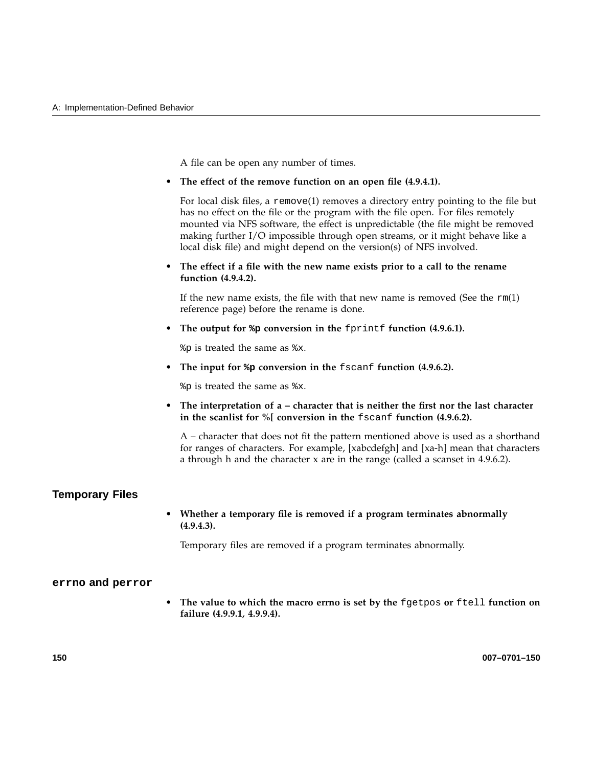A file can be open any number of times.

• **The effect of the remove function on an open file (4.9.4.1).**

For local disk files, a remove(1) removes a directory entry pointing to the file but has no effect on the file or the program with the file open. For files remotely mounted via NFS software, the effect is unpredictable (the file might be removed making further I/O impossible through open streams, or it might behave like a local disk file) and might depend on the version(s) of NFS involved.

• **The effect if a file with the new name exists prior to a call to the rename function (4.9.4.2).**

If the new name exists, the file with that new name is removed (See the  $rm(1)$ ) reference page) before the rename is done.

• **The output for %p conversion in the** fprintf **function (4.9.6.1).**

%p is treated the same as %x.

• **The input for %p conversion in the** fscanf **function (4.9.6.2).**

%p is treated the same as %x.

• **The interpretation of a – character that is neither the first nor the last character in the scanlist for %[ conversion in the** fscanf **function (4.9.6.2).**

A – character that does not fit the pattern mentioned above is used as a shorthand for ranges of characters. For example, [xabcdefgh] and [xa-h] mean that characters a through h and the character x are in the range (called a scanset in 4.9.6.2).

## **Temporary Files**

• **Whether a temporary file is removed if a program terminates abnormally (4.9.4.3).**

Temporary files are removed if a program terminates abnormally.

#### **errno and perror**

• **The value to which the macro errno is set by the** fgetpos **or** ftell **function on failure (4.9.9.1, 4.9.9.4).**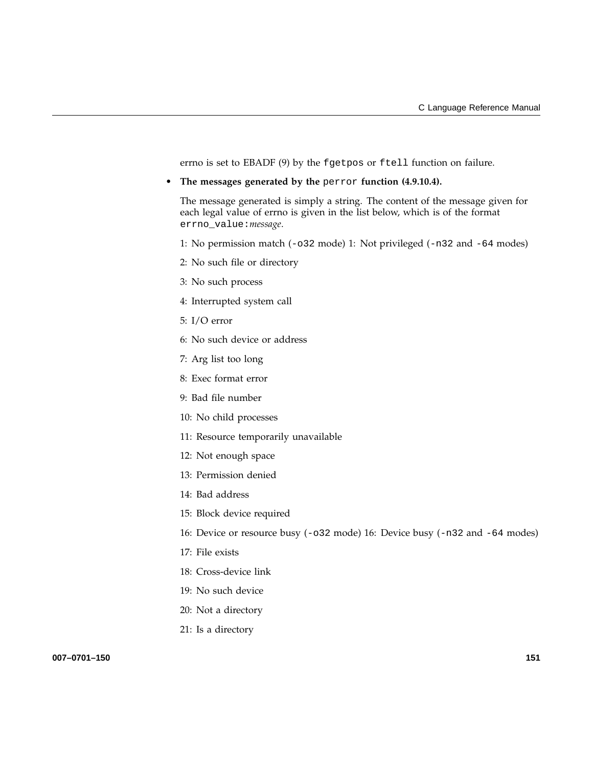errno is set to EBADF (9) by the fgetpos or ftell function on failure.

• **The messages generated by the** perror **function (4.9.10.4).**

The message generated is simply a string. The content of the message given for each legal value of errno is given in the list below, which is of the format errno\_value:*message*.

- 1: No permission match (-o32 mode) 1: Not privileged (-n32 and -64 modes)
- 2: No such file or directory
- 3: No such process
- 4: Interrupted system call
- 5: I/O error
- 6: No such device or address
- 7: Arg list too long
- 8: Exec format error
- 9: Bad file number
- 10: No child processes
- 11: Resource temporarily unavailable
- 12: Not enough space
- 13: Permission denied
- 14: Bad address
- 15: Block device required
- 16: Device or resource busy (-o32 mode) 16: Device busy (-n32 and -64 modes)
- 17: File exists
- 18: Cross-device link
- 19: No such device
- 20: Not a directory
- 21: Is a directory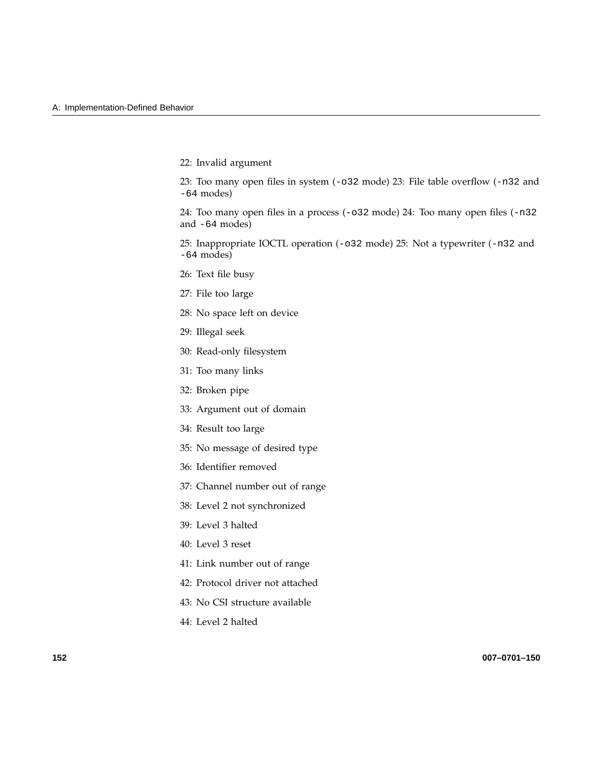22: Invalid argument

23: Too many open files in system (-o32 mode) 23: File table overflow (-n32 and -64 modes)

24: Too many open files in a process (-o32 mode) 24: Too many open files (-n32 and -64 modes)

25: Inappropriate IOCTL operation (-o32 mode) 25: Not a typewriter (-n32 and -64 modes)

- 26: Text file busy
- 27: File too large
- 28: No space left on device
- 29: Illegal seek
- 30: Read-only filesystem
- 31: Too many links
- 32: Broken pipe
- 33: Argument out of domain
- 34: Result too large
- 35: No message of desired type
- 36: Identifier removed
- 37: Channel number out of range
- 38: Level 2 not synchronized
- 39: Level 3 halted
- 40: Level 3 reset
- 41: Link number out of range
- 42: Protocol driver not attached
- 43: No CSI structure available
- 44: Level 2 halted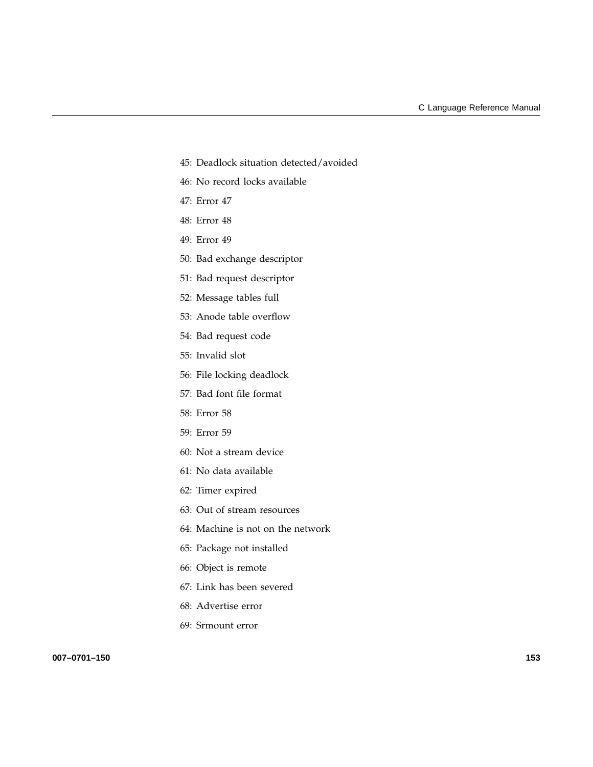- 45: Deadlock situation detected/avoided
- 46: No record locks available
- 47: Error 47
- 48: Error 48
- 49: Error 49
- 50: Bad exchange descriptor
- 51: Bad request descriptor
- 52: Message tables full
- 53: Anode table overflow
- 54: Bad request code
- 55: Invalid slot
- 56: File locking deadlock
- 57: Bad font file format
- 58: Error 58
- 59: Error 59
- 60: Not a stream device
- 61: No data available
- 62: Timer expired
- 63: Out of stream resources
- 64: Machine is not on the network
- 65: Package not installed
- 66: Object is remote
- 67: Link has been severed
- 68: Advertise error
- 69: Srmount error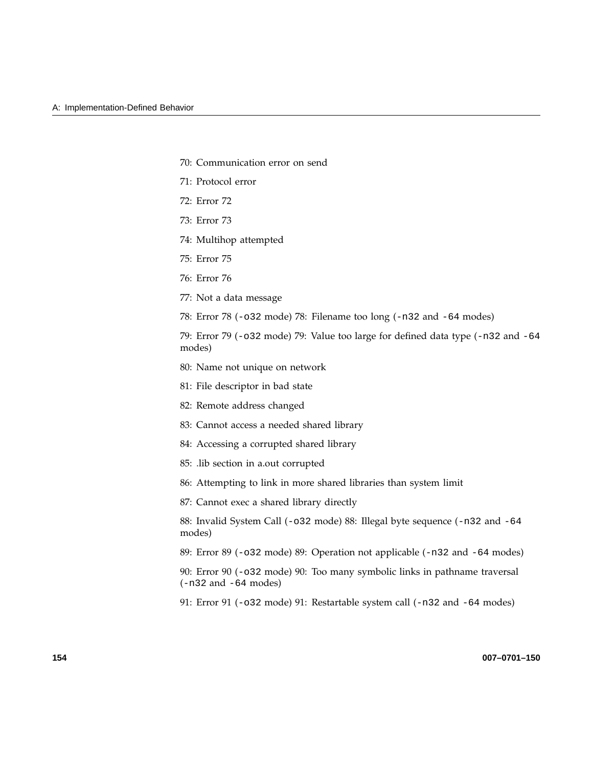- 70: Communication error on send
- 71: Protocol error
- 72: Error 72
- 73: Error 73
- 74: Multihop attempted
- 75: Error 75
- 76: Error 76
- 77: Not a data message
- 78: Error 78 (-o32 mode) 78: Filename too long (-n32 and -64 modes)

79: Error 79 (-o32 mode) 79: Value too large for defined data type (-n32 and -64 modes)

- 80: Name not unique on network
- 81: File descriptor in bad state
- 82: Remote address changed
- 83: Cannot access a needed shared library
- 84: Accessing a corrupted shared library
- 85: .lib section in a.out corrupted
- 86: Attempting to link in more shared libraries than system limit
- 87: Cannot exec a shared library directly

88: Invalid System Call (-o32 mode) 88: Illegal byte sequence (-n32 and -64 modes)

89: Error 89 (-o32 mode) 89: Operation not applicable (-n32 and -64 modes)

90: Error 90 (-o32 mode) 90: Too many symbolic links in pathname traversal (-n32 and -64 modes)

91: Error 91 (-o32 mode) 91: Restartable system call (-n32 and -64 modes)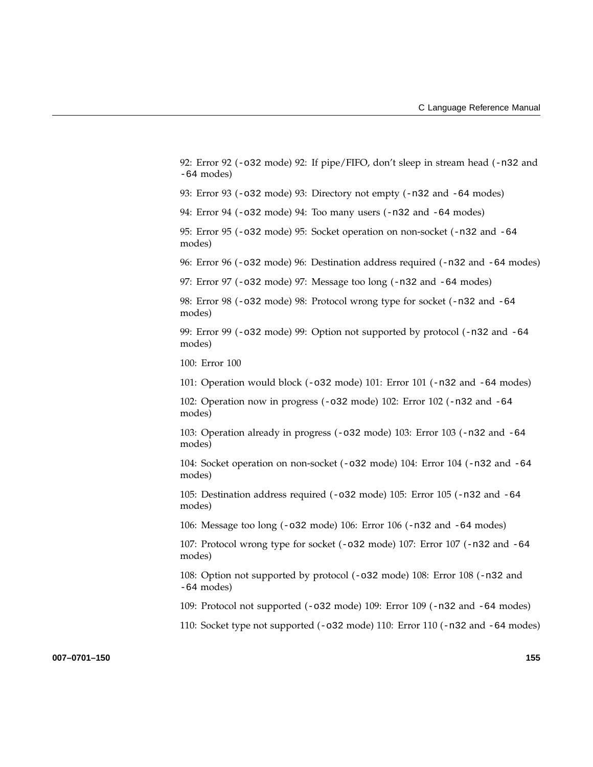92: Error 92 (-o32 mode) 92: If pipe/FIFO, don't sleep in stream head (-n32 and -64 modes)

93: Error 93 (-o32 mode) 93: Directory not empty (-n32 and -64 modes)

94: Error 94 (-o32 mode) 94: Too many users (-n32 and -64 modes)

95: Error 95 (-o32 mode) 95: Socket operation on non-socket (-n32 and -64 modes)

96: Error 96 (-o32 mode) 96: Destination address required (-n32 and -64 modes)

97: Error 97 (-o32 mode) 97: Message too long (-n32 and -64 modes)

98: Error 98 (-o32 mode) 98: Protocol wrong type for socket (-n32 and -64 modes)

99: Error 99 ( $-\text{o}32 \text{ mode}$ ) 99: Option not supported by protocol ( $-\text{n}32 \text{ and } -64$ modes)

100: Error 100

101: Operation would block (-o32 mode) 101: Error 101 (-n32 and -64 modes)

102: Operation now in progress (-o32 mode) 102: Error 102 (-n32 and -64 modes)

103: Operation already in progress (-o32 mode) 103: Error 103 (-n32 and -64 modes)

104: Socket operation on non-socket (-o32 mode) 104: Error 104 (-n32 and -64 modes)

105: Destination address required (-o32 mode) 105: Error 105 (-n32 and -64 modes)

106: Message too long (-o32 mode) 106: Error 106 (-n32 and -64 modes)

107: Protocol wrong type for socket (-o32 mode) 107: Error 107 (-n32 and -64 modes)

108: Option not supported by protocol (-o32 mode) 108: Error 108 (-n32 and -64 modes)

109: Protocol not supported (-o32 mode) 109: Error 109 (-n32 and -64 modes)

110: Socket type not supported (-o32 mode) 110: Error 110 (-n32 and -64 modes)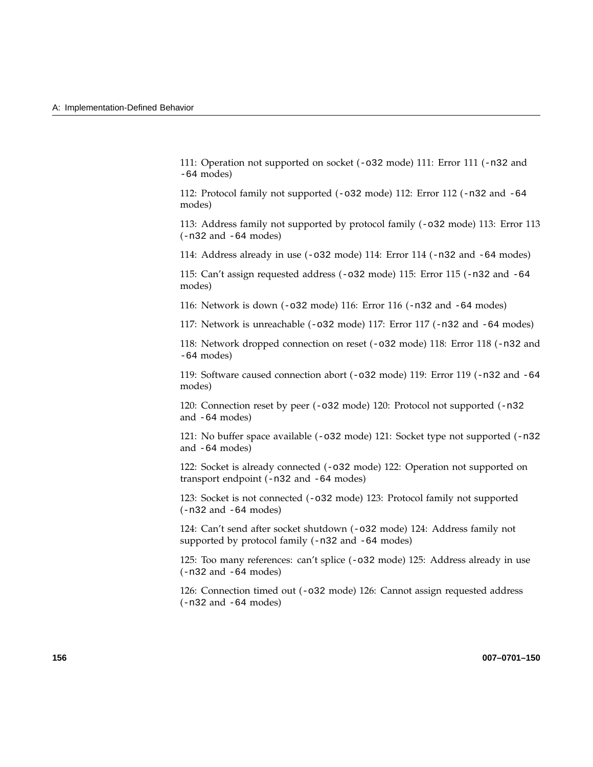111: Operation not supported on socket (-o32 mode) 111: Error 111 (-n32 and -64 modes)

112: Protocol family not supported  $(-0.32 \text{ mode})$  112: Error 112  $(-0.32 \text{ and } -64 \text{ cm})$ modes)

113: Address family not supported by protocol family (-o32 mode) 113: Error 113 (-n32 and -64 modes)

114: Address already in use (-o32 mode) 114: Error 114 (-n32 and -64 modes)

115: Can't assign requested address (-o32 mode) 115: Error 115 (-n32 and -64 modes)

116: Network is down (-o32 mode) 116: Error 116 (-n32 and -64 modes)

117: Network is unreachable (-o32 mode) 117: Error 117 (-n32 and -64 modes)

118: Network dropped connection on reset (-o32 mode) 118: Error 118 (-n32 and -64 modes)

119: Software caused connection abort (-o32 mode) 119: Error 119 (-n32 and -64 modes)

120: Connection reset by peer (-o32 mode) 120: Protocol not supported (-n32 and -64 modes)

121: No buffer space available (-o32 mode) 121: Socket type not supported (-n32 and -64 modes)

122: Socket is already connected (-o32 mode) 122: Operation not supported on transport endpoint (-n32 and -64 modes)

123: Socket is not connected (-o32 mode) 123: Protocol family not supported (-n32 and -64 modes)

124: Can't send after socket shutdown (-o32 mode) 124: Address family not supported by protocol family (-n32 and -64 modes)

125: Too many references: can't splice (-o32 mode) 125: Address already in use (-n32 and -64 modes)

126: Connection timed out (-o32 mode) 126: Cannot assign requested address (-n32 and -64 modes)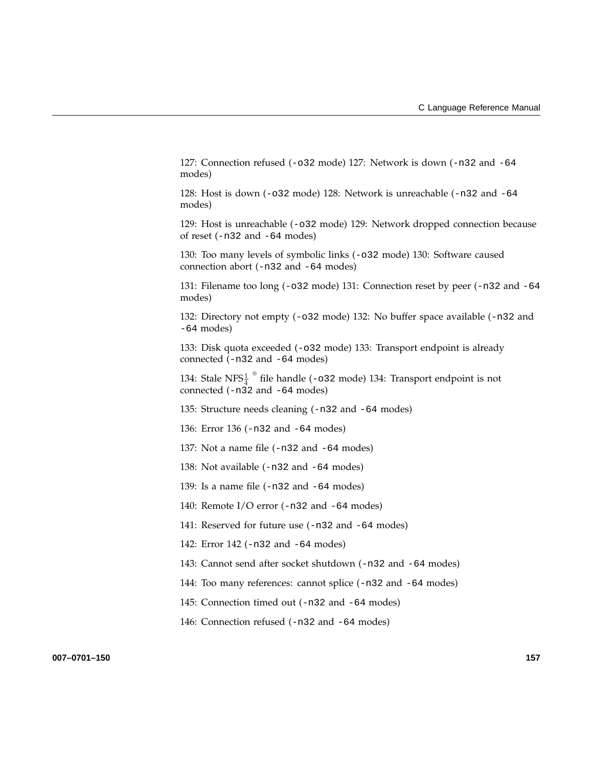127: Connection refused (-o32 mode) 127: Network is down (-n32 and -64 modes)

128: Host is down (-o32 mode) 128: Network is unreachable (-n32 and -64 modes)

129: Host is unreachable (-o32 mode) 129: Network dropped connection because of reset (-n32 and -64 modes)

130: Too many levels of symbolic links (-o32 mode) 130: Software caused connection abort (-n32 and -64 modes)

131: Filename too long (-o32 mode) 131: Connection reset by peer (-n32 and -64 modes)

132: Directory not empty (-o32 mode) 132: No buffer space available (-n32 and -64 modes)

133: Disk quota exceeded (-o32 mode) 133: Transport endpoint is already connected (-n32 and -64 modes)

134: Stale NFS $\frac{1}{4}$ <sup>®</sup> file handle (-032 mode) 134: Transport endpoint is not connected  $(-n\overline{3}2$  and  $-64$  modes)

135: Structure needs cleaning (-n32 and -64 modes)

136: Error 136 (-n32 and -64 modes)

137: Not a name file (-n32 and -64 modes)

138: Not available (-n32 and -64 modes)

139: Is a name file (-n32 and -64 modes)

140: Remote I/O error (-n32 and -64 modes)

141: Reserved for future use (-n32 and -64 modes)

142: Error 142 (-n32 and -64 modes)

143: Cannot send after socket shutdown (-n32 and -64 modes)

144: Too many references: cannot splice (-n32 and -64 modes)

145: Connection timed out (-n32 and -64 modes)

146: Connection refused (-n32 and -64 modes)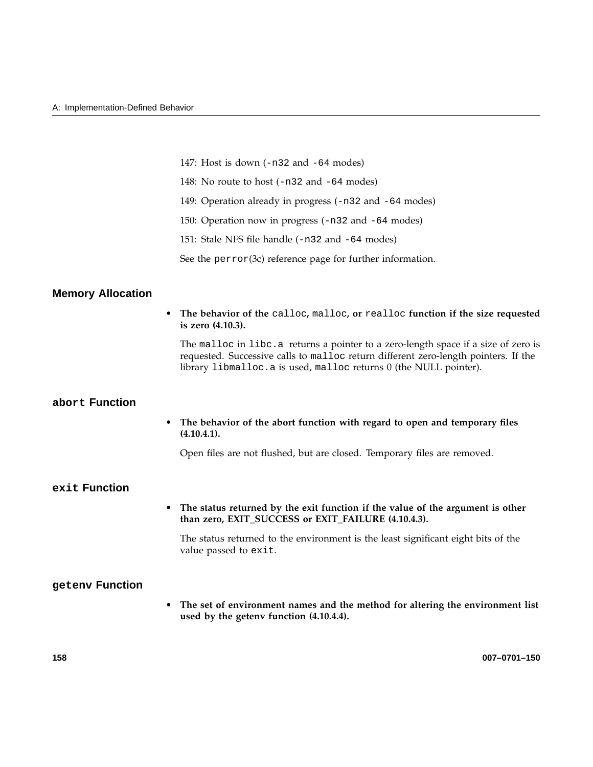|  |  |  |  |  |  |  | 147: Host is down (-n32 and -64 modes) |  |
|--|--|--|--|--|--|--|----------------------------------------|--|
|--|--|--|--|--|--|--|----------------------------------------|--|

- 148: No route to host (-n32 and -64 modes)
- 149: Operation already in progress (-n32 and -64 modes)
- 150: Operation now in progress (-n32 and -64 modes)
- 151: Stale NFS file handle (-n32 and -64 modes)

See the perror(3c) reference page for further information.

## **Memory Allocation**

• **The behavior of the** calloc**,** malloc**, or** realloc **function if the size requested is zero (4.10.3).**

The malloc in libc.a returns a pointer to a zero-length space if a size of zero is requested. Successive calls to malloc return different zero-length pointers. If the library libmalloc.a is used, malloc returns 0 (the NULL pointer).

### **abort Function**

• **The behavior of the abort function with regard to open and temporary files (4.10.4.1).**

Open files are not flushed, but are closed. Temporary files are removed.

## **exit Function**

• **The status returned by the exit function if the value of the argument is other than zero, EXIT\_SUCCESS or EXIT\_FAILURE (4.10.4.3).**

The status returned to the environment is the least significant eight bits of the value passed to exit.

## **getenv Function**

• **The set of environment names and the method for altering the environment list used by the getenv function (4.10.4.4).**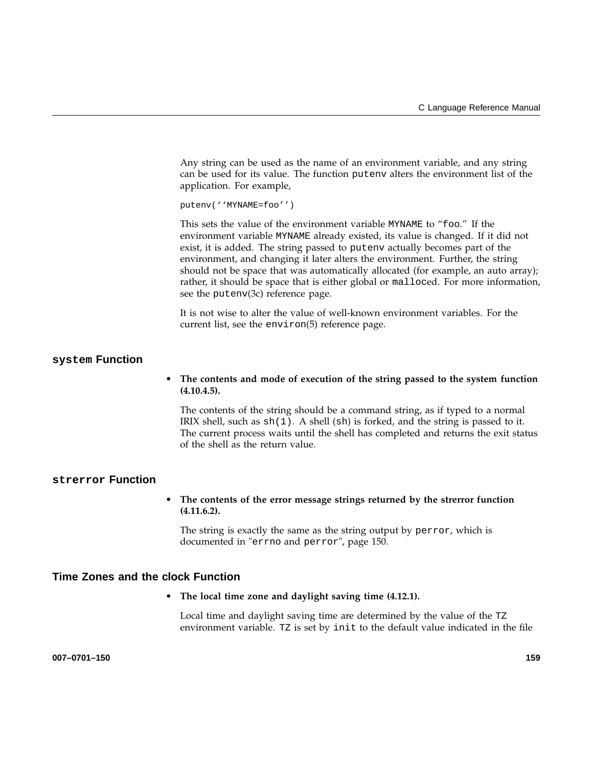Any string can be used as the name of an environment variable, and any string can be used for its value. The function putenv alters the environment list of the application. For example,

putenv(''MYNAME=foo'')

This sets the value of the environment variable MYNAME to "foo." If the environment variable MYNAME already existed, its value is changed. If it did not exist, it is added. The string passed to putenv actually becomes part of the environment, and changing it later alters the environment. Further, the string should not be space that was automatically allocated (for example, an auto array); rather, it should be space that is either global or malloced. For more information, see the putenv(3c) reference page.

It is not wise to alter the value of well-known environment variables. For the current list, see the environ(5) reference page.

### **system Function**

• **The contents and mode of execution of the string passed to the system function (4.10.4.5).**

The contents of the string should be a command string, as if typed to a normal IRIX shell, such as  $\text{sh}(1)$ . A shell (sh) is forked, and the string is passed to it. The current process waits until the shell has completed and returns the exit status of the shell as the return value.

### **strerror Function**

• **The contents of the error message strings returned by the strerror function (4.11.6.2).**

The string is exactly the same as the string output by perror, which is documented in "errno and perror", page 150.

### **Time Zones and the clock Function**

#### • **The local time zone and daylight saving time (4.12.1).**

Local time and daylight saving time are determined by the value of the TZ environment variable. TZ is set by init to the default value indicated in the file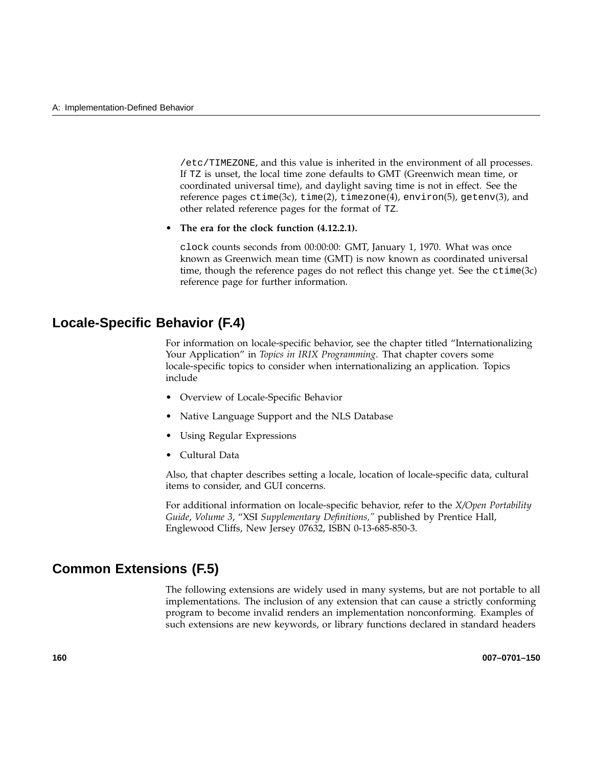/etc/TIMEZONE, and this value is inherited in the environment of all processes. If TZ is unset, the local time zone defaults to GMT (Greenwich mean time, or coordinated universal time), and daylight saving time is not in effect. See the reference pages  $ctime(3c)$ ,  $time(2)$ ,  $timezone(4)$ ,  $environ(5)$ ,  $getenv(3)$ , and other related reference pages for the format of TZ.

• **The era for the clock function (4.12.2.1).**

clock counts seconds from 00:00:00: GMT, January 1, 1970. What was once known as Greenwich mean time (GMT) is now known as coordinated universal time, though the reference pages do not reflect this change yet. See the ctime(3c) reference page for further information.

### **Locale-Specific Behavior (F.4)**

For information on locale-specific behavior, see the chapter titled "Internationalizing Your Application" in *Topics in IRIX Programming*. That chapter covers some locale-specific topics to consider when internationalizing an application. Topics include

- Overview of Locale-Specific Behavior
- Native Language Support and the NLS Database
- Using Regular Expressions
- Cultural Data

Also, that chapter describes setting a locale, location of locale-specific data, cultural items to consider, and GUI concerns.

For additional information on locale-specific behavior, refer to the *X/Open Portability Guide*, *Volume 3*, "XSI *Supplementary Definitions,"* published by Prentice Hall, Englewood Cliffs, New Jersey 07632, ISBN 0-13-685-850-3.

### **Common Extensions (F.5)**

The following extensions are widely used in many systems, but are not portable to all implementations. The inclusion of any extension that can cause a strictly conforming program to become invalid renders an implementation nonconforming. Examples of such extensions are new keywords, or library functions declared in standard headers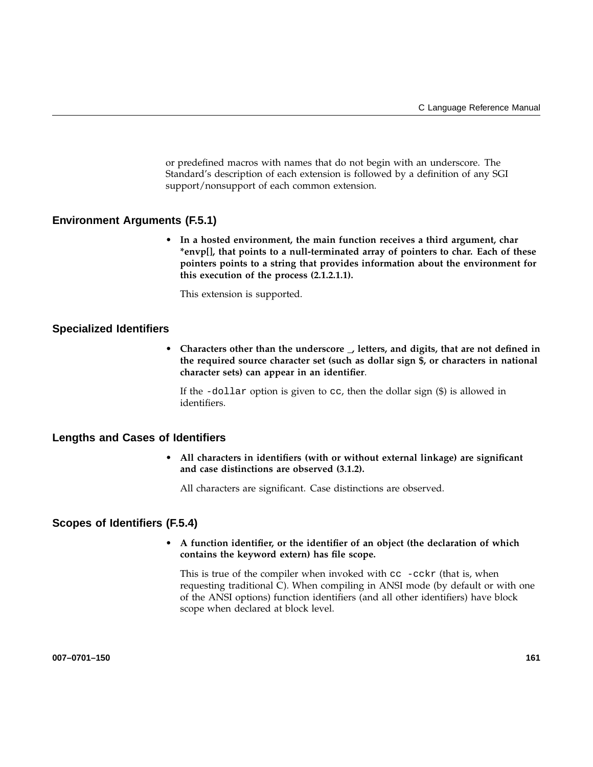or predefined macros with names that do not begin with an underscore. The Standard's description of each extension is followed by a definition of any SGI support/nonsupport of each common extension.

### **Environment Arguments (F.5.1)**

• **In a hosted environment, the main function receives a third argument, char \*envp[], that points to a null-terminated array of pointers to char. Each of these pointers points to a string that provides information about the environment for this execution of the process (2.1.2.1.1).**

This extension is supported.

### **Specialized Identifiers**

• **Characters other than the underscore \_, letters, and digits, that are not defined in the required source character set (such as dollar sign \$, or characters in national character sets) can appear in an identifier**.

If the -dollar option is given to cc, then the dollar sign (\$) is allowed in identifiers.

### **Lengths and Cases of Identifiers**

• **All characters in identifiers (with or without external linkage) are significant and case distinctions are observed (3.1.2).**

All characters are significant. Case distinctions are observed.

### **Scopes of Identifiers (F.5.4)**

• **A function identifier, or the identifier of an object (the declaration of which contains the keyword extern) has file scope.**

This is true of the compiler when invoked with  $cc -cckr$  (that is, when requesting traditional C). When compiling in ANSI mode (by default or with one of the ANSI options) function identifiers (and all other identifiers) have block scope when declared at block level.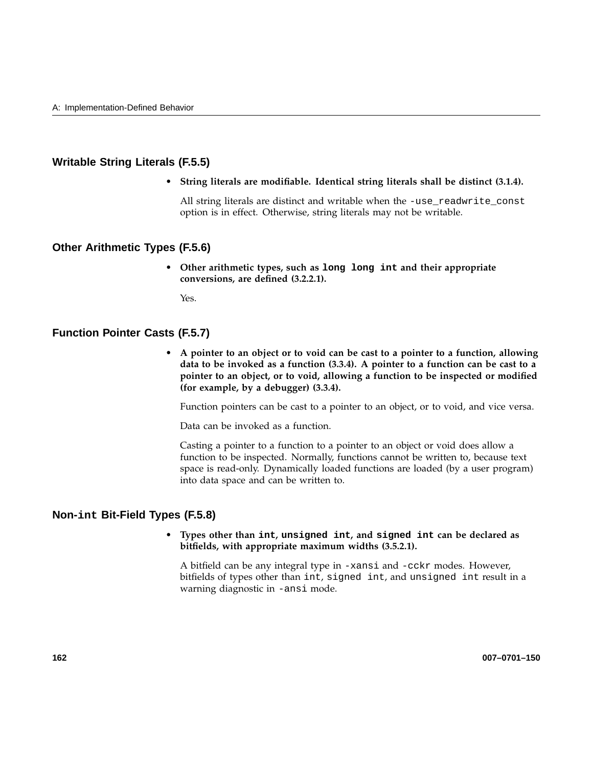### **Writable String Literals (F.5.5)**

• **String literals are modifiable. Identical string literals shall be distinct (3.1.4).**

All string literals are distinct and writable when the -use\_readwrite\_const option is in effect. Otherwise, string literals may not be writable.

### **Other Arithmetic Types (F.5.6)**

• **Other arithmetic types, such as long long int and their appropriate conversions, are defined (3.2.2.1).**

Yes.

### **Function Pointer Casts (F.5.7)**

• **A pointer to an object or to void can be cast to a pointer to a function, allowing data to be invoked as a function (3.3.4). A pointer to a function can be cast to a pointer to an object, or to void, allowing a function to be inspected or modified (for example, by a debugger) (3.3.4).**

Function pointers can be cast to a pointer to an object, or to void, and vice versa.

Data can be invoked as a function.

Casting a pointer to a function to a pointer to an object or void does allow a function to be inspected. Normally, functions cannot be written to, because text space is read-only. Dynamically loaded functions are loaded (by a user program) into data space and can be written to.

### **Non-int Bit-Field Types (F.5.8)**

### • **Types other than int, unsigned int, and signed int can be declared as bitfields, with appropriate maximum widths (3.5.2.1).**

A bitfield can be any integral type in -xansi and -cckr modes. However, bitfields of types other than int, signed int, and unsigned int result in a warning diagnostic in -ansi mode.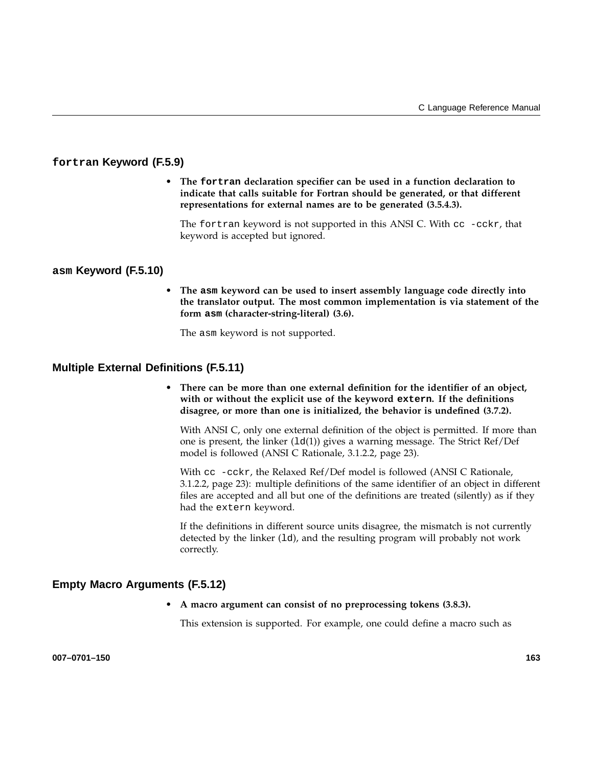### **fortran Keyword (F.5.9)**

• **The fortran declaration specifier can be used in a function declaration to indicate that calls suitable for Fortran should be generated, or that different representations for external names are to be generated (3.5.4.3).**

The fortran keyword is not supported in this ANSI C. With cc -cckr, that keyword is accepted but ignored.

### **asm Keyword (F.5.10)**

• **The asm keyword can be used to insert assembly language code directly into the translator output. The most common implementation is via statement of the form asm (character-string-literal) (3.6).**

The asm keyword is not supported.

### **Multiple External Definitions (F.5.11)**

• **There can be more than one external definition for the identifier of an object, with or without the explicit use of the keyword extern. If the definitions disagree, or more than one is initialized, the behavior is undefined (3.7.2).**

With ANSI C, only one external definition of the object is permitted. If more than one is present, the linker  $(1d(1))$  gives a warning message. The Strict Ref/Def model is followed (ANSI C Rationale, 3.1.2.2, page 23).

With cc -cckr, the Relaxed Ref/Def model is followed (ANSI C Rationale, 3.1.2.2, page 23): multiple definitions of the same identifier of an object in different files are accepted and all but one of the definitions are treated (silently) as if they had the extern keyword.

If the definitions in different source units disagree, the mismatch is not currently detected by the linker (1d), and the resulting program will probably not work correctly.

### **Empty Macro Arguments (F.5.12)**

• **A macro argument can consist of no preprocessing tokens (3.8.3).**

This extension is supported. For example, one could define a macro such as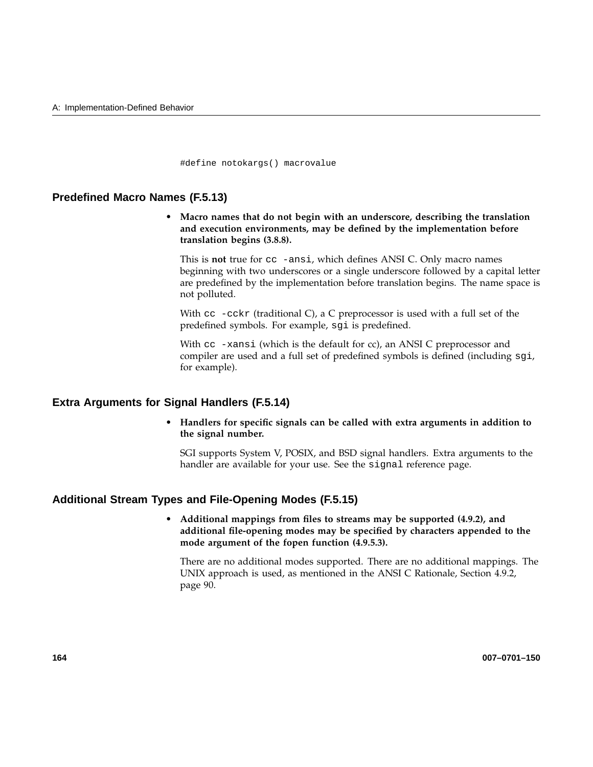#define notokargs() macrovalue

### **Predefined Macro Names (F.5.13)**

• **Macro names that do not begin with an underscore, describing the translation and execution environments, may be defined by the implementation before translation begins (3.8.8).**

This is **not** true for cc -ansi, which defines ANSI C. Only macro names beginning with two underscores or a single underscore followed by a capital letter are predefined by the implementation before translation begins. The name space is not polluted.

With  $cc$  -cckr (traditional C), a C preprocessor is used with a full set of the predefined symbols. For example, sgi is predefined.

With  $cc$  -xansi (which is the default for  $cc$ ), an ANSI C preprocessor and compiler are used and a full set of predefined symbols is defined (including sgi, for example).

### **Extra Arguments for Signal Handlers (F.5.14)**

• **Handlers for specific signals can be called with extra arguments in addition to the signal number.**

SGI supports System V, POSIX, and BSD signal handlers. Extra arguments to the handler are available for your use. See the signal reference page.

### **Additional Stream Types and File-Opening Modes (F.5.15)**

• **Additional mappings from files to streams may be supported (4.9.2), and additional file-opening modes may be specified by characters appended to the mode argument of the fopen function (4.9.5.3).**

There are no additional modes supported. There are no additional mappings. The UNIX approach is used, as mentioned in the ANSI C Rationale, Section 4.9.2, page 90.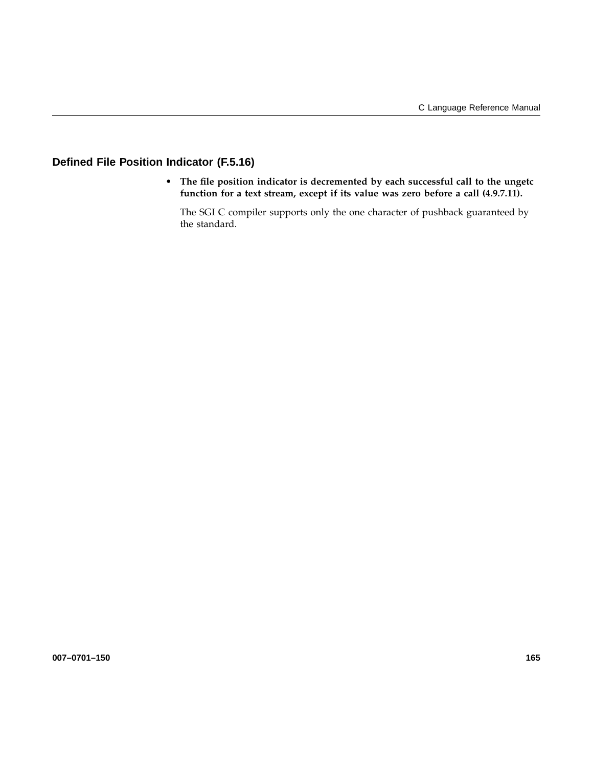### **Defined File Position Indicator (F.5.16)**

• **The file position indicator is decremented by each successful call to the ungetc function for a text stream, except if its value was zero before a call (4.9.7.11).**

The SGI C compiler supports only the one character of pushback guaranteed by the standard.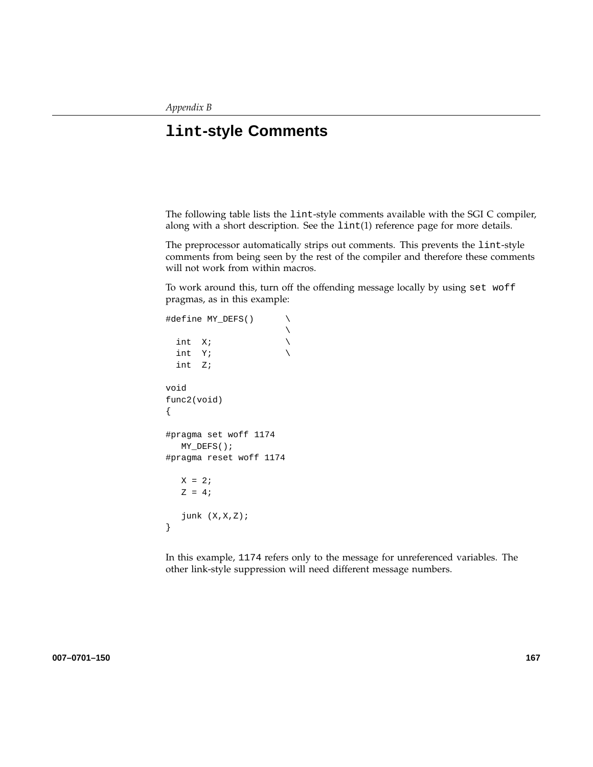# **lint-style Comments**

The following table lists the lint-style comments available with the SGI C compiler, along with a short description. See the lint(1) reference page for more details.

The preprocessor automatically strips out comments. This prevents the lint-style comments from being seen by the rest of the compiler and therefore these comments will not work from within macros.

To work around this, turn off the offending message locally by using set woff pragmas, as in this example:

```
#define MY_DEFS() \
                         \diagdownint X; \qquad \qquad \backslashint Y; \setminusint Z;
void
func2(void)
{
#pragma set woff 1174
   MY_DEFS();
#pragma reset woff 1174
   X = 2iZ = 4;junk (X,X,Z);
}
```
In this example, 1174 refers only to the message for unreferenced variables. The other link-style suppression will need different message numbers.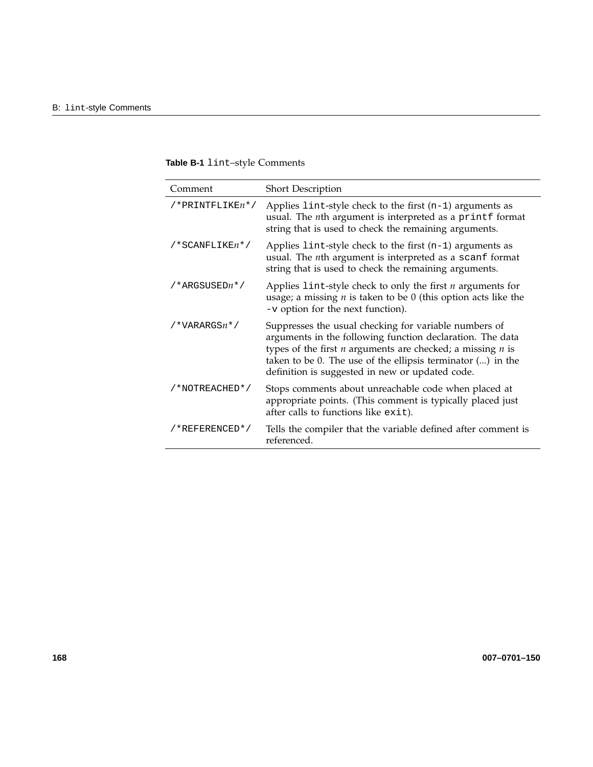| Table B-1 lint-style Comments |
|-------------------------------|
|-------------------------------|

| Comment              | <b>Short Description</b>                                                                                                                                                                                                                                                                               |
|----------------------|--------------------------------------------------------------------------------------------------------------------------------------------------------------------------------------------------------------------------------------------------------------------------------------------------------|
| $/*PRINTFLIKE n*/$   | Applies $\text{lint-style}$ check to the first $(n-1)$ arguments as<br>usual. The $n$ th argument is interpreted as a printf format<br>string that is used to check the remaining arguments.                                                                                                           |
| $/*$ SCANFLIKE $n*/$ | Applies $1$ int-style check to the first $(n-1)$ arguments as<br>usual. The nth argument is interpreted as a scanf format<br>string that is used to check the remaining arguments.                                                                                                                     |
| /*ARGSUSEDn*/        | Applies lint-style check to only the first $n$ arguments for<br>usage; a missing $n$ is taken to be $0$ (this option acts like the<br>-v option for the next function).                                                                                                                                |
| $/*VARRGSn*/$        | Suppresses the usual checking for variable numbers of<br>arguments in the following function declaration. The data<br>types of the first $n$ arguments are checked; a missing $n$ is<br>taken to be 0. The use of the ellipsis terminator () in the<br>definition is suggested in new or updated code. |
| /*NOTREACHED*/       | Stops comments about unreachable code when placed at<br>appropriate points. (This comment is typically placed just<br>after calls to functions like exit).                                                                                                                                             |
| /*REFERENCED*/       | Tells the compiler that the variable defined after comment is<br>referenced.                                                                                                                                                                                                                           |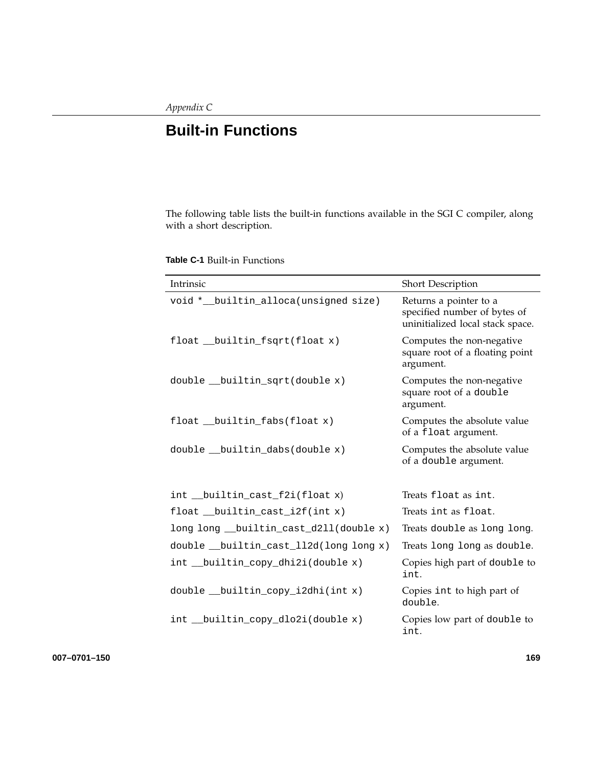# **Built-in Functions**

The following table lists the built-in functions available in the SGI C compiler, along with a short description.

**Table C-1** Built-in Functions

| Intrinsic                               | Short Description                                                                          |
|-----------------------------------------|--------------------------------------------------------------------------------------------|
| void *__builtin_alloca(unsigned size)   | Returns a pointer to a<br>specified number of bytes of<br>uninitialized local stack space. |
| float __builtin_fsqrt(float x)          | Computes the non-negative<br>square root of a floating point<br>argument.                  |
| double __builtin_sqrt(double x)         | Computes the non-negative<br>square root of a double<br>argument.                          |
| float __builtin_fabs(float x)           | Computes the absolute value<br>of a float argument.                                        |
| double __builtin_dabs(double x)         | Computes the absolute value<br>of a double argument.                                       |
| int __builtin_cast_f2i(float x)         | Treats float as int.                                                                       |
| float __builtin_cast_i2f(int x)         | Treats int as float.                                                                       |
| long long __builtin_cast_d2ll(double x) | Treats double as long long.                                                                |
| double __builtin_cast_112d(long long x) | Treats long long as double.                                                                |
| int __builtin_copy_dhi2i(double x)      | Copies high part of double to<br>int.                                                      |
| double __builtin_copy_i2dhi(int x)      | Copies int to high part of<br>double.                                                      |
| int __builtin_copy_dlo2i(double x)      | Copies low part of double to<br>int.                                                       |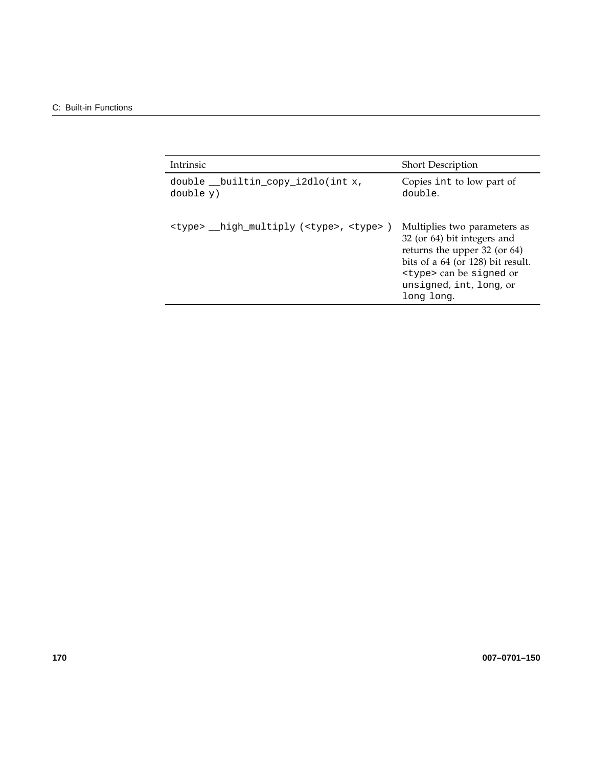| <b>Intrinsic</b>                                           | <b>Short Description</b>                                                                                                                                                                                      |
|------------------------------------------------------------|---------------------------------------------------------------------------------------------------------------------------------------------------------------------------------------------------------------|
| double __builtin_copy_i2dlo(int x,<br>double y)            | Copies int to low part of<br>double.                                                                                                                                                                          |
| <type> high multiply (<type>, <type>)</type></type></type> | Multiplies two parameters as<br>32 (or 64) bit integers and<br>returns the upper 32 (or 64)<br>bits of a 64 (or 128) bit result.<br><type> can be signed or<br/>unsigned, int, long, or<br/>long long.</type> |
|                                                            |                                                                                                                                                                                                               |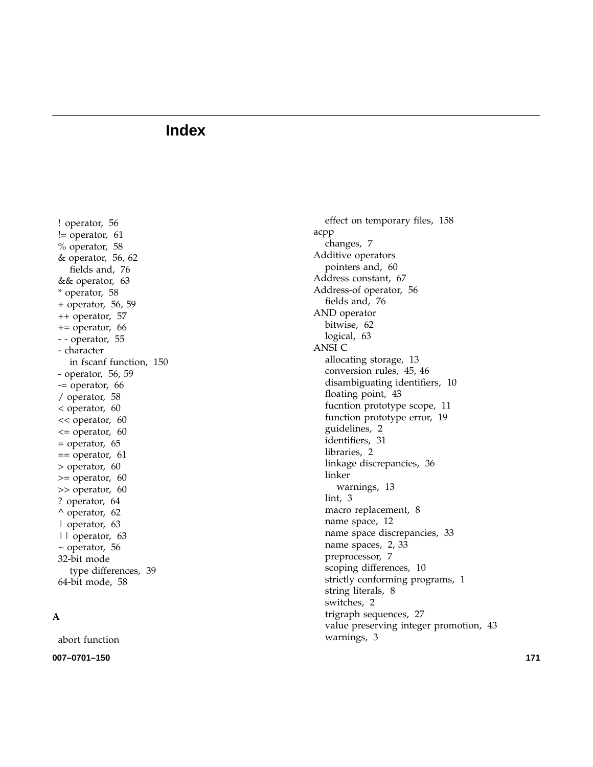! operator, 56 != operator, 61 % operator, 58 & operator, 56, 62 fields and, 76 && operator, 63 \* operator, 58 + operator, 56, 59 ++ operator, 57 += operator, 66 - - operator, 55 - character in fscanf function, 150 - operator, 56, 59 -= operator, 66 / operator, 58 < operator, 60 << operator, 60  $\epsilon$  = operator, 60 = operator, 65  $==$  operator, 61 > operator, 60 >= operator, 60 >> operator, 60 ? operator, 64 ^ operator, 62 | operator, 63 || operator, 63 ~ operator, 56 32-bit mode type differences, 39 64-bit mode, 58

### **A**

abort function

**007 –0701 –150 171**

effect on temporary files, 158 acpp changes, 7 Additive operators pointers and, 60 Address constant, 67 Address-of operator, 56 fields and, 76 AND operator bitwise, 62 logical, 63 ANSI C allocating storage, 13 conversion rules, 45, 46 disambiguating identi fiers, 10 floating point, 43 fucntion prototype scope, 11 function prototype error, 19 guidelines, 2 identi fiers, 31 libraries, 2 linkage discrepancies, 36 linker warnings, 13 lint, 3 macro replacement, 8 name space, 12 name space discrepancies, 33 name spaces, 2, 33 preprocessor, 7 scoping differences, 10 strictly conforming programs, 1 string literals, 8 switches, 2 trigraph sequences, 27 value preserving integer promotion, 43 warnings, 3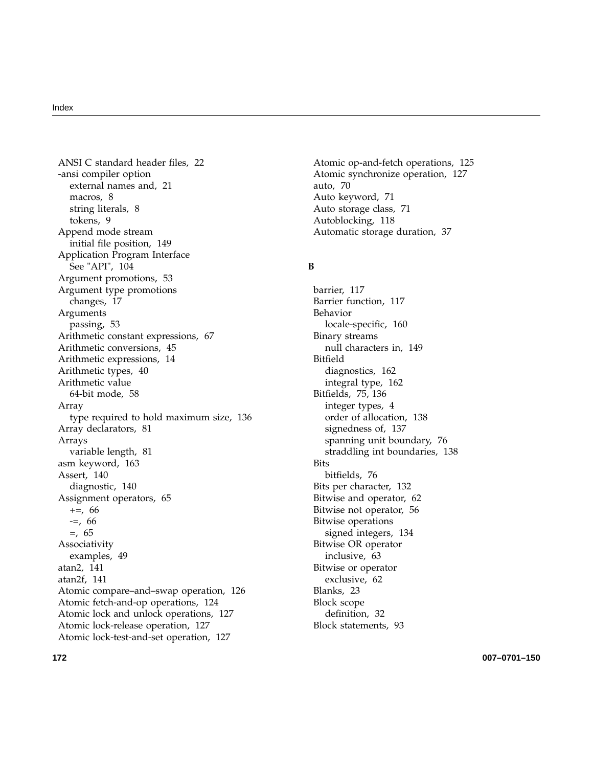ANSI C standard header files, 22 -ansi compiler option external names and, 21 macros, 8 string literals, 8 tokens, 9 Append mode stream initial file position, 149 Application Program Interface See "API", 104 Argument promotions, 53 Argument type promotions changes, 17 Arguments passing, 53 Arithmetic constant expressions, 67 Arithmetic conversions, 45 Arithmetic expressions, 14 Arithmetic types, 40 Arithmetic value 64-bit mode, 58 Array type required to hold maximum size, 136 Array declarators, 81 Arrays variable length, 81 asm keyword, 163 Assert, 140 diagnostic, 140 Assignment operators, 65 +=, 66  $=-, 66$ =, 65 Associativity examples, 49 atan2, 141 atan2f, 141 Atomic compare–and–swap operation, 126 Atomic fetch-and-op operations, 124 Atomic lock and unlock operations, 127 Atomic lock-release operation, 127 Atomic lock-test-and-set operation, 127

Atomic op-and-fetch operations, 125 Atomic synchronize operation, 127 auto, 70 Auto keyword, 71 Auto storage class, 71 Autoblocking, 118 Automatic storage duration, 37

### **B**

barrier, 117 Barrier function, 117 Behavior locale-specific, 160 Binary streams null characters in, 149 Bitfield diagnostics, 162 integral type, 162 Bitfields, 75, 136 integer types, 4 order of allocation, 138 signedness of, 137 spanning unit boundary, 76 straddling int boundaries, 138 Bits bitfields, 76 Bits per character, 132 Bitwise and operator, 62 Bitwise not operator, 56 Bitwise operations signed integers, 134 Bitwise OR operator inclusive, 63 Bitwise or operator exclusive, 62 Blanks, 23 Block scope definition, 32 Block statements, 93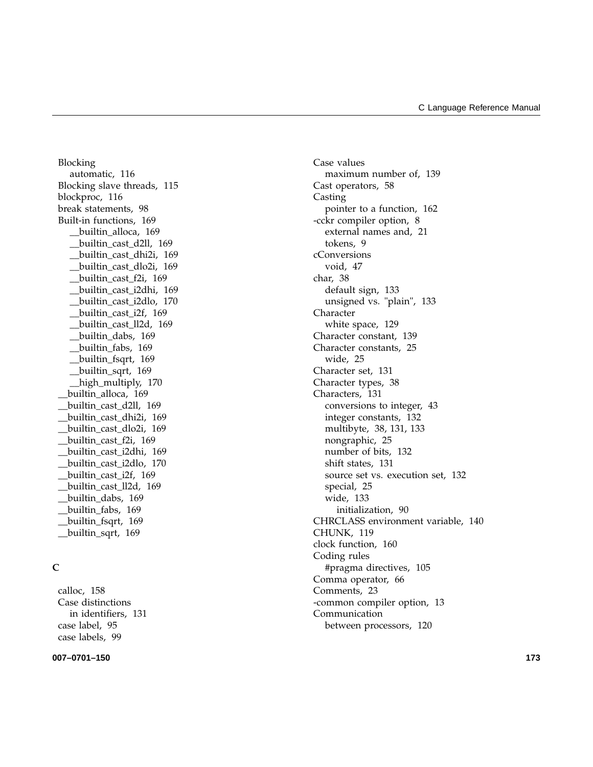Blocking automatic, 116 Blocking slave threads, 115 blockproc, 116 break statements, 98 Built-in functions, 169 \_\_builtin\_alloca, 169 \_\_builtin\_cast\_d2ll, 169 \_\_builtin\_cast\_dhi2i, 169 \_\_builtin\_cast\_dlo2i, 169 \_\_builtin\_cast\_f2i, 169 \_\_builtin\_cast\_i2dhi, 169 \_\_builtin\_cast\_i2dlo, 170 \_\_builtin\_cast\_i2f, 169 \_\_builtin\_cast\_ll2d, 169 \_\_builtin\_dabs, 169 \_\_builtin\_fabs, 169 \_\_builtin\_fsqrt, 169 \_\_builtin\_sqrt, 169 \_\_high\_multiply, 170 \_\_builtin\_alloca, 169 \_\_builtin\_cast\_d2ll, 169 \_\_builtin\_cast\_dhi2i, 169 \_\_builtin\_cast\_dlo2i, 169 \_\_builtin\_cast\_f2i, 169 \_\_builtin\_cast\_i2dhi, 169 \_\_builtin\_cast\_i2dlo, 170 \_\_builtin\_cast\_i2f, 169 \_\_builtin\_cast\_ll2d, 169 \_\_builtin\_dabs, 169 \_\_builtin\_fabs, 169 \_\_builtin\_fsqrt, 169 \_\_builtin\_sqrt, 169

### **C**

calloc, 158 Case distinctions in identifiers, 131 case label, 95 case labels, 99

#### **007–0701–150 173**

Case values maximum number of, 139 Cast operators, 58 Casting pointer to a function, 162 -cckr compiler option, 8 external names and, 21 tokens, 9 cConversions void, 47 char, 38 default sign, 133 unsigned vs. "plain", 133 Character white space, 129 Character constant, 139 Character constants, 25 wide, 25 Character set, 131 Character types, 38 Characters, 131 conversions to integer, 43 integer constants, 132 multibyte, 38, 131, 133 nongraphic, 25 number of bits, 132 shift states, 131 source set vs. execution set, 132 special, 25 wide, 133 initialization, 90 CHRCLASS environment variable, 140 CHUNK, 119 clock function, 160 Coding rules #pragma directives, 105 Comma operator, 66 Comments, 23 -common compiler option, 13 Communication between processors, 120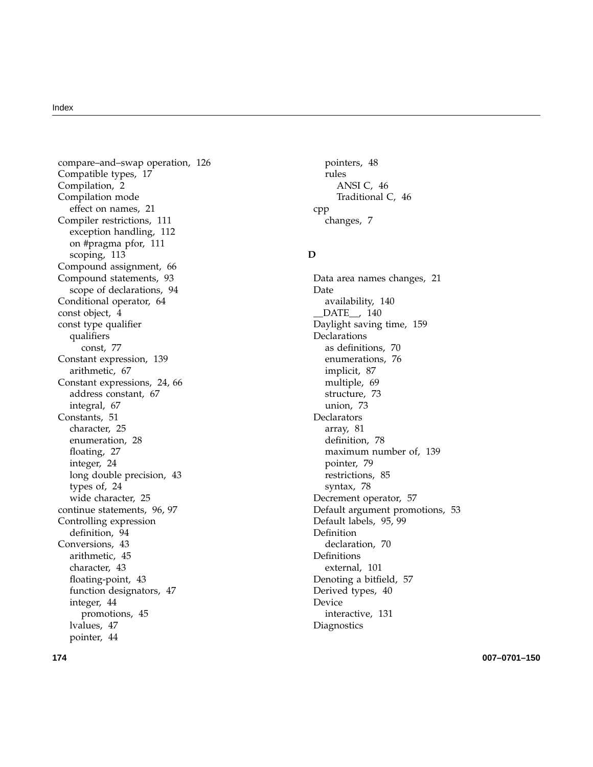compare–and–swap operation, 126 Compatible types, 17 Compilation, 2 Compilation mode effect on names, 21 Compiler restrictions, 111 exception handling, 112 on #pragma pfor, 111 scoping, 113 Compound assignment, 66 Compound statements, 93 scope of declarations, 94 Conditional operator, 64 const object, 4 const type qualifier qualifiers const, 77 Constant expression, 139 arithmetic, 67 Constant expressions, 24, 66 address constant, 67 integral, 67 Constants, 51 character, 25 enumeration, 28 floating, 27 integer, 24 long double precision, 43 types of, 24 wide character, 25 continue statements, 96, 97 Controlling expression definition, 94 Conversions, 43 arithmetic, 45 character, 43 floating-point, 43 function designators, 47 integer, 44 promotions, 45 lvalues, 47 pointer, 44

pointers, 48 rules ANSI C, 46 Traditional C, 46 cpp changes, 7

### **D**

Data area names changes, 21 Date availability, 140 \_\_DATE\_\_, 140 Daylight saving time, 159 Declarations as definitions, 70 enumerations, 76 implicit, 87 multiple, 69 structure, 73 union, 73 Declarators array, 81 definition, 78 maximum number of, 139 pointer, 79 restrictions, 85 syntax, 78 Decrement operator, 57 Default argument promotions, 53 Default labels, 95, 99 Definition declaration, 70 Definitions external, 101 Denoting a bitfield, 57 Derived types, 40 Device interactive, 131 **Diagnostics**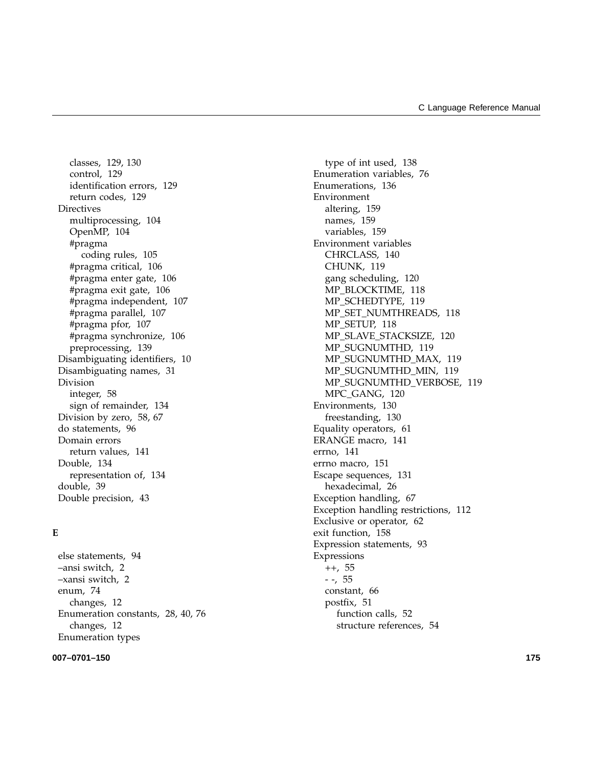classes, 129, 130 control, 129 identification errors, 129 return codes, 129 **Directives** multiprocessing, 104 OpenMP, 104 #pragma coding rules, 105 #pragma critical, 106 #pragma enter gate, 106 #pragma exit gate, 106 #pragma independent, 107 #pragma parallel, 107 #pragma pfor, 107 #pragma synchronize, 106 preprocessing, 139 Disambiguating identifiers, 10 Disambiguating names, 31 Division integer, 58 sign of remainder, 134 Division by zero, 58, 67 do statements, 96 Domain errors return values, 141 Double, 134 representation of, 134 double, 39 Double precision, 43

### **E**

else statements, 94 –ansi switch, 2 –xansi switch, 2 enum, 74 changes, 12 Enumeration constants, 28, 40, 76 changes, 12 Enumeration types

#### **007–0701–150 175**

type of int used, 138 Enumeration variables, 76 Enumerations, 136 Environment altering, 159 names, 159 variables, 159 Environment variables CHRCLASS, 140 CHUNK, 119 gang scheduling, 120 MP\_BLOCKTIME, 118 MP\_SCHEDTYPE, 119 MP\_SET\_NUMTHREADS, 118 MP\_SETUP, 118 MP\_SLAVE\_STACKSIZE, 120 MP\_SUGNUMTHD, 119 MP\_SUGNUMTHD\_MAX, 119 MP\_SUGNUMTHD\_MIN, 119 MP\_SUGNUMTHD\_VERBOSE, 119 MPC\_GANG, 120 Environments, 130 freestanding, 130 Equality operators, 61 ERANGE macro, 141 errno, 141 errno macro, 151 Escape sequences, 131 hexadecimal, 26 Exception handling, 67 Exception handling restrictions, 112 Exclusive or operator, 62 exit function, 158 Expression statements, 93 Expressions ++, 55 - -, 55 constant, 66 postfix, 51 function calls, 52 structure references, 54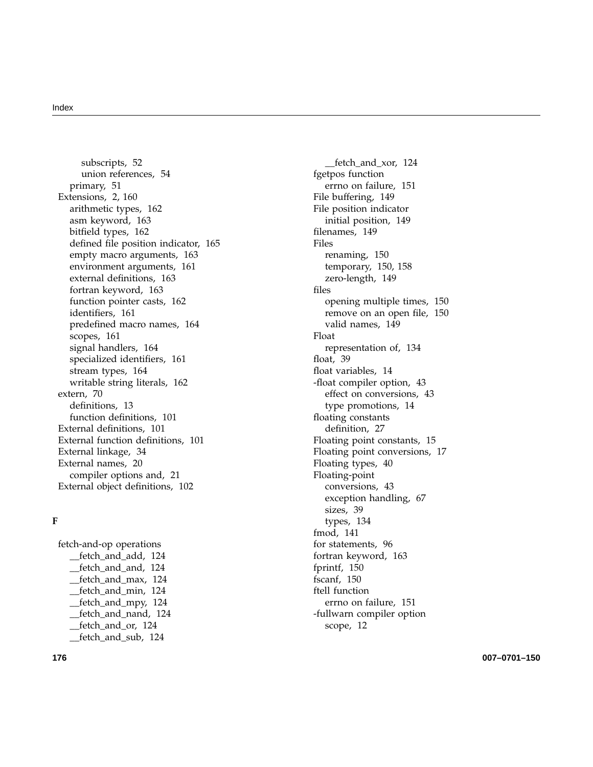subscripts, 52 union references, 54 primary, 51 Extensions, 2, 160 arithmetic types, 162 asm keyword, 163 bit field types, 162 de fined file position indicator, 165 empty macro arguments, 163 environment arguments, 161 external de finitions, 163 fortran keyword, 163 function pointer casts, 162 identi fiers, 161 prede fined macro names, 164 scopes, 161 signal handlers, 164 specialized identi fiers, 161 stream types, 164 writable string literals, 162 extern, 70 de finitions, 13 function de finitions, 101 External de finitions, 101 External function de finitions, 101 External linkage, 34 External names, 20 compiler options and, 21 External object de finitions, 102

### **F**

fetch-and-op operations \_\_fetch\_and\_add, 124 \_\_fetch\_and\_and, 124 \_\_fetch\_and\_max, 124 \_\_fetch\_and\_min, 124 \_\_fetch\_and\_mpy, 124 \_\_fetch\_and\_nand, 124 \_\_fetch\_and\_or, 124 \_\_fetch\_and\_sub, 124

\_\_fetch\_and\_xor, 124 fgetpos function errno on failure, 151 File buffering, 149 File position indicator initial position, 149 filenames, 149 Files renaming, 150 temporary, 150, 158 zero-length, 149 files opening multiple times, 150 remove on an open file, 150 valid names, 149 Float representation of, 134 float, 39 float variables, 14 -float compiler option, 43 effect on conversions, 43 type promotions, 14 floating constants de finition, 27 Floating point constants, 15 Floating point conversions, 17 Floating types, 40 Floating-point conversions, 43 exception handling, 67 sizes, 39 types, 134 fmod, 141 for statements, 96 fortran keyword, 163 fprintf, 150 fscanf, 150 ftell function errno on failure, 151 -fullwarn compiler option scope, 12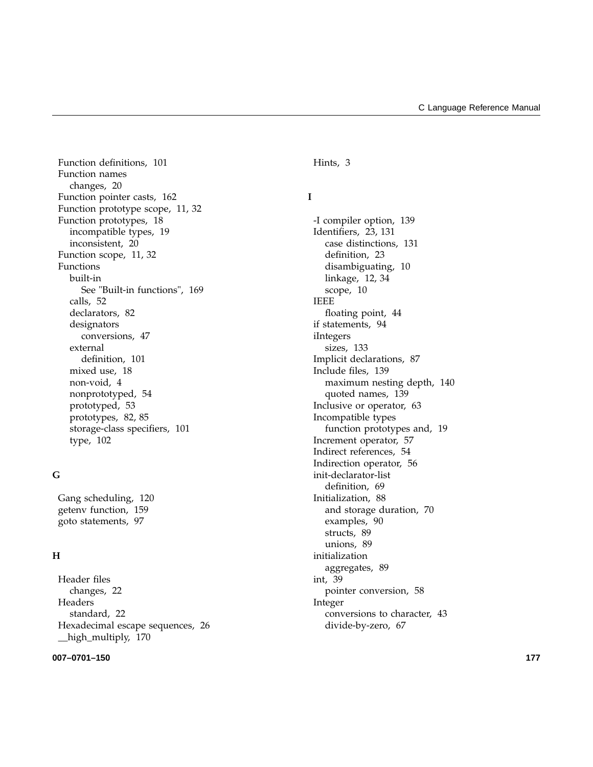Function definitions, 101 Function names changes, 20 Function pointer casts, 162 Function prototype scope, 11, 32 Function prototypes, 18 incompatible types, 19 inconsistent, 20 Function scope, 11, 32 Functions built-in See "Built-in functions", 169 calls, 52 declarators, 82 designators conversions, 47 external definition, 101 mixed use, 18 non-void, 4 nonprototyped, 54 prototyped, 53 prototypes, 82, 85 storage-class specifiers, 101 type, 102

### **G**

Gang scheduling, 120 getenv function, 159 goto statements, 97

### **H**

Header files changes, 22 Headers standard, 22 Hexadecimal escape sequences, 26 \_\_high\_multiply, 170

#### **007–0701–150 177**

Hints, 3

### **I**

-I compiler option, 139 Identifiers, 23, 131 case distinctions, 131 definition, 23 disambiguating, 10 linkage, 12, 34 scope, 10 IEEE floating point, 44 if statements, 94 iIntegers sizes, 133 Implicit declarations, 87 Include files, 139 maximum nesting depth, 140 quoted names, 139 Inclusive or operator, 63 Incompatible types function prototypes and, 19 Increment operator, 57 Indirect references, 54 Indirection operator, 56 init-declarator-list definition, 69 Initialization, 88 and storage duration, 70 examples, 90 structs, 89 unions, 89 initialization aggregates, 89 int, 39 pointer conversion, 58 Integer conversions to character, 43 divide-by-zero, 67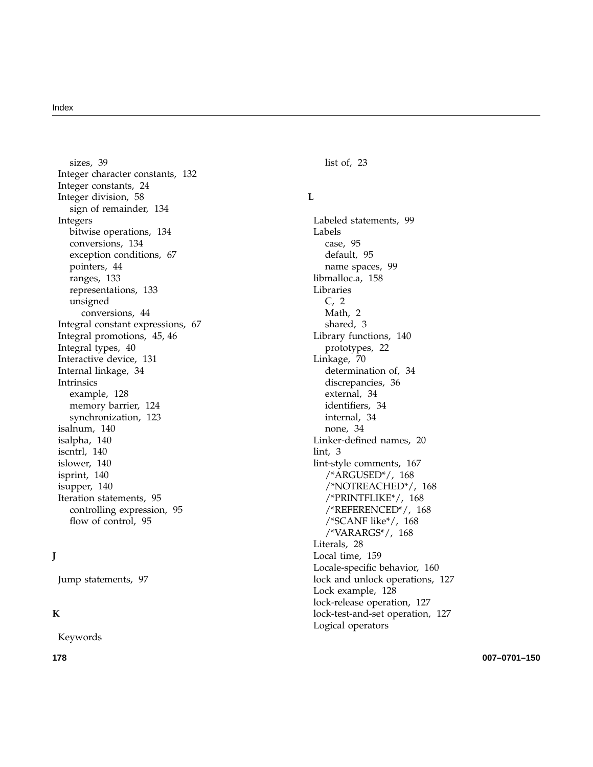sizes, 39 Integer character constants, 132 Integer constants, 24 Integer division, 58 sign of remainder, 134 Integers bitwise operations, 134 conversions, 134 exception conditions, 67 pointers, 44 ranges, 133 representations, 133 unsigned conversions, 44 Integral constant expressions, 67 Integral promotions, 45, 46 Integral types, 40 Interactive device, 131 Internal linkage, 34 Intrinsics example, 128 memory barrier, 124 synchronization, 123 isalnum, 140 isalpha, 140 iscntrl, 140 islower, 140 isprint, 140 isupper, 140 Iteration statements, 95 controlling expression, 95 flow of control, 95

### **J**

Jump statements, 97

### **K**

Keywords

list of, 23

### **L**

Labeled statements, 99 Labels case, 95 default, 95 name spaces, 99 libmalloc.a, 158 Libraries C, 2 Math, 2 shared, 3 Library functions, 140 prototypes, 22 Linkage, 70 determination of, 34 discrepancies, 36 external, 34 identi fiers, 34 internal, 34 none, 34 Linker-de fined names, 20 lint, 3 lint-style comments, 167 /\*ARGUSED\*/, 168 /\*NOTREACHED\*/, 168 /\*PRINTFLIKE\*/, 168 /\*REFERENCED\*/, 168 /\*SCANF like\*/, 168 /\*VARARGS\*/, 168 Literals, 28 Local time, 159 Locale-speci fic behavior, 160 lock and unlock operations, 127 Lock example, 128 lock-release operation, 127 lock-test-and-set operation, 127 Logical operators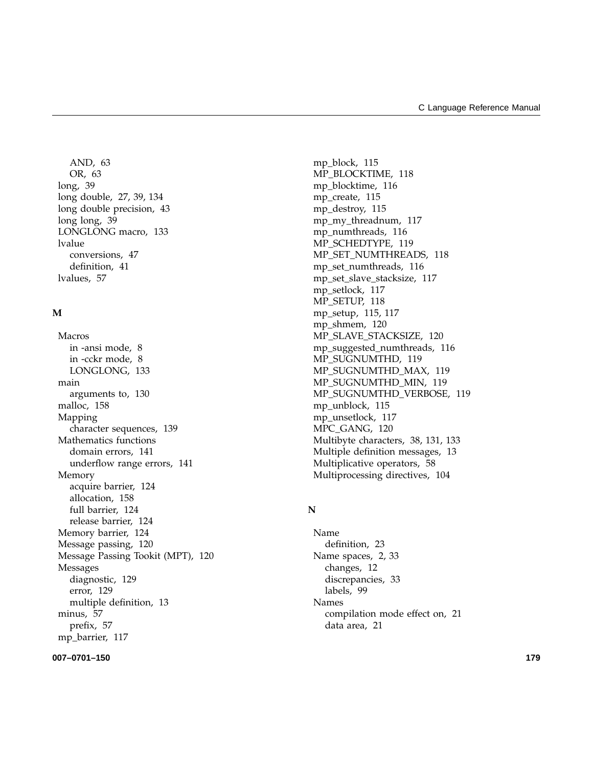AND, 63 OR, 63 long, 39 long double, 27, 39, 134 long double precision, 43 long long, 39 LONGLONG macro, 133 lvalue conversions, 47 definition, 41 lvalues, 57

### **M**

Macros in -ansi mode, 8 in -cckr mode, 8 LONGLONG, 133 main arguments to, 130 malloc, 158 Mapping character sequences, 139 Mathematics functions domain errors, 141 underflow range errors, 141 Memory acquire barrier, 124 allocation, 158 full barrier, 124 release barrier, 124 Memory barrier, 124 Message passing, 120 Message Passing Tookit (MPT), 120 Messages diagnostic, 129 error, 129 multiple definition, 13 minus, 57 prefix, 57 mp\_barrier, 117

#### **007–0701–150 179**

mp\_block, 115 MP\_BLOCKTIME, 118 mp\_blocktime, 116 mp\_create, 115 mp\_destroy, 115 mp\_my\_threadnum, 117 mp\_numthreads, 116 MP\_SCHEDTYPE, 119 MP\_SET\_NUMTHREADS, 118 mp\_set\_numthreads, 116 mp\_set\_slave\_stacksize, 117 mp\_setlock, 117 MP\_SETUP, 118 mp\_setup, 115, 117 mp\_shmem, 120 MP\_SLAVE\_STACKSIZE, 120 mp\_suggested\_numthreads, 116 MP\_SUGNUMTHD, 119 MP\_SUGNUMTHD\_MAX, 119 MP\_SUGNUMTHD\_MIN, 119 MP\_SUGNUMTHD\_VERBOSE, 119 mp\_unblock, 115 mp\_unsetlock, 117 MPC\_GANG, 120 Multibyte characters, 38, 131, 133 Multiple definition messages, 13 Multiplicative operators, 58 Multiprocessing directives, 104

### **N**

Name definition, 23 Name spaces, 2, 33 changes, 12 discrepancies, 33 labels, 99 Names compilation mode effect on, 21 data area, 21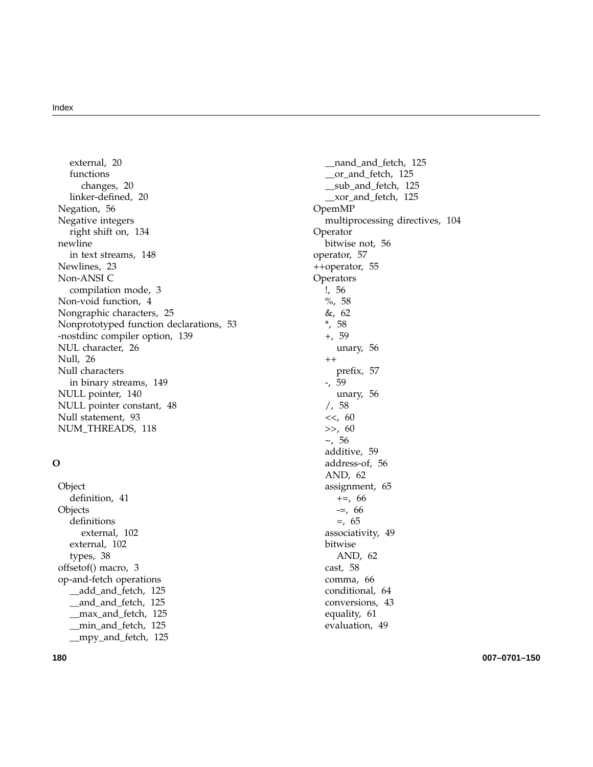external, 20 functions changes, 20 linker-defined, 20 Negation, 56 Negative integers right shift on, 134 newline in text streams, 148 Newlines, 23 Non-ANSI C compilation mode, 3 Non-void function, 4 Nongraphic characters, 25 Nonprototyped function declarations, 53 -nostdinc compiler option, 139 NUL character, 26 Null, 26 Null characters in binary streams, 149 NULL pointer, 140 NULL pointer constant, 48 Null statement, 93 NUM\_THREADS, 118

### **O**

Object definition, 41 **Objects** definitions external, 102 external, 102 types, 38 offsetof() macro, 3 op-and-fetch operations \_\_add\_and\_fetch, 125 \_\_and\_and\_fetch, 125 \_\_max\_and\_fetch, 125 \_\_min\_and\_fetch, 125 \_\_mpy\_and\_fetch, 125

\_\_nand\_and\_fetch, 125 \_\_or\_and\_fetch, 125 \_\_sub\_and\_fetch, 125 \_\_xor\_and\_fetch, 125 OpemMP multiprocessing directives, 104 Operator bitwise not, 56 operator, 57 ++operator, 55 **Operators** !, 56 %, 58 &, 62 \*, 58 +, 59 unary, 56  $^{++}$ prefix, 57 -, 59 unary, 56 /, 58 <<, 60 >>, 60  $\sim$ , 56 additive, 59 address-of, 56 AND, 62 assignment, 65  $+=, 66$ -=, 66  $=$ , 65 associativity, 49 bitwise AND, 62 cast, 58 comma, 66 conditional, 64 conversions, 43 equality, 61 evaluation, 49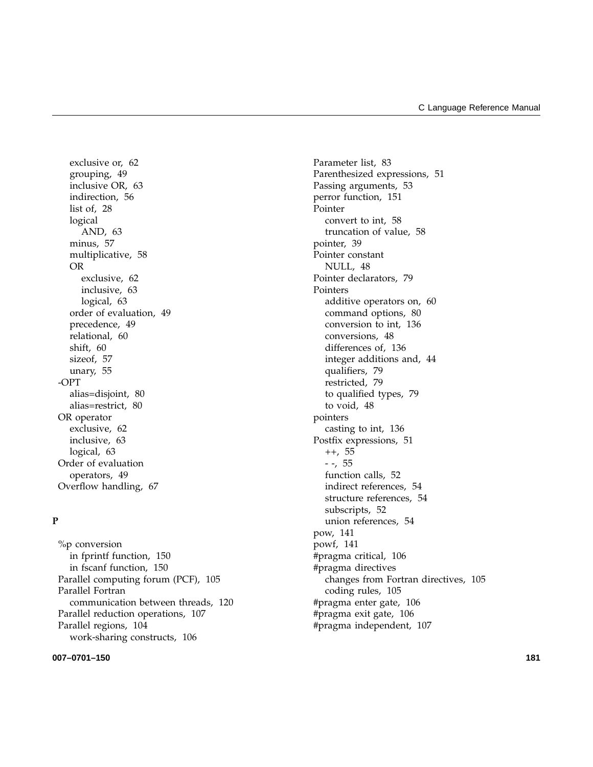exclusive or, 62 grouping, 49 inclusive OR, 63 indirection, 56 list of, 28 logical AND, 63 minus, 57 multiplicative, 58 OR exclusive, 62 inclusive, 63 logical, 63 order of evaluation, 49 precedence, 49 relational, 60 shift, 60 sizeof, 57 unary, 55 -OPT alias=disjoint, 80 alias=restrict, 80 OR operator exclusive, 62 inclusive, 63 logical, 63 Order of evaluation operators, 49 Overflow handling, 67

### **P**

%p conversion in fprintf function, 150 in fscanf function, 150 Parallel computing forum (PCF), 105 Parallel Fortran communication between threads, 120 Parallel reduction operations, 107 Parallel regions, 104 work-sharing constructs, 106

#### **007–0701–150 181**

Parameter list, 83 Parenthesized expressions, 51 Passing arguments, 53 perror function, 151 Pointer convert to int, 58 truncation of value, 58 pointer, 39 Pointer constant NULL, 48 Pointer declarators, 79 Pointers additive operators on, 60 command options, 80 conversion to int, 136 conversions, 48 differences of, 136 integer additions and, 44 qualifiers, 79 restricted, 79 to qualified types, 79 to void, 48 pointers casting to int, 136 Postfix expressions, 51 ++, 55 - -, 55 function calls, 52 indirect references, 54 structure references, 54 subscripts, 52 union references, 54 pow, 141 powf, 141 #pragma critical, 106 #pragma directives changes from Fortran directives, 105 coding rules, 105 #pragma enter gate, 106 #pragma exit gate, 106 #pragma independent, 107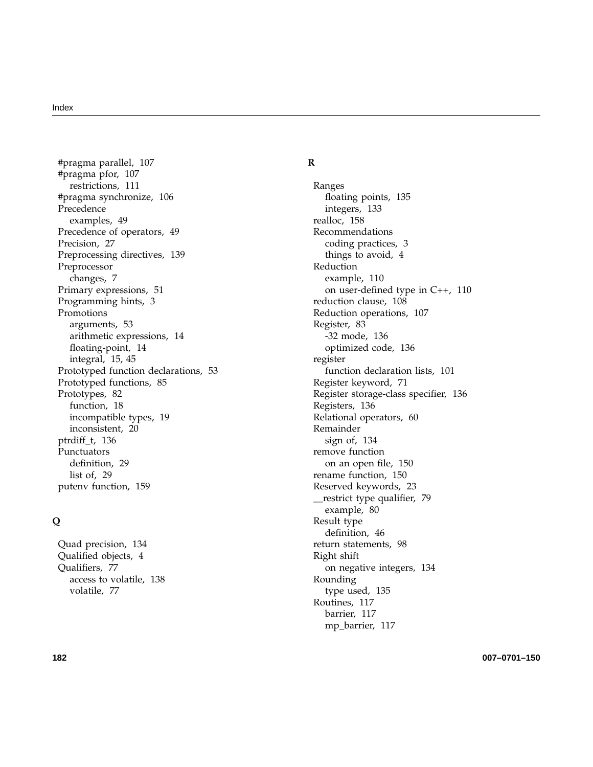#pragma parallel, 107 #pragma pfor, 107 restrictions, 111 #pragma synchronize, 106 Precedence examples, 49 Precedence of operators, 49 Precision, 27 Preprocessing directives, 139 Preprocessor changes, 7 Primary expressions, 51 Programming hints, 3 Promotions arguments, 53 arithmetic expressions, 14 floating-point, 14 integral, 15, 45 Prototyped function declarations, 53 Prototyped functions, 85 Prototypes, 82 function, 18 incompatible types, 19 inconsistent, 20 ptrdiff\_t, 136 Punctuators definition, 29 list of, 29 putenv function, 159

### **Q**

Quad precision, 134 Qualified objects, 4 Qualifiers, 77 access to volatile, 138 volatile, 77

### **R**

Ranges floating points, 135 integers, 133 realloc, 158 Recommendations coding practices, 3 things to avoid, 4 Reduction example, 110 on user-defined type in C++, 110 reduction clause, 108 Reduction operations, 107 Register, 83 -32 mode, 136 optimized code, 136 register function declaration lists, 101 Register keyword, 71 Register storage-class specifier, 136 Registers, 136 Relational operators, 60 Remainder sign of, 134 remove function on an open file, 150 rename function, 150 Reserved keywords, 23 \_\_restrict type qualifier, 79 example, 80 Result type definition, 46 return statements, 98 Right shift on negative integers, 134 Rounding type used, 135 Routines, 117 barrier, 117 mp\_barrier, 117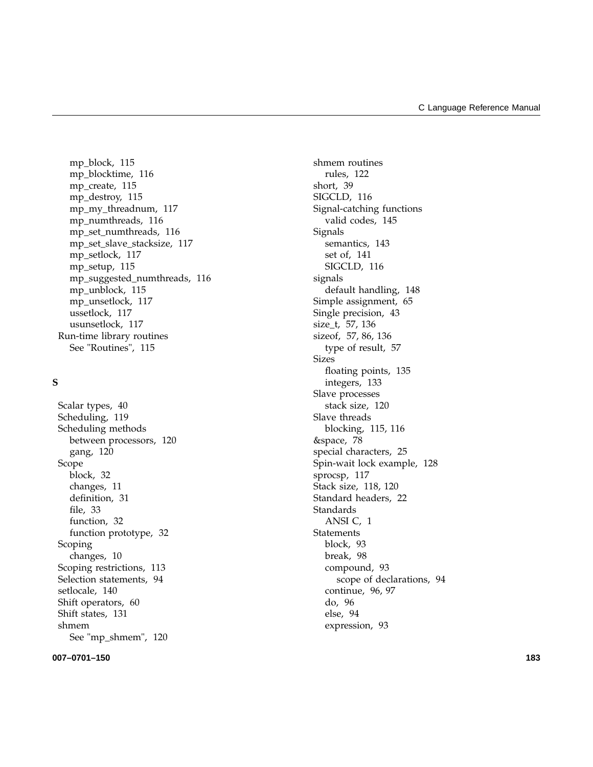mp\_block, 115 mp\_blocktime, 116 mp\_create, 115 mp\_destroy, 115 mp my threadnum, 117 mp\_numthreads, 116 mp\_set\_numthreads, 116 mp\_set\_slave\_stacksize, 117 mp\_setlock, 117 mp\_setup, 115 mp\_suggested\_numthreads, 116 mp\_unblock, 115 mp\_unsetlock, 117 ussetlock, 117 usunsetlock, 117 Run-time library routines See "Routines", 115

### **S**

Scalar types, 40 Scheduling, 119 Scheduling methods between processors, 120 gang, 120 Scope block, 32 changes, 11 definition, 31 file, 33 function, 32 function prototype, 32 Scoping changes, 10 Scoping restrictions, 113 Selection statements, 94 setlocale, 140 Shift operators, 60 Shift states, 131 shmem See "mp\_shmem", 120

**007–0701–150 183**

shmem routines rules, 122 short, 39 SIGCLD, 116 Signal-catching functions valid codes, 145 Signals semantics, 143 set of, 141 SIGCLD, 116 signals default handling, 148 Simple assignment, 65 Single precision, 43 size\_t, 57, 136 sizeof, 57, 86, 136 type of result, 57 Sizes floating points, 135 integers, 133 Slave processes stack size, 120 Slave threads blocking, 115, 116 &space, 78 special characters, 25 Spin-wait lock example, 128 sprocsp, 117 Stack size, 118, 120 Standard headers, 22 Standards ANSI C, 1 Statements block, 93 break, 98 compound, 93 scope of declarations, 94 continue, 96, 97 do, 96 else, 94 expression, 93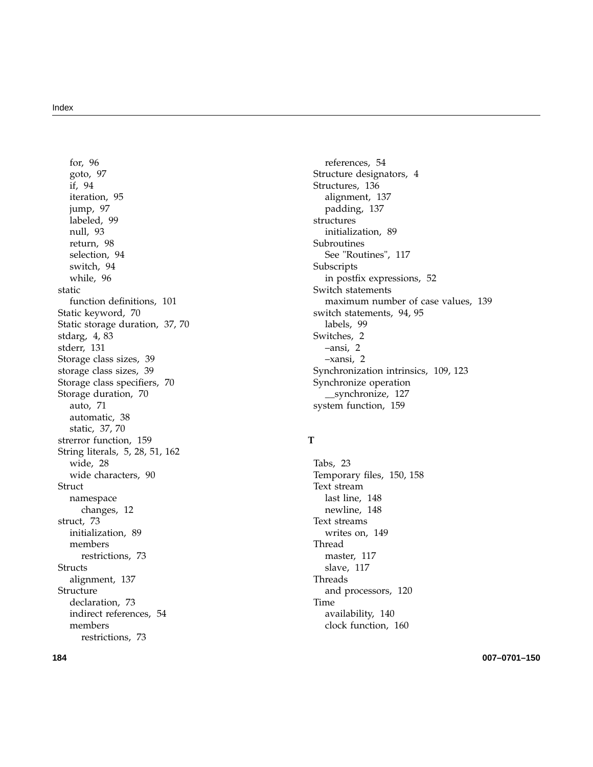for, 96 goto, 97 if, 94 iteration, 95 jump, 97 labeled, 99 null, 93 return, 98 selection, 94 switch, 94 while, 96 static function definitions, 101 Static keyword, 70 Static storage duration, 37, 70 stdarg, 4, 83 stderr, 131 Storage class sizes, 39 storage class sizes, 39 Storage class specifiers, 70 Storage duration, 70 auto, 71 automatic, 38 static, 37, 70 strerror function, 159 String literals, 5, 28, 51, 162 wide, 28 wide characters, 90 **Struct** namespace changes, 12 struct, 73 initialization, 89 members restrictions, 73 Structs alignment, 137 Structure declaration, 73 indirect references, 54 members restrictions, 73

references, 54 Structure designators, 4 Structures, 136 alignment, 137 padding, 137 structures initialization, 89 Subroutines See "Routines", 117 Subscripts in postfix expressions, 52 Switch statements maximum number of case values, 139 switch statements, 94, 95 labels, 99 Switches, 2 –ansi, 2 –xansi, 2 Synchronization intrinsics, 109, 123 Synchronize operation \_\_synchronize, 127 system function, 159

### **T**

Tabs, 23 Temporary files, 150, 158 Text stream last line, 148 newline, 148 Text streams writes on, 149 Thread master, 117 slave, 117 Threads and processors, 120 Time availability, 140 clock function, 160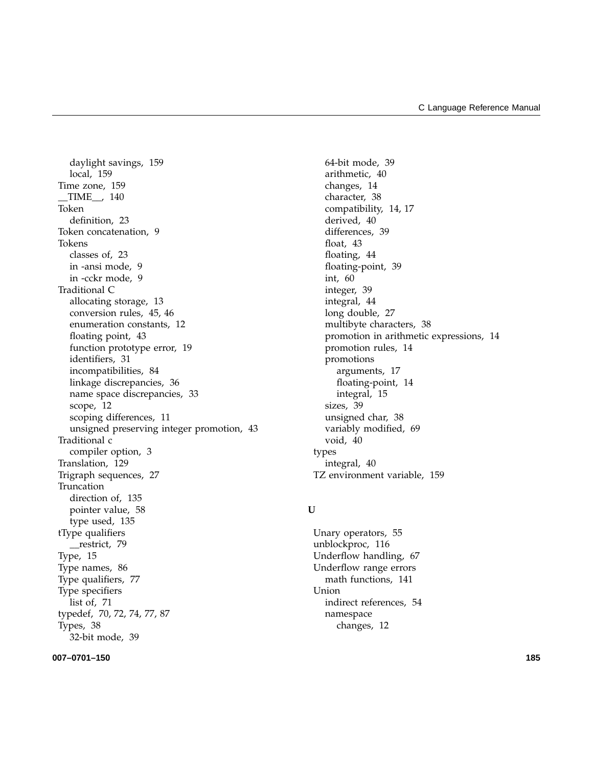daylight savings, 159 local, 159 Time zone, 159 \_\_TIME\_\_, 140 Token definition, 23 Token concatenation, 9 Tokens classes of, 23 in -ansi mode, 9 in -cckr mode, 9 Traditional C allocating storage, 13 conversion rules, 45, 46 enumeration constants, 12 floating point, 43 function prototype error, 19 identifiers, 31 incompatibilities, 84 linkage discrepancies, 36 name space discrepancies, 33 scope, 12 scoping differences, 11 unsigned preserving integer promotion, 43 Traditional c compiler option, 3 Translation, 129 Trigraph sequences, 27 Truncation direction of, 135 pointer value, 58 type used, 135 tType qualifiers \_\_restrict, 79 Type, 15 Type names, 86 Type qualifiers, 77 Type specifiers list of, 71 typedef, 70, 72, 74, 77, 87 Types, 38 32-bit mode, 39

#### **007–0701–150 185**

64-bit mode, 39 arithmetic, 40 changes, 14 character, 38 compatibility, 14, 17 derived, 40 differences, 39 float, 43 floating, 44 floating-point, 39 int, 60 integer, 39 integral, 44 long double, 27 multibyte characters, 38 promotion in arithmetic expressions, 14 promotion rules, 14 promotions arguments, 17 floating-point, 14 integral, 15 sizes, 39 unsigned char, 38 variably modified, 69 void, 40 types integral, 40 TZ environment variable, 159

#### **U**

Unary operators, 55 unblockproc, 116 Underflow handling, 67 Underflow range errors math functions, 141 Union indirect references, 54 namespace changes, 12